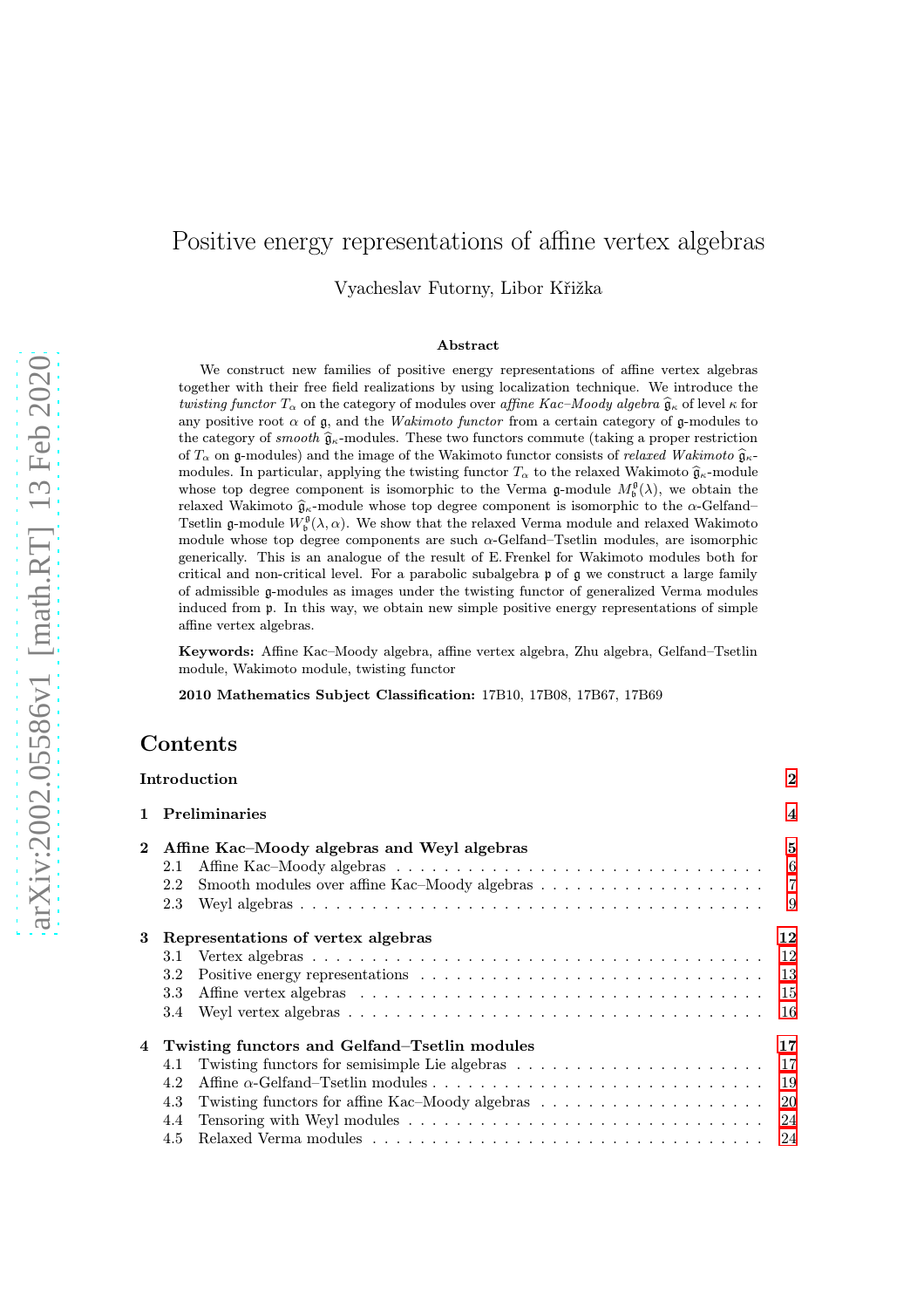# Positive energy representations of affine vertex algebras

Vyacheslav Futorny, Libor Křižka

#### Abstract

We construct new families of positive energy representations of affine vertex algebras together with their free field realizations by using localization technique. We introduce the twisting functor  $T_{\alpha}$  on the category of modules over affine Kac–Moody algebra  $\widehat{\mathfrak{g}}_{\kappa}$  of level  $\kappa$  for any positive root  $\alpha$  of g, and the *Wakimoto functor* from a certain category of g-modules to the category of *smooth*  $\hat{\mathfrak{g}}_{\kappa}$ -modules. These two functors commute (taking a proper restriction of  $T_{\alpha}$  on g-modules) and the image of the Wakimoto functor consists of relaxed Wakimoto  $\hat{\mathfrak{g}}_{\kappa}$ modules. In particular, applying the twisting functor  $T_{\alpha}$  to the relaxed Wakimoto  $\hat{\mathfrak{g}}_{\kappa}$ -module whose top degree component is isomorphic to the Verma  $\mathfrak{g}\text{-module }M^{\mathfrak{g}}_{\mathfrak{b}}(\lambda)$ , we obtain the relaxed Wakimoto  $\hat{\mathfrak{g}}_{\kappa}$ -module whose top degree component is isomorphic to the  $\alpha$ -Gelfand– Tsetlin g-module  $W^{\mathfrak{g}}_{\mathfrak{b}}(\lambda,\alpha)$ . We show that the relaxed Verma module and relaxed Wakimoto module whose top degree components are such α-Gelfand–Tsetlin modules, are isomorphic generically. This is an analogue of the result of E. Frenkel for Wakimoto modules both for critical and non-critical level. For a parabolic subalgebra p of g we construct a large family of admissible g-modules as images under the twisting functor of generalized Verma modules induced from p. In this way, we obtain new simple positive energy representations of simple affine vertex algebras.

Keywords: Affine Kac–Moody algebra, affine vertex algebra, Zhu algebra, Gelfand–Tsetlin module, Wakimoto module, twisting functor

2010 Mathematics Subject Classification: 17B10, 17B08, 17B67, 17B69

### Contents

|              |                                                     | Introduction                                                                                                      | $\bf{2}$         |  |  |
|--------------|-----------------------------------------------------|-------------------------------------------------------------------------------------------------------------------|------------------|--|--|
| $\mathbf{1}$ |                                                     | <b>Preliminaries</b>                                                                                              | $\boldsymbol{4}$ |  |  |
| $\mathbf{2}$ | Affine Kac–Moody algebras and Weyl algebras         |                                                                                                                   |                  |  |  |
|              | 2.1                                                 |                                                                                                                   | 6                |  |  |
|              | 2.2                                                 |                                                                                                                   | $\overline{7}$   |  |  |
|              | 2.3                                                 |                                                                                                                   | 9                |  |  |
| 3            |                                                     | Representations of vertex algebras                                                                                | 12               |  |  |
|              | 3.1                                                 |                                                                                                                   | 12               |  |  |
|              | 3.2                                                 |                                                                                                                   | 13               |  |  |
|              | 3.3                                                 |                                                                                                                   | 15               |  |  |
|              | 3.4                                                 | Weyl vertex algebras $\ldots \ldots \ldots \ldots \ldots \ldots \ldots \ldots \ldots \ldots \ldots \ldots \ldots$ | 16               |  |  |
| 4            | Twisting functors and Gelfand–Tsetlin modules<br>17 |                                                                                                                   |                  |  |  |
|              | 4.1                                                 |                                                                                                                   | 17               |  |  |
|              | 4.2                                                 |                                                                                                                   | 19               |  |  |
|              | 4.3                                                 | Twisting functors for affine Kac–Moody algebras $\dots \dots \dots \dots \dots \dots \dots$                       | 20               |  |  |
|              | 4.4                                                 |                                                                                                                   | 24               |  |  |
|              | 4.5                                                 |                                                                                                                   | 24               |  |  |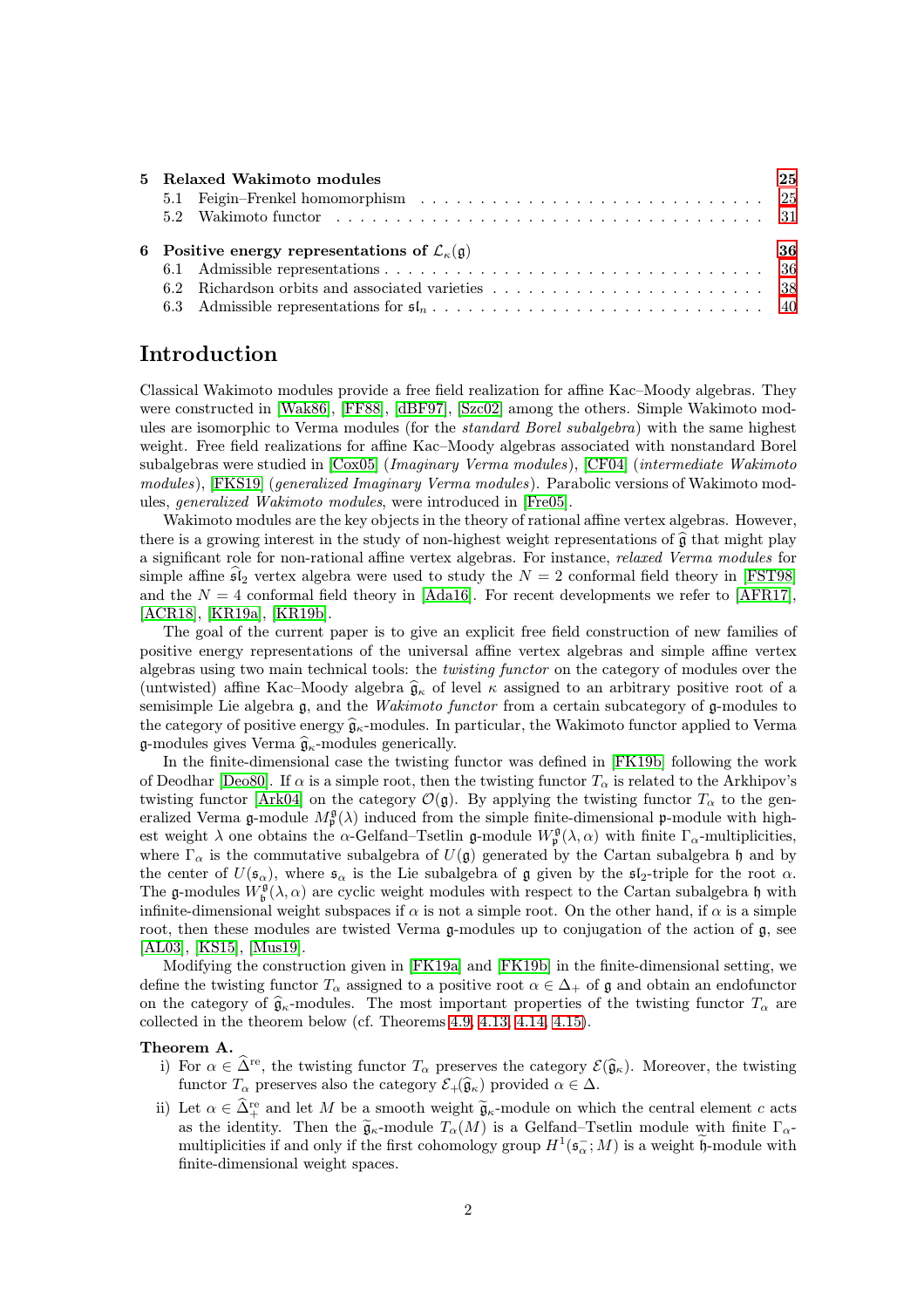|  | 5 Relaxed Wakimoto modules                                                | 25 |
|--|---------------------------------------------------------------------------|----|
|  |                                                                           |    |
|  |                                                                           |    |
|  |                                                                           |    |
|  | 6 Positive energy representations of $\mathcal{L}_{\kappa}(\mathfrak{g})$ | 36 |
|  |                                                                           |    |
|  |                                                                           |    |

## <span id="page-1-0"></span>Introduction

Classical Wakimoto modules provide a free field realization for affine Kac–Moody algebras. They were constructed in [\[Wak86\]](#page-44-0), [\[FF88\]](#page-43-0), [\[dBF97\]](#page-42-0), [\[Szc02\]](#page-44-1) among the others. Simple Wakimoto modules are isomorphic to Verma modules (for the *standard Borel subalgebra*) with the same highest weight. Free field realizations for affine Kac–Moody algebras associated with nonstandard Borel subalgebras were studied in [\[Cox05\]](#page-42-1) (Imaginary Verma modules), [\[CF04\]](#page-42-2) (intermediate Wakimoto modules), [\[FKS19\]](#page-43-1) (generalized Imaginary Verma modules). Parabolic versions of Wakimoto modules, generalized Wakimoto modules, were introduced in [\[Fre05\]](#page-43-2).

Wakimoto modules are the key objects in the theory of rational affine vertex algebras. However, there is a growing interest in the study of non-highest weight representations of  $\hat{\mathfrak{g}}$  that might play a significant role for non-rational affine vertex algebras. For instance, relaxed Verma modules for simple affine  $\mathfrak{sl}_2$  vertex algebra were used to study the  $N = 2$  conformal field theory in [\[FST98\]](#page-43-3) and the  $N = 4$  conformal field theory in [\[Ada16\]](#page-42-3). For recent developments we refer to [\[AFR17\]](#page-42-4), [\[ACR18\]](#page-42-5), [\[KR19a\]](#page-43-4), [\[KR19b\]](#page-43-5).

The goal of the current paper is to give an explicit free field construction of new families of positive energy representations of the universal affine vertex algebras and simple affine vertex algebras using two main technical tools: the twisting functor on the category of modules over the (untwisted) affine Kac–Moody algebra  $\hat{g}_{\kappa}$  of level  $\kappa$  assigned to an arbitrary positive root of a semisimple Lie algebra  $\mathfrak{g}$ , and the *Wakimoto functor* from a certain subcategory of  $\mathfrak{g}$ -modules to the category of positive energy  $\hat{\mathfrak{g}}_{\kappa}$ -modules. In particular, the Wakimoto functor applied to Verma g-modules gives Verma  $\hat{\mathfrak{g}}_{\kappa}$ -modules generically.

In the finite-dimensional case the twisting functor was defined in [\[FK19b\]](#page-43-6) following the work of Deodhar [\[Deo80\]](#page-42-6). If  $\alpha$  is a simple root, then the twisting functor  $T_{\alpha}$  is related to the Arkhipov's twisting functor [\[Ark04\]](#page-42-7) on the category  $\mathcal{O}(\mathfrak{g})$ . By applying the twisting functor  $T_{\alpha}$  to the generalized Verma g-module  $M_{\mathfrak{p}}^{\mathfrak{g}}(\lambda)$  induced from the simple finite-dimensional p-module with highest weight  $\lambda$  one obtains the  $\alpha$ -Gelfand–Tsetlin g-module  $W_p^{\mathfrak{g}}(\lambda, \alpha)$  with finite  $\Gamma_\alpha$ -multiplicities, where  $\Gamma_{\alpha}$  is the commutative subalgebra of  $U(\mathfrak{g})$  generated by the Cartan subalgebra h and by the center of  $U(\mathfrak{s}_{\alpha})$ , where  $\mathfrak{s}_{\alpha}$  is the Lie subalgebra of g given by the  $\mathfrak{s}_{2}$ -triple for the root  $\alpha$ . The g-modules  $W_b^{\mathfrak{g}}(\lambda,\alpha)$  are cyclic weight modules with respect to the Cartan subalgebra h with infinite-dimensional weight subspaces if  $\alpha$  is not a simple root. On the other hand, if  $\alpha$  is a simple root, then these modules are twisted Verma g-modules up to conjugation of the action of  $\mathfrak{g}$ , see [\[AL03\]](#page-42-8), [\[KS15\]](#page-43-7), [\[Mus19\]](#page-43-8).

Modifying the construction given in [\[FK19a\]](#page-43-9) and [\[FK19b\]](#page-43-6) in the finite-dimensional setting, we define the twisting functor  $T_{\alpha}$  assigned to a positive root  $\alpha \in \Delta_+$  of g and obtain an endofunctor on the category of  $\hat{\mathfrak{g}}_{\kappa}$ -modules. The most important properties of the twisting functor  $T_{\alpha}$  are collected in the theorem below (cf. Theorems [4.9,](#page-20-0) [4.13,](#page-22-0) [4.14,](#page-23-2) [4.15\)](#page-23-3).

#### Theorem A.

- i) For  $\alpha \in \widehat{\Delta}^{\text{re}}$ , the twisting functor  $T_{\alpha}$  preserves the category  $\mathcal{E}(\widehat{\mathfrak{g}}_{\kappa})$ . Moreover, the twisting functor  $T_{\alpha}$  preserves also the category  $\mathcal{E}_{+}(\widehat{\mathfrak{g}}_{\kappa})$  provided  $\alpha \in \Delta$ .
- ii) Let  $\alpha \in \hat{\Delta}^{\text{re}}$  and let M be a smooth weight  $\widetilde{\mathfrak{g}}_{\kappa}$ -module on which the central element c acts as the identity. Then the  $\tilde{\mathfrak{g}}_{\kappa}$ -module  $T_{\alpha}(M)$  is a Gelfand–Tsetlin module with finite  $\Gamma_{\alpha}$ multiplicities if and only if the first cohomology group  $H^1(\mathfrak{s}_\alpha^-; M)$  is a weight  $\mathfrak{h}$ -module with finite-dimensional weight spaces.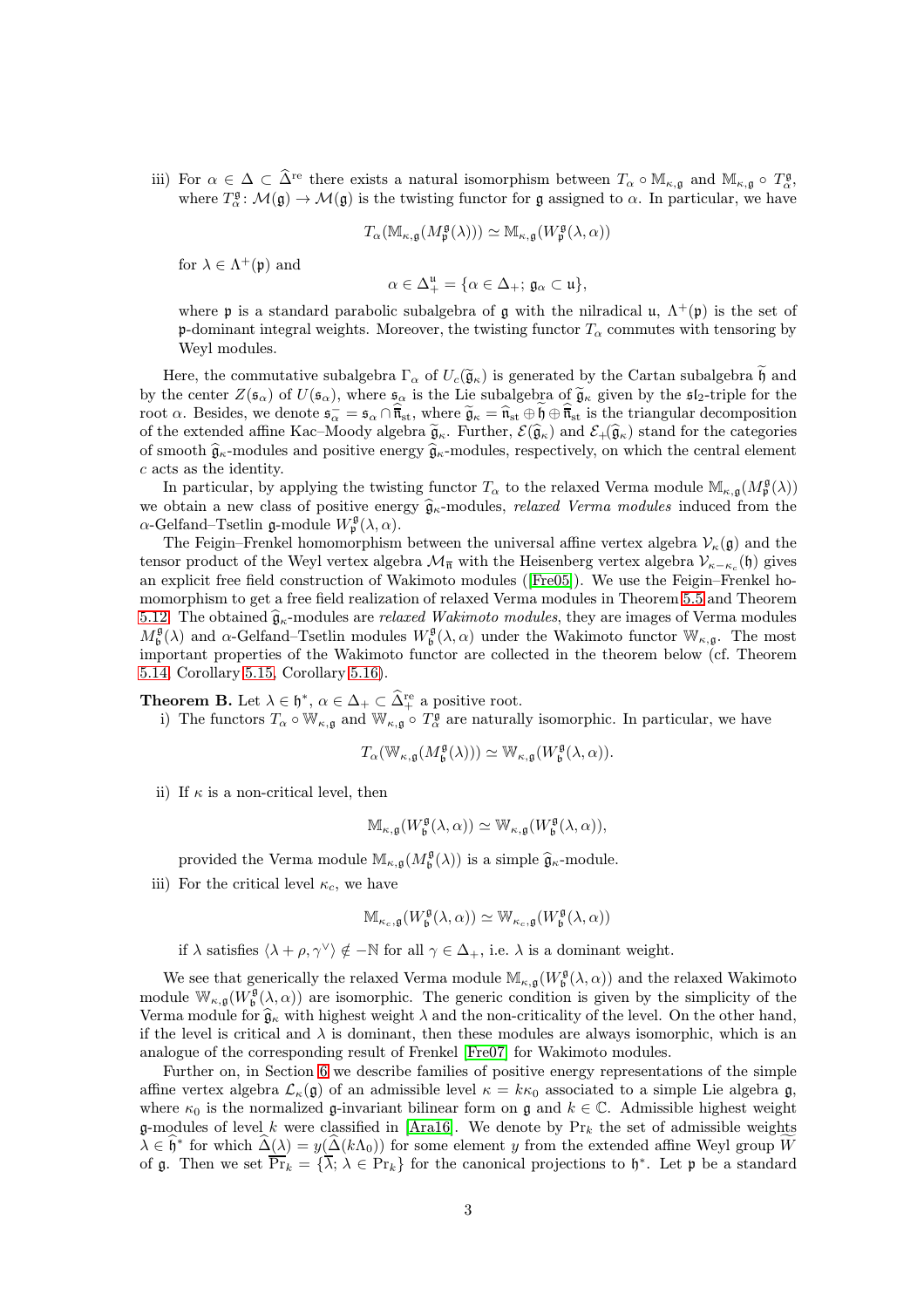iii) For  $\alpha \in \Delta \subset \widehat{\Delta}^{\text{re}}$  there exists a natural isomorphism between  $T_{\alpha} \circ \mathbb{M}_{\kappa,\mathfrak{g}}$  and  $\mathbb{M}_{\kappa,\mathfrak{g}} \circ T_{\alpha}^{\mathfrak{g}}$ , where  $T^{\mathfrak{g}}_{\alpha} : \mathcal{M}(\mathfrak{g}) \to \mathcal{M}(\mathfrak{g})$  is the twisting functor for  $\mathfrak{g}$  assigned to  $\alpha$ . In particular, we have

$$
T_{\alpha}(\mathbb{M}_{\kappa,\mathfrak{g}}(M_{\mathfrak{p}}^{\mathfrak{g}}(\lambda)))\simeq \mathbb{M}_{\kappa,\mathfrak{g}}(W_{\mathfrak{p}}^{\mathfrak{g}}(\lambda,\alpha))
$$

for  $\lambda \in \Lambda^+(\mathfrak{p})$  and

$$
\alpha\in\Delta^\mathfrak{u}_+=\{\alpha\in\Delta_+;\,\mathfrak{g}_\alpha\subset\mathfrak{u}\},
$$

where p is a standard parabolic subalgebra of  $\mathfrak g$  with the nilradical  $\mathfrak u$ ,  $\Lambda^+(\mathfrak p)$  is the set of p-dominant integral weights. Moreover, the twisting functor  $T_{\alpha}$  commutes with tensoring by Weyl modules.

Here, the commutative subalgebra  $\Gamma_{\alpha}$  of  $U_c(\tilde{\mathfrak{g}}_{\kappa})$  is generated by the Cartan subalgebra h and by the center  $Z(\mathfrak{s}_{\alpha})$  of  $U(\mathfrak{s}_{\alpha})$ , where  $\mathfrak{s}_{\alpha}$  is the Lie subalgebra of  $\widetilde{\mathfrak{g}}_{\kappa}$  given by the  $\mathfrak{s}_{2}$ -triple for the root  $\alpha$ . Besides, we denote  $\mathfrak{s}_{\alpha}^{-} = \mathfrak{s}_{\alpha} \cap \overline{\mathfrak{n}}_{\rm st}$ , where  $\widetilde{\mathfrak{g}}_{\kappa} = \widehat{\mathfrak{n}}_{\rm st} \oplus \mathfrak{h} \oplus \overline{\mathfrak{n}}_{\rm st}$  is the triangular decomposition of the extended affine Kac–Moody algebra  $\tilde{\mathfrak{g}}_{\kappa}$ . Further,  $\mathcal{E}(\hat{\mathfrak{g}}_{\kappa})$  and  $\mathcal{E}_{+}(\hat{\mathfrak{g}}_{\kappa})$  stand for the categories of smooth  $\hat{\mathfrak{g}}_{\kappa}$ -modules and positive energy  $\hat{\mathfrak{g}}_{\kappa}$ -modules, respectively, on which the central element c acts as the identity.

In particular, by applying the twisting functor  $T_{\alpha}$  to the relaxed Verma module  $\mathbb{M}_{\kappa,\mathfrak{g}}(M_{\mathfrak{p}}^{\mathfrak{g}}(\lambda))$ we obtain a new class of positive energy  $\hat{g}_{\kappa}$ -modules, *relaxed Verma modules* induced from the  $\alpha$ -Gelfand–Tsetlin g-module  $W_{\mathfrak{p}}^{\mathfrak{g}}(\lambda,\alpha)$ .

The Feigin–Frenkel homomorphism between the universal affine vertex algebra  $V_{\kappa}(\mathfrak{g})$  and the tensor product of the Weyl vertex algebra  $\mathcal{M}_{\overline{n}}$  with the Heisenberg vertex algebra  $\mathcal{V}_{\kappa-\kappa_c}(\mathfrak{h})$  gives an explicit free field construction of Wakimoto modules([\[Fre05\]](#page-43-2)). We use the Feigin–Frenkel homomorphism to get a free field realization of relaxed Verma modules in Theorem [5.5](#page-27-0) and Theorem [5.12.](#page-32-0) The obtained  $\hat{\mathfrak{g}}_{\kappa}$ -modules are *relaxed Wakimoto modules*, they are images of Verma modules  $M_{\mathfrak{b}}^{\mathfrak{g}}(\lambda)$  and  $\alpha$ -Gelfand–Tsetlin modules  $W_{\mathfrak{b}}^{\mathfrak{g}}(\lambda,\alpha)$  under the Wakimoto functor  $\mathbb{W}_{\kappa,\mathfrak{g}}$ . The most important properties of the Wakimoto functor are collected in the theorem below (cf. Theorem [5.14,](#page-34-0) Corollary [5.15,](#page-35-2) Corollary [5.16\)](#page-35-3).

**Theorem B.** Let  $\lambda \in \mathfrak{h}^*, \ \alpha \in \Delta_+ \subset \widehat{\Delta}^{\text{re}}_+$  a positive root.

i) The functors  $T_{\alpha} \circ \mathbb{W}_{\kappa,\mathfrak{g}}$  and  $\mathbb{W}_{\kappa,\mathfrak{g}} \circ T_{\alpha}^{\mathfrak{g}}$  are naturally isomorphic. In particular, we have

$$
T_{\alpha}(\mathbb{W}_{\kappa,\mathfrak{g}}(M_{\mathfrak{b}}^{\mathfrak{g}}(\lambda)))\simeq \mathbb{W}_{\kappa,\mathfrak{g}}(W_{\mathfrak{b}}^{\mathfrak{g}}(\lambda,\alpha)).
$$

ii) If  $\kappa$  is a non-critical level, then

$$
\mathbb{M}_{\kappa,\mathfrak{g}}(W_{\mathfrak{b}}^{\mathfrak{g}}(\lambda, \alpha)) \simeq \mathbb{W}_{\kappa,\mathfrak{g}}(W_{\mathfrak{b}}^{\mathfrak{g}}(\lambda, \alpha)),
$$

provided the Verma module  $\mathbb{M}_{\kappa,\mathfrak{g}}(M^{\mathfrak{g}}_{\mathfrak{b}}(\lambda))$  is a simple  $\widehat{\mathfrak{g}}_{\kappa}$ -module.

iii) For the critical level  $\kappa_c$ , we have

$$
\mathbb{M}_{\kappa_c, \mathfrak{g}}(W^{\mathfrak{g}}_{\mathfrak{b}}(\lambda, \alpha)) \simeq \mathbb{W}_{\kappa_c, \mathfrak{g}}(W^{\mathfrak{g}}_{\mathfrak{b}}(\lambda, \alpha))
$$

if  $\lambda$  satisfies  $\langle \lambda + \rho, \gamma^{\vee} \rangle \notin -\mathbb{N}$  for all  $\gamma \in \Delta_+$ , i.e.  $\lambda$  is a dominant weight.

We see that generically the relaxed Verma module  $\mathbb{M}_{\kappa,\mathfrak{g}}(W^{\mathfrak{g}}_{\mathfrak{b}}(\lambda,\alpha))$  and the relaxed Wakimoto module  $\mathbb{W}_{\kappa,g}(W^{\mathfrak{g}}_{\mathfrak{b}}(\lambda,\alpha))$  are isomorphic. The generic condition is given by the simplicity of the Verma module for  $\hat{\mathfrak{g}}_{\kappa}$  with highest weight  $\lambda$  and the non-criticality of the level. On the other hand, if the level is critical and  $\lambda$  is dominant, then these modules are always isomorphic, which is an analogue of the corresponding result of Frenkel [\[Fre07\]](#page-43-10) for Wakimoto modules.

Further on, in Section [6](#page-35-0) we describe families of positive energy representations of the simple affine vertex algebra  $\mathcal{L}_{\kappa}(\mathfrak{g})$  of an admissible level  $\kappa = k\kappa_0$  associated to a simple Lie algebra g, where  $\kappa_0$  is the normalized g-invariant bilinear form on g and  $k \in \mathbb{C}$ . Admissible highest weight g-modules of level k were classified in [\[Ara16\]](#page-42-9). We denote by  $Pr_k$  the set of admissible weights  $\lambda \in \hat{\mathfrak{h}}^*$  for which  $\hat{\Delta}(\lambda) = y(\hat{\Delta}(k\Lambda_0))$  for some element y from the extended affine Weyl group W of  $\mathfrak{g}$ . Then we set  $\overline{\Pr}_k = {\overline{\lambda}}; \lambda \in \Pr_k$  for the canonical projections to  $\mathfrak{h}^*$ . Let  $\mathfrak{p}$  be a standard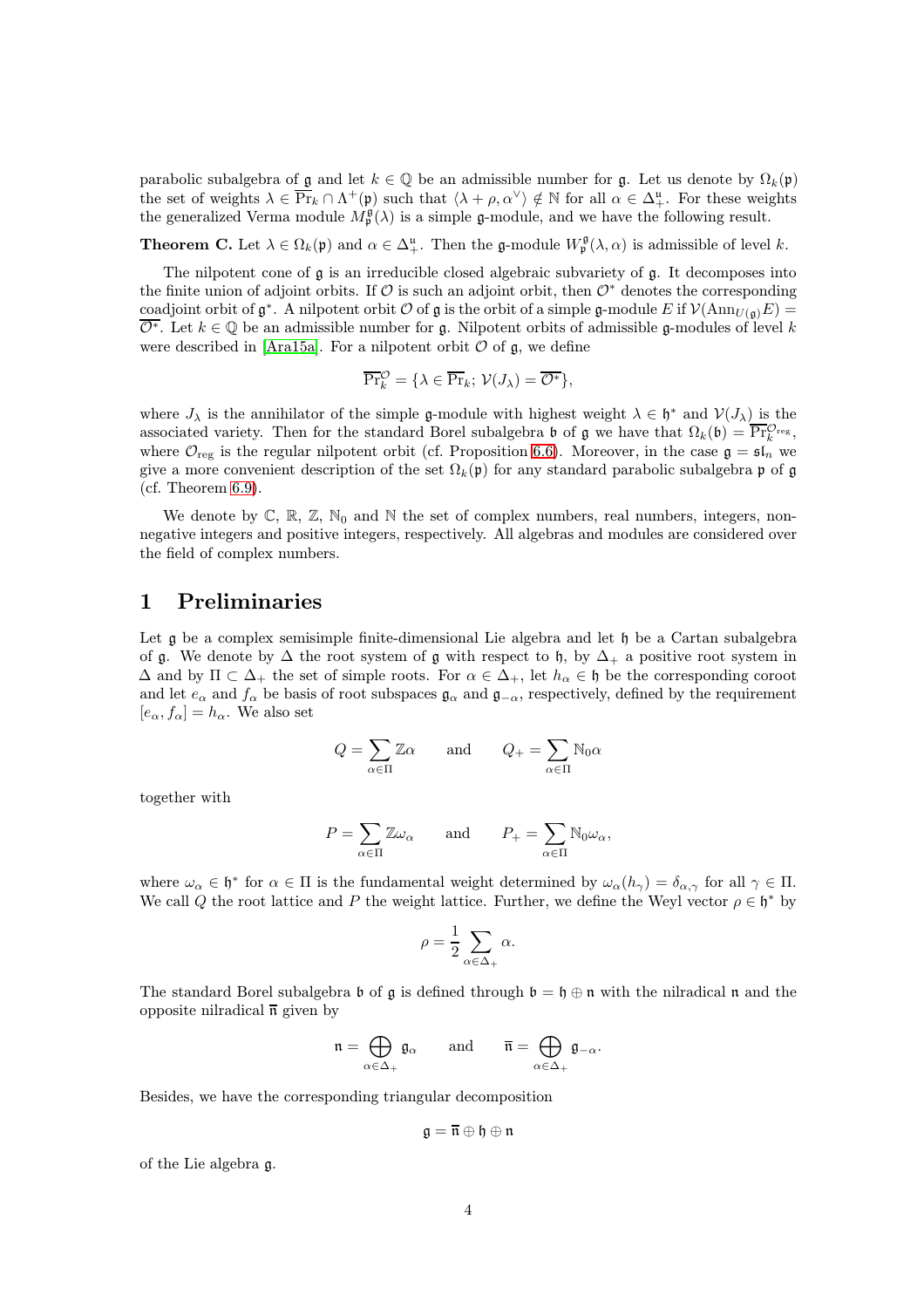parabolic subalgebra of g and let  $k \in \mathbb{Q}$  be an admissible number for g. Let us denote by  $\Omega_k(\mathfrak{p})$ the set of weights  $\lambda \in \overline{\Pr}_k \cap \Lambda^+(\mathfrak{p})$  such that  $\langle \lambda + \rho, \alpha^\vee \rangle \notin \mathbb{N}$  for all  $\alpha \in \Delta^{\mathfrak{u}}_+$ . For these weights the generalized Verma module  $M_{\mathfrak{p}}^{\mathfrak{g}}(\lambda)$  is a simple g-module, and we have the following result.

**Theorem C.** Let  $\lambda \in \Omega_k(\mathfrak{p})$  and  $\alpha \in \Delta^{\mathfrak{u}}_+$ . Then the **g**-module  $W^{\mathfrak{g}}_{\mathfrak{p}}(\lambda, \alpha)$  is admissible of level k.

The nilpotent cone of  $\mathfrak g$  is an irreducible closed algebraic subvariety of  $\mathfrak g$ . It decomposes into the finite union of adjoint orbits. If  $\mathcal O$  is such an adjoint orbit, then  $\mathcal O^*$  denotes the corresponding coadjoint orbit of  $\mathfrak{g}^*$ . A nilpotent orbit  $\mathcal O$  of  $\mathfrak g$  is the orbit of a simple  $\mathfrak g$ -module E if  $\mathcal V(\mathrm{Ann}_{U(\mathfrak g)}E)$  =  $\overline{\mathcal{O}^*}$ . Let  $k \in \mathbb{Q}$  be an admissible number for g. Nilpotent orbits of admissible g-modules of level k were described in [\[Ara15a\]](#page-42-10). For a nilpotent orbit  $\mathcal O$  of  $\mathfrak g$ , we define

$$
\overline{\Pr}_{k}^{\mathcal{O}} = \{ \lambda \in \overline{\Pr}_{k}; \ \mathcal{V}(J_{\lambda}) = \overline{\mathcal{O}^{*}} \},
$$

where  $J_{\lambda}$  is the annihilator of the simple g-module with highest weight  $\lambda \in \mathfrak{h}^*$  and  $\mathcal{V}(J_{\lambda})$  is the associated variety. Then for the standard Borel subalgebra b of g we have that  $\Omega_k(\mathfrak{b}) = \overline{\Pr}_{k}^{\mathcal{O}_{\text{reg}}},$ where  $\mathcal{O}_{reg}$  is the regular nilpotent orbit (cf. Proposition [6.6\)](#page-39-1). Moreover, in the case  $\mathfrak{g} = \mathfrak{sl}_n$  we give a more convenient description of the set  $\Omega_k(\mathfrak{p})$  for any standard parabolic subalgebra p of g (cf. Theorem [6.9\)](#page-41-0).

We denote by  $\mathbb{C}$ ,  $\mathbb{R}$ ,  $\mathbb{Z}$ ,  $\mathbb{N}_0$  and  $\mathbb{N}$  the set of complex numbers, real numbers, integers, nonnegative integers and positive integers, respectively. All algebras and modules are considered over the field of complex numbers.

## <span id="page-3-0"></span>1 Preliminaries

Let g be a complex semisimple finite-dimensional Lie algebra and let  $\mathfrak h$  be a Cartan subalgebra of g. We denote by  $\Delta$  the root system of g with respect to h, by  $\Delta_+$  a positive root system in  $\Delta$  and by  $\Pi \subset \Delta_+$  the set of simple roots. For  $\alpha \in \Delta_+$ , let  $h_\alpha \in \mathfrak{h}$  be the corresponding coroot and let  $e_{\alpha}$  and  $f_{\alpha}$  be basis of root subspaces  $\mathfrak{g}_{\alpha}$  and  $\mathfrak{g}_{-\alpha}$ , respectively, defined by the requirement  $[e_{\alpha}, f_{\alpha}] = h_{\alpha}$ . We also set

$$
Q = \sum_{\alpha \in \Pi} \mathbb{Z}\alpha \quad \text{and} \quad Q_+ = \sum_{\alpha \in \Pi} \mathbb{N}_0 \alpha
$$

together with

$$
P = \sum_{\alpha \in \Pi} \mathbb{Z} \omega_{\alpha} \quad \text{and} \quad P_+ = \sum_{\alpha \in \Pi} \mathbb{N}_0 \omega_{\alpha},
$$

where  $\omega_{\alpha} \in \mathfrak{h}^*$  for  $\alpha \in \Pi$  is the fundamental weight determined by  $\omega_{\alpha}(h_{\gamma}) = \delta_{\alpha,\gamma}$  for all  $\gamma \in \Pi$ . We call Q the root lattice and P the weight lattice. Further, we define the Weyl vector  $\rho \in \mathfrak{h}^*$  by

$$
\rho = \frac{1}{2} \sum_{\alpha \in \Delta_+} \alpha.
$$

The standard Borel subalgebra  $\mathfrak b$  of  $\mathfrak g$  is defined through  $\mathfrak b = \mathfrak h \oplus \mathfrak n$  with the nilradical  $\mathfrak n$  and the opposite nilradical  $\bar{\mathfrak{n}}$  given by

$$
\mathfrak{n}=\bigoplus_{\alpha\in\Delta_+}\mathfrak{g}_\alpha\qquad\text{and}\qquad \overline{\mathfrak{n}}=\bigoplus_{\alpha\in\Delta_+}\mathfrak{g}_{-\alpha}.
$$

Besides, we have the corresponding triangular decomposition

$$
\mathfrak{g}=\overline{\mathfrak{n}}\oplus\mathfrak{h}\oplus\mathfrak{n}
$$

of the Lie algebra g.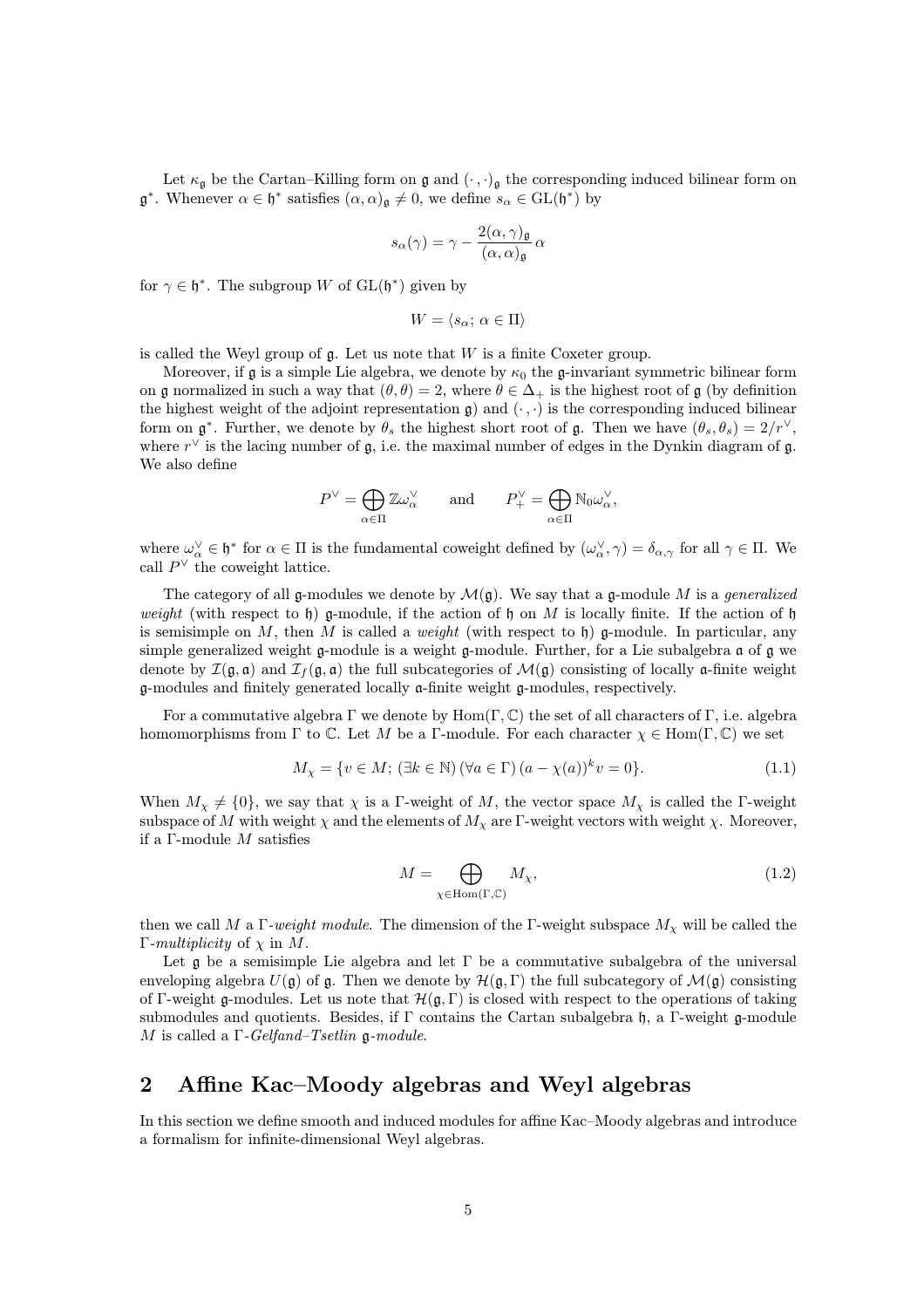Let  $\kappa_{\mathfrak{g}}$  be the Cartan–Killing form on  $\mathfrak{g}$  and  $(\cdot, \cdot)_{\mathfrak{g}}$  the corresponding induced bilinear form on  $\mathfrak{g}^*$ . Whenever  $\alpha \in \mathfrak{h}^*$  satisfies  $(\alpha, \alpha)_{\mathfrak{g}} \neq 0$ , we define  $s_{\alpha} \in GL(\mathfrak{h}^*)$  by

$$
s_{\alpha}(\gamma) = \gamma - \frac{2(\alpha, \gamma)_{\mathfrak{g}}}{(\alpha, \alpha)_{\mathfrak{g}}} \alpha
$$

for  $\gamma \in \mathfrak{h}^*$ . The subgroup W of  $GL(\mathfrak{h}^*)$  given by

$$
W = \langle s_\alpha; \, \alpha \in \Pi \rangle
$$

is called the Weyl group of  $\mathfrak g$ . Let us note that  $W$  is a finite Coxeter group.

Moreover, if g is a simple Lie algebra, we denote by  $\kappa_0$  the g-invariant symmetric bilinear form on g normalized in such a way that  $(\theta, \theta) = 2$ , where  $\theta \in \Delta_+$  is the highest root of g (by definition the highest weight of the adjoint representation  $\mathfrak{g}$ ) and  $(\cdot, \cdot)$  is the corresponding induced bilinear form on  $\mathfrak{g}^*$ . Further, we denote by  $\theta_s$  the highest short root of  $\mathfrak{g}$ . Then we have  $(\theta_s, \theta_s) = 2/r^{\vee}$ , where  $r^{\vee}$  is the lacing number of  $\mathfrak{g}$ , i.e. the maximal number of edges in the Dynkin diagram of  $\mathfrak{g}$ . We also define

$$
P^{\vee} = \bigoplus_{\alpha \in \Pi} \mathbb{Z} \omega_{\alpha}^{\vee} \quad \text{and} \quad P_{+}^{\vee} = \bigoplus_{\alpha \in \Pi} \mathbb{N}_0 \omega_{\alpha}^{\vee},
$$

where  $\omega_{\alpha}^{\vee} \in \mathfrak{h}^*$  for  $\alpha \in \Pi$  is the fundamental coweight defined by  $(\omega_{\alpha}^{\vee}, \gamma) = \delta_{\alpha, \gamma}$  for all  $\gamma \in \Pi$ . We call  $P^{\vee}$  the coweight lattice.

The category of all g-modules we denote by  $\mathcal{M}(\mathfrak{g})$ . We say that a g-module M is a *generalized* weight (with respect to h) g-module, if the action of h on M is locally finite. If the action of h is semisimple on M, then M is called a *weight* (with respect to h) g-module. In particular, any simple generalized weight g-module is a weight g-module. Further, for a Lie subalgebra a of g we denote by  $\mathcal{I}(\mathfrak{g},\mathfrak{a})$  and  $\mathcal{I}_f(\mathfrak{g},\mathfrak{a})$  the full subcategories of  $\mathcal{M}(\mathfrak{g})$  consisting of locally  $\mathfrak{a}$ -finite weight g-modules and finitely generated locally a-finite weight g-modules, respectively.

For a commutative algebra Γ we denote by  $Hom(\Gamma, \mathbb{C})$  the set of all characters of Γ, i.e. algebra homomorphisms from Γ to C. Let M be a Γ-module. For each character  $\chi \in \text{Hom}(\Gamma, \mathbb{C})$  we set

$$
M_{\chi} = \{ v \in M; (\exists k \in \mathbb{N}) (\forall a \in \Gamma) (a - \chi(a))^k v = 0 \}.
$$
 (1.1)

When  $M_{\chi} \neq \{0\}$ , we say that  $\chi$  is a Γ-weight of M, the vector space  $M_{\chi}$  is called the Γ-weight subspace of M with weight  $\chi$  and the elements of  $M_{\chi}$  are Γ-weight vectors with weight  $\chi$ . Moreover, if a  $\Gamma$ -module  $M$  satisfies

$$
M = \bigoplus_{\chi \in \text{Hom}(\Gamma, \mathbb{C})} M_{\chi},\tag{1.2}
$$

then we call M a Γ-weight module. The dimension of the Γ-weight subspace  $M_{\chi}$  will be called the Γ-multiplicity of  $χ$  in  $M$ .

Let  $\mathfrak g$  be a semisimple Lie algebra and let  $\Gamma$  be a commutative subalgebra of the universal enveloping algebra  $U(\mathfrak{g})$  of  $\mathfrak{g}$ . Then we denote by  $\mathcal{H}(\mathfrak{g}, \Gamma)$  the full subcategory of  $\mathcal{M}(\mathfrak{g})$  consisting of Γ-weight g-modules. Let us note that  $\mathcal{H}(\mathfrak{g}, \Gamma)$  is closed with respect to the operations of taking submodules and quotients. Besides, if Γ contains the Cartan subalgebra h, a Γ-weight g-module M is called a  $\Gamma$ -Gelfand–Tsetlin g-module.

## <span id="page-4-0"></span>2 Affine Kac–Moody algebras and Weyl algebras

In this section we define smooth and induced modules for affine Kac–Moody algebras and introduce a formalism for infinite-dimensional Weyl algebras.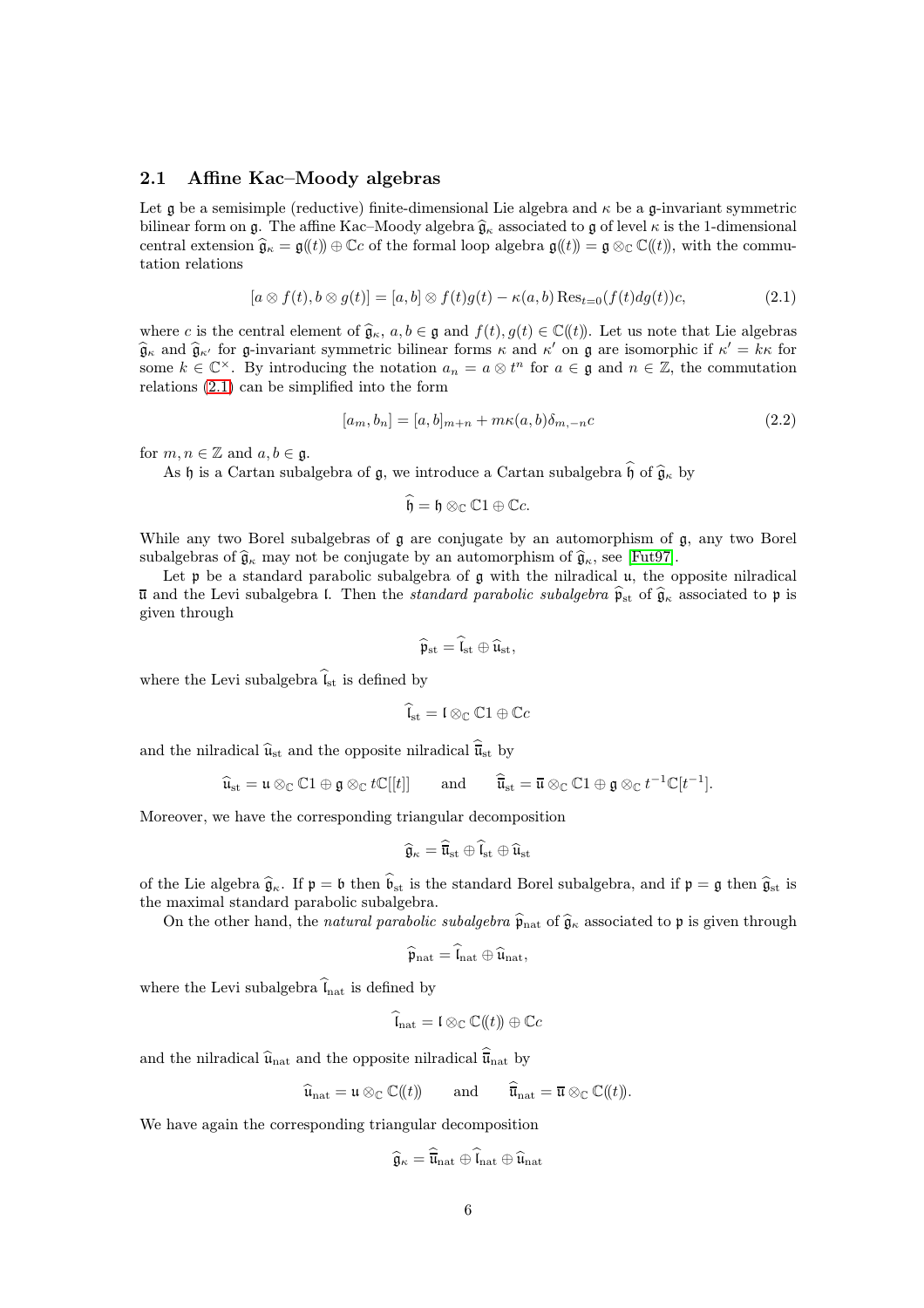#### <span id="page-5-0"></span>2.1 Affine Kac–Moody algebras

Let  $\mathfrak g$  be a semisimple (reductive) finite-dimensional Lie algebra and  $\kappa$  be a  $\mathfrak g$ -invariant symmetric bilinear form on g. The affine Kac–Moody algebra  $\hat{\mathfrak{g}}_{\kappa}$  associated to g of level  $\kappa$  is the 1-dimensional central extension  $\hat{\mathfrak{g}}_{\kappa} = \mathfrak{g}(\ell) \oplus \mathbb{C}c$  of the formal loop algebra  $\mathfrak{g}(\ell) = \mathfrak{g} \otimes_{\mathbb{C}} \mathbb{C}(\ell)$ , with the commutation relations

$$
[a \otimes f(t), b \otimes g(t)] = [a, b] \otimes f(t)g(t) - \kappa(a, b) \operatorname{Res}_{t=0}(f(t)dg(t))c,
$$
\n(2.1)

where c is the central element of  $\hat{\mathfrak{g}}_{\kappa}$ ,  $a, b \in \mathfrak{g}$  and  $f(t), g(t) \in \mathbb{C}(\ell_t)$ . Let us note that Lie algebras  $\hat{\mathfrak{g}}_{\kappa}$  and  $\hat{\mathfrak{g}}_{\kappa'}$  for g-invariant symmetric bilinear forms  $\kappa$  and  $\kappa'$  on g are isomorphic if  $\kappa' = k\kappa$  for some  $k \in \mathbb{C}^{\times}$ . By introducing the notation  $a_n = a \otimes t^n$  for  $a \in \mathfrak{g}$  and  $n \in \mathbb{Z}$ , the commutation relations [\(2.1\)](#page-5-1) can be simplified into the form

$$
[a_m, b_n] = [a, b]_{m+n} + m\kappa(a, b)\delta_{m, -n}c
$$
\n(2.2)

for  $m, n \in \mathbb{Z}$  and  $a, b \in \mathfrak{g}$ .

As  $\mathfrak h$  is a Cartan subalgebra of  $\mathfrak g$ , we introduce a Cartan subalgebra  $\widehat{\mathfrak h}$  of  $\widehat{\mathfrak g}_\kappa$  by

<span id="page-5-2"></span><span id="page-5-1"></span> $\widehat{\mathfrak{h}} = \mathfrak{h} \otimes_{\mathbb{C}} \mathbb{C}1 \oplus \mathbb{C}c.$ 

While any two Borel subalgebras of  $\mathfrak g$  are conjugate by an automorphism of  $\mathfrak g$ , any two Borel subalgebras of  $\hat{\mathfrak{g}}_{\kappa}$  may not be conjugate by an automorphism of  $\hat{\mathfrak{g}}_{\kappa}$ , see [\[Fut97\]](#page-43-11).

Let  $\mathfrak p$  be a standard parabolic subalgebra of  $\mathfrak g$  with the nilradical  $\mathfrak u$ , the opposite nilradical  $\bar{u}$  and the Levi subalgebra l. Then the standard parabolic subalgebra  $\hat{p}_{st}$  of  $\hat{g}_{\kappa}$  associated to p is given through

$$
\widehat{\mathfrak{p}}_{\mathrm{st}} = \widehat{\mathfrak{l}}_{\mathrm{st}} \oplus \widehat{\mathfrak{u}}_{\mathrm{st}},
$$

where the Levi subalgebra  $\hat{\mathfrak{l}}_{st}$  is defined by

$$
\widehat{\mathfrak{l}}_{\mathrm{st}} = \mathfrak{l} \otimes_{\mathbb{C}} \mathbb{C}1 \oplus \mathbb{C}c
$$

and the nilradical  $\widehat{\mathfrak{u}}_{st}$  and the opposite nilradical  $\widehat{\overline{\mathfrak{u}}}_{st}$  by

$$
\widehat{\mathfrak{u}}_{\mathrm{st}} = \mathfrak{u} \otimes_{\mathbb{C}} \mathbb{C}1 \oplus \mathfrak{g} \otimes_{\mathbb{C}} t\mathbb{C}[[t]] \quad \text{and} \quad \widehat{\overline{\mathfrak{u}}}_{\mathrm{st}} = \overline{\mathfrak{u}} \otimes_{\mathbb{C}} \mathbb{C}1 \oplus \mathfrak{g} \otimes_{\mathbb{C}} t^{-1}\mathbb{C}[t^{-1}].
$$

Moreover, we have the corresponding triangular decomposition

$$
\widehat{\mathfrak{g}}_{\kappa} = \widehat{\overline{\mathfrak{u}}}_{\mathrm{st}} \oplus \widehat{\mathfrak{l}}_{\mathrm{st}} \oplus \widehat{\mathfrak{u}}_{\mathrm{st}}
$$

of the Lie algebra  $\hat{g}_{\kappa}$ . If  $\mathfrak{p} = \mathfrak{b}$  then  $\hat{b}_{st}$  is the standard Borel subalgebra, and if  $\mathfrak{p} = \mathfrak{g}$  then  $\hat{g}_{st}$  is the maximal standard parabolic subalgebra.

On the other hand, the *natural parabolic subalgebra*  $\hat{\mathfrak{p}}_{\text{nat}}$  of  $\hat{\mathfrak{g}}_{\kappa}$  associated to p is given through

$$
\widehat{\mathfrak{p}}_{\mathrm{nat}} = \widehat{\mathfrak{l}}_{\mathrm{nat}} \oplus \widehat{\mathfrak{u}}_{\mathrm{nat}},
$$

where the Levi subalgebra  $\widehat{l}_{nat}$  is defined by

$$
\widehat{\mathfrak{l}}_{\mathrm{nat}} = \mathfrak{l} \otimes_{\mathbb{C}} \mathbb{C}(\!(t)\!)\oplus \mathbb{C}c
$$

and the nilradical  $\hat{u}_{nat}$  and the opposite nilradical  $\hat{u}_{nat}$  by

$$
\widehat{\mathfrak{u}}_{\mathrm{nat}} = \mathfrak{u} \otimes_{\mathbb{C}} \mathbb{C}(\!(t)\!)
$$
 and  $\widehat{\overline{\mathfrak{u}}}_{\mathrm{nat}} = \overline{\mathfrak{u}} \otimes_{\mathbb{C}} \mathbb{C}(\!(t)\!).$ 

We have again the corresponding triangular decomposition

$$
\widehat{\mathfrak{g}}_{\kappa} = \overline{\mathfrak{u}}_{\mathrm{nat}} \oplus \widehat{\mathfrak{l}}_{\mathrm{nat}} \oplus \widehat{\mathfrak{u}}_{\mathrm{nat}}
$$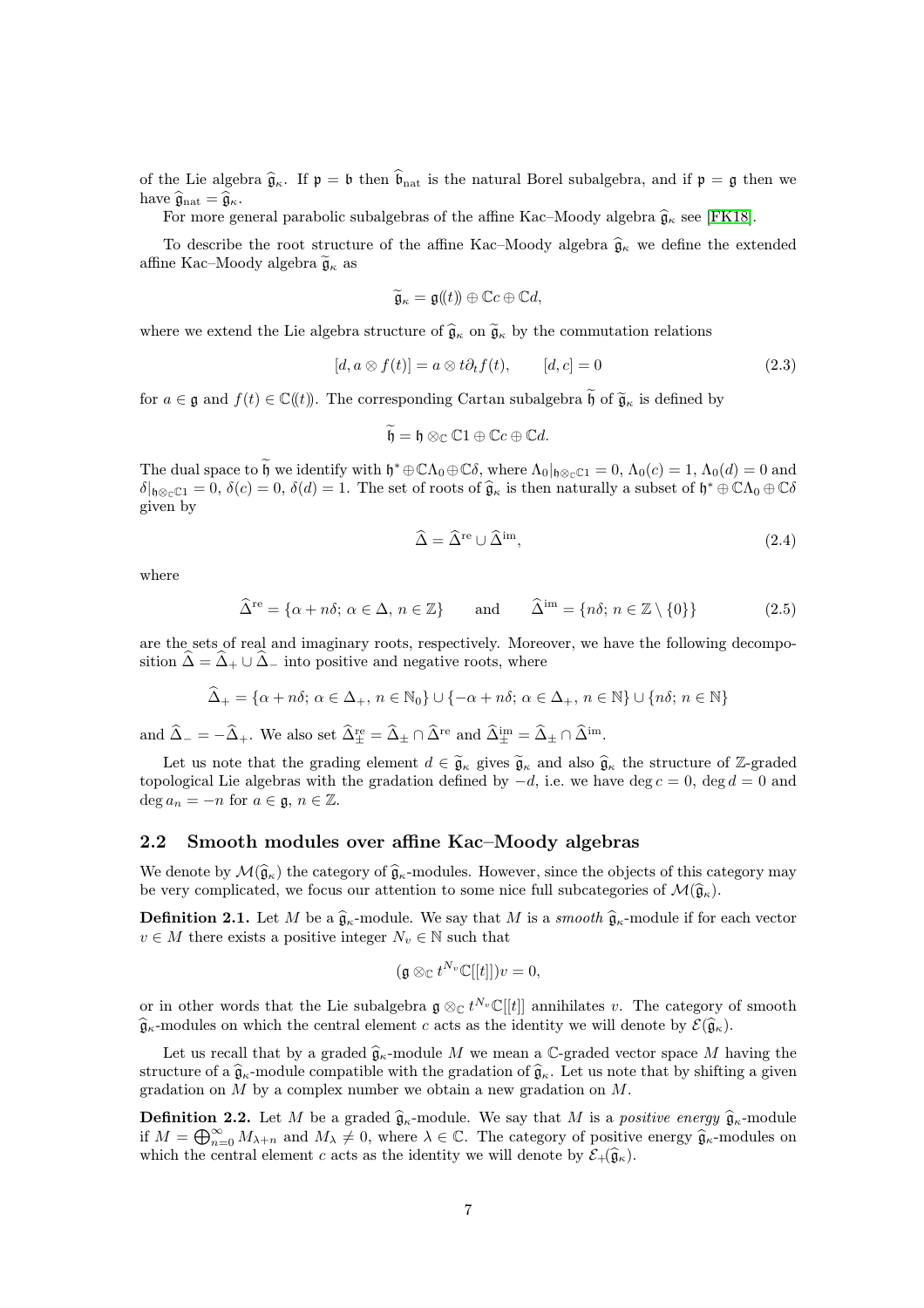of the Lie algebra  $\hat{\mathfrak{g}}_{\kappa}$ . If  $\mathfrak{p} = \mathfrak{b}$  then  $\hat{\mathfrak{b}}_{\rm nat}$  is the natural Borel subalgebra, and if  $\mathfrak{p} = \mathfrak{g}$  then we have  $\widehat{\mathfrak{g}}_{\text{nat}} = \widehat{\mathfrak{g}}_{\kappa}$ .

For more general parabolic subalgebras of the affine Kac–Moody algebra  $\hat{\mathfrak{g}}_{\kappa}$  see [\[FK18\]](#page-43-12).

To describe the root structure of the affine Kac–Moody algebra  $\hat{\mathfrak{g}}_{\kappa}$  we define the extended affine Kac–Moody algebra  $\widetilde{\mathfrak{g}}_{\kappa}$  as

$$
\widetilde{\mathfrak{g}}_{\kappa} = \mathfrak{g}(\!(t)\!)\oplus \mathbb{C}c \oplus \mathbb{C}d,
$$

where we extend the Lie algebra structure of  $\hat{\mathfrak{g}}_{\kappa}$  on  $\tilde{\mathfrak{g}}_{\kappa}$  by the commutation relations

$$
[d, a \otimes f(t)] = a \otimes t \partial_t f(t), \qquad [d, c] = 0 \tag{2.3}
$$

for  $a \in \mathfrak{g}$  and  $f(t) \in \mathbb{C}(\mathfrak{h})$ . The corresponding Cartan subalgebra  $\widetilde{\mathfrak{h}}$  of  $\widetilde{\mathfrak{g}}_{\kappa}$  is defined by

$$
\widetilde{\mathfrak{h}} = \mathfrak{h} \otimes_{\mathbb{C}} \mathbb{C}1 \oplus \mathbb{C}c \oplus \mathbb{C}d.
$$

The dual space to  $\mathfrak h$  we identify with  $\mathfrak h^* \oplus \mathbb{C}\Lambda_0 \oplus \mathbb{C}\delta$ , where  $\Lambda_0|_{\mathfrak h \otimes_{\mathbb{C}} \mathbb{C}^1} = 0$ ,  $\Lambda_0(c) = 1$ ,  $\Lambda_0(d) = 0$  and  $\delta|_{\mathfrak{h}\otimes_{\mathbb{C}}\mathbb{C}1}=0, \delta(c)=0, \delta(d)=1.$  The set of roots of  $\widehat{\mathfrak{g}}_{\kappa}$  is then naturally a subset of  $\mathfrak{h}^*\oplus \mathbb{C}\Lambda_0\oplus \mathbb{C}\delta$ given by

$$
\widehat{\Delta} = \widehat{\Delta}^{\text{re}} \cup \widehat{\Delta}^{\text{im}},\tag{2.4}
$$

where

$$
\widehat{\Delta}^{\text{re}} = \{ \alpha + n\delta; \ \alpha \in \Delta, \ n \in \mathbb{Z} \} \qquad \text{and} \qquad \widehat{\Delta}^{\text{im}} = \{ n\delta; \ n \in \mathbb{Z} \setminus \{0\} \} \tag{2.5}
$$

are the sets of real and imaginary roots, respectively. Moreover, we have the following decomposition  $\hat{\Delta} = \hat{\Delta}_+ \cup \hat{\Delta}_-$  into positive and negative roots, where

$$
\widehat{\Delta}_+ = \{ \alpha + n\delta; \ \alpha \in \Delta_+, \ n \in \mathbb{N}_0 \} \cup \{ -\alpha + n\delta; \ \alpha \in \Delta_+, \ n \in \mathbb{N} \} \cup \{ n\delta; \ n \in \mathbb{N} \}
$$

and  $\hat{\Delta}_- = -\hat{\Delta}_+$ . We also set  $\hat{\Delta}^{\text{re}}_{\pm} = \hat{\Delta}_{\pm} \cap \hat{\Delta}^{\text{re}}$  and  $\hat{\Delta}^{\text{im}}_{\pm} = \hat{\Delta}_{\pm} \cap \hat{\Delta}^{\text{im}}$ .

Let us note that the grading element  $d \in \widetilde{\mathfrak{g}}_{\kappa}$  gives  $\widetilde{\mathfrak{g}}_{\kappa}$  and also  $\widehat{\mathfrak{g}}_{\kappa}$  the structure of Z-graded topological Lie algebras with the gradation defined by  $-d$ , i.e. we have deg  $c = 0$ , deg  $d = 0$  and  $\deg a_n = -n$  for  $a \in \mathfrak{g}, n \in \mathbb{Z}$ .

#### <span id="page-6-0"></span>2.2 Smooth modules over affine Kac–Moody algebras

We denote by  $\mathcal{M}(\hat{\mathfrak{g}}_{\kappa})$  the category of  $\hat{\mathfrak{g}}_{\kappa}$ -modules. However, since the objects of this category may be very complicated, we focus our attention to some nice full subcategories of  $\mathcal{M}(\hat{\mathfrak{g}}_{\kappa}).$ 

**Definition 2.1.** Let M be a  $\hat{\mathfrak{g}}_{\kappa}$ -module. We say that M is a smooth  $\hat{\mathfrak{g}}_{\kappa}$ -module if for each vector  $v \in M$  there exists a positive integer  $N_v \in \mathbb{N}$  such that

$$
(\mathfrak{g} \otimes_{\mathbb{C}} t^{N_v} \mathbb{C}[[t]])v = 0,
$$

or in other words that the Lie subalgebra  $\mathfrak{g} \otimes_{\mathbb{C}} t^{N_v} \mathbb{C}[[t]]$  annihilates v. The category of smooth  $\widehat{\mathfrak{g}}_{\kappa}$ -modules on which the central element c acts as the identity we will denote by  $\mathcal{E}(\widehat{\mathfrak{g}}_{\kappa})$ .

Let us recall that by a graded  $\hat{g}_{\kappa}$ -module M we mean a C-graded vector space M having the structure of a  $\hat{\mathfrak{g}}_{\kappa}$ -module compatible with the gradation of  $\hat{\mathfrak{g}}_{\kappa}$ . Let us note that by shifting a given gradation on  $M$  by a complex number we obtain a new gradation on  $M$ .

**Definition 2.2.** Let M be a graded  $\hat{\mathfrak{g}}_{\kappa}$ -module. We say that M is a positive energy  $\hat{\mathfrak{g}}_{\kappa}$ -module if  $M = \bigoplus_{n=0}^{\infty} M_{\lambda+n}$  and  $M_{\lambda} \neq 0$ , where  $\lambda \in \mathbb{C}$ . The category of positive energy  $\widehat{\mathfrak{g}}_{\kappa}$ -modules on which the central element c acts as the identity we will denote by  $\mathcal{E}_+(\widehat{\mathfrak{g}}_\kappa)$ .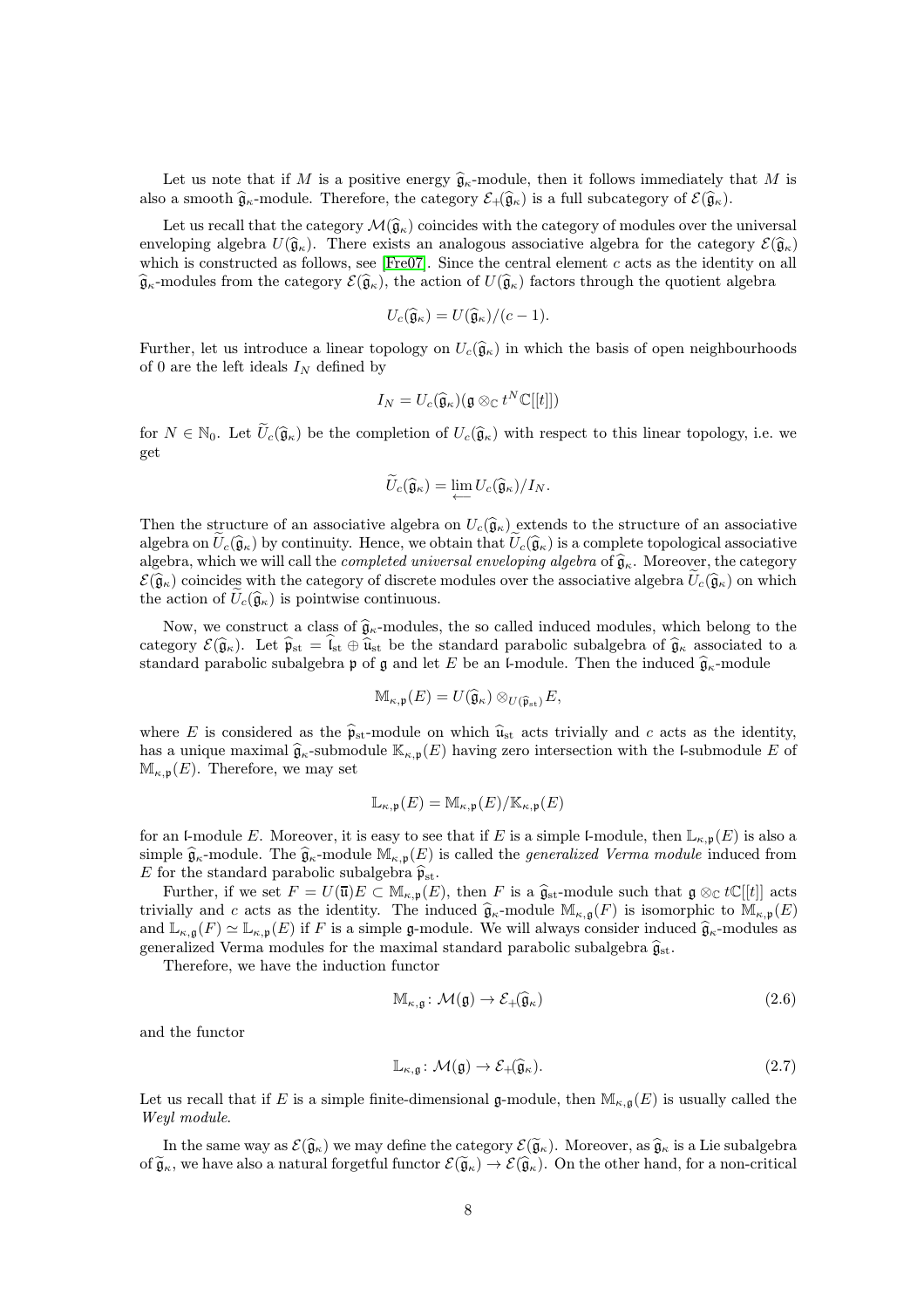Let us note that if M is a positive energy  $\hat{\mathfrak{g}}_{\kappa}$ -module, then it follows immediately that M is also a smooth  $\widehat{\mathfrak{g}}_{\kappa}$ -module. Therefore, the category  $\mathcal{E}_{+}(\widehat{\mathfrak{g}}_{\kappa})$  is a full subcategory of  $\mathcal{E}(\widehat{\mathfrak{g}}_{\kappa})$ .

Let us recall that the category  $\mathcal{M}(\hat{\mathfrak{g}}_{\kappa})$  coincides with the category of modules over the universal enveloping algebra  $U(\hat{\mathfrak{g}}_{\kappa})$ . There exists an analogous associative algebra for the category  $\mathcal{E}(\hat{\mathfrak{g}}_{\kappa})$ which is constructed as follows, see [\[Fre07\]](#page-43-10). Since the central element  $c$  acts as the identity on all  $\widehat{\mathfrak{g}}_{\kappa}$ -modules from the category  $\mathcal{E}(\widehat{\mathfrak{g}}_{\kappa})$ , the action of  $U(\widehat{\mathfrak{g}}_{\kappa})$  factors through the quotient algebra

$$
U_c(\widehat{\mathfrak{g}}_\kappa)=U(\widehat{\mathfrak{g}}_\kappa)/(c-1).
$$

Further, let us introduce a linear topology on  $U_c(\hat{\mathfrak{g}}_\kappa)$  in which the basis of open neighbourhoods of 0 are the left ideals  $I_N$  defined by

$$
I_N = U_c(\widehat{\mathfrak{g}}_\kappa)(\mathfrak{g} \otimes_{\mathbb{C}} t^N \mathbb{C}[[t]])
$$

for  $N \in \mathbb{N}_0$ . Let  $\widetilde{U}_c(\widehat{\mathfrak{g}}_\kappa)$  be the completion of  $U_c(\widehat{\mathfrak{g}}_\kappa)$  with respect to this linear topology, i.e. we get

$$
\widetilde{U}_c(\widehat{\mathfrak{g}}_\kappa)=\lim_{\longleftarrow}U_c(\widehat{\mathfrak{g}}_\kappa)/I_N.
$$

Then the structure of an associative algebra on  $U_c(\hat{\mathfrak{g}}_\kappa)$  extends to the structure of an associative algebra on  $U_c(\hat{\mathfrak{g}}_{\kappa})$  by continuity. Hence, we obtain that  $U_c(\hat{\mathfrak{g}}_{\kappa})$  is a complete topological associative algebra, which we will call the *completed universal enveloping algebra* of  $\hat{\mathfrak{g}}_{\kappa}$ . Moreover, the category  $\mathcal{E}(\widehat{\mathfrak{g}}_{\kappa})$  coincides with the category of discrete modules over the associative algebra  $U_c(\widehat{\mathfrak{g}}_{\kappa})$  on which the action of  $\tilde{U}_c(\hat{\mathfrak{g}}_\kappa)$  is pointwise continuous.

Now, we construct a class of  $\hat{\mathfrak{g}}_{\kappa}$ -modules, the so called induced modules, which belong to the category  $\mathcal{E}(\hat{\mathfrak{g}}_{\kappa})$ . Let  $\hat{\mathfrak{p}}_{st} = \mathfrak{l}_{st} \oplus \hat{\mathfrak{u}}_{st}$  be the standard parabolic subalgebra of  $\hat{\mathfrak{g}}_{\kappa}$  associated to a standard parabolic subalgebra p of g and let E be an l-module. Then the induced  $\hat{\mathfrak{g}}_{\kappa}$ -module

$$
\mathbb{M}_{\kappa,\mathfrak{p}}(E) = U(\widehat{\mathfrak{g}}_{\kappa}) \otimes_{U(\widehat{\mathfrak{p}}_{\mathrm{st}})} E,
$$

where E is considered as the  $\hat{\mathfrak{p}}_{st}$ -module on which  $\hat{u}_{st}$  acts trivially and c acts as the identity, has a unique maximal  $\hat{\mathfrak{g}}_{\kappa}$ -submodule  $\mathbb{K}_{\kappa,\mathfrak{p}}(E)$  having zero intersection with the l-submodule E of  $\mathbb{M}_{\kappa,\mathfrak{p}}(E)$ . Therefore, we may set

$$
\mathbb{L}_{\kappa,\mathfrak{p}}(E) = \mathbb{M}_{\kappa,\mathfrak{p}}(E) / \mathbb{K}_{\kappa,\mathfrak{p}}(E)
$$

for an l-module E. Moreover, it is easy to see that if E is a simple l-module, then  $\mathbb{L}_{\kappa,\mathfrak{p}}(E)$  is also a simple  $\widehat{\mathfrak{g}}_{\kappa}$ -module. The  $\widehat{\mathfrak{g}}_{\kappa}$ -module  $\mathbb{M}_{\kappa,\mathfrak{p}}(E)$  is called the *generalized Verma module* induced from E for the standard parabolic subalgebra  $\hat{\mathfrak{p}}_{st}$ .

Further, if we set  $F = U(\overline{\mathfrak{u}})E \subset M_{\kappa,\mathfrak{p}}(E)$ , then F is a  $\widehat{\mathfrak{g}}_{st}$ -module such that  $\mathfrak{g} \otimes_{\mathbb{C}} t\mathbb{C}[[t]]$  acts trivially and c acts as the identity. The induced  $\hat{\mathfrak{g}}_{\kappa}$ -module  $M_{\kappa,\mathfrak{g}}(F)$  is isomorphic to  $M_{\kappa,\mathfrak{p}}(E)$ and  $\mathbb{L}_{\kappa,\mathfrak{g}}(F) \simeq \mathbb{L}_{\kappa,\mathfrak{p}}(E)$  if F is a simple g-module. We will always consider induced  $\widehat{\mathfrak{g}}_{\kappa}$ -modules as generalized Verma modules for the maximal standard parabolic subalgebra  $\widehat{\mathfrak{g}}_{\rm st}.$ 

Therefore, we have the induction functor

$$
\mathbb{M}_{\kappa,\mathfrak{g}}\colon \mathcal{M}(\mathfrak{g}) \to \mathcal{E}_{+}(\widehat{\mathfrak{g}}_{\kappa})
$$
\n
$$
(2.6)
$$

and the functor

$$
\mathbb{L}_{\kappa,\mathfrak{g}}\colon \mathcal{M}(\mathfrak{g}) \to \mathcal{E}_{+}(\widehat{\mathfrak{g}}_{\kappa}).\tag{2.7}
$$

Let us recall that if E is a simple finite-dimensional g-module, then  $\mathbb{M}_{\kappa,\mathfrak{g}}(E)$  is usually called the Weyl module.

In the same way as  $\mathcal{E}(\hat{\mathfrak{g}}_{\kappa})$  we may define the category  $\mathcal{E}(\tilde{\mathfrak{g}}_{\kappa})$ . Moreover, as  $\hat{\mathfrak{g}}_{\kappa}$  is a Lie subalgebra of  $\tilde{\mathfrak{g}}_{\kappa}$ , we have also a natural forgetful functor  $\mathcal{E}(\tilde{\mathfrak{g}}_{\kappa}) \to \mathcal{E}(\hat{\mathfrak{g}}_{\kappa})$ . On the other hand, for a non-critical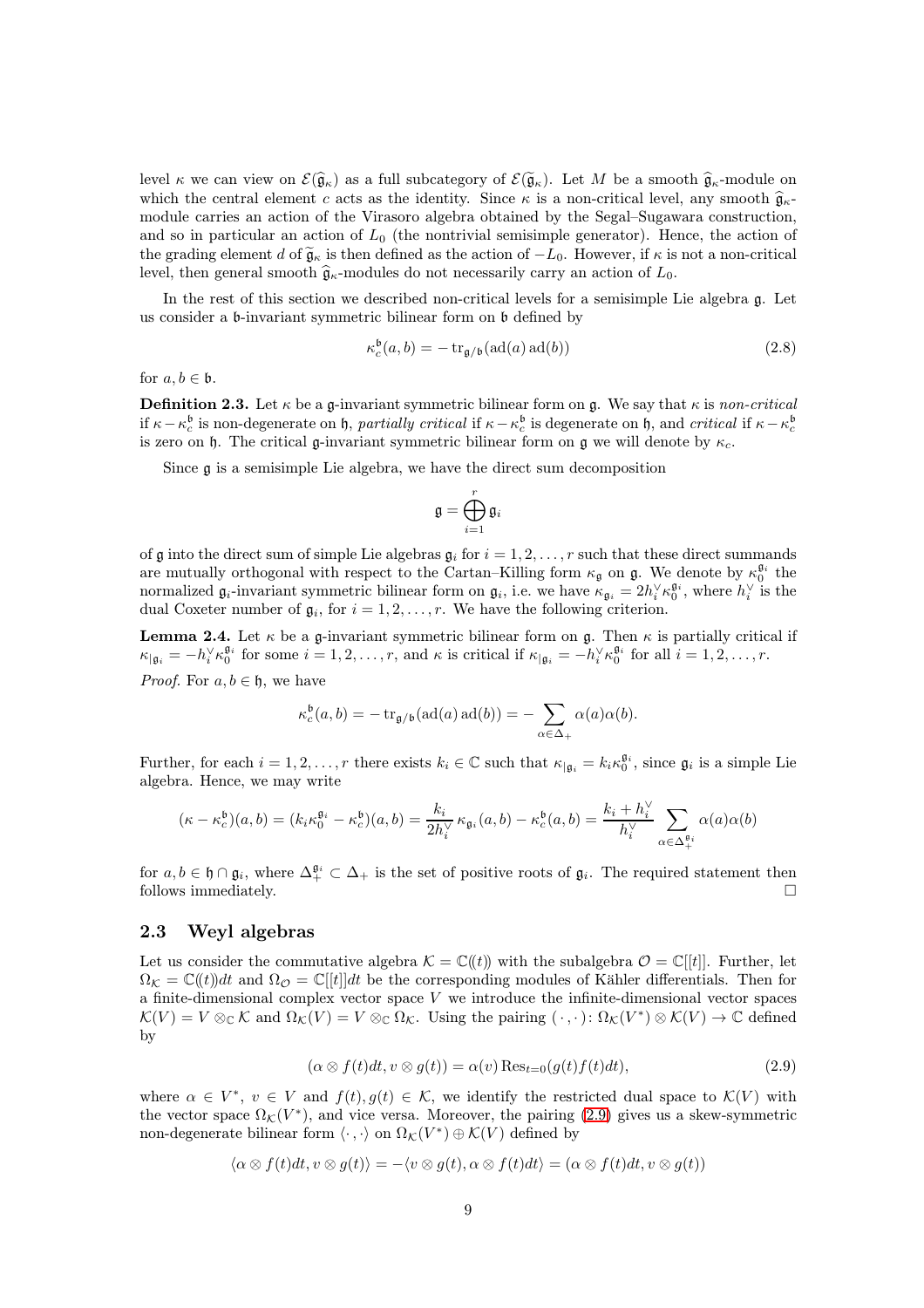level κ we can view on  $\mathcal{E}(\widehat{\mathfrak{g}}_{\kappa})$  as a full subcategory of  $\mathcal{E}(\widetilde{\mathfrak{g}}_{\kappa})$ . Let M be a smooth  $\widehat{\mathfrak{g}}_{\kappa}$ -module on which the central element c acts as the identity. Since  $\kappa$  is a non-critical level, any smooth  $\hat{\mathfrak{g}}_{\kappa}$ module carries an action of the Virasoro algebra obtained by the Segal–Sugawara construction, and so in particular an action of  $L_0$  (the nontrivial semisimple generator). Hence, the action of the grading element d of  $\tilde{\mathfrak{g}}_{\kappa}$  is then defined as the action of  $-L_0$ . However, if  $\kappa$  is not a non-critical level, then general smooth  $\hat{\mathfrak{g}}_{\kappa}$ -modules do not necessarily carry an action of  $L_0$ .

In the rest of this section we described non-critical levels for a semisimple Lie algebra g. Let us consider a b-invariant symmetric bilinear form on b defined by

$$
\kappa_c^{\mathfrak{b}}(a,b) = -\operatorname{tr}_{\mathfrak{g}/\mathfrak{b}}(\operatorname{ad}(a)\operatorname{ad}(b))\tag{2.8}
$$

for  $a, b \in \mathfrak{b}$ .

**Definition 2.3.** Let  $\kappa$  be a g-invariant symmetric bilinear form on g. We say that  $\kappa$  is non-critical if  $\kappa - \kappa_c^{\mathfrak{b}}$  is non-degenerate on h, partially critical if  $\kappa - \kappa_c^{\mathfrak{b}}$  is degenerate on h, and critical if  $\kappa - \kappa_c^{\mathfrak{b}}$ is zero on h. The critical g-invariant symmetric bilinear form on g we will denote by  $\kappa_c$ .

Since g is a semisimple Lie algebra, we have the direct sum decomposition

$$
\mathfrak{g}=\bigoplus_{i=1}^r\mathfrak{g}_i
$$

of g into the direct sum of simple Lie algebras  $g_i$  for  $i = 1, 2, \ldots, r$  such that these direct summands are mutually orthogonal with respect to the Cartan–Killing form  $\kappa_{\mathfrak{g}}$  on  $\mathfrak{g}$ . We denote by  $\kappa_0^{\mathfrak{g}_i}$  the normalized  $\mathfrak{g}_i$ -invariant symmetric bilinear form on  $\mathfrak{g}_i$ , i.e. we have  $\kappa_{\mathfrak{g}_i} = 2h_i^{\vee} \kappa_0^{\mathfrak{g}_i}$ , where  $h_i^{\vee}$  is the dual Coxeter number of  $\mathfrak{g}_i$ , for  $i = 1, 2, \ldots, r$ . We have the following criterion.

**Lemma 2.4.** Let  $\kappa$  be a g-invariant symmetric bilinear form on g. Then  $\kappa$  is partially critical if  $\kappa_{|\mathfrak{g}_i} = -h_i^{\vee} \kappa_0^{\mathfrak{g}_i}$  for some  $i = 1, 2, \ldots, r$ , and  $\kappa$  is critical if  $\kappa_{|\mathfrak{g}_i} = -h_i^{\vee} \kappa_0^{\mathfrak{g}_i}$  for all  $i = 1, 2, \ldots, r$ . *Proof.* For  $a, b \in \mathfrak{h}$ , we have

$$
\kappa_c^{\mathfrak{b}}(a,b) = -\operatorname{tr}_{\mathfrak{g}/\mathfrak{b}}(\operatorname{ad}(a)\operatorname{ad}(b)) = -\sum_{\alpha \in \Delta_+} \alpha(a)\alpha(b).
$$

Further, for each  $i = 1, 2, ..., r$  there exists  $k_i \in \mathbb{C}$  such that  $\kappa_{|\mathfrak{g}_i} = k_i \kappa_0^{\mathfrak{g}_i}$ , since  $\mathfrak{g}_i$  is a simple Lie algebra. Hence, we may write

$$
(\kappa - \kappa_c^{\mathfrak{b}})(a, b) = (k_i \kappa_0^{\mathfrak{g}_i} - \kappa_c^{\mathfrak{b}})(a, b) = \frac{k_i}{2h_i^{\vee}} \kappa_{\mathfrak{g}_i}(a, b) - \kappa_c^{\mathfrak{b}}(a, b) = \frac{k_i + h_i^{\vee}}{h_i^{\vee}} \sum_{\alpha \in \Delta_+^{\mathfrak{g}_i}} \alpha(a)\alpha(b)
$$

for  $a, b \in \mathfrak{h} \cap \mathfrak{g}_i$ , where  $\Delta_+^{\mathfrak{g}_i} \subset \Delta_+$  is the set of positive roots of  $\mathfrak{g}_i$ . The required statement then follows immediately.  $\hfill \square$ 

#### <span id="page-8-0"></span>2.3 Weyl algebras

Let us consider the commutative algebra  $\mathcal{K} = \mathbb{C}(\ell(t))$  with the subalgebra  $\mathcal{O} = \mathbb{C}[[t]]$ . Further, let  $\Omega_K = \mathbb{C}(\ell t)dt$  and  $\Omega_{\mathcal{O}} = \mathbb{C}[[t]]dt$  be the corresponding modules of Kähler differentials. Then for a finite-dimensional complex vector space  $V$  we introduce the infinite-dimensional vector spaces  $\mathcal{K}(V) = V \otimes_{\mathbb{C}} \mathcal{K}$  and  $\Omega_{\mathcal{K}}(V) = V \otimes_{\mathbb{C}} \Omega_{\mathcal{K}}$ . Using the pairing  $(\cdot, \cdot) \colon \Omega_{\mathcal{K}}(V^*) \otimes \mathcal{K}(V) \to \mathbb{C}$  defined by

<span id="page-8-1"></span>
$$
(\alpha \otimes f(t)dt, v \otimes g(t)) = \alpha(v) \operatorname{Res}_{t=0}(g(t)f(t)dt), \tag{2.9}
$$

where  $\alpha \in V^*$ ,  $v \in V$  and  $f(t), g(t) \in \mathcal{K}$ , we identify the restricted dual space to  $\mathcal{K}(V)$  with the vector space  $\Omega_{\mathcal{K}}(V^*)$ , and vice versa. Moreover, the pairing [\(2.9\)](#page-8-1) gives us a skew-symmetric non-degenerate bilinear form  $\langle \cdot , \cdot \rangle$  on  $\Omega_{\mathcal{K}}(V^*) \oplus \mathcal{K}(V)$  defined by

$$
\langle \alpha \otimes f(t)dt, v \otimes g(t) \rangle = -\langle v \otimes g(t), \alpha \otimes f(t)dt \rangle = (\alpha \otimes f(t)dt, v \otimes g(t))
$$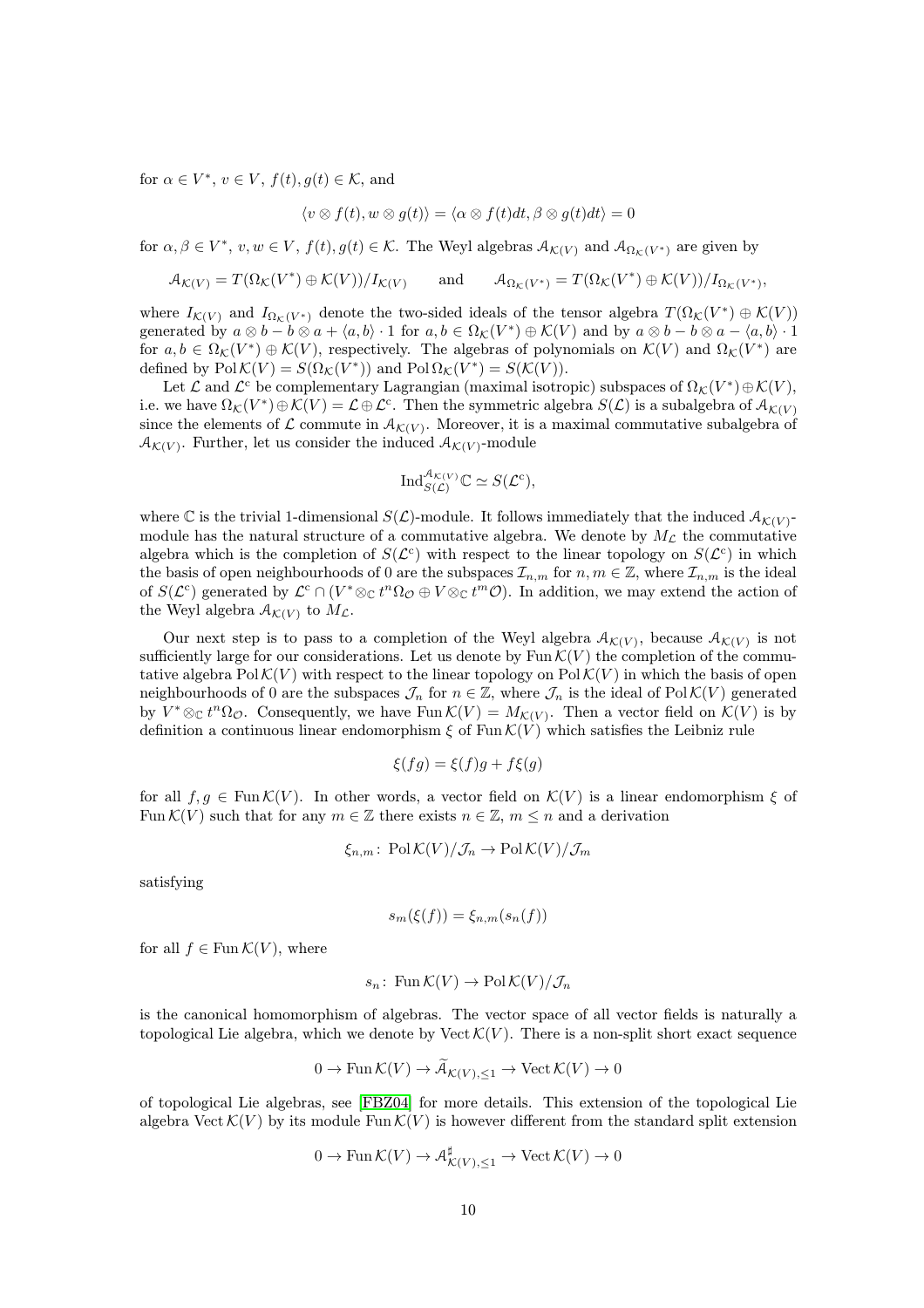for  $\alpha \in V^*$ ,  $v \in V$ ,  $f(t)$ ,  $g(t) \in \mathcal{K}$ , and

$$
\langle v \otimes f(t), w \otimes g(t) \rangle = \langle \alpha \otimes f(t)dt, \beta \otimes g(t)dt \rangle = 0
$$

for  $\alpha, \beta \in V^*$ ,  $v, w \in V$ ,  $f(t), g(t) \in K$ . The Weyl algebras  $\mathcal{A}_{\mathcal{K}(V)}$  and  $\mathcal{A}_{\Omega_{\mathcal{K}}(V^*)}$  are given by

$$
\mathcal{A}_{\mathcal{K}(V)} = T(\Omega_{\mathcal{K}}(V^*) \oplus \mathcal{K}(V))/I_{\mathcal{K}(V)} \quad \text{and} \quad \mathcal{A}_{\Omega_{\mathcal{K}}(V^*)} = T(\Omega_{\mathcal{K}}(V^*) \oplus \mathcal{K}(V))/I_{\Omega_{\mathcal{K}}(V^*)},
$$

where  $I_{\mathcal{K}(V)}$  and  $I_{\Omega_{\mathcal{K}}(V^*)}$  denote the two-sided ideals of the tensor algebra  $T(\Omega_{\mathcal{K}}(V^*)\oplus \mathcal{K}(V))$ generated by  $a \otimes b - b \otimes a + \langle a, b \rangle \cdot 1$  for  $a, b \in \Omega_{\mathcal{K}}(V^*) \oplus \mathcal{K}(V)$  and by  $a \otimes b - b \otimes a - \langle a, b \rangle \cdot 1$ for  $a, b \in \Omega_{\mathcal{K}}(V^*) \oplus \mathcal{K}(V)$ , respectively. The algebras of polynomials on  $\mathcal{K}(V)$  and  $\Omega_{\mathcal{K}}(V^*)$  are defined by  $PolK(V) = S(\Omega_K(V^*))$  and  $Pol\Omega_K(V^*) = S(\mathcal{K}(V)).$ 

Let  $\mathcal L$  and  $\mathcal L^c$  be complementary Lagrangian (maximal isotropic) subspaces of  $\Omega_{\mathcal K}(V^*)\oplus \mathcal K(V)$ , i.e. we have  $\Omega_{\mathcal{K}}(V^*)\oplus \mathcal{K}(V)=\mathcal{L}\oplus \mathcal{L}^c$ . Then the symmetric algebra  $S(\mathcal{L})$  is a subalgebra of  $\mathcal{A}_{\mathcal{K}(V)}$ since the elements of  $\mathcal L$  commute in  $\mathcal A_{\mathcal K(V)}$ . Moreover, it is a maximal commutative subalgebra of  $\mathcal{A}_{\mathcal{K}(V)}$ . Further, let us consider the induced  $\mathcal{A}_{\mathcal{K}(V)}$ -module

$$
\mathrm{Ind}_{S(\mathcal{L})}^{\mathcal{A}_{\mathcal{K}(V)}} \mathbb{C} \simeq S(\mathcal{L}^{\mathrm{c}}),
$$

where  $\mathbb C$  is the trivial 1-dimensional  $S(\mathcal L)$ -module. It follows immediately that the induced  $\mathcal A_{\mathcal K(V)}$ module has the natural structure of a commutative algebra. We denote by  $M_c$  the commutative algebra which is the completion of  $S(\mathcal{L}^c)$  with respect to the linear topology on  $S(\mathcal{L}^c)$  in which the basis of open neighbourhoods of 0 are the subspaces  $\mathcal{I}_{n,m}$  for  $n,m \in \mathbb{Z}$ , where  $\mathcal{I}_{n,m}$  is the ideal of  $S(\mathcal{L}^c)$  generated by  $\mathcal{L}^c \cap (V^* \otimes_{\mathbb{C}} t^n \Omega_{\mathcal{O}} \oplus V \otimes_{\mathbb{C}} t^m \mathcal{O})$ . In addition, we may extend the action of the Weyl algebra  $A_{\mathcal{K}(V)}$  to  $M_{\mathcal{L}}$ .

Our next step is to pass to a completion of the Weyl algebra  $A_{\mathcal{K}(V)}$ , because  $A_{\mathcal{K}(V)}$  is not sufficiently large for our considerations. Let us denote by  $\text{Fun } \mathcal{K}(V)$  the completion of the commutative algebra  $PolK(V)$  with respect to the linear topology on  $PolK(V)$  in which the basis of open neighbourhoods of 0 are the subspaces  $\mathcal{J}_n$  for  $n \in \mathbb{Z}$ , where  $\mathcal{J}_n$  is the ideal of Pol $\mathcal{K}(V)$  generated by  $V^* \otimes_{\mathbb{C}} t^n \Omega_{\mathcal{O}}$ . Consequently, we have  $\text{Fun } \mathcal{K}(V) = M_{\mathcal{K}(V)}$ . Then a vector field on  $\mathcal{K}(V)$  is by definition a continuous linear endomorphism  $\xi$  of Fun  $\mathcal{K}(V)$  which satisfies the Leibniz rule

$$
\xi(fg) = \xi(f)g + f\xi(g)
$$

for all  $f, g \in \text{Fun}\,\mathcal{K}(V)$ . In other words, a vector field on  $\mathcal{K}(V)$  is a linear endomorphism  $\xi$  of Fun  $\mathcal{K}(V)$  such that for any  $m \in \mathbb{Z}$  there exists  $n \in \mathbb{Z}$ ,  $m \leq n$  and a derivation

$$
\xi_{n,m}\colon \operatorname{Pol}\mathcal{K}(V)/\mathcal{J}_n \to \operatorname{Pol}\mathcal{K}(V)/\mathcal{J}_m
$$

satisfying

$$
s_m(\xi(f)) = \xi_{n,m}(s_n(f))
$$

for all  $f \in \text{Fun}\,\mathcal{K}(V)$ , where

$$
s_n\colon \operatorname{Fun}\mathcal{K}(V) \to \operatorname{Pol}\mathcal{K}(V)/\mathcal{J}_n
$$

is the canonical homomorphism of algebras. The vector space of all vector fields is naturally a topological Lie algebra, which we denote by Vect  $\mathcal{K}(V)$ . There is a non-split short exact sequence

$$
0 \to \operatorname{Fun}\mathcal{K}(V) \to \widetilde{\mathcal{A}}_{\mathcal{K}(V), \leq 1} \to \operatorname{Vect}\mathcal{K}(V) \to 0
$$

of topological Lie algebras, see [\[FBZ04\]](#page-43-13) for more details. This extension of the topological Lie algebra Vect  $\mathcal{K}(V)$  by its module Fun  $\mathcal{K}(V)$  is however different from the standard split extension

$$
0 \to \operatorname{Fun}\nolimits{\mathcal K}(V) \to \mathcal{A}_{\mathcal{K}(V), \leq 1}^\sharp \to \operatorname{Vect}\nolimits{\mathcal K}(V) \to 0
$$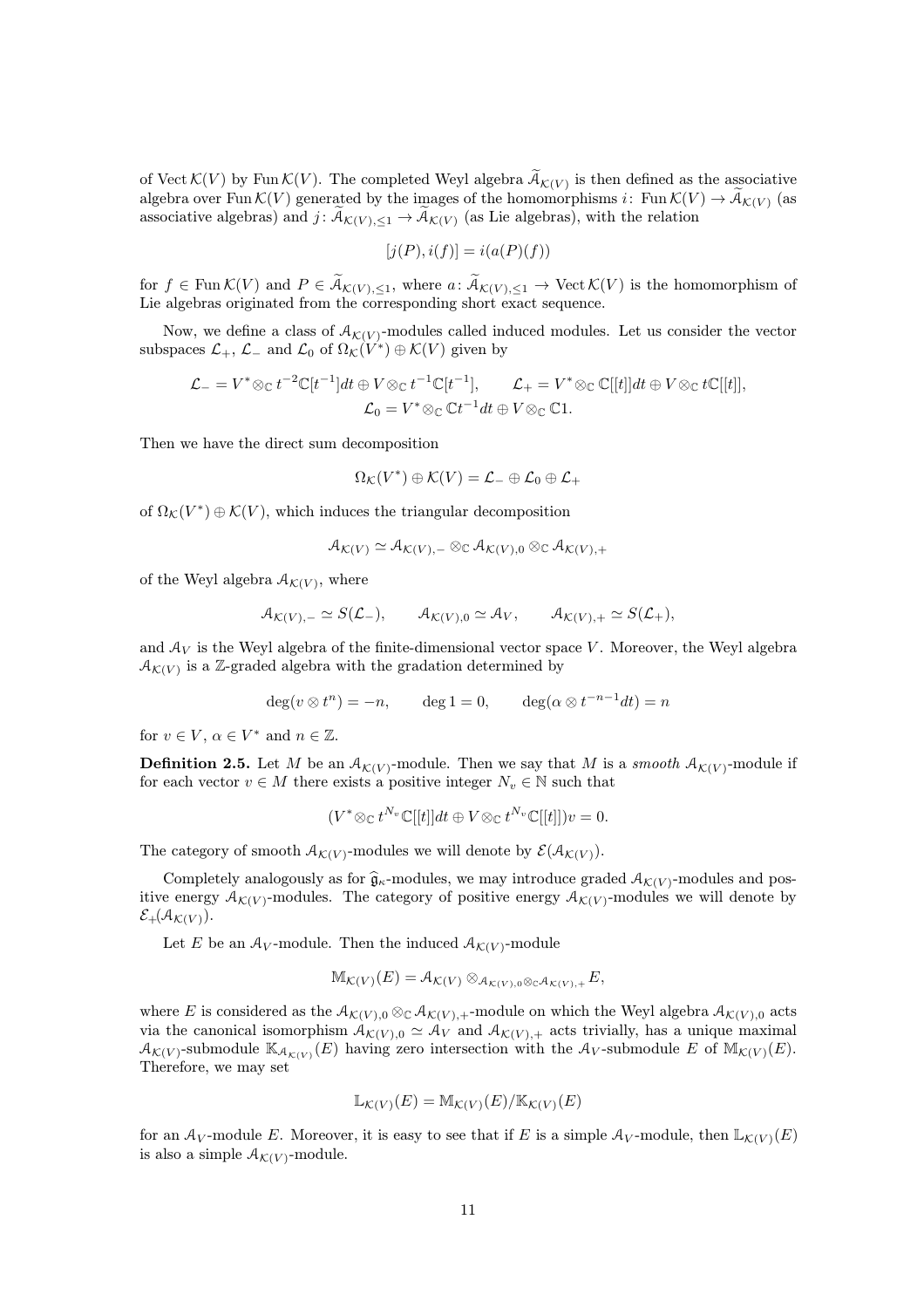of Vect  $\mathcal{K}(V)$  by Fun  $\mathcal{K}(V)$ . The completed Weyl algebra  $\widetilde{\mathcal{A}}_{\mathcal{K}(V)}$  is then defined as the associative algebra over Fun  $\mathcal{K}(V)$  generated by the images of the homomorphisms i: Fun  $\mathcal{K}(V) \to \widetilde{\mathcal{A}}_{\mathcal{K}(V)}$  (as associative algebras) and  $j: \mathcal{A}_{\mathcal{K}(V), \leq 1} \to \mathcal{A}_{\mathcal{K}(V)}$  (as Lie algebras), with the relation

$$
[j(P), i(f)] = i(a(P)(f))
$$

for  $f \in \text{Fun }\mathcal{K}(V)$  and  $P \in \widetilde{\mathcal{A}}_{\mathcal{K}(V),\leq 1}$ , where  $a: \widetilde{\mathcal{A}}_{\mathcal{K}(V),\leq 1} \to \text{Vect } \mathcal{K}(V)$  is the homomorphism of Lie algebras originated from the corresponding short exact sequence.

Now, we define a class of  $A_{\mathcal{K}(V)}$ -modules called induced modules. Let us consider the vector subspaces  $\mathcal{L}_+$ ,  $\mathcal{L}_-$  and  $\mathcal{L}_0$  of  $\Omega_{\mathcal{K}}(V^*) \oplus \mathcal{K}(V)$  given by

$$
\mathcal{L}_{-} = V^* \otimes_{\mathbb{C}} t^{-2} \mathbb{C}[t^{-1}] dt \oplus V \otimes_{\mathbb{C}} t^{-1} \mathbb{C}[t^{-1}], \qquad \mathcal{L}_{+} = V^* \otimes_{\mathbb{C}} \mathbb{C}[[t]] dt \oplus V \otimes_{\mathbb{C}} t \mathbb{C}[[t]],
$$

$$
\mathcal{L}_{0} = V^* \otimes_{\mathbb{C}} \mathbb{C} t^{-1} dt \oplus V \otimes_{\mathbb{C}} \mathbb{C} 1.
$$

Then we have the direct sum decomposition

$$
\Omega_{\mathcal{K}}(V^*)\oplus \mathcal{K}(V)=\mathcal{L}_-\oplus \mathcal{L}_0\oplus \mathcal{L}_+
$$

of  $\Omega_{\mathcal{K}}(V^*)\oplus \mathcal{K}(V)$ , which induces the triangular decomposition

$$
\mathcal{A}_{\mathcal{K}(V)} \simeq \mathcal{A}_{\mathcal{K}(V),-} \otimes_{\mathbb{C}} \mathcal{A}_{\mathcal{K}(V),0} \otimes_{\mathbb{C}} \mathcal{A}_{\mathcal{K}(V),+}
$$

of the Weyl algebra  $A_{\mathcal{K}(V)}$ , where

$$
\mathcal{A}_{\mathcal{K}(V),-} \simeq S(\mathcal{L}_{-}), \qquad \mathcal{A}_{\mathcal{K}(V),0} \simeq \mathcal{A}_V, \qquad \mathcal{A}_{\mathcal{K}(V),+} \simeq S(\mathcal{L}_{+}),
$$

and  $A_V$  is the Weyl algebra of the finite-dimensional vector space V. Moreover, the Weyl algebra  $\mathcal{A}_{\mathcal{K}(V)}$  is a Z-graded algebra with the gradation determined by

$$
\deg(v \otimes t^n) = -n, \qquad \deg 1 = 0, \qquad \deg(\alpha \otimes t^{-n-1} dt) = n
$$

for  $v \in V$ ,  $\alpha \in V^*$  and  $n \in \mathbb{Z}$ .

**Definition 2.5.** Let M be an  $A_{\mathcal{K}(V)}$ -module. Then we say that M is a *smooth*  $A_{\mathcal{K}(V)}$ -module if for each vector  $v \in M$  there exists a positive integer  $N_v \in \mathbb{N}$  such that

$$
(V^* \otimes_{\mathbb{C}} t^{N_v} \mathbb{C}[[t]]dt \oplus V \otimes_{\mathbb{C}} t^{N_v} \mathbb{C}[[t]])v = 0.
$$

The category of smooth  $A_{\mathcal{K}(V)}$ -modules we will denote by  $\mathcal{E}(\mathcal{A}_{\mathcal{K}(V)}).$ 

Completely analogously as for  $\hat{\mathfrak{g}}_{\kappa}$ -modules, we may introduce graded  $\mathcal{A}_{\kappa(V)}$ -modules and positive energy  $\mathcal{A}_{\mathcal{K}(V)}$ -modules. The category of positive energy  $\mathcal{A}_{\mathcal{K}(V)}$ -modules we will denote by  $\mathcal{E}_+(\mathcal{A}_{\mathcal{K}(V)}).$ 

Let E be an  $A_V$ -module. Then the induced  $A_{\mathcal{K}(V)}$ -module

$$
\mathbb{M}_{\mathcal{K}(V)}(E) = \mathcal{A}_{\mathcal{K}(V)} \otimes_{\mathcal{A}_{\mathcal{K}(V),0} \otimes_{\mathbb{C}} \mathcal{A}_{\mathcal{K}(V),+}} E,
$$

where E is considered as the  $A_{\mathcal{K}(V),0} \otimes_{\mathbb{C}} A_{\mathcal{K}(V),+}$ -module on which the Weyl algebra  $A_{\mathcal{K}(V),0}$  acts via the canonical isomorphism  $A_{\mathcal{K}(V),0} \simeq A_V$  and  $A_{\mathcal{K}(V),+}$  acts trivially, has a unique maximal  $\mathcal{A}_{\mathcal{K}(V)}$ -submodule  $\mathbb{K}_{\mathcal{A}_{\mathcal{K}(V)}}(E)$  having zero intersection with the  $\mathcal{A}_V$ -submodule E of  $\mathbb{M}_{\mathcal{K}(V)}(E)$ . Therefore, we may set

$$
\mathbb{L}_{\mathcal{K}(V)}(E) = \mathbb{M}_{\mathcal{K}(V)}(E) / \mathbb{K}_{\mathcal{K}(V)}(E)
$$

for an  $A_V$ -module E. Moreover, it is easy to see that if E is a simple  $A_V$ -module, then  $\mathbb{L}_{\mathcal{K}(V)}(E)$ is also a simple  $A_{\mathcal{K}(V)}$ -module.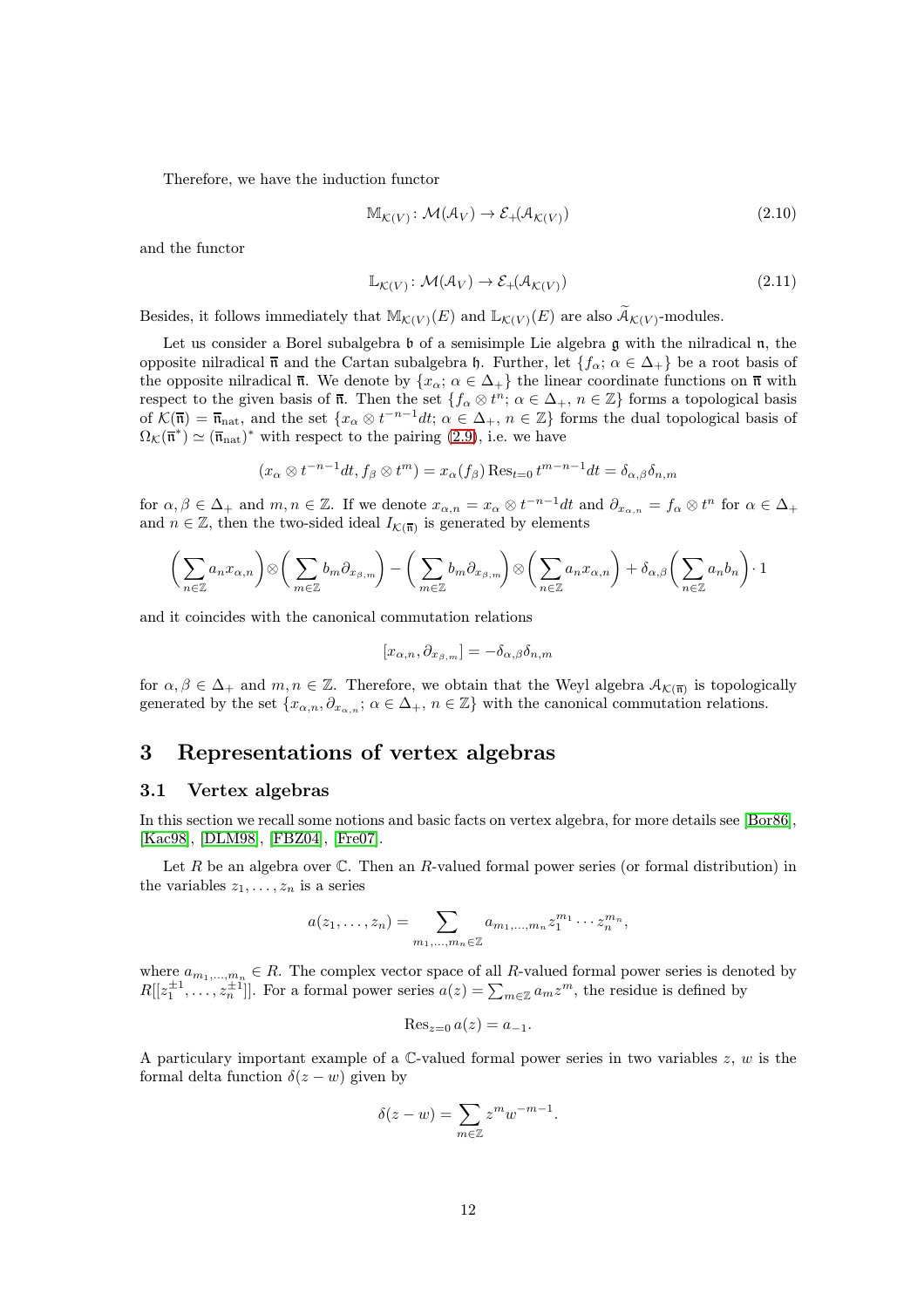Therefore, we have the induction functor

$$
\mathbb{M}_{\mathcal{K}(V)}\colon \mathcal{M}(\mathcal{A}_V) \to \mathcal{E}_+(\mathcal{A}_{\mathcal{K}(V)})
$$
\n(2.10)

and the functor

$$
\mathbb{L}_{\mathcal{K}(V)} \colon \mathcal{M}(\mathcal{A}_V) \to \mathcal{E}_+(\mathcal{A}_{\mathcal{K}(V)})
$$
\n(2.11)

Besides, it follows immediately that  $\mathbb{M}_{\mathcal{K}(V)}(E)$  and  $\mathbb{L}_{\mathcal{K}(V)}(E)$  are also  $\widetilde{\mathcal{A}}_{\mathcal{K}(V)}$ -modules.

Let us consider a Borel subalgebra  $\mathfrak b$  of a semisimple Lie algebra  $\mathfrak g$  with the nilradical  $\mathfrak n$ , the opposite nilradical  $\bar{\mathfrak{n}}$  and the Cartan subalgebra h. Further, let  $\{f_{\alpha}; \alpha \in \Delta_+\}$  be a root basis of the opposite nilradical  $\overline{\mathfrak{n}}$ . We denote by  $\{x_{\alpha}; \alpha \in \Delta_+\}$  the linear coordinate functions on  $\overline{\mathfrak{n}}$  with respect to the given basis of  $\overline{n}$ . Then the set  $\{f_{\alpha} \otimes t^n; \alpha \in \Delta_+, n \in \mathbb{Z}\}\)$  forms a topological basis of  $\mathcal{K}(\overline{\mathfrak{n}}) = \overline{\mathfrak{n}}_{\text{nat}}$ , and the set  $\{x_\alpha \otimes t^{-n-1}dt; \alpha \in \Delta_+, n \in \mathbb{Z}\}$  forms the dual topological basis of  $\Omega_{\mathcal{K}}(\overline{\mathfrak{n}}^*) \simeq (\overline{\mathfrak{n}}_{\text{nat}})^*$  with respect to the pairing [\(2.9\)](#page-8-1), i.e. we have

$$
(x_{\alpha} \otimes t^{-n-1} dt, f_{\beta} \otimes t^{m}) = x_{\alpha}(f_{\beta}) \operatorname{Res}_{t=0} t^{m-n-1} dt = \delta_{\alpha,\beta} \delta_{n,m}
$$

for  $\alpha, \beta \in \Delta_+$  and  $m, n \in \mathbb{Z}$ . If we denote  $x_{\alpha,n} = x_{\alpha} \otimes t^{-n-1}dt$  and  $\partial_{x_{\alpha,n}} = f_{\alpha} \otimes t^n$  for  $\alpha \in \Delta_+$ and  $n \in \mathbb{Z}$ , then the two-sided ideal  $I_{\mathcal{K}(\overline{\mathfrak{n}})}$  is generated by elements

$$
\left(\sum_{n\in\mathbb{Z}}a_nx_{\alpha,n}\right)\otimes\left(\sum_{m\in\mathbb{Z}}b_m\partial_{x_{\beta,m}}\right)-\left(\sum_{m\in\mathbb{Z}}b_m\partial_{x_{\beta,m}}\right)\otimes\left(\sum_{n\in\mathbb{Z}}a_nx_{\alpha,n}\right)+\delta_{\alpha,\beta}\left(\sum_{n\in\mathbb{Z}}a_nb_n\right)\cdot 1
$$

and it coincides with the canonical commutation relations

$$
[x_{\alpha,n},\partial_{x_{\beta,m}}]=-\delta_{\alpha,\beta}\delta_{n,m}
$$

for  $\alpha, \beta \in \Delta_+$  and  $m, n \in \mathbb{Z}$ . Therefore, we obtain that the Weyl algebra  $\mathcal{A}_{\mathcal{K}(\overline{n})}$  is topologically generated by the set  $\{x_{\alpha,n}, \partial_{x_{\alpha,n}}; \alpha \in \Delta_+, n \in \mathbb{Z}\}\$  with the canonical commutation relations.

## <span id="page-11-0"></span>3 Representations of vertex algebras

#### <span id="page-11-1"></span>3.1 Vertex algebras

In this section we recall some notions and basic facts on vertex algebra, for more details see [\[Bor86\]](#page-42-11), [\[Kac98\]](#page-43-14), [\[DLM98\]](#page-42-12), [\[FBZ04\]](#page-43-13), [\[Fre07\]](#page-43-10).

Let R be an algebra over  $\mathbb C$ . Then an R-valued formal power series (or formal distribution) in the variables  $z_1, \ldots, z_n$  is a series

$$
a(z_1,\ldots,z_n)=\sum_{m_1,\ldots,m_n\in\mathbb{Z}}a_{m_1,\ldots,m_n}z_1^{m_1}\cdots z_n^{m_n},
$$

where  $a_{m_1,...,m_n} \in R$ . The complex vector space of all R-valued formal power series is denoted by  $R[[z_1^{\pm 1},...,z_n^{\pm 1}]]$ . For a formal power series  $a(z) = \sum_{m \in \mathbb{Z}} a_m z^m$ , the residue is defined by

$$
\operatorname{Res}_{z=0}a(z)=a_{-1}.
$$

A particulary important example of a  $\mathbb{C}\text{-valued formal power series in two variables } z, w$  is the formal delta function  $\delta(z - w)$  given by

$$
\delta(z - w) = \sum_{m \in \mathbb{Z}} z^m w^{-m-1}.
$$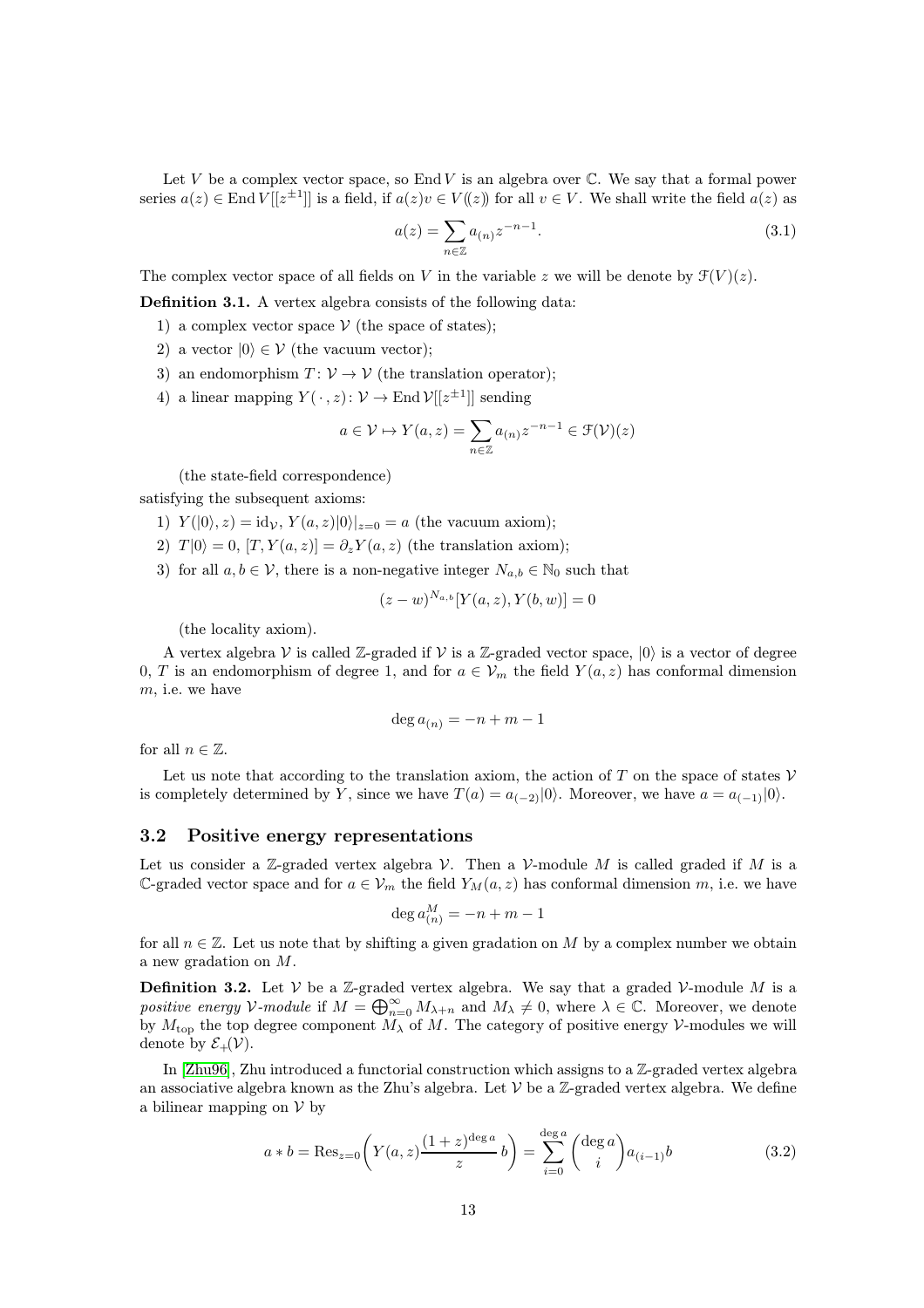Let  $V$  be a complex vector space, so End  $V$  is an algebra over  $\mathbb C$ . We say that a formal power series  $a(z) \in \text{End } V[[z^{\pm 1}]]$  is a field, if  $a(z)v \in V((z))$  for all  $v \in V$ . We shall write the field  $a(z)$  as

$$
a(z) = \sum_{n \in \mathbb{Z}} a_{(n)} z^{-n-1}.
$$
\n(3.1)

The complex vector space of all fields on V in the variable z we will be denote by  $\mathcal{F}(V)(z)$ .

Definition 3.1. A vertex algebra consists of the following data:

- 1) a complex vector space  $V$  (the space of states);
- 2) a vector  $|0\rangle \in \mathcal{V}$  (the vacuum vector);
- 3) an endomorphism  $T: V \to V$  (the translation operator);
- 4) a linear mapping  $Y(\cdot, z): \mathcal{V} \to \text{End }\mathcal{V}[[z^{\pm 1}]]$  sending

$$
a \in \mathcal{V} \mapsto Y(a, z) = \sum_{n \in \mathbb{Z}} a_{(n)} z^{-n-1} \in \mathcal{F}(\mathcal{V})(z)
$$

(the state-field correspondence)

satisfying the subsequent axioms:

- 1)  $Y(|0\rangle, z) = id_{\mathcal{V}}, Y(a, z)|0\rangle|_{z=0} = a$  (the vacuum axiom);
- 2)  $T |0\rangle = 0$ ,  $[T, Y(a, z)] = \partial_z Y(a, z)$  (the translation axiom);
- 3) for all  $a, b \in V$ , there is a non-negative integer  $N_{a,b} \in \mathbb{N}_0$  such that

$$
(z-w)^{N_{a,b}}[Y(a,z),Y(b,w)]=0
$$

(the locality axiom).

A vertex algebra V is called  $\mathbb{Z}$ -graded if V is a  $\mathbb{Z}$ -graded vector space,  $|0\rangle$  is a vector of degree 0, T is an endomorphism of degree 1, and for  $a \in V_m$  the field  $Y(a, z)$  has conformal dimension m, i.e. we have

$$
\deg a_{(n)}=-n+m-1
$$

for all  $n \in \mathbb{Z}$ .

Let us note that according to the translation axiom, the action of T on the space of states  $V$ is completely determined by Y, since we have  $T(a) = a_{(-2)}(0)$ . Moreover, we have  $a = a_{(-1)}(0)$ .

#### <span id="page-12-0"></span>3.2 Positive energy representations

Let us consider a Z-graded vertex algebra  $\mathcal V$ . Then a  $\mathcal V$ -module M is called graded if M is a C-graded vector space and for  $a \in V_m$  the field  $Y_M(a, z)$  has conformal dimension m, i.e. we have

<span id="page-12-1"></span>
$$
\deg a_{(n)}^M = -n + m - 1
$$

for all  $n \in \mathbb{Z}$ . Let us note that by shifting a given gradation on M by a complex number we obtain a new gradation on M.

**Definition 3.2.** Let  $V$  be a Z-graded vertex algebra. We say that a graded V-module M is a positive energy V-module if  $M = \bigoplus_{n=0}^{\infty} M_{\lambda+n}$  and  $M_{\lambda} \neq 0$ , where  $\lambda \in \mathbb{C}$ . Moreover, we denote by  $M_{\text{top}}$  the top degree component  $M_{\lambda}$  of M. The category of positive energy V-modules we will denote by  $\mathcal{E}_+(\mathcal{V})$ .

In  $[Zhu96]$ , Zhu introduced a functorial construction which assigns to a  $\mathbb{Z}$ -graded vertex algebra an associative algebra known as the Zhu's algebra. Let  $\mathcal V$  be a Z-graded vertex algebra. We define a bilinear mapping on  $V$  by

$$
a * b = \text{Res}_{z=0} \left( Y(a, z) \frac{(1+z)^{\deg a}}{z} b \right) = \sum_{i=0}^{\deg a} \binom{\deg a}{i} a_{(i-1)} b \tag{3.2}
$$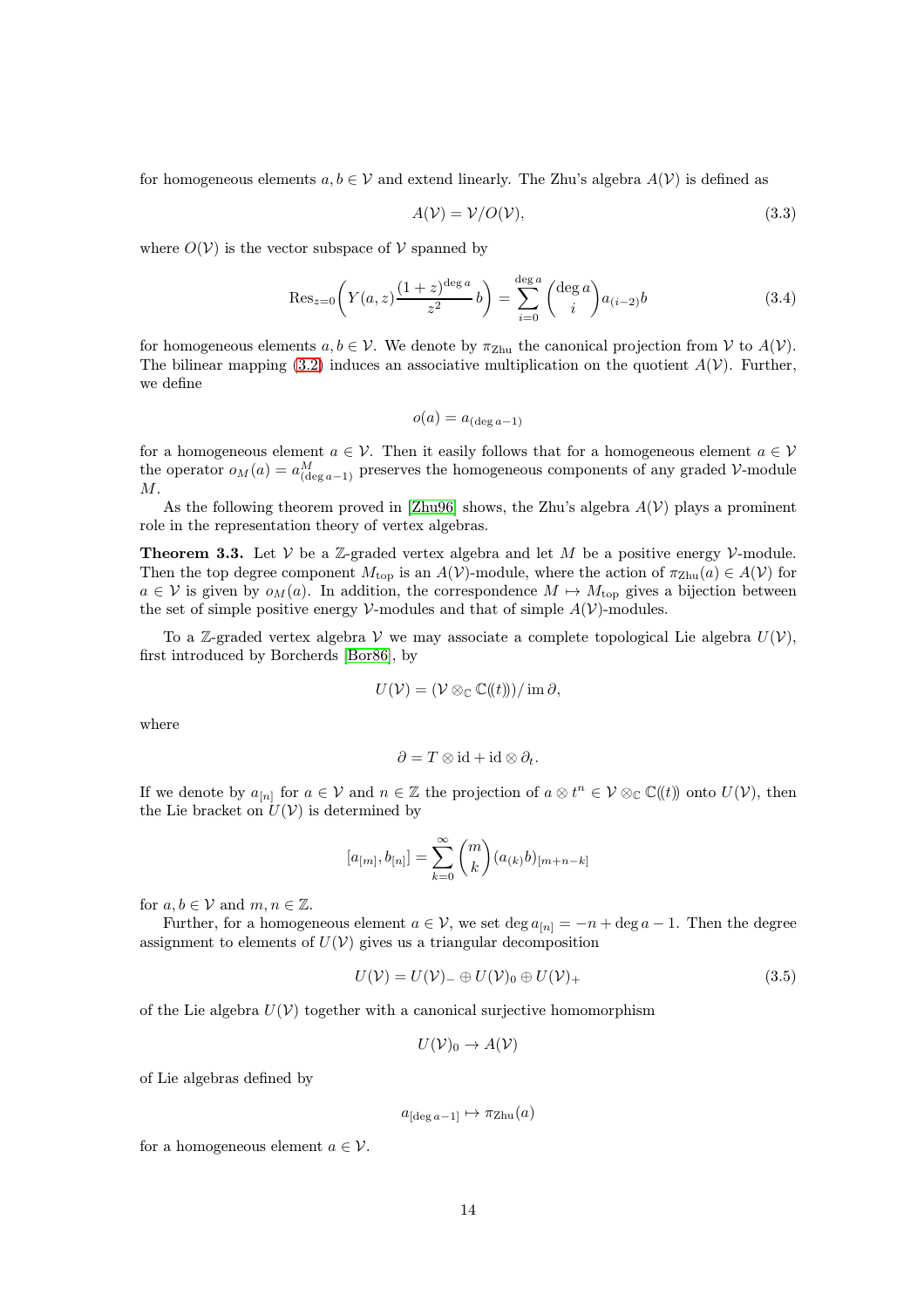for homogeneous elements  $a, b \in V$  and extend linearly. The Zhu's algebra  $A(V)$  is defined as

$$
A(\mathcal{V}) = \mathcal{V}/O(\mathcal{V}),\tag{3.3}
$$

where  $O(V)$  is the vector subspace of V spanned by

$$
\text{Res}_{z=0} \left( Y(a, z) \frac{(1+z)^{\deg a}}{z^2} b \right) = \sum_{i=0}^{\deg a} {\deg a \choose i} a_{(i-2)} b \tag{3.4}
$$

for homogeneous elements  $a, b \in V$ . We denote by  $\pi_{\text{Zhu}}$  the canonical projection from V to  $A(V)$ . The bilinear mapping [\(3.2\)](#page-12-1) induces an associative multiplication on the quotient  $A(V)$ . Further, we define

$$
o(a) = a_{(\deg a - 1)}
$$

for a homogeneous element  $a \in V$ . Then it easily follows that for a homogeneous element  $a \in V$ the operator  $o_M(a) = a_{(\text{deg }a-1)}^M$  preserves the homogeneous components of any graded V-module M.

As the following theorem proved in [\[Zhu96\]](#page-44-2) shows, the Zhu's algebra  $A(V)$  plays a prominent role in the representation theory of vertex algebras.

**Theorem 3.3.** Let  $V$  be a  $\mathbb{Z}$ -graded vertex algebra and let M be a positive energy  $V$ -module. Then the top degree component  $M_{\text{top}}$  is an  $A(V)$ -module, where the action of  $\pi_{\text{Zhu}}(a) \in A(V)$  for  $a \in V$  is given by  $o_M(a)$ . In addition, the correspondence  $M \mapsto M_{\text{top}}$  gives a bijection between the set of simple positive energy  $\mathcal V$ -modules and that of simple  $A(\mathcal V)$ -modules.

To a Z-graded vertex algebra V we may associate a complete topological Lie algebra  $U(V)$ , first introduced by Borcherds [\[Bor86\]](#page-42-11), by

$$
U(\mathcal{V})=(\mathcal{V}\otimes_{\mathbb{C}}\mathbb{C}(\!(t)\!))/\mathrm{im}\,\partial,
$$

where

$$
\partial = T \otimes id + id \otimes \partial_t.
$$

If we denote by  $a_{[n]}$  for  $a \in V$  and  $n \in \mathbb{Z}$  the projection of  $a \otimes t^n \in V \otimes_{\mathbb{C}} \mathbb{C}(\!(t)\!)$  onto  $U(V)$ , then the Lie bracket on  $U(V)$  is determined by

$$
[a_{[m]},b_{[n]}]=\sum_{k=0}^{\infty}\binom{m}{k}(a_{(k)}b)_{[m+n-k]}
$$

for  $a, b \in V$  and  $m, n \in \mathbb{Z}$ .

Further, for a homogeneous element  $a \in V$ , we set  $\deg a_{[n]} = -n + \deg a - 1$ . Then the degree assignment to elements of  $U(V)$  gives us a triangular decomposition

$$
U(\mathcal{V}) = U(\mathcal{V})_{-} \oplus U(\mathcal{V})_{0} \oplus U(\mathcal{V})_{+}
$$
\n(3.5)

of the Lie algebra  $U(V)$  together with a canonical surjective homomorphism

$$
U(\mathcal{V})_0 \to A(\mathcal{V})
$$

of Lie algebras defined by

 $a_{\text{deg }a-1} \mapsto \pi_{\text{Zhu}}(a)$ 

for a homogeneous element  $a \in \mathcal{V}$ .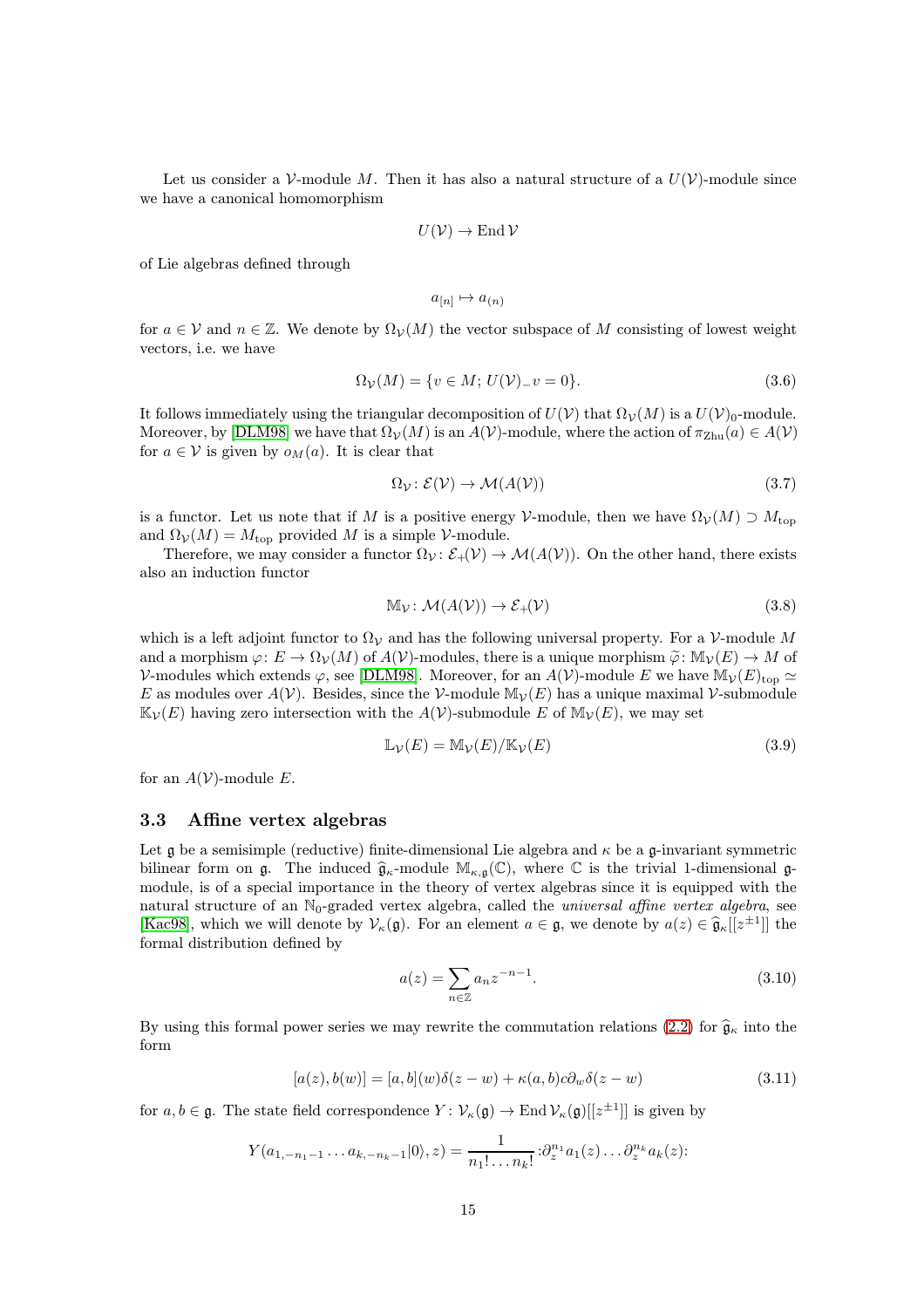Let us consider a V-module M. Then it has also a natural structure of a  $U(\mathcal{V})$ -module since we have a canonical homomorphism

$$
U(\mathcal{V}) \to \operatorname{End} \mathcal{V}
$$

of Lie algebras defined through

$$
a_{[n]}\mapsto a_{(n)}
$$

for  $a \in V$  and  $n \in \mathbb{Z}$ . We denote by  $\Omega_V(M)$  the vector subspace of M consisting of lowest weight vectors, i.e. we have

$$
\Omega_{\mathcal{V}}(M) = \{ v \in M; \, U(\mathcal{V}) - v = 0 \}. \tag{3.6}
$$

It follows immediately using the triangular decomposition of  $U(V)$  that  $\Omega_V(M)$  is a  $U(V)_0$ -module. Moreover, by [\[DLM98\]](#page-42-12) we have that  $\Omega_V(M)$  is an  $A(V)$ -module, where the action of  $\pi_{\text{Zhu}}(a) \in A(V)$ for  $a \in V$  is given by  $o_M(a)$ . It is clear that

$$
\Omega_{\mathcal{V}} \colon \mathcal{E}(\mathcal{V}) \to \mathcal{M}(A(\mathcal{V})) \tag{3.7}
$$

is a functor. Let us note that if M is a positive energy V-module, then we have  $\Omega_{\mathcal{V}}(M) \supset M_{\text{top}}$ and  $\Omega_V(M) = M_{\text{top}}$  provided M is a simple V-module.

Therefore, we may consider a functor  $\Omega_{\mathcal{V}}: \mathcal{E}_+(\mathcal{V}) \to \mathcal{M}(A(\mathcal{V}))$ . On the other hand, there exists also an induction functor

$$
\mathbb{M}_{\mathcal{V}}\colon \mathcal{M}(A(\mathcal{V})) \to \mathcal{E}_{+}(\mathcal{V})
$$
\n(3.8)

which is a left adjoint functor to  $\Omega_V$  and has the following universal property. For a V-module M and a morphism  $\varphi: E \to \Omega_V(M)$  of  $A(V)$ -modules, there is a unique morphism  $\tilde{\varphi}: \mathbb{M}_V(E) \to M$  of V-modules which extends  $\varphi$ , see [\[DLM98\]](#page-42-12). Moreover, for an  $A(V)$ -module E we have  $\mathbb{M}_V(E)_{\text{top}} \simeq$ E as modules over  $A(V)$ . Besides, since the V-module  $\mathbb{M}_V(E)$  has a unique maximal V-submodule  $\mathbb{K}_{\mathcal{V}}(E)$  having zero intersection with the  $A(\mathcal{V})$ -submodule E of  $\mathbb{M}_{\mathcal{V}}(E)$ , we may set

$$
\mathbb{L}\mathcal{V}(E) = \mathbb{M}\mathcal{V}(E)/\mathbb{K}\mathcal{V}(E)
$$
\n(3.9)

for an  $A(V)$ -module E.

#### <span id="page-14-0"></span>3.3 Affine vertex algebras

Let g be a semisimple (reductive) finite-dimensional Lie algebra and  $\kappa$  be a g-invariant symmetric bilinear form on  $\mathfrak{g}$ . The induced  $\widehat{\mathfrak{g}}_{\kappa}$ -module  $\mathbb{M}_{\kappa,\mathfrak{g}}(\mathbb{C})$ , where  $\mathbb C$  is the trivial 1-dimensional  $\mathfrak{g}$ module, is of a special importance in the theory of vertex algebras since it is equipped with the natural structure of an  $\mathbb{N}_0$ -graded vertex algebra, called the *universal affine vertex algebra*, see [\[Kac98\]](#page-43-14), which we will denote by  $\mathcal{V}_{\kappa}(\mathfrak{g})$ . For an element  $a \in \mathfrak{g}$ , we denote by  $a(z) \in \widehat{\mathfrak{g}}_{\kappa}[[z^{\pm 1}]]$  the formal distribution defined by

<span id="page-14-1"></span>
$$
a(z) = \sum_{n \in \mathbb{Z}} a_n z^{-n-1}.
$$
\n(3.10)

By using this formal power series we may rewrite the commutation relations [\(2.2\)](#page-5-2) for  $\hat{\mathfrak{g}}_{\kappa}$  into the form

$$
[a(z), b(w)] = [a, b](w)\delta(z - w) + \kappa(a, b)c\partial_w\delta(z - w)
$$
\n(3.11)

for  $a, b \in \mathfrak{g}$ . The state field correspondence  $Y: \mathcal{V}_{\kappa}(\mathfrak{g}) \to \text{End } \mathcal{V}_{\kappa}(\mathfrak{g})[[z^{\pm 1}]]$  is given by

$$
Y(a_{1,-n_1-1}\ldots a_{k,-n_k-1}|0\rangle,z)=\frac{1}{n_1!\ldots n_k!}\partial_z^{n_1}a_1(z)\ldots \partial_z^{n_k}a_k(z).
$$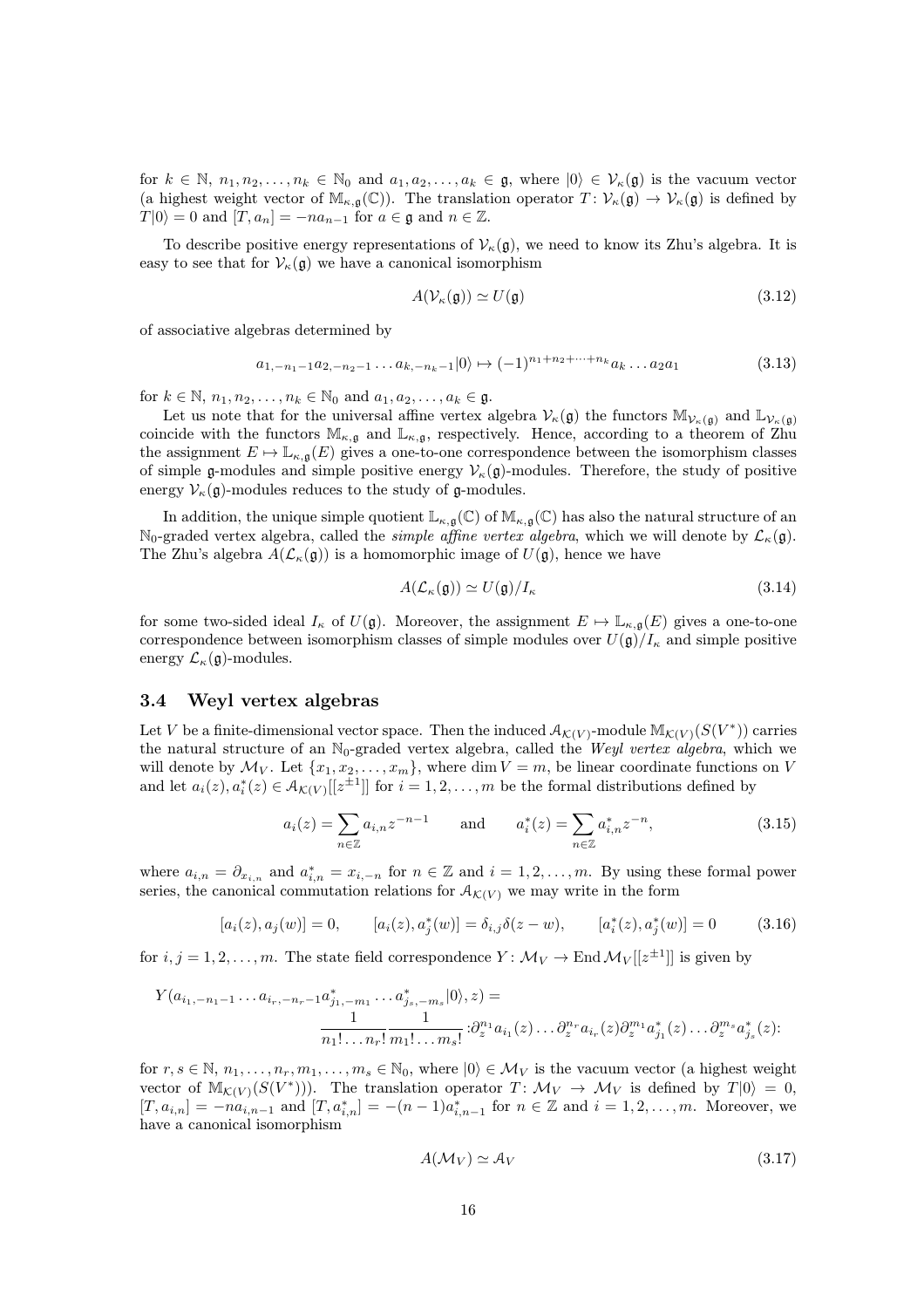for  $k \in \mathbb{N}, n_1, n_2, \ldots, n_k \in \mathbb{N}_0$  and  $a_1, a_2, \ldots, a_k \in \mathfrak{g}$ , where  $|0\rangle \in \mathcal{V}_{\kappa}(\mathfrak{g})$  is the vacuum vector (a highest weight vector of  $\mathbb{M}_{\kappa,\mathfrak{g}}(\mathbb{C})$ ). The translation operator  $T: \mathcal{V}_{\kappa}(\mathfrak{g}) \to \mathcal{V}_{\kappa}(\mathfrak{g})$  is defined by  $T|0\rangle = 0$  and  $[T, a_n] = -na_{n-1}$  for  $a \in \mathfrak{g}$  and  $n \in \mathbb{Z}$ .

To describe positive energy representations of  $\mathcal{V}_{\kappa}(\mathfrak{g})$ , we need to know its Zhu's algebra. It is easy to see that for  $\mathcal{V}_{\kappa}(\mathfrak{g})$  we have a canonical isomorphism

$$
A(\mathcal{V}_{\kappa}(\mathfrak{g})) \simeq U(\mathfrak{g}) \tag{3.12}
$$

of associative algebras determined by

$$
a_{1,-n_1-1}a_{2,-n_2-1}\dots a_{k,-n_k-1}|0\rangle \mapsto (-1)^{n_1+n_2+\dots+n_k}a_k\dots a_2a_1\tag{3.13}
$$

for  $k \in \mathbb{N}, n_1, n_2, \ldots, n_k \in \mathbb{N}_0$  and  $a_1, a_2, \ldots, a_k \in \mathfrak{g}$ .

Let us note that for the universal affine vertex algebra  $\mathcal{V}_{\kappa}(\mathfrak{g})$  the functors  $\mathbb{M}_{\mathcal{V}_{\kappa}(\mathfrak{g})}$  and  $\mathbb{L}_{\mathcal{V}_{\kappa}(\mathfrak{g})}$ coincide with the functors  $\mathbb{M}_{\kappa,\mathfrak{g}}$  and  $\mathbb{L}_{\kappa,\mathfrak{g}}$ , respectively. Hence, according to a theorem of Zhu the assignment  $E \mapsto \mathbb{L}_{\kappa,\mathfrak{g}}(E)$  gives a one-to-one correspondence between the isomorphism classes of simple g-modules and simple positive energy  $\mathcal{V}_{\kappa}(\mathfrak{g})$ -modules. Therefore, the study of positive energy  $\mathcal{V}_{\kappa}(\mathfrak{g})$ -modules reduces to the study of  $\mathfrak{g}$ -modules.

In addition, the unique simple quotient  $\mathbb{L}_{\kappa,\mathfrak{g}}(\mathbb{C})$  of  $\mathbb{M}_{\kappa,\mathfrak{g}}(\mathbb{C})$  has also the natural structure of an  $\mathbb{N}_0$ -graded vertex algebra, called the *simple affine vertex algebra*, which we will denote by  $\mathcal{L}_{\kappa}(\mathfrak{g})$ . The Zhu's algebra  $A(\mathcal{L}_{\kappa}(\mathfrak{g}))$  is a homomorphic image of  $U(\mathfrak{g})$ , hence we have

$$
A(\mathcal{L}_{\kappa}(\mathfrak{g})) \simeq U(\mathfrak{g})/I_{\kappa} \tag{3.14}
$$

for some two-sided ideal  $I_{\kappa}$  of  $U(\mathfrak{g})$ . Moreover, the assignment  $E \mapsto \mathbb{L}_{\kappa,\mathfrak{g}}(E)$  gives a one-to-one correspondence between isomorphism classes of simple modules over  $U(\mathfrak{g})/I_{\kappa}$  and simple positive energy  $\mathcal{L}_{\kappa}(\mathfrak{g})$ -modules.

#### <span id="page-15-0"></span>3.4 Weyl vertex algebras

Let V be a finite-dimensional vector space. Then the induced  $\mathcal{A}_{\mathcal{K}(V)}$ -module  $\mathbb{M}_{\mathcal{K}(V)}(S(V^*))$  carries the natural structure of an  $\mathbb{N}_0$ -graded vertex algebra, called the Weyl vertex algebra, which we will denote by  $\mathcal{M}_V$ . Let  $\{x_1, x_2, \ldots, x_m\}$ , where dim  $V = m$ , be linear coordinate functions on V and let  $a_i(z), a_i^*(z) \in A_{\mathcal{K}(V)}[[z^{\pm 1}]]$  for  $i = 1, 2, ..., m$  be the formal distributions defined by

$$
a_i(z) = \sum_{n \in \mathbb{Z}} a_{i,n} z^{-n-1} \quad \text{and} \quad a_i^*(z) = \sum_{n \in \mathbb{Z}} a_{i,n}^* z^{-n}, \tag{3.15}
$$

where  $a_{i,n} = \partial_{x_{i,n}}$  and  $a_{i,n}^* = x_{i,-n}$  for  $n \in \mathbb{Z}$  and  $i = 1, 2, ..., m$ . By using these formal power series, the canonical commutation relations for  $A_{\mathcal{K}(V)}$  we may write in the form

$$
[a_i(z), a_j(w)] = 0, \qquad [a_i(z), a_j^*(w)] = \delta_{i,j}\delta(z - w), \qquad [a_i^*(z), a_j^*(w)] = 0 \tag{3.16}
$$

for  $i, j = 1, 2, ..., m$ . The state field correspondence  $Y: \mathcal{M}_V \to \text{End } \mathcal{M}_V[[z^{\pm 1}]]$  is given by

$$
Y(a_{i_1,-n_1-1}\ldots a_{i_r,-n_r-1}a_{j_1,-m_1}^*\ldots a_{j_s,-m_s}^*|0\rangle,z) =
$$
  

$$
\frac{1}{n_1!\ldots n_r!} \frac{1}{m_1!\ldots m_s!} \cdot \partial_z^{n_1} a_{i_1}(z) \ldots \partial_z^{n_r} a_{i_r}(z) \partial_z^{m_1} a_{j_1}^*(z) \ldots \partial_z^{m_s} a_{j_s}^*(z).
$$

for  $r, s \in \mathbb{N}, n_1, \ldots, n_r, m_1, \ldots, m_s \in \mathbb{N}_0$ , where  $|0\rangle \in \mathcal{M}_V$  is the vacuum vector (a highest weight vector of  $M_{\mathcal{K}(V)}(S(V^*)))$ . The translation operator  $T: \mathcal{M}_V \to \mathcal{M}_V$  is defined by  $T|0\rangle = 0$ ,  $[T, a_{i,n}] = -n a_{i,n-1}$  and  $[T, a_{i,n}^*] = -(n-1)a_{i,n-1}^*$  for  $n \in \mathbb{Z}$  and  $i = 1, 2, ..., m$ . Moreover, we have a canonical isomorphism

$$
A(\mathcal{M}_V) \simeq \mathcal{A}_V \tag{3.17}
$$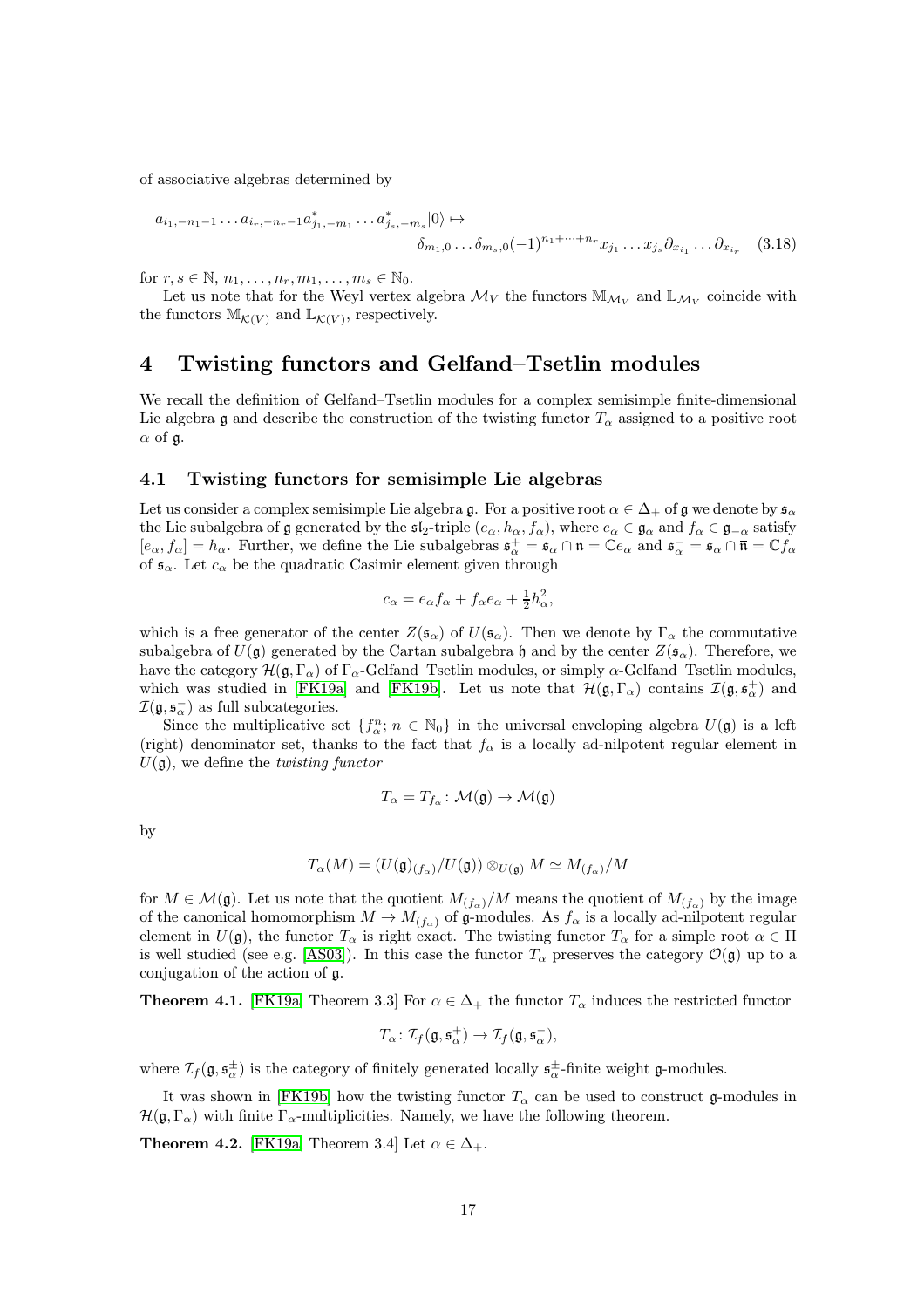of associative algebras determined by

$$
a_{i_1,-n_1-1} \dots a_{i_r,-n_r-1} a_{j_1,-m_1}^* \dots a_{j_s,-m_s}^* |0\rangle \mapsto
$$
  

$$
\delta_{m_1,0} \dots \delta_{m_s,0} (-1)^{n_1+\dots+n_r} x_{j_1} \dots x_{j_s} \partial_{x_{i_1}} \dots \partial_{x_{i_r}}
$$
 (3.18)

for  $r, s \in \mathbb{N}, n_1, \ldots, n_r, m_1, \ldots, m_s \in \mathbb{N}_0$ .

Let us note that for the Weyl vertex algebra  $\mathcal{M}_V$  the functors  $\mathbb{M}_{\mathcal{M}_V}$  and  $\mathbb{L}_{\mathcal{M}_V}$  coincide with the functors  $\mathbb{M}_{\mathcal{K}(V)}$  and  $\mathbb{L}_{\mathcal{K}(V)}$ , respectively.

## <span id="page-16-0"></span>4 Twisting functors and Gelfand–Tsetlin modules

We recall the definition of Gelfand–Tsetlin modules for a complex semisimple finite-dimensional Lie algebra g and describe the construction of the twisting functor  $T_{\alpha}$  assigned to a positive root  $\alpha$  of g.

#### <span id="page-16-1"></span>4.1 Twisting functors for semisimple Lie algebras

Let us consider a complex semisimple Lie algebra g. For a positive root  $\alpha \in \Delta_+$  of g we denote by  $\mathfrak{s}_{\alpha}$ the Lie subalgebra of g generated by the  $\mathfrak{sl}_2$ -triple  $(e_\alpha, h_\alpha, f_\alpha)$ , where  $e_\alpha \in \mathfrak{g}_\alpha$  and  $f_\alpha \in \mathfrak{g}_{-\alpha}$  satisfy  $[e_{\alpha}, f_{\alpha}] = h_{\alpha}$ . Further, we define the Lie subalgebras  $\mathfrak{s}_{\alpha}^+ = \mathfrak{s}_{\alpha} \cap \mathfrak{n} = \mathbb{C}e_{\alpha}$  and  $\mathfrak{s}_{\alpha}^- = \mathfrak{s}_{\alpha} \cap \overline{\mathfrak{n}} = \mathbb{C}f_{\alpha}$ of  $\mathfrak{s}_{\alpha}$ . Let  $c_{\alpha}$  be the quadratic Casimir element given through

$$
c_{\alpha} = e_{\alpha} f_{\alpha} + f_{\alpha} e_{\alpha} + \frac{1}{2} h_{\alpha}^2,
$$

which is a free generator of the center  $Z(\mathfrak{s}_{\alpha})$  of  $U(\mathfrak{s}_{\alpha})$ . Then we denote by  $\Gamma_{\alpha}$  the commutative subalgebra of  $U(\mathfrak{g})$  generated by the Cartan subalgebra h and by the center  $Z(\mathfrak{s}_{\alpha})$ . Therefore, we have the category  $\mathcal{H}(\mathfrak{g},\Gamma_\alpha)$  of  $\Gamma_\alpha$ -Gelfand–Tsetlin modules, or simply  $\alpha$ -Gelfand–Tsetlin modules, which was studied in [\[FK19a\]](#page-43-9) and [\[FK19b\]](#page-43-6). Let us note that  $\mathcal{H}(\mathfrak{g},\Gamma_{\alpha})$  contains  $\mathcal{I}(\mathfrak{g},\mathfrak{s}_{\alpha}^{+})$  and  $\mathcal{I}(\mathfrak{g}, \mathfrak{s}_\alpha^-)$  as full subcategories.

Since the multiplicative set  $\{f_{\alpha}^n; n \in \mathbb{N}_0\}$  in the universal enveloping algebra  $U(\mathfrak{g})$  is a left (right) denominator set, thanks to the fact that  $f_{\alpha}$  is a locally ad-nilpotent regular element in  $U(\mathfrak{g})$ , we define the *twisting functor* 

$$
T_{\alpha}=T_{f_{\alpha}}\colon \mathcal{M}(\mathfrak{g})\to \mathcal{M}(\mathfrak{g})
$$

by

$$
T_{\alpha}(M) = (U(\mathfrak{g})_{(f_{\alpha})}/U(\mathfrak{g})) \otimes_{U(\mathfrak{g})} M \simeq M_{(f_{\alpha})}/M
$$

for  $M \in \mathcal{M}(\mathfrak{g})$ . Let us note that the quotient  $M_{(f_\alpha)}/M$  means the quotient of  $M_{(f_\alpha)}$  by the image of the canonical homomorphism  $M \to M_{(f_\alpha)}$  of g-modules. As  $f_\alpha$  is a locally ad-nilpotent regular element in  $U(\mathfrak{g})$ , the functor  $T_\alpha$  is right exact. The twisting functor  $T_\alpha$  for a simple root  $\alpha \in \Pi$ is well studied (see e.g. [\[AS03\]](#page-42-13)). In this case the functor  $T_{\alpha}$  preserves the category  $\mathcal{O}(\mathfrak{g})$  up to a conjugation of the action of g.

**Theorem 4.1.** [\[FK19a,](#page-43-9) Theorem 3.3] For  $\alpha \in \Delta_+$  the functor  $T_\alpha$  induces the restricted functor

$$
T_{\alpha} \colon \mathcal{I}_{f}(\mathfrak{g},\mathfrak{s}_{\alpha}^{+}) \to \mathcal{I}_{f}(\mathfrak{g},\mathfrak{s}_{\alpha}^{-}),
$$

where  $\mathcal{I}_f(\mathfrak{g}, \mathfrak{s}_{\alpha}^{\pm})$  is the category of finitely generated locally  $\mathfrak{s}_{\alpha}^{\pm}$ -finite weight g-modules.

It was shown in [\[FK19b\]](#page-43-6) how the twisting functor  $T_{\alpha}$  can be used to construct g-modules in  $\mathcal{H}(\mathfrak{g}, \Gamma_{\alpha})$  with finite  $\Gamma_{\alpha}$ -multiplicities. Namely, we have the following theorem.

<span id="page-16-2"></span>**Theorem 4.2.** [\[FK19a,](#page-43-9) Theorem 3.4] Let  $\alpha \in \Delta_+$ .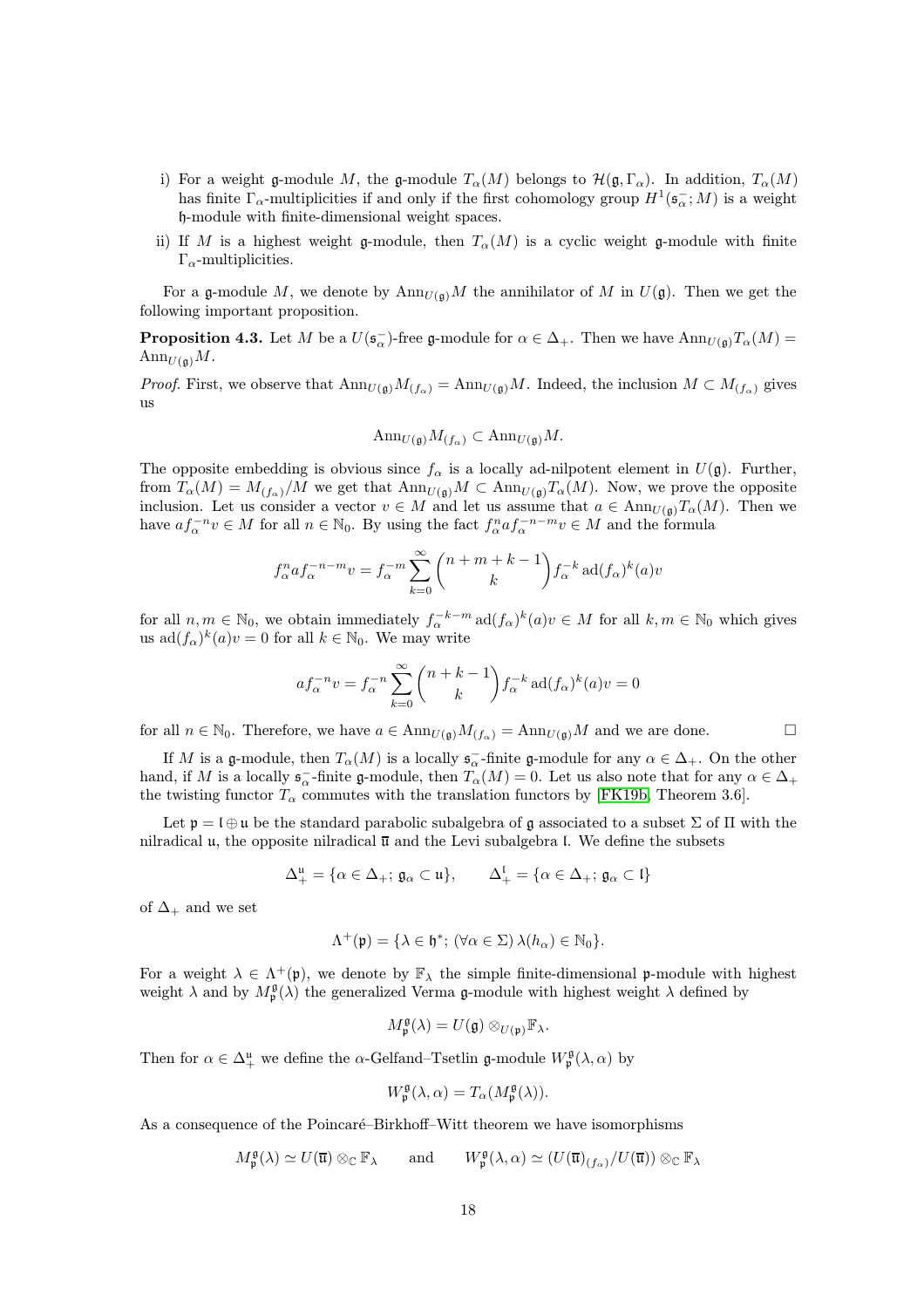- i) For a weight g-module M, the g-module  $T_{\alpha}(M)$  belongs to  $\mathcal{H}(\mathfrak{g}, \Gamma_{\alpha})$ . In addition,  $T_{\alpha}(M)$ has finite  $\Gamma_{\alpha}$ -multiplicities if and only if the first cohomology group  $H^1(\mathfrak{s}_{\alpha}^{-};M)$  is a weight h-module with finite-dimensional weight spaces.
- ii) If M is a highest weight g-module, then  $T_{\alpha}(M)$  is a cyclic weight g-module with finite  $\Gamma_{\alpha}$ -multiplicities.

For a g-module M, we denote by  $\text{Ann}_{U(\mathfrak{a})}M$  the annihilator of M in  $U(\mathfrak{g})$ . Then we get the following important proposition.

<span id="page-17-0"></span>**Proposition 4.3.** Let M be a  $U(\mathfrak{s}_{\alpha}^{-})$ -free g-module for  $\alpha \in \Delta_{+}$ . Then we have  $\text{Ann}_{U(\mathfrak{g})}T_{\alpha}(M)$  =  $\text{Ann}_{U(\mathfrak{g})}M$ .

*Proof.* First, we observe that  $\text{Ann}_{U(\mathfrak{g})}M_{(f_{\alpha})} = \text{Ann}_{U(\mathfrak{g})}M$ . Indeed, the inclusion  $M \subset M_{(f_{\alpha})}$  gives us

$$
\text{Ann}_{U(\mathfrak{g})}M_{(f_{\alpha})}\subset \text{Ann}_{U(\mathfrak{g})}M.
$$

The opposite embedding is obvious since  $f_{\alpha}$  is a locally ad-nilpotent element in  $U(\mathfrak{g})$ . Further, from  $T_{\alpha}(M) = M_{(f_{\alpha})}/M$  we get that  $\text{Ann}_{U(\mathfrak{g})}M \subset \text{Ann}_{U(\mathfrak{g})}T_{\alpha}(M)$ . Now, we prove the opposite inclusion. Let us consider a vector  $v \in M$  and let us assume that  $a \in Ann_{U(\mathfrak{g})}T_{\alpha}(M)$ . Then we have  $af_{\alpha}^{-n}v \in M$  for all  $n \in \mathbb{N}_0$ . By using the fact  $f_{\alpha}^naf_{\alpha}^{-n-m}v \in M$  and the formula

$$
f_{\alpha}^n a f_{\alpha}^{-n-m} v = f_{\alpha}^{-m} \sum_{k=0}^{\infty} {n+m+k-1 \choose k} f_{\alpha}^{-k} \operatorname{ad}(f_{\alpha})^k(a) v
$$

for all  $n, m \in \mathbb{N}_0$ , we obtain immediately  $f_\alpha^{-k-m}$  ad $(f_\alpha)^k(a)v \in M$  for all  $k, m \in \mathbb{N}_0$  which gives us  $\mathrm{ad}(f_{\alpha})^k(a)v=0$  for all  $k \in \mathbb{N}_0$ . We may write

$$
af_{\alpha}^{-n}v = f_{\alpha}^{-n} \sum_{k=0}^{\infty} {n+k-1 \choose k} f_{\alpha}^{-k} \operatorname{ad}(f_{\alpha})^{k}(a)v = 0
$$

for all  $n \in \mathbb{N}_0$ . Therefore, we have  $a \in \text{Ann}_{U(\mathfrak{g})}M_{(f_\alpha)} = \text{Ann}_{U(\mathfrak{g})}M$  and we are done.

If M is a g-module, then  $T_{\alpha}(M)$  is a locally  $\mathfrak{s}_{\alpha}^-$ -finite g-module for any  $\alpha \in \Delta_+$ . On the other hand, if M is a locally  $\mathfrak{s}_{\alpha}^-$ -finite g-module, then  $T_{\alpha}(M) = 0$ . Let us also note that for any  $\alpha \in \Delta_+$ the twisting functor  $T_{\alpha}$  commutes with the translation functors by [\[FK19b,](#page-43-6) Theorem 3.6].

Let  $\mathfrak{p} = \mathfrak{l} \oplus \mathfrak{u}$  be the standard parabolic subalgebra of g associated to a subset  $\Sigma$  of  $\Pi$  with the nilradical u, the opposite nilradical  $\overline{u}$  and the Levi subalgebra l. We define the subsets

$$
\Delta_+^{\mathfrak{u}} = \{ \alpha \in \Delta_+; \, \mathfrak{g}_\alpha \subset \mathfrak{u} \}, \qquad \Delta_+^{\mathfrak{l}} = \{ \alpha \in \Delta_+; \, \mathfrak{g}_\alpha \subset \mathfrak{l} \}
$$

of  $\Delta_+$  and we set

$$
\Lambda^+(\mathfrak{p}) = \{ \lambda \in \mathfrak{h}^*; (\forall \alpha \in \Sigma) \lambda(h_\alpha) \in \mathbb{N}_0 \}.
$$

For a weight  $\lambda \in \Lambda^+(\mathfrak{p})$ , we denote by  $\mathbb{F}_{\lambda}$  the simple finite-dimensional p-module with highest weight  $\lambda$  and by  $M_{\mathfrak{p}}^{\mathfrak{g}}(\lambda)$  the generalized Verma g-module with highest weight  $\lambda$  defined by

$$
M_{\mathfrak{p}}^{\mathfrak{g}}(\lambda)=U(\mathfrak{g})\otimes_{U(\mathfrak{p})}\mathbb{F}_{\lambda}.
$$

Then for  $\alpha \in \Delta^{\mathfrak{u}}_{+}$  we define the  $\alpha$ -Gelfand–Tsetlin **g**-module  $W_{\mathfrak{p}}^{\mathfrak{g}}(\lambda, \alpha)$  by

$$
W_{\mathfrak{p}}^{\mathfrak{g}}(\lambda,\alpha) = T_{\alpha}(M_{\mathfrak{p}}^{\mathfrak{g}}(\lambda)).
$$

As a consequence of the Poincaré–Birkhoff–Witt theorem we have isomorphisms

$$
M_{\mathfrak{p}}^{\mathfrak{g}}(\lambda) \simeq U(\overline{\mathfrak{u}}) \otimes_{\mathbb{C}} \mathbb{F}_{\lambda} \quad \text{and} \quad W_{\mathfrak{p}}^{\mathfrak{g}}(\lambda, \alpha) \simeq (U(\overline{\mathfrak{u}})_{(f_{\alpha})}/U(\overline{\mathfrak{u}})) \otimes_{\mathbb{C}} \mathbb{F}_{\lambda}
$$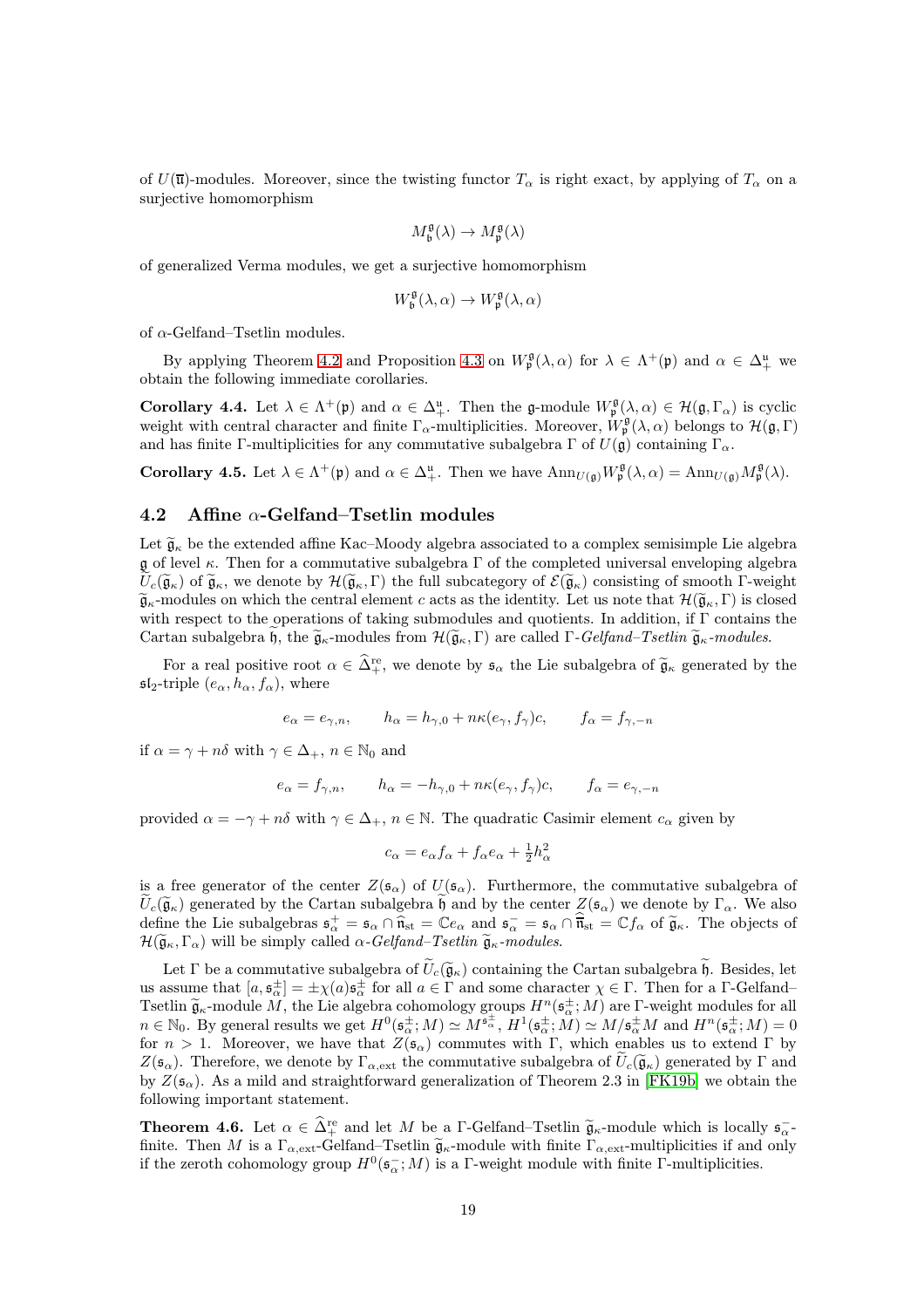of  $U(\overline{\mathfrak{u}})$ -modules. Moreover, since the twisting functor  $T_{\alpha}$  is right exact, by applying of  $T_{\alpha}$  on a surjective homomorphism

$$
M_{\mathfrak{b}}^{\mathfrak{g}}(\lambda) \to M_{\mathfrak{p}}^{\mathfrak{g}}(\lambda)
$$

of generalized Verma modules, we get a surjective homomorphism

$$
W^{\mathfrak{g}}_{\mathfrak{b}}(\lambda, \alpha) \rightarrow W^{\mathfrak{g}}_{\mathfrak{p}}(\lambda, \alpha)
$$

of  $\alpha$ -Gelfand–Tsetlin modules.

By applying Theorem [4.2](#page-16-2) and Proposition [4.3](#page-17-0) on  $W_{\mathfrak{p}}^{\mathfrak{g}}(\lambda,\alpha)$  for  $\lambda \in \Lambda^+(\mathfrak{p})$  and  $\alpha \in \Delta^{\mathfrak{u}}_+$  we obtain the following immediate corollaries.

**Corollary 4.4.** Let  $\lambda \in \Lambda^+(\mathfrak{p})$  and  $\alpha \in \Delta^{\mathfrak{u}}_+$ . Then the g-module  $W^{\mathfrak{g}}_{\mathfrak{p}}(\lambda,\alpha) \in \mathcal{H}(\mathfrak{g},\Gamma_\alpha)$  is cyclic weight with central character and finite  $\Gamma_{\alpha}$ -multiplicities. Moreover,  $W_{\mathfrak{p}}^{\mathfrak{g}}(\lambda,\alpha)$  belongs to  $\mathcal{H}(\mathfrak{g},\Gamma)$ and has finite Γ-multiplicities for any commutative subalgebra Γ of  $U(\mathfrak{g})$  containing Γ<sub>α</sub>.

<span id="page-18-2"></span>**Corollary 4.5.** Let  $\lambda \in \Lambda^+(\mathfrak{p})$  and  $\alpha \in \Delta^{\mathfrak{u}}_+$ . Then we have  $\text{Ann}_{U(\mathfrak{g})}W^{\mathfrak{g}}_{\mathfrak{p}}(\lambda,\alpha) = \text{Ann}_{U(\mathfrak{g})}M^{\mathfrak{g}}_{\mathfrak{p}}(\lambda)$ .

#### <span id="page-18-0"></span>4.2 Affine  $\alpha$ -Gelfand–Tsetlin modules

Let  $\widetilde{\mathfrak{g}}_{\kappa}$  be the extended affine Kac–Moody algebra associated to a complex semisimple Lie algebra  $\mathfrak g$  of level  $\kappa$ . Then for a commutative subalgebra  $\Gamma$  of the completed universal enveloping algebra  $\widetilde{U}_{c}(\widetilde{\mathfrak{g}}_{\kappa})$  of  $\widetilde{\mathfrak{g}}_{\kappa}$ , we denote by  $\mathcal{H}(\widetilde{\mathfrak{g}}_{\kappa},\Gamma)$  the full subcategory of  $\mathcal{E}(\widetilde{\mathfrak{g}}_{\kappa})$  consisting of smooth  $\Gamma$ -weight  $\tilde{\mathfrak{g}}_{\kappa}$ -modules on which the central element c acts as the identity. Let us note that  $\mathcal{H}(\tilde{\mathfrak{g}}_{\kappa},\Gamma)$  is closed with respect to the operations of taking submodules and quotients. In addition, if  $\Gamma$  contains the Cartan subalgebra h, the  $\tilde{\mathfrak{g}}_{\kappa}$ -modules from  $\mathcal{H}(\tilde{\mathfrak{g}}_{\kappa},\Gamma)$  are called  $\Gamma$ -Gelfand–Tsetlin  $\tilde{\mathfrak{g}}_{\kappa}$ -modules.

For a real positive root  $\alpha \in \hat{\Delta}^{\text{re}}_+$ , we denote by  $\mathfrak{s}_{\alpha}$  the Lie subalgebra of  $\tilde{\mathfrak{g}}_{\kappa}$  generated by the  $\mathfrak{sl}_2$ -triple  $(e_\alpha, h_\alpha, f_\alpha)$ , where

$$
e_{\alpha} = e_{\gamma,n}, \qquad h_{\alpha} = h_{\gamma,0} + n\kappa(e_{\gamma}, f_{\gamma})c, \qquad f_{\alpha} = f_{\gamma,-n}
$$

if  $\alpha = \gamma + n\delta$  with  $\gamma \in \Delta_+$ ,  $n \in \mathbb{N}_0$  and

$$
e_{\alpha} = f_{\gamma,n}, \qquad h_{\alpha} = -h_{\gamma,0} + n\kappa (e_{\gamma}, f_{\gamma})c, \qquad f_{\alpha} = e_{\gamma,-n}
$$

provided  $\alpha = -\gamma + n\delta$  with  $\gamma \in \Delta_+$ ,  $n \in \mathbb{N}$ . The quadratic Casimir element  $c_\alpha$  given by

$$
c_{\alpha} = e_{\alpha} f_{\alpha} + f_{\alpha} e_{\alpha} + \frac{1}{2} h_{\alpha}^2
$$

is a free generator of the center  $Z(\mathfrak{s}_{\alpha})$  of  $U(\mathfrak{s}_{\alpha})$ . Furthermore, the commutative subalgebra of  $\widetilde{U}_c(\widetilde{\mathfrak{g}}_\kappa)$  generated by the Cartan subalgebra  $\mathfrak h$  and by the center  $Z(\mathfrak{s}_\alpha)$  we denote by  $\Gamma_\alpha$ . We also define the Lie subalgebras  $\mathfrak{s}_{\alpha}^+ = \mathfrak{s}_{\alpha} \cap \hat{\mathfrak{n}}_{\rm st} = \mathbb{C}e_{\alpha}$  and  $\mathfrak{s}_{\alpha}^- = \mathfrak{s}_{\alpha} \cap \hat{\mathfrak{n}}_{\rm st} = \mathbb{C}f_{\alpha}$  of  $\tilde{\mathfrak{g}}_{\kappa}$ . The objects of  $\mathcal{H}(\widetilde{\mathfrak{g}}_{\kappa},\Gamma_{\alpha})$  will be simply called  $\alpha$ -Gelfand–Tsetlin  $\widetilde{\mathfrak{g}}_{\kappa}$ -modules.

Let Γ be a commutative subalgebra of  $\tilde{U}_c(\tilde{\mathfrak{g}}_\kappa)$  containing the Cartan subalgebra  $\tilde{\mathfrak{h}}$ . Besides, let us assume that  $[a, \mathfrak{s}_{\alpha}^{\pm}] = \pm \chi(a) \mathfrak{s}_{\alpha}^{\pm}$  for all  $a \in \Gamma$  and some character  $\chi \in \Gamma$ . Then for a  $\Gamma$ -Gelfand-Tsetlin  $\tilde{\mathfrak{g}}_{\kappa}$ -module M, the Lie algebra cohomology groups  $H^n(\mathfrak{s}_{\alpha}^{\pm}; M)$  are Γ-weight modules for all  $n \in \mathbb{N}_0$ . By general results we get  $H^0(\mathfrak{s}_{\alpha}^{\pm}; M) \simeq M^{\mathfrak{s}_{\alpha}^{\pm}}, H^1(\mathfrak{s}_{\alpha}^{\pm}; M) \simeq M/\mathfrak{s}_{\alpha}^{\pm}M$  and  $H^n(\mathfrak{s}_{\alpha}^{\pm}; M) = 0$ for  $n > 1$ . Moreover, we have that  $Z(\mathfrak{s}_{\alpha})$  commutes with Γ, which enables us to extend Γ by  $Z(\mathfrak{s}_{\alpha})$ . Therefore, we denote by  $\Gamma_{\alpha,ext}$  the commutative subalgebra of  $U_c(\mathfrak{g}_{\kappa})$  generated by  $\Gamma$  and by  $Z(\mathfrak{s}_{\alpha})$ . As a mild and straightforward generalization of Theorem 2.3 in [\[FK19b\]](#page-43-6) we obtain the following important statement.

<span id="page-18-1"></span>**Theorem 4.6.** Let  $\alpha \in \hat{\Delta}^{\text{re}}$  and let M be a Γ-Gelfand–Tsetlin  $\tilde{\mathfrak{g}}_{\kappa}$ -module which is locally  $\mathfrak{s}_{\alpha}^$ finite. Then M is a  $\Gamma_{\alpha,ext}$ -Gelfand–Tsetlin  $\tilde{\mathfrak{g}}_{\kappa}$ -module with finite  $\Gamma_{\alpha,ext}$ -multiplicities if and only if the zeroth cohomology group  $H^0(\mathfrak{s}_{\alpha}^{-};M)$  is a Γ-weight module with finite Γ-multiplicities.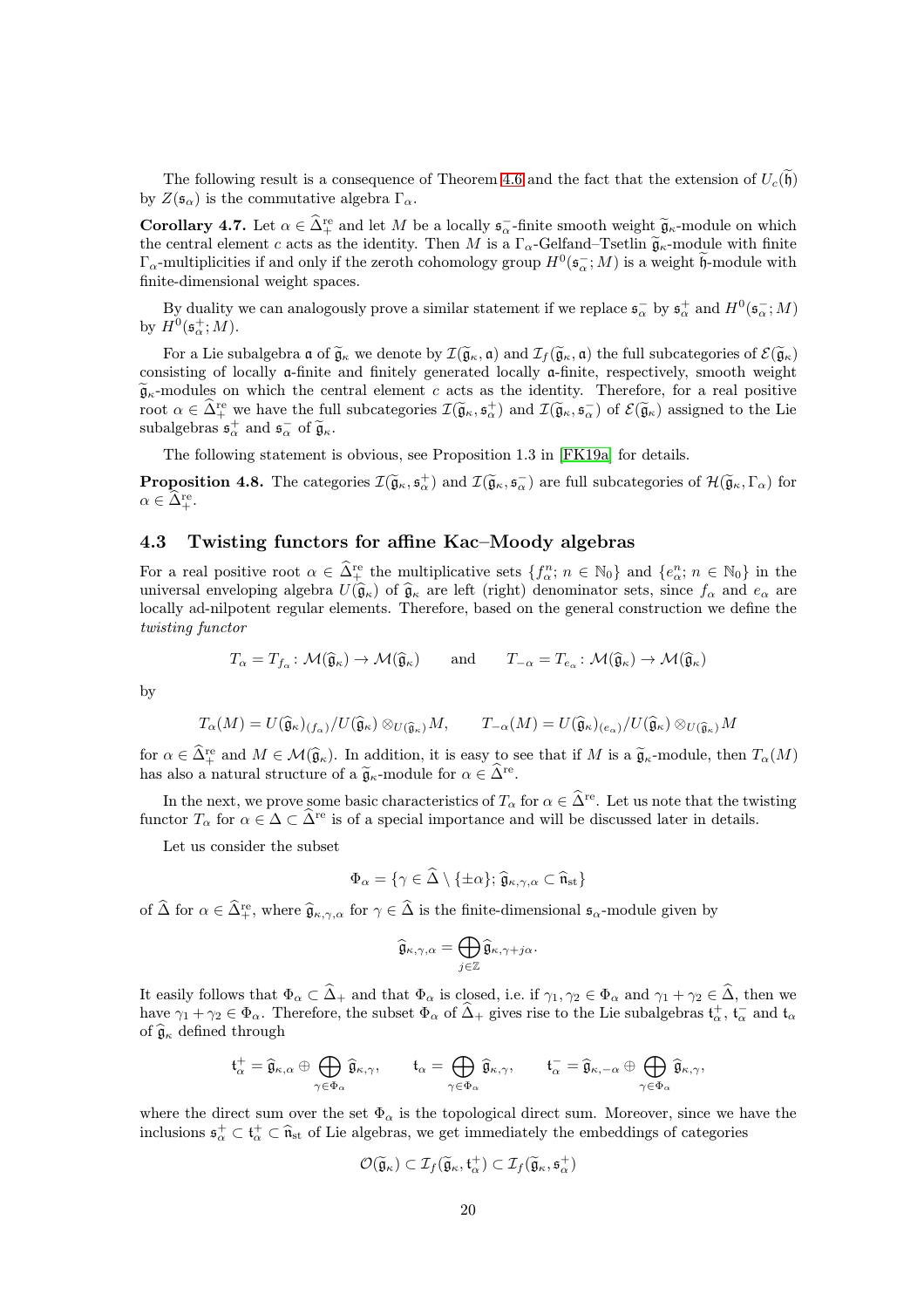The following result is a consequence of Theorem [4.6](#page-18-1) and the fact that the extension of  $U_c(\tilde{\mathfrak{h}})$ by  $Z(\mathfrak{s}_{\alpha})$  is the commutative algebra  $\Gamma_{\alpha}$ .

<span id="page-19-1"></span>**Corollary 4.7.** Let  $\alpha \in \widehat{\Delta}^{\text{re}}_+$  and let M be a locally  $\mathfrak{s}_{\alpha}^-$ -finite smooth weight  $\widetilde{\mathfrak{g}}_{\kappa}$ -module on which the central element c acts as the identity. Then M is a  $\Gamma_{\alpha}$ -Gelfand–Tsetlin  $\tilde{\mathfrak{g}}_{\kappa}$ -module with finite  $\Gamma_{\alpha}$ -multiplicities if and only if the zeroth cohomology group  $H^0(\mathfrak{s}_{\alpha}^{-};M)$  is a weight  $\mathfrak{h}$ -module with finite-dimensional weight spaces.

By duality we can analogously prove a similar statement if we replace  $\mathfrak{s}_{\alpha}^-$  by  $\mathfrak{s}_{\alpha}^+$  and  $H^0(\mathfrak{s}_{\alpha}^-;M)$ by  $H^0(\mathfrak{s}^+_{\alpha};M)$ .

For a Lie subalgebra  $\mathfrak{a}$  of  $\widetilde{\mathfrak{g}}_{\kappa}$  we denote by  $\mathcal{I}(\widetilde{\mathfrak{g}}_{\kappa}, \mathfrak{a})$  and  $\mathcal{I}_{f}(\widetilde{\mathfrak{g}}_{\kappa}, \mathfrak{a})$  the full subcategories of  $\mathcal{E}(\widetilde{\mathfrak{g}}_{\kappa})$ consisting of locally a-finite and finitely generated locally a-finite, respectively, smooth weight  $\tilde{\mathfrak{g}}_{\kappa}$ -modules on which the central element c acts as the identity. Therefore, for a real positive root  $\alpha \in \widehat{\Delta}^{\text{re}}_+$  we have the full subcategories  $\mathcal{I}(\widetilde{\mathfrak{g}}_{\kappa}, \mathfrak{s}_{\alpha}^+)$  and  $\mathcal{I}(\widetilde{\mathfrak{g}}_{\kappa}, \mathfrak{s}_{\alpha}^-)$  of  $\mathcal{E}(\widetilde{\mathfrak{g}}_{\kappa})$  assigned to the Lie subalgebras  $\mathfrak{s}^+_{\alpha}$  and  $\mathfrak{s}^-_{\alpha}$  of  $\widetilde{\mathfrak{g}}_{\kappa}$ .

The following statement is obvious, see Proposition 1.3 in [\[FK19a\]](#page-43-9) for details.

**Proposition 4.8.** The categories  $\mathcal{I}(\tilde{\mathfrak{g}}_{\kappa}, \mathfrak{s}_{\alpha}^+)$  and  $\mathcal{I}(\tilde{\mathfrak{g}}_{\kappa}, \mathfrak{s}_{\alpha}^-)$  are full subcategories of  $\mathcal{H}(\tilde{\mathfrak{g}}_{\kappa}, \Gamma_{\alpha})$  for  $\alpha \in \widehat{\Delta}^{\text{re}}_{+}.$ 

#### <span id="page-19-0"></span>4.3 Twisting functors for affine Kac–Moody algebras

For a real positive root  $\alpha \in \hat{\Lambda}^{\text{re}}_1$  the multiplicative sets  $\{f^n_\alpha : n \in \mathbb{N}_0\}$  and  $\{e^n_\alpha : n \in \mathbb{N}_0\}$  in the universal enveloping algebra  $U(\hat{\mathfrak{g}}_{\kappa})$  of  $\hat{\mathfrak{g}}_{\kappa}$  are left (right) denominator sets, since  $f_{\alpha}$  and  $e_{\alpha}$  are locally ad-nilpotent regular elements. Therefore, based on the general construction we define the twisting functor

$$
T_{\alpha} = T_{f_{\alpha}} \colon \mathcal{M}(\widehat{\mathfrak{g}}_{\kappa}) \to \mathcal{M}(\widehat{\mathfrak{g}}_{\kappa})
$$
 and  $T_{-\alpha} = T_{e_{\alpha}} \colon \mathcal{M}(\widehat{\mathfrak{g}}_{\kappa}) \to \mathcal{M}(\widehat{\mathfrak{g}}_{\kappa})$ 

by

$$
T_{\alpha}(M) = U(\widehat{\mathfrak{g}}_{\kappa})_{(f_{\alpha})}/U(\widehat{\mathfrak{g}}_{\kappa}) \otimes_{U(\widehat{\mathfrak{g}}_{\kappa})} M, \qquad T_{-\alpha}(M) = U(\widehat{\mathfrak{g}}_{\kappa})_{(e_{\alpha})}/U(\widehat{\mathfrak{g}}_{\kappa}) \otimes_{U(\widehat{\mathfrak{g}}_{\kappa})} M
$$

for  $\alpha \in \widehat{\Delta}^{\text{re}}_+$  and  $M \in \mathcal{M}(\widehat{\mathfrak{g}}_\kappa)$ . In addition, it is easy to see that if M is a  $\widetilde{\mathfrak{g}}_\kappa$ -module, then  $T_\alpha(M)$ has also a natural structure of a  $\widetilde{\mathfrak{g}}_{\kappa}$ -module for  $\alpha \in \widehat{\Delta}^{\text{re}}$ .

In the next, we prove some basic characteristics of  $T_{\alpha}$  for  $\alpha \in \widehat{\Delta}^{\text{re}}$ . Let us note that the twisting functor  $T_\alpha$  for  $\alpha \in \Delta \subset \hat{\Delta}^{\text{re}}$  is of a special importance and will be discussed later in details.

Let us consider the subset

$$
\Phi_{\alpha} = \{ \gamma \in \widehat{\Delta} \setminus \{ \pm \alpha \}; \, \widehat{\mathfrak{g}}_{\kappa, \gamma, \alpha} \subset \widehat{\mathfrak{n}}_{\mathrm{st}} \}
$$

of  $\hat{\Delta}$  for  $\alpha \in \hat{\Delta}^{\text{re}}_+$ , where  $\hat{\mathfrak{g}}_{\kappa,\gamma,\alpha}$  for  $\gamma \in \hat{\Delta}$  is the finite-dimensional  $\mathfrak{s}_{\alpha}$ -module given by

$$
\widehat{\mathfrak{g}}_{\kappa,\gamma,\alpha}=\bigoplus_{j\in\mathbb{Z}}\widehat{\mathfrak{g}}_{\kappa,\gamma+j\alpha}.
$$

It easily follows that  $\Phi_{\alpha} \subset \widehat{\Delta}_+$  and that  $\Phi_{\alpha}$  is closed, i.e. if  $\gamma_1, \gamma_2 \in \Phi_{\alpha}$  and  $\gamma_1 + \gamma_2 \in \widehat{\Delta}$ , then we have  $\gamma_1 + \gamma_2 \in \Phi_\alpha$ . Therefore, the subset  $\Phi_\alpha$  of  $\widehat{\Delta}_+$  gives rise to the Lie subalgebras  $t_\alpha^+$ ,  $t_\alpha^-$  and  $t_\alpha$ of  $\widehat{\mathfrak{g}}_{\kappa}$  defined through

$$
\mathfrak{t}^+_\alpha = \widehat{\mathfrak{g}}_{\kappa,\alpha} \oplus \bigoplus_{\gamma \in \Phi_\alpha} \widehat{\mathfrak{g}}_{\kappa,\gamma}, \qquad \mathfrak{t}_\alpha = \bigoplus_{\gamma \in \Phi_\alpha} \widehat{\mathfrak{g}}_{\kappa,\gamma}, \qquad \mathfrak{t}^-_\alpha = \widehat{\mathfrak{g}}_{\kappa,-\alpha} \oplus \bigoplus_{\gamma \in \Phi_\alpha} \widehat{\mathfrak{g}}_{\kappa,\gamma},
$$

where the direct sum over the set  $\Phi_{\alpha}$  is the topological direct sum. Moreover, since we have the inclusions  $\mathfrak{s}^+_\alpha \subset \mathfrak{t}^+_\alpha \subset \widehat{\mathfrak{n}}_{st}$  of Lie algebras, we get immediately the embeddings of categories

$$
\mathcal{O}(\widetilde{\mathfrak{g}}_{\kappa}) \subset \mathcal{I}_f(\widetilde{\mathfrak{g}}_{\kappa},\mathfrak{t}_{\alpha}^+) \subset \mathcal{I}_f(\widetilde{\mathfrak{g}}_{\kappa},\mathfrak{s}_{\alpha}^+)
$$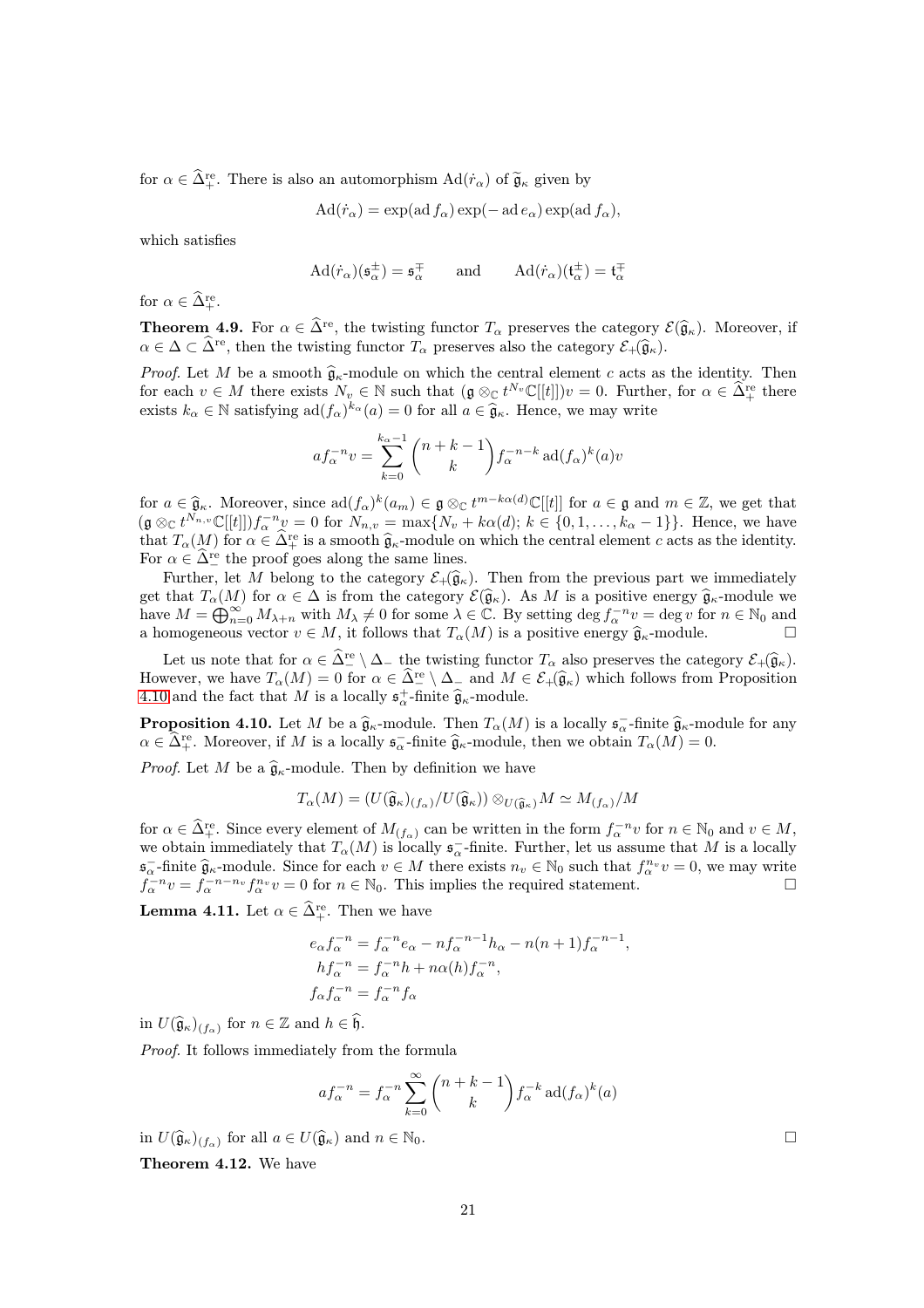for  $\alpha \in \hat{\Delta}^{\text{re}}_+$ . There is also an automorphism  $\text{Ad}(\dot{r}_\alpha)$  of  $\tilde{\mathfrak{g}}_\kappa$  given by

$$
Ad(\dot{r}_{\alpha}) = \exp(ad\,f_{\alpha})\exp(-\operatorname{ad}e_{\alpha})\exp(\operatorname{ad}f_{\alpha}),
$$

which satisfies

$$
\mathrm{Ad}(\dot{r}_{\alpha})(\mathfrak{s}_{\alpha}^{\pm}) = \mathfrak{s}_{\alpha}^{\mp} \qquad \text{and} \qquad \mathrm{Ad}(\dot{r}_{\alpha})(\mathfrak{t}_{\alpha}^{\pm}) = \mathfrak{t}_{\alpha}^{\mp}
$$

<span id="page-20-0"></span>for  $\alpha \in \widehat{\Delta}^{\text{re}}_+.$ 

**Theorem 4.9.** For  $\alpha \in \widehat{\Delta}^{\text{re}}$ , the twisting functor  $T_{\alpha}$  preserves the category  $\mathcal{E}(\widehat{\mathfrak{g}}_{\kappa})$ . Moreover, if  $\alpha \in \Delta \subset \widehat{\Delta}^{\text{re}}$ , then the twisting functor  $T_{\alpha}$  preserves also the category  $\mathcal{E}_{+}(\widehat{\mathfrak{g}}_{\kappa}).$ 

*Proof.* Let M be a smooth  $\hat{\mathfrak{g}}_{\kappa}$ -module on which the central element c acts as the identity. Then for each  $v \in M$  there exists  $N_v \in \mathbb{N}$  such that  $(\mathfrak{g} \otimes_{\mathbb{C}} t^{N_v} \mathbb{C}[[t]])v = 0$ . Further, for  $\alpha \in \widehat{\Delta}^{\text{re}}_+$  there exists  $k_{\alpha} \in \mathbb{N}$  satisfying  $\text{ad}(f_{\alpha})^{k_{\alpha}}(a) = 0$  for all  $a \in \hat{\mathfrak{g}}_{\kappa}$ . Hence, we may write

$$
af_{\alpha}^{-n}v = \sum_{k=0}^{k_{\alpha}-1} {n+k-1 \choose k} f_{\alpha}^{-n-k} \operatorname{ad}(f_{\alpha})^{k}(a)v
$$

for  $a \in \hat{\mathfrak{g}}_{\kappa}$ . Moreover, since  $\text{ad}(f_{\alpha})^k(a_m) \in \mathfrak{g} \otimes_{\mathbb{C}} t^{m-k\alpha(d)} \mathbb{C}[[t]]$  for  $a \in \mathfrak{g}$  and  $m \in \mathbb{Z}$ , we get that  $(\mathfrak{g} \otimes_{\mathbb{C}} t^{N_{n,v}} \mathbb{C}[[t]]) f_{\alpha}^{-n} v = 0$  for  $N_{n,v} = \max\{N_v + k\alpha(d); k \in \{0,1,\ldots,k_{\alpha}-1\}\}.$  Hence, we have that  $T_{\alpha}(M)$  for  $\alpha \in \widehat{\Delta}_{+}^{\text{re}}$  is a smooth  $\widehat{\mathfrak{g}}_{\kappa}$ -module on which the central element c acts as the identity. For  $\alpha \in \hat{\Delta}^{\text{re}}_{-}$  the proof goes along the same lines.

Further, let M belong to the category  $\mathcal{E}_+(\widehat{\mathfrak{g}}_\kappa)$ . Then from the previous part we immediately get that  $T_{\alpha}(M)$  for  $\alpha \in \Delta$  is from the category  $\mathcal{E}(\hat{\mathfrak{g}}_{\kappa})$ . As M is a positive energy  $\hat{\mathfrak{g}}_{\kappa}$ -module we have  $M = \bigoplus_{n=0}^{\infty} M_{\lambda+n}$  with  $M_{\lambda} \neq 0$  for some  $\lambda \in \mathbb{C}$ . By setting  $\deg f_{\alpha}^{-n}v = \deg v$  for  $n \in \mathbb{N}_0$  and a homogeneous vector  $v \in M$ , it follows that  $T_{\alpha}(M)$  is a positive energy  $\widehat{\mathfrak{g}}_{\kappa}$ -module.

Let us note that for  $\alpha \in \widehat{\Delta}^{\text{re}} \setminus \Delta_{-}$  the twisting functor  $T_{\alpha}$  also preserves the category  $\mathcal{E}_{+}(\widehat{\mathfrak{g}}_{\kappa})$ . However, we have  $T_{\alpha}(M) = 0$  for  $\alpha \in \widehat{\Delta}^{\text{re}} \setminus \Delta_{-}$  and  $M \in \mathcal{E}_{+}(\widehat{\mathfrak{g}}_{\kappa})$  which follows from Proposition [4.10](#page-20-1) and the fact that M is a locally  $\mathfrak{s}^+_{\alpha}$ -finite  $\widehat{\mathfrak{g}}_{\kappa}$ -module.

<span id="page-20-1"></span>**Proposition 4.10.** Let M be a  $\hat{\mathfrak{g}}_{\kappa}$ -module. Then  $T_{\alpha}(M)$  is a locally  $\mathfrak{s}_{\alpha}$ -finite  $\hat{\mathfrak{g}}_{\kappa}$ -module for any  $\alpha \in \hat{\Delta}^{\text{re}}_+$ . Moreover, if M is a locally  $\mathfrak{s}_\alpha^-$ -finite  $\widehat{\mathfrak{g}}_\kappa$ -module, then we obtain  $T_\alpha(M) = 0$ .

*Proof.* Let M be a  $\hat{\mathfrak{g}}_{\kappa}$ -module. Then by definition we have

$$
T_{\alpha}(M) = (U(\widehat{\mathfrak{g}}_{\kappa})_{(f_{\alpha})}/U(\widehat{\mathfrak{g}}_{\kappa})) \otimes_{U(\widehat{\mathfrak{g}}_{\kappa})} M \simeq M_{(f_{\alpha})}/M
$$

for  $\alpha \in \widehat{\Delta}^{\text{re}}_+$ . Since every element of  $M_{(f_\alpha)}$  can be written in the form  $f_\alpha^{-n}v$  for  $n \in \mathbb{N}_0$  and  $v \in M$ , we obtain immediately that  $T_{\alpha}(M)$  is locally  $\mathfrak{s}_{\alpha}^-$ -finite. Further, let us assume that M is a locally  $\mathfrak{s}_{\alpha}^{-}$ -finite  $\hat{\mathfrak{g}}_{\kappa}$ -module. Since for each  $v \in M$  there exists  $n_v \in \mathbb{N}_0$  such that  $f_{\alpha}^{n_v}v = 0$ , we may write  $\tilde{f}_{\alpha}^{-n}v = f_{\alpha}^{-n-n_v}f_{\alpha}^{n_v}v = 0$  for  $n \in \mathbb{N}_0$ . This implies the required statement.

<span id="page-20-2"></span>**Lemma 4.11.** Let  $\alpha \in \widehat{\Delta}^{\text{re}}_+$ . Then we have

$$
e_{\alpha}f_{\alpha}^{-n} = f_{\alpha}^{-n}e_{\alpha} - nf_{\alpha}^{-n-1}h_{\alpha} - n(n+1)f_{\alpha}^{-n-1},
$$
  
\n
$$
hf_{\alpha}^{-n} = f_{\alpha}^{-n}h + n\alpha(h)f_{\alpha}^{-n},
$$
  
\n
$$
f_{\alpha}f_{\alpha}^{-n} = f_{\alpha}^{-n}f_{\alpha}
$$

in  $U(\widehat{\mathfrak{g}}_{\kappa})_{(f_{\alpha})}$  for  $n \in \mathbb{Z}$  and  $h \in \mathfrak{h}$ .

Proof. It follows immediately from the formula

$$
af_{\alpha}^{-n} = f_{\alpha}^{-n} \sum_{k=0}^{\infty} {n+k-1 \choose k} f_{\alpha}^{-k} \operatorname{ad}(f_{\alpha})^k(a)
$$

in  $U(\widehat{\mathfrak{g}}_{\kappa})_{(f_{\alpha})}$  for all  $a \in U(\widehat{\mathfrak{g}}_{\kappa})$  and  $n \in \mathbb{N}_0$ .

<span id="page-20-3"></span>Theorem 4.12. We have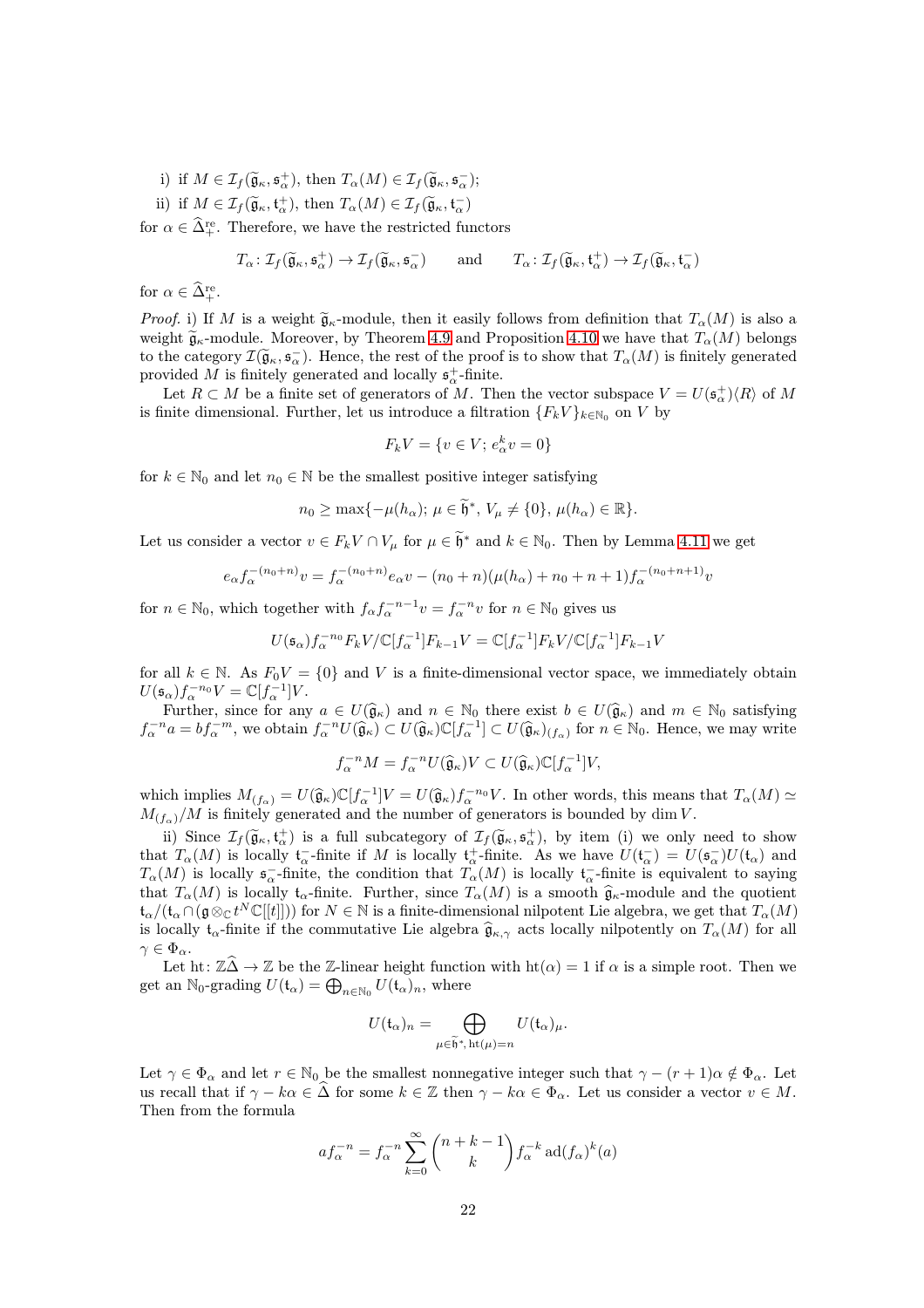- i) if  $M \in \mathcal{I}_f(\widetilde{\mathfrak{g}}_\kappa, \mathfrak{s}_\alpha^+), \text{ then } T_\alpha(M) \in \mathcal{I}_f(\widetilde{\mathfrak{g}}_\kappa, \mathfrak{s}_\alpha^-);$
- ii) if  $M \in \mathcal{I}_f(\widetilde{\mathfrak{g}}_\kappa, \mathfrak{t}_\alpha^+)$ , then  $T_\alpha(M) \in \mathcal{I}_f(\widetilde{\mathfrak{g}}_\kappa, \mathfrak{t}_\alpha^-)$

for  $\alpha \in \widehat{\Delta}^{\text{re}}_+$ . Therefore, we have the restricted functors

$$
T_{\alpha} : \mathcal{I}_{f}(\widetilde{\mathfrak{g}}_{\kappa}, \mathfrak{s}_{\alpha}^{+}) \to \mathcal{I}_{f}(\widetilde{\mathfrak{g}}_{\kappa}, \mathfrak{s}_{\alpha}^{-}) \quad \text{and} \quad T_{\alpha} : \mathcal{I}_{f}(\widetilde{\mathfrak{g}}_{\kappa}, \mathfrak{t}_{\alpha}^{+}) \to \mathcal{I}_{f}(\widetilde{\mathfrak{g}}_{\kappa}, \mathfrak{t}_{\alpha}^{-})
$$

for  $\alpha \in \widehat{\Delta}^{\text{re}}_+.$ 

*Proof.* i) If M is a weight  $\tilde{g}_{\kappa}$ -module, then it easily follows from definition that  $T_{\alpha}(M)$  is also a weight  $\tilde{\mathfrak{g}}_{\kappa}$ -module. Moreover, by Theorem [4.9](#page-20-0) and Proposition [4.10](#page-20-1) we have that  $T_{\alpha}(M)$  belongs to the category  $\mathcal{I}(\widetilde{\mathfrak{g}}_{\kappa}, \mathfrak{s}_{\alpha})$ . Hence, the rest of the proof is to show that  $T_{\alpha}(M)$  is finitely generated provided M is finitely generated and locally  $\mathfrak{s}^+_{\alpha}$ -finite.

Let  $R \subset M$  be a finite set of generators of M. Then the vector subspace  $V = U(\mathfrak{s}^+_{\alpha})\langle R \rangle$  of M is finite dimensional. Further, let us introduce a filtration  ${F_k V}_{k \in \mathbb{N}_0}$  on V by

$$
F_k V = \{v \in V; e^k_\alpha v = 0\}
$$

for  $k \in \mathbb{N}_0$  and let  $n_0 \in \mathbb{N}$  be the smallest positive integer satisfying

$$
n_0 \ge \max\{-\mu(h_\alpha); \ \mu \in \widetilde{\mathfrak{h}}^*, \ V_\mu \ne \{0\}, \ \mu(h_\alpha) \in \mathbb{R}\}.
$$

Let us consider a vector  $v \in F_k V \cap V_\mu$  for  $\mu \in \tilde{\mathfrak{h}}^*$  and  $k \in \mathbb{N}_0$ . Then by Lemma [4.11](#page-20-2) we get

$$
e_{\alpha} f_{\alpha}^{-(n_0+n)} v = f_{\alpha}^{-(n_0+n)} e_{\alpha} v - (n_0+n)(\mu(h_{\alpha})+n_0+n+1) f_{\alpha}^{-(n_0+n+1)} v
$$

for  $n \in \mathbb{N}_0$ , which together with  $f_{\alpha} f_{\alpha}^{-n-1} v = f_{\alpha}^{-n} v$  for  $n \in \mathbb{N}_0$  gives us

$$
U(\mathfrak{s}_{\alpha})f_{\alpha}^{-n_{0}}F_{k}V/\mathbb{C}[f_{\alpha}^{-1}]F_{k-1}V=\mathbb{C}[f_{\alpha}^{-1}]F_{k}V/\mathbb{C}[f_{\alpha}^{-1}]F_{k-1}V
$$

for all  $k \in \mathbb{N}$ . As  $F_0V = \{0\}$  and V is a finite-dimensional vector space, we immediately obtain  $U(\mathfrak{s}_{\alpha})f_{\alpha}^{-n_{0}}V=\mathbb{C}[f_{\alpha}^{-1}]V.$ 

Further, since for any  $a \in U(\hat{\mathfrak{g}}_{\kappa})$  and  $n \in \mathbb{N}_0$  there exist  $b \in U(\hat{\mathfrak{g}}_{\kappa})$  and  $m \in \mathbb{N}_0$  satisfying  $f_{\alpha}^{-n}a = bf_{\alpha}^{-m}$ , we obtain  $f_{\alpha}^{-n}U(\widehat{\mathfrak{g}}_{\kappa}) \subset U(\widehat{\mathfrak{g}}_{\kappa})\mathbb{C}[f_{\alpha}^{-1}] \subset U(\widehat{\mathfrak{g}}_{\kappa})_{(f_{\alpha})}$  for  $n \in \mathbb{N}_0$ . Hence, we may write

$$
f_{\alpha}^{-n}M = f_{\alpha}^{-n}U(\widehat{\mathfrak{g}}_{\kappa})V \subset U(\widehat{\mathfrak{g}}_{\kappa})\mathbb{C}[f_{\alpha}^{-1}]V,
$$

which implies  $M_{(f_\alpha)} = U(\widehat{\mathfrak{g}}_\kappa) \mathbb{C}[f_\alpha^{-1}] V = U(\widehat{\mathfrak{g}}_\kappa) f_\alpha^{-n_0} V$ . In other words, this means that  $T_\alpha(M) \simeq M_{(f_\alpha)}$  $M_{(f_\alpha)}/M$  is finitely generated and the number of generators is bounded by dim V.

ii) Since  $\mathcal{I}_f(\widetilde{\mathfrak{g}}_{\kappa},\mathfrak{t}_{\alpha}^+)$  is a full subcategory of  $\mathcal{I}_f(\widetilde{\mathfrak{g}}_{\kappa},\mathfrak{s}_{\alpha}^+)$ , by item (i) we only need to show that  $T_{\alpha}(M)$  is locally  $\mathfrak{t}_{\alpha}^{-}$ -finite if M is locally  $\mathfrak{t}_{\alpha}^{+}$ -finite. As we have  $U(\mathfrak{t}_{\alpha}^{-})=U(\mathfrak{s}_{\alpha}^{-})U(\mathfrak{t}_{\alpha})$  and  $T_{\alpha}(M)$  is locally  $\mathfrak{s}_{\alpha}^-$ -finite, the condition that  $T_{\alpha}(M)$  is locally  $\mathfrak{t}_{\alpha}^-$ -finite is equivalent to saying that  $T_{\alpha}(M)$  is locally  $t_{\alpha}$ -finite. Further, since  $T_{\alpha}(M)$  is a smooth  $\widehat{\mathfrak{g}}_{\kappa}$ -module and the quotient  $\mathfrak{t}_{\alpha}/(\mathfrak{t}_{\alpha}\cap (\mathfrak{g}\otimes_{\mathbb{C}} t^N\mathbb{C}[[t]]))$  for  $N\in\mathbb{N}$  is a finite-dimensional nilpotent Lie algebra, we get that  $T_{\alpha}(M)$ is locally t<sub>α</sub>-finite if the commutative Lie algebra  $\hat{\mathfrak{g}}_{\kappa,\gamma}$  acts locally nilpotently on  $T_{\alpha}(M)$  for all  $\gamma \in \Phi_{\alpha}$ .

Let ht:  $\mathbb{Z}\widehat{\Delta}\to\mathbb{Z}$  be the Z-linear height function with  $ht(\alpha) = 1$  if  $\alpha$  is a simple root. Then we get an  $\mathbb{N}_0$ -grading  $U(\mathfrak{t}_\alpha) = \bigoplus_{n \in \mathbb{N}_0} U(\mathfrak{t}_\alpha)_n$ , where

$$
U(\mathfrak{t}_{\alpha})_n = \bigoplus_{\mu \in \widetilde{\mathfrak{h}}^*, \, \mathrm{ht}(\mu) = n} U(\mathfrak{t}_{\alpha})_{\mu}.
$$

Let  $\gamma \in \Phi_\alpha$  and let  $r \in \mathbb{N}_0$  be the smallest nonnegative integer such that  $\gamma - (r+1)\alpha \notin \Phi_\alpha$ . Let us recall that if  $\gamma - k\alpha \in \widehat{\Delta}$  for some  $k \in \mathbb{Z}$  then  $\gamma - k\alpha \in \Phi_\alpha$ . Let us consider a vector  $v \in M$ . Then from the formula

$$
af_{\alpha}^{-n} = f_{\alpha}^{-n} \sum_{k=0}^{\infty} {n+k-1 \choose k} f_{\alpha}^{-k} \operatorname{ad}(f_{\alpha})^{k}(a)
$$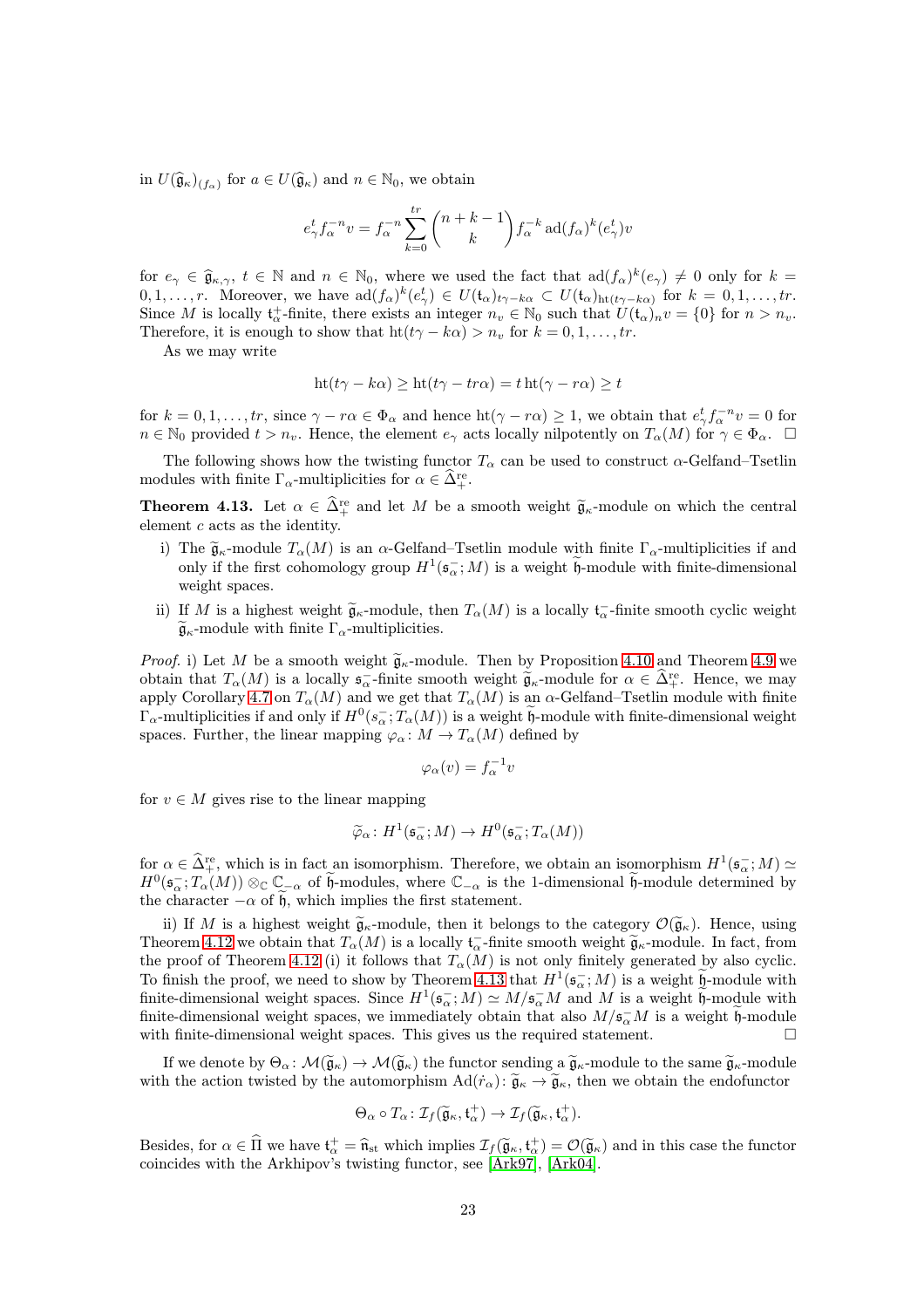in  $U(\widehat{\mathfrak{g}}_{\kappa})_{(f_{\alpha})}$  for  $a \in U(\widehat{\mathfrak{g}}_{\kappa})$  and  $n \in \mathbb{N}_0$ , we obtain

$$
e_{\gamma}^t f_{\alpha}^{-n} v = f_{\alpha}^{-n} \sum_{k=0}^{tr} \binom{n+k-1}{k} f_{\alpha}^{-k} \operatorname{ad}(f_{\alpha})^k (e_{\gamma}^t) v
$$

for  $e_\gamma \in \hat{\mathfrak{g}}_{\kappa,\gamma}, t \in \mathbb{N}$  and  $n \in \mathbb{N}_0$ , where we used the fact that  $\text{ad}(f_\alpha)^k(e_\gamma) \neq 0$  only for  $k = 0, 1, \ldots, N$  $0, 1, \ldots, r$ . Moreover, we have  $\text{ad}(f_{\alpha})^k(e_{\gamma}^t) \in U(\mathfrak{t}_{\alpha})_{t_{\gamma-k\alpha}} \subset U(\mathfrak{t}_{\alpha})_{\text{ht}(t_{\gamma-k\alpha})}$  for  $k = 0, 1, \ldots, tr$ . Since M is locally  $\mathfrak{t}^+_{\alpha}$ -finite, there exists an integer  $n_v \in \mathbb{N}_0$  such that  $U(\mathfrak{t}_{\alpha})_n v = \{0\}$  for  $n > n_v$ . Therefore, it is enough to show that  $ht(t\gamma - k\alpha) > n_v$  for  $k = 0, 1, ..., tr$ .

As we may write

$$
ht(t\gamma - k\alpha) \ge ht(t\gamma - tr\alpha) = t ht(\gamma - r\alpha) \ge t
$$

for  $k = 0, 1, \ldots, tr$ , since  $\gamma - r\alpha \in \Phi_{\alpha}$  and hence  $\text{ht}(\gamma - r\alpha) \geq 1$ , we obtain that  $e_{\gamma}^{t} f_{\alpha}^{-n} v = 0$  for  $n \in \mathbb{N}_0$  provided  $t > n_v$ . Hence, the element  $e_\gamma$  acts locally nilpotently on  $T_\alpha(M)$  for  $\gamma \in \Phi_\alpha$ .

The following shows how the twisting functor  $T_{\alpha}$  can be used to construct  $\alpha$ -Gelfand–Tsetlin modules with finite  $\Gamma_{\alpha}$ -multiplicities for  $\alpha \in \tilde{\Delta}_{+}^{\text{re}}$ .

<span id="page-22-0"></span>**Theorem 4.13.** Let  $\alpha \in \hat{\Delta}^{\text{re}}_+$  and let M be a smooth weight  $\tilde{\mathfrak{g}}_{\kappa}$ -module on which the central element c acts as the identity.

- i) The  $\tilde{\mathfrak{g}}_{\kappa}$ -module  $T_{\alpha}(M)$  is an  $\alpha$ -Gelfand–Tsetlin module with finite  $\Gamma_{\alpha}$ -multiplicities if and only if the first cohomology group  $H^1(\mathfrak{s}_\alpha^-; M)$  is a weight  $\mathfrak{h}$ -module with finite-dimensional weight spaces.
- ii) If M is a highest weight  $\widetilde{\mathfrak{g}}_{\kappa}$ -module, then  $T_{\alpha}(M)$  is a locally  $\mathfrak{t}_{\alpha}^-$ -finite smooth cyclic weight  $\widetilde{\mathfrak{g}}_{\kappa}$ -module with finite  $\Gamma_{\alpha}$ -multiplicities.

*Proof.* i) Let M be a smooth weight  $\widetilde{\mathfrak{g}}_{\kappa}$ -module. Then by Proposition [4.10](#page-20-1) and Theorem [4.9](#page-20-0) we obtain that  $T_{\alpha}(M)$  is a locally  $\mathfrak{s}_{\alpha}^{-}$ -finite smooth weight  $\widetilde{\mathfrak{g}}_{\kappa}$ -module for  $\alpha \in \widehat{\Delta}^{\text{re}}_{+}$ . Hence, we may apply Corollary [4.7](#page-19-1) on  $T_{\alpha}(M)$  and we get that  $T_{\alpha}(M)$  is an  $\alpha$ -Gelfand–Tsetlin module with finite  $\Gamma_\alpha$ -multiplicities if and only if  $H^0(s_\alpha^-; T_\alpha(M))$  is a weight h-module with finite-dimensional weight spaces. Further, the linear mapping  $\varphi_{\alpha} : M \to T_{\alpha}(M)$  defined by

$$
\varphi_{\alpha}(v) = f_{\alpha}^{-1}v
$$

for  $v \in M$  gives rise to the linear mapping

$$
\widetilde{\varphi}_{\alpha} \colon H^1(\mathfrak{s}_{\alpha}^{-}; M) \to H^0(\mathfrak{s}_{\alpha}^{-}; T_{\alpha}(M))
$$

for  $\alpha \in \widehat{\Delta}^{\text{re}}_+$ , which is in fact an isomorphism. Therefore, we obtain an isomorphism  $H^1(\mathfrak{s}_\alpha^-; M) \simeq$  $H^0(\mathfrak{s}_{\alpha}^{-};T_{\alpha}(M))\otimes_{\mathbb{C}}\mathbb{C}_{-\alpha}$  of  $\mathfrak{h}$ -modules, where  $\mathbb{C}_{-\alpha}$  is the 1-dimensional  $\mathfrak{h}$ -module determined by the character  $-\alpha$  of h, which implies the first statement.

ii) If M is a highest weight  $\tilde{\mathfrak{g}}_{\kappa}$ -module, then it belongs to the category  $\mathcal{O}(\tilde{\mathfrak{g}}_{\kappa})$ . Hence, using Theorem [4.12](#page-20-3) we obtain that  $T_{\alpha}(M)$  is a locally  $\mathfrak{t}_{\alpha}^{-}$ -finite smooth weight  $\widetilde{\mathfrak{g}}_{\kappa}$ -module. In fact, from the proof of Theorem [4.12](#page-20-3) (i) it follows that  $T_{\alpha}(M)$  is not only finitely generated by also cyclic. To finish the proof, we need to show by Theorem [4.13](#page-22-0) that  $H^1(\mathfrak{s}_\alpha^-; M)$  is a weight  $\mathfrak{h}$ -module with finite-dimensional weight spaces. Since  $H^1(\mathfrak{s}_{\alpha}^{-};M) \simeq M/\mathfrak{s}_{\alpha}^{-}M$  and M is a weight  $\mathfrak{h}$ -module with finite-dimensional weight spaces, we immediately obtain that also  $M/\mathfrak{s}_\alpha^-M$  is a weight  $\mathfrak{h}$ -module with finite-dimensional weight spaces. This gives us the required statement.  $\Box$ 

If we denote by  $\Theta_{\alpha} : \mathcal{M}(\widetilde{\mathfrak{g}}_{\kappa}) \to \mathcal{M}(\widetilde{\mathfrak{g}}_{\kappa})$  the functor sending a  $\widetilde{\mathfrak{g}}_{\kappa}$ -module to the same  $\widetilde{\mathfrak{g}}_{\kappa}$ -module with the action twisted by the automorphism  $\text{Ad}(\dot{r}_\alpha)$ :  $\tilde{\mathfrak{g}}_\kappa \to \tilde{\mathfrak{g}}_\kappa$ , then we obtain the endofunctor

$$
\Theta_{\alpha} \circ T_{\alpha} : \mathcal{I}_{f}(\widetilde{\mathfrak{g}}_{\kappa}, \mathfrak{t}_{\alpha}^{+}) \to \mathcal{I}_{f}(\widetilde{\mathfrak{g}}_{\kappa}, \mathfrak{t}_{\alpha}^{+}).
$$

Besides, for  $\alpha \in \hat{\Pi}$  we have  $t_{\alpha}^+ = \hat{n}_{st}$  which implies  $\mathcal{I}_f(\tilde{g}_{\kappa}, t_{\alpha}^+) = \mathcal{O}(\tilde{g}_{\kappa})$  and in this case the functor coincides with the Arkhipov's twisting functor, see [\[Ark97\]](#page-42-14), [\[Ark04\]](#page-42-7).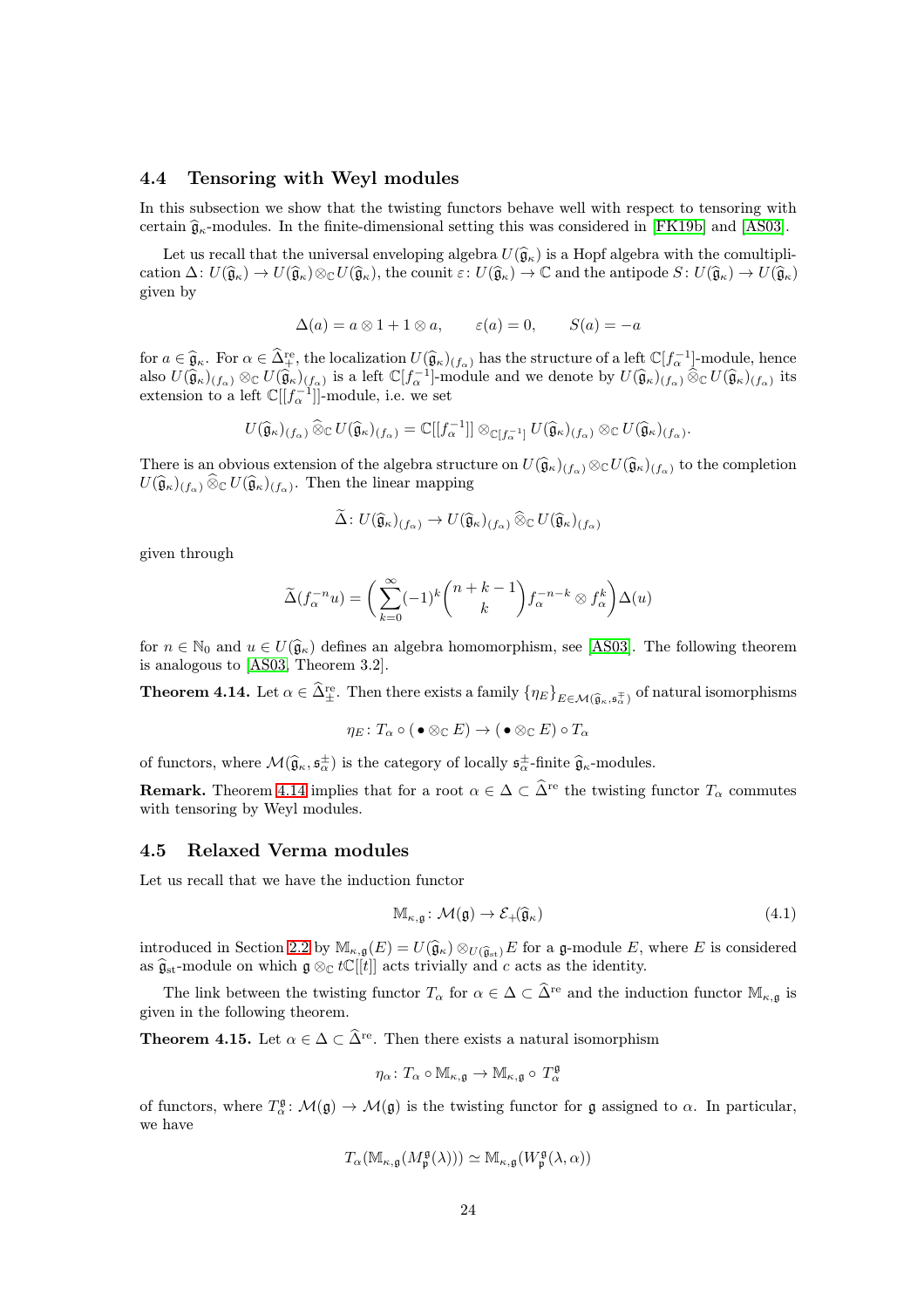#### <span id="page-23-0"></span>4.4 Tensoring with Weyl modules

In this subsection we show that the twisting functors behave well with respect to tensoring with certain  $\hat{g}_{\kappa}$ -modules. In the finite-dimensional setting this was considered in [\[FK19b\]](#page-43-6) and [\[AS03\]](#page-42-13).

Let us recall that the universal enveloping algebra  $U(\hat{\mathfrak{g}}_{\kappa})$  is a Hopf algebra with the comultiplication  $\Delta: U(\widehat{\mathfrak{g}}_{\kappa}) \to U(\widehat{\mathfrak{g}}_{\kappa}) \otimes_{\mathbb{C}} U(\widehat{\mathfrak{g}}_{\kappa})$ , the counit  $\varepsilon: U(\widehat{\mathfrak{g}}_{\kappa}) \to \mathbb{C}$  and the antipode  $S: U(\widehat{\mathfrak{g}}_{\kappa}) \to U(\widehat{\mathfrak{g}}_{\kappa})$ given by

$$
\Delta(a) = a \otimes 1 + 1 \otimes a, \qquad \varepsilon(a) = 0, \qquad S(a) = -a
$$

for  $a \in \hat{\mathfrak{g}}_{\kappa}$ . For  $\alpha \in \hat{\Delta}^{\text{re}}_{+}$ , the localization  $U(\hat{\mathfrak{g}}_{\kappa})_{(f_{\alpha})}$  has the structure of a left  $\mathbb{C}[f_{\alpha}^{-1}]$ -module, hence also  $U(\widehat{\mathfrak{g}}_{\kappa})_{(f_{\alpha})}\otimes_{\mathbb{C}}U(\widehat{\mathfrak{g}}_{\kappa})_{(f_{\alpha})}$  is a left  $\mathbb{C}[f_{\alpha}^{-1}]$ -module and we denote by  $U(\widehat{\mathfrak{g}}_{\kappa})_{(f_{\alpha})}\widehat{\otimes}_{\mathbb{C}}U(\widehat{\mathfrak{g}}_{\kappa})_{(f_{\alpha})}$  its extension to a left  $\mathbb{C}[[f_{\alpha}^{-1}]]$ -module, i.e. we set

$$
U(\widehat{\mathfrak{g}}_{\kappa})_{(f_{\alpha})}\widehat{\otimes}_{\mathbb{C}}U(\widehat{\mathfrak{g}}_{\kappa})_{(f_{\alpha})}=\mathbb{C}[[f_{\alpha}^{-1}]]\otimes_{\mathbb{C}[f_{\alpha}^{-1}]}U(\widehat{\mathfrak{g}}_{\kappa})_{(f_{\alpha})}\otimes_{\mathbb{C}}U(\widehat{\mathfrak{g}}_{\kappa})_{(f_{\alpha})}.
$$

There is an obvious extension of the algebra structure on  $U(\widehat{\mathfrak{g}}_{\kappa})_{(f_{\alpha})}\otimes_{\mathbb{C}}U(\widehat{\mathfrak{g}}_{\kappa})_{(f_{\alpha})}$  to the completion  $U(\widehat{\mathfrak{g}}_{\kappa})_{(f_{\alpha})}\widehat{\otimes}_{\mathbb{C}}U(\widehat{\mathfrak{g}}_{\kappa})_{(f_{\alpha})}.$  Then the linear mapping

$$
\Delta\colon U(\widehat{\mathfrak{g}}_{\kappa})_{(f_{\alpha})}\to U(\widehat{\mathfrak{g}}_{\kappa})_{(f_{\alpha})}\widehat{\otimes}_{\mathbb{C}}U(\widehat{\mathfrak{g}}_{\kappa})_{(f_{\alpha})}
$$

given through

$$
\widetilde{\Delta}(f_{\alpha}^{-n}u) = \bigg(\sum_{k=0}^{\infty}(-1)^{k}\binom{n+k-1}{k}f_{\alpha}^{-n-k}\otimes f_{\alpha}^{k}\bigg)\Delta(u)
$$

for  $n \in \mathbb{N}_0$  and  $u \in U(\hat{\mathfrak{g}}_{\kappa})$  defines an algebra homomorphism, see [\[AS03\]](#page-42-13). The following theorem is analogous to [\[AS03,](#page-42-13) Theorem 3.2].

<span id="page-23-2"></span>**Theorem 4.14.** Let  $\alpha \in \hat{\Delta}_{\pm}^{re}$ . Then there exists a family  $\{\eta_E\}_{E \in \mathcal{M}(\hat{\mathfrak{g}}_{\kappa},\mathfrak{s}_{\alpha}^{\pm})}$  of natural isomorphisms

$$
\eta_E \colon T_\alpha \circ (\bullet \otimes_{\mathbb{C}} E) \to (\bullet \otimes_{\mathbb{C}} E) \circ T_\alpha
$$

of functors, where  $\mathcal{M}(\hat{\mathfrak{g}}_{\kappa}, \mathfrak{s}_{\alpha}^{\pm})$  is the category of locally  $\mathfrak{s}_{\alpha}^{\pm}$ -finite  $\hat{\mathfrak{g}}_{\kappa}$ -modules.

**Remark.** Theorem [4.14](#page-23-2) implies that for a root  $\alpha \in \Delta \subset \widehat{\Delta}^{\text{re}}$  the twisting functor  $T_{\alpha}$  commutes with tensoring by Weyl modules.

#### <span id="page-23-1"></span>4.5 Relaxed Verma modules

Let us recall that we have the induction functor

$$
\mathbb{M}_{\kappa,\mathfrak{g}}\colon \mathcal{M}(\mathfrak{g}) \to \mathcal{E}_{+}(\widehat{\mathfrak{g}}_{\kappa})
$$
\n
$$
(4.1)
$$

introduced in Section [2.2](#page-6-0) by  $\mathbb{M}_{\kappa,\mathfrak{g}}(E) = U(\widehat{\mathfrak{g}}_{\kappa}) \otimes_{U(\widehat{\mathfrak{g}}_{\text{st}})} E$  for a g-module E, where E is considered as  $\widehat{\mathfrak{g}}_{\rm st}$ -module on which  $\mathfrak{g} \otimes_{\mathbb{C}} t\mathbb{C}[[t]]$  acts trivially and c acts as the identity.

The link between the twisting functor  $T_{\alpha}$  for  $\alpha \in \Delta \subset \widehat{\Delta}^{\text{re}}$  and the induction functor  $\mathbb{M}_{\kappa,\mathfrak{g}}$  is given in the following theorem.

<span id="page-23-3"></span>**Theorem 4.15.** Let  $\alpha \in \Delta \subset \hat{\Delta}^{\text{re}}$ . Then there exists a natural isomorphism

$$
\eta_{\alpha} \colon T_{\alpha} \circ \mathbb{M}_{\kappa, \mathfrak{g}} \to \mathbb{M}_{\kappa, \mathfrak{g}} \circ T_{\alpha}^{\mathfrak{g}}
$$

of functors, where  $T^{\mathfrak{g}}_{\alpha} \colon \mathcal{M}(\mathfrak{g}) \to \mathcal{M}(\mathfrak{g})$  is the twisting functor for  $\mathfrak{g}$  assigned to  $\alpha$ . In particular, we have

$$
T_{\alpha}(\mathbb{M}_{\kappa,\mathfrak{g}}(M_{\mathfrak{p}}^{\mathfrak{g}}(\lambda)))\simeq \mathbb{M}_{\kappa,\mathfrak{g}}(W_{\mathfrak{p}}^{\mathfrak{g}}(\lambda,\alpha))
$$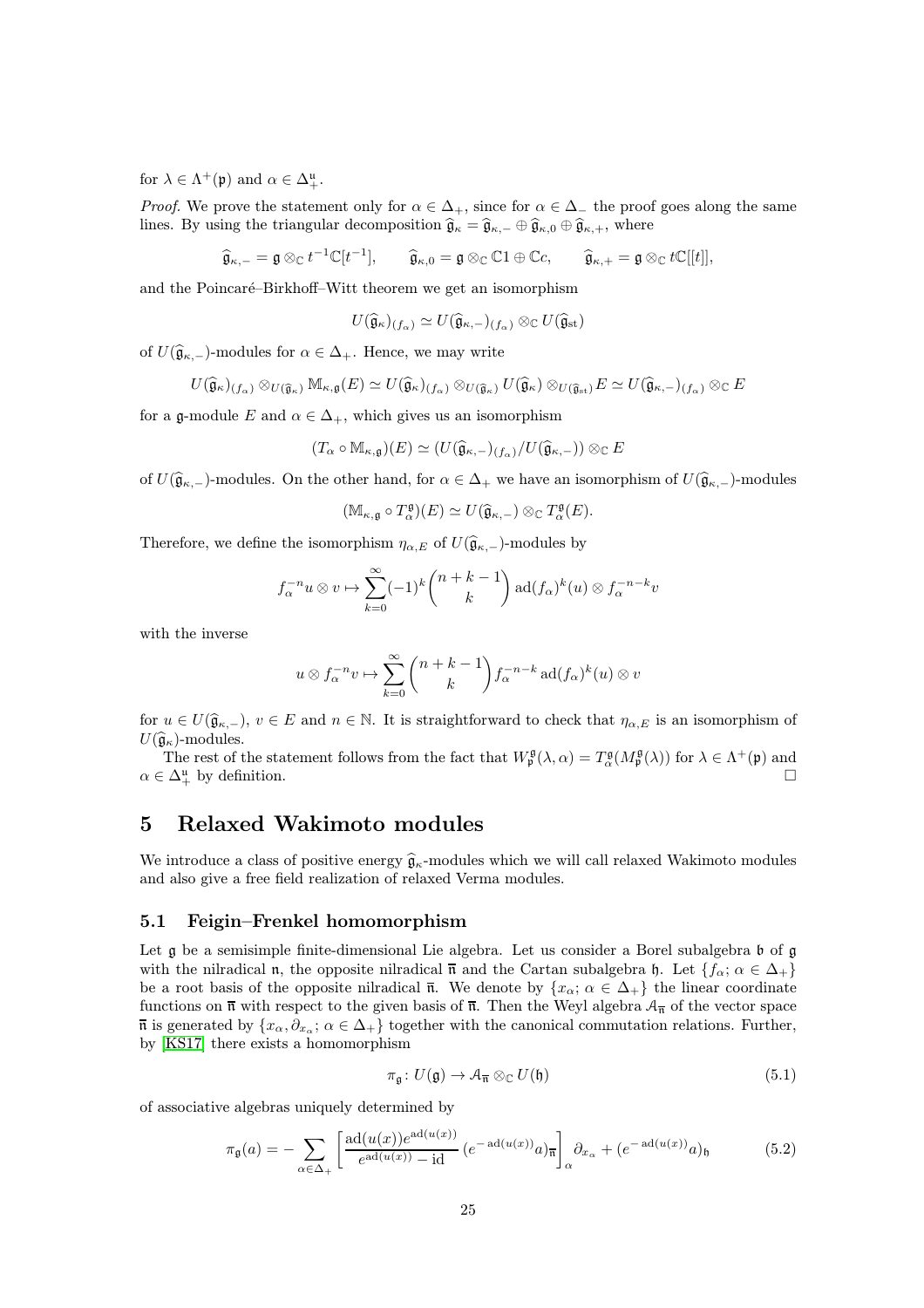for  $\lambda \in \Lambda^+(\mathfrak{p})$  and  $\alpha \in \Delta^{\mathfrak{u}}_+.$ 

*Proof.* We prove the statement only for  $\alpha \in \Delta_+$ , since for  $\alpha \in \Delta_-$  the proof goes along the same lines. By using the triangular decomposition  $\hat{\mathfrak{g}}_{\kappa} = \hat{\mathfrak{g}}_{\kappa,-} \oplus \hat{\mathfrak{g}}_{\kappa,0} \oplus \hat{\mathfrak{g}}_{\kappa,+}$ , where

 $\widehat{\mathfrak{g}}_{\kappa,-} = \mathfrak{g} \otimes_{\mathbb{C}} t^{-1} \mathbb{C}[t^{-1}], \qquad \widehat{\mathfrak{g}}_{\kappa,0} = \mathfrak{g} \otimes_{\mathbb{C}} \mathbb{C}1 \oplus \mathbb{C}c, \qquad \widehat{\mathfrak{g}}_{\kappa,+} = \mathfrak{g} \otimes_{\mathbb{C}} t \mathbb{C}[[t]],$ 

and the Poincaré–Birkhoff–Witt theorem we get an isomorphism

$$
U(\widehat{\mathfrak{g}}_{\kappa})_{(f_{\alpha})} \simeq U(\widehat{\mathfrak{g}}_{\kappa,-})_{(f_{\alpha})} \otimes_{\mathbb{C}} U(\widehat{\mathfrak{g}}_{\mathrm{st}})
$$

of  $U(\widehat{\mathfrak{g}}_{\kappa,-})$ -modules for  $\alpha \in \Delta_+$ . Hence, we may write

$$
U(\widehat{\mathfrak{g}}_{\kappa})_{(f_{\alpha})}\otimes_{U(\widehat{\mathfrak{g}}_{\kappa})} \mathbb{M}_{\kappa,\mathfrak{g}}(E) \simeq U(\widehat{\mathfrak{g}}_{\kappa})_{(f_{\alpha})}\otimes_{U(\widehat{\mathfrak{g}}_{\kappa})} U(\widehat{\mathfrak{g}}_{\kappa})\otimes_{U(\widehat{\mathfrak{g}}_{\kappa})} E \simeq U(\widehat{\mathfrak{g}}_{\kappa,-})_{(f_{\alpha})}\otimes_{\mathbb{C}} E
$$

for a g-module E and  $\alpha \in \Delta_+$ , which gives us an isomorphism

$$
(T_{\alpha}\circ \mathbb{M}_{\kappa,\mathfrak{g}})(E)\simeq (U(\widehat{\mathfrak{g}}_{\kappa,-})_{(f_{\alpha})}/U(\widehat{\mathfrak{g}}_{\kappa,-}))\otimes_{\mathbb{C}} E
$$

of  $U(\hat{\mathfrak{g}}_{\kappa,-})$ -modules. On the other hand, for  $\alpha \in \Delta_+$  we have an isomorphism of  $U(\hat{\mathfrak{g}}_{\kappa,-})$ -modules

$$
(\mathbb{M}_{\kappa,\mathfrak{g}}\circ T_{\alpha}^{\mathfrak{g}})(E)\simeq U(\widehat{\mathfrak{g}}_{\kappa,-})\otimes_{\mathbb{C}}T_{\alpha}^{\mathfrak{g}}(E).
$$

Therefore, we define the isomorphism  $\eta_{\alpha,E}$  of  $U(\hat{\mathfrak{g}}_{\kappa,-})$ -modules by

$$
f_{\alpha}^{-n}u \otimes v \mapsto \sum_{k=0}^{\infty}(-1)^k \binom{n+k-1}{k} \operatorname{ad}(f_{\alpha})^k(u) \otimes f_{\alpha}^{-n-k}v
$$

with the inverse

$$
u \otimes f_{\alpha}^{-n}v \mapsto \sum_{k=0}^{\infty} {n+k-1 \choose k} f_{\alpha}^{-n-k} \operatorname{ad}(f_{\alpha})^k(u) \otimes v
$$

for  $u \in U(\hat{\mathfrak{g}}_{\kappa,-}), v \in E$  and  $n \in \mathbb{N}$ . It is straightforward to check that  $\eta_{\alpha,E}$  is an isomorphism of  $U(\widehat{\mathfrak{g}}_{\kappa})$ -modules.

The rest of the statement follows from the fact that  $W_{\mathfrak{p}}^{\mathfrak{g}}(\lambda, \alpha) = T_{\alpha}^{\mathfrak{g}}(M_{\mathfrak{p}}^{\mathfrak{g}}(\lambda))$  for  $\lambda \in \Lambda^+(\mathfrak{p})$  and  $\alpha \in \Delta^{\mathfrak{u}}_{+}$  by definition.

### <span id="page-24-0"></span>5 Relaxed Wakimoto modules

We introduce a class of positive energy  $\hat{\mathfrak{g}}_{\kappa}$ -modules which we will call relaxed Wakimoto modules and also give a free field realization of relaxed Verma modules.

#### <span id="page-24-1"></span>5.1 Feigin–Frenkel homomorphism

Let g be a semisimple finite-dimensional Lie algebra. Let us consider a Borel subalgebra b of g with the nilradical n, the opposite nilradical  $\bar{\mathfrak{n}}$  and the Cartan subalgebra h. Let  $\{f_{\alpha}; \alpha \in \Delta_{+}\}\$ be a root basis of the opposite nilradical  $\overline{n}$ . We denote by  $\{x_{\alpha}; \alpha \in \Delta_+\}$  the linear coordinate functions on  $\bar{\mathfrak{n}}$  with respect to the given basis of  $\bar{\mathfrak{n}}$ . Then the Weyl algebra  $\mathcal{A}_{\bar{\mathfrak{n}}}$  of the vector space  $\overline{\mathfrak{n}}$  is generated by  $\{x_\alpha, \partial_{x_\alpha}; \alpha \in \Delta_+\}$  together with the canonical commutation relations. Further, by [\[KS17\]](#page-43-15) there exists a homomorphism

$$
\pi_{\mathfrak{g}}\colon U(\mathfrak{g}) \to \mathcal{A}_{\overline{\mathfrak{n}}} \otimes_{\mathbb{C}} U(\mathfrak{h})
$$
\n
$$
(5.1)
$$

of associative algebras uniquely determined by

$$
\pi_{\mathfrak{g}}(a) = -\sum_{\alpha \in \Delta_+} \left[ \frac{\mathrm{ad}(u(x)) e^{\mathrm{ad}(u(x))}}{e^{\mathrm{ad}(u(x))} - \mathrm{id}} \left( e^{-\mathrm{ad}(u(x))} a \right)_{\overline{\mathfrak{n}}} \right]_{\alpha} \partial_{x_{\alpha}} + \left( e^{-\mathrm{ad}(u(x))} a \right)_{\mathfrak{h}} \tag{5.2}
$$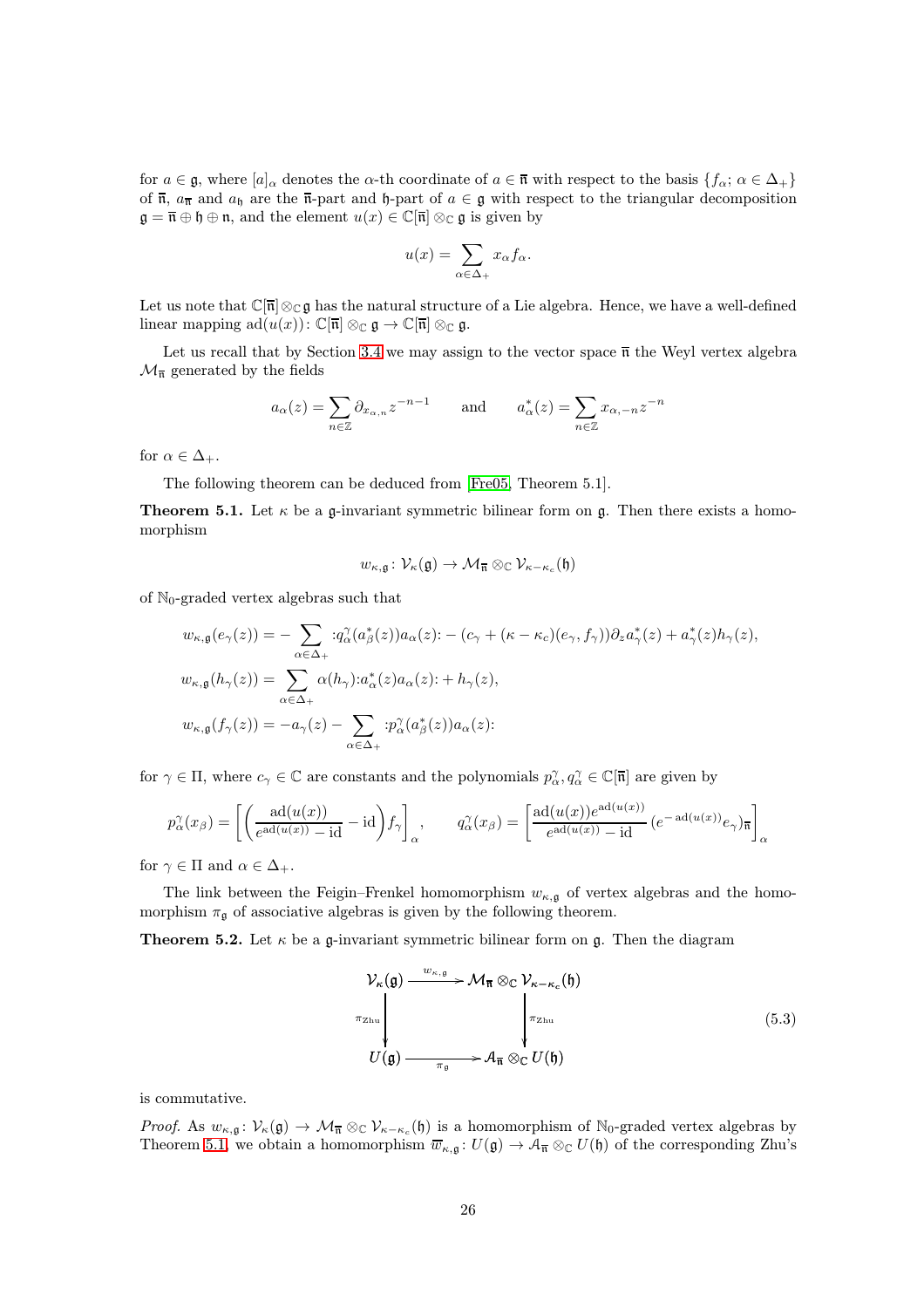for  $a \in \mathfrak{g}$ , where  $[a]_{\alpha}$  denotes the  $\alpha$ -th coordinate of  $a \in \overline{\mathfrak{n}}$  with respect to the basis  $\{f_{\alpha}; \alpha \in \Delta_{+}\}\$ of  $\bar{\mathfrak{n}}$ ,  $a_{\bar{\mathfrak{n}}}$  and  $a_{\bar{\mathfrak{h}}}$  are the  $\bar{\mathfrak{n}}$ -part and  $\mathfrak{h}$ -part of  $a \in \mathfrak{g}$  with respect to the triangular decomposition  $\mathfrak{g} = \overline{\mathfrak{n}} \oplus \mathfrak{h} \oplus \mathfrak{n}$ , and the element  $u(x) \in \mathbb{C}[\overline{\mathfrak{n}}] \otimes_{\mathbb{C}} \mathfrak{g}$  is given by

$$
u(x) = \sum_{\alpha \in \Delta_+} x_{\alpha} f_{\alpha}.
$$

Let us note that  $\mathbb{C}[\bar{\mathfrak{n}}]\otimes_{\mathbb{C}}\mathfrak{g}$  has the natural structure of a Lie algebra. Hence, we have a well-defined linear mapping  $ad(u(x))\colon \mathbb{C}[\overline{\mathfrak{n}}]\otimes_{\mathbb{C}}\mathfrak{g}\to \mathbb{C}[\overline{\mathfrak{n}}]\otimes_{\mathbb{C}}\mathfrak{g}.$ 

Let us recall that by Section [3.4](#page-15-0) we may assign to the vector space  $\overline{\mathfrak{n}}$  the Weyl vertex algebra  $\mathcal{M}_{\overline{n}}$  generated by the fields

$$
a_{\alpha}(z) = \sum_{n \in \mathbb{Z}} \partial_{x_{\alpha,n}} z^{-n-1} \quad \text{and} \quad a_{\alpha}^*(z) = \sum_{n \in \mathbb{Z}} x_{\alpha,-n} z^{-n}
$$

for  $\alpha \in \Delta_+$ .

The following theorem can be deduced from [\[Fre05,](#page-43-2) Theorem 5.1].

<span id="page-25-0"></span>**Theorem 5.1.** Let  $\kappa$  be a g-invariant symmetric bilinear form on g. Then there exists a homomorphism

$$
w_{\kappa,\mathfrak{g}}\colon \mathcal{V}_{\kappa}(\mathfrak{g})\to \mathcal{M}_{\overline{\mathfrak{n}}}\otimes_{\mathbb{C}}\mathcal{V}_{\kappa-\kappa_c}(\mathfrak{h})
$$

of  $\mathbb{N}_0$ -graded vertex algebras such that

$$
w_{\kappa,\mathfrak{g}}(e_{\gamma}(z)) = -\sum_{\alpha \in \Delta_{+}} :q_{\alpha}^{\gamma}(a_{\beta}^{*}(z))a_{\alpha}(z) : -(c_{\gamma} + (\kappa - \kappa_{c})(e_{\gamma}, f_{\gamma}))\partial_{z}a_{\gamma}^{*}(z) + a_{\gamma}^{*}(z)h_{\gamma}(z),
$$
  

$$
w_{\kappa,\mathfrak{g}}(h_{\gamma}(z)) = \sum_{\alpha \in \Delta_{+}} \alpha(h_{\gamma}) :a_{\alpha}^{*}(z)a_{\alpha}(z) : + h_{\gamma}(z),
$$
  

$$
w_{\kappa,\mathfrak{g}}(f_{\gamma}(z)) = -a_{\gamma}(z) - \sum_{\alpha \in \Delta_{+}} :p_{\alpha}^{\gamma}(a_{\beta}^{*}(z))a_{\alpha}(z):
$$

for  $\gamma \in \Pi$ , where  $c_{\gamma} \in \mathbb{C}$  are constants and the polynomials  $p_{\alpha}^{\gamma}, q_{\alpha}^{\gamma} \in \mathbb{C}[\overline{\mathfrak{n}}]$  are given by

$$
p_{\alpha}^{\gamma}(x_{\beta}) = \left[ \left( \frac{\mathrm{ad}(u(x))}{e^{\mathrm{ad}(u(x))} - \mathrm{id}} - \mathrm{id} \right) f_{\gamma} \right]_{\alpha}, \qquad q_{\alpha}^{\gamma}(x_{\beta}) = \left[ \frac{\mathrm{ad}(u(x))e^{\mathrm{ad}(u(x))}}{e^{\mathrm{ad}(u(x))} - \mathrm{id}} \left( e^{-\mathrm{ad}(u(x))} e_{\gamma} \right) \right]_{\alpha}
$$

for  $\gamma \in \Pi$  and  $\alpha \in \Delta_+$ .

The link between the Feigin–Frenkel homomorphism  $w_{\kappa,\mathfrak{g}}$  of vertex algebras and the homomorphism  $\pi_{\mathfrak{q}}$  of associative algebras is given by the following theorem.

**Theorem 5.2.** Let  $\kappa$  be a g-invariant symmetric bilinear form on g. Then the diagram

$$
\mathcal{V}_{\kappa}(\mathfrak{g}) \xrightarrow{w_{\kappa,\mathfrak{g}}} \mathcal{M}_{\overline{\mathfrak{n}}} \otimes_{\mathbb{C}} \mathcal{V}_{\kappa - \kappa_c}(\mathfrak{h})
$$
\n
$$
\downarrow \qquad \qquad \downarrow \qquad \qquad \downarrow \qquad \qquad \downarrow \qquad \qquad \downarrow \qquad \qquad \downarrow \qquad \qquad \downarrow \qquad \qquad \downarrow \qquad \qquad \downarrow \qquad \qquad \downarrow \qquad \qquad \downarrow \qquad \qquad \downarrow \qquad \qquad \downarrow \qquad \qquad \downarrow \qquad \qquad \downarrow \qquad \qquad \downarrow \qquad \qquad \downarrow \qquad \qquad \downarrow \qquad \qquad \downarrow \qquad \qquad \downarrow \qquad \qquad \downarrow \qquad \qquad \downarrow \qquad \qquad \downarrow \qquad \qquad \downarrow \qquad \qquad \downarrow \qquad \qquad \downarrow \qquad \qquad \downarrow \qquad \qquad \downarrow \qquad \downarrow \qquad \qquad \downarrow \qquad \qquad \downarrow \qquad \qquad \downarrow \qquad \qquad \downarrow \qquad \qquad \downarrow \qquad \qquad \downarrow \qquad \qquad \downarrow \qquad \qquad \downarrow \qquad \qquad \downarrow \qquad \qquad \downarrow \qquad \qquad \downarrow \qquad \qquad \downarrow \qquad \qquad \downarrow \qquad \qquad \downarrow \qquad \qquad \downarrow \qquad \qquad \downarrow \qquad \qquad \downarrow \qquad \qquad \downarrow \qquad \qquad \downarrow \qquad \qquad \downarrow \qquad \qquad \downarrow \qquad \qquad \downarrow \qquad \qquad \downarrow \qquad \qquad \downarrow \qquad \qquad \downarrow \qquad \qquad \downarrow \qquad \qquad \downarrow \qquad \qquad \downarrow \qquad \qquad \downarrow \qquad \qquad \downarrow \qquad \qquad \downarrow \qquad \qquad \downarrow \qquad \qquad \downarrow \qquad \qquad \downarrow \qquad \qquad \downarrow \qquad \qquad \downarrow \qquad \qquad \downarrow \qquad \qquad \downarrow \qquad \qquad \downarrow \qquad \qquad \downarrow \qquad \qquad \downarrow \qquad \qquad \downarrow \qquad \qquad \downarrow \qquad \qquad \downarrow \qquad \qquad \downarrow \qquad \qquad \downarrow \qquad \q
$$

is commutative.

Proof. As  $w_{\kappa,\mathfrak{g}}: \mathcal{V}_{\kappa}(\mathfrak{g}) \to \mathcal{M}_{\overline{\mathfrak{n}}} \otimes_{\mathbb{C}} \mathcal{V}_{\kappa-\kappa_c}(\mathfrak{h})$  is a homomorphism of  $\mathbb{N}_0$ -graded vertex algebras by Theorem [5.1,](#page-25-0) we obtain a homomorphism  $\overline{w}_{\kappa,\mathfrak{g}}: U(\mathfrak{g}) \to \mathcal{A}_{\overline{\mathfrak{n}}} \otimes_{\mathbb{C}} U(\mathfrak{h})$  of the corresponding Zhu's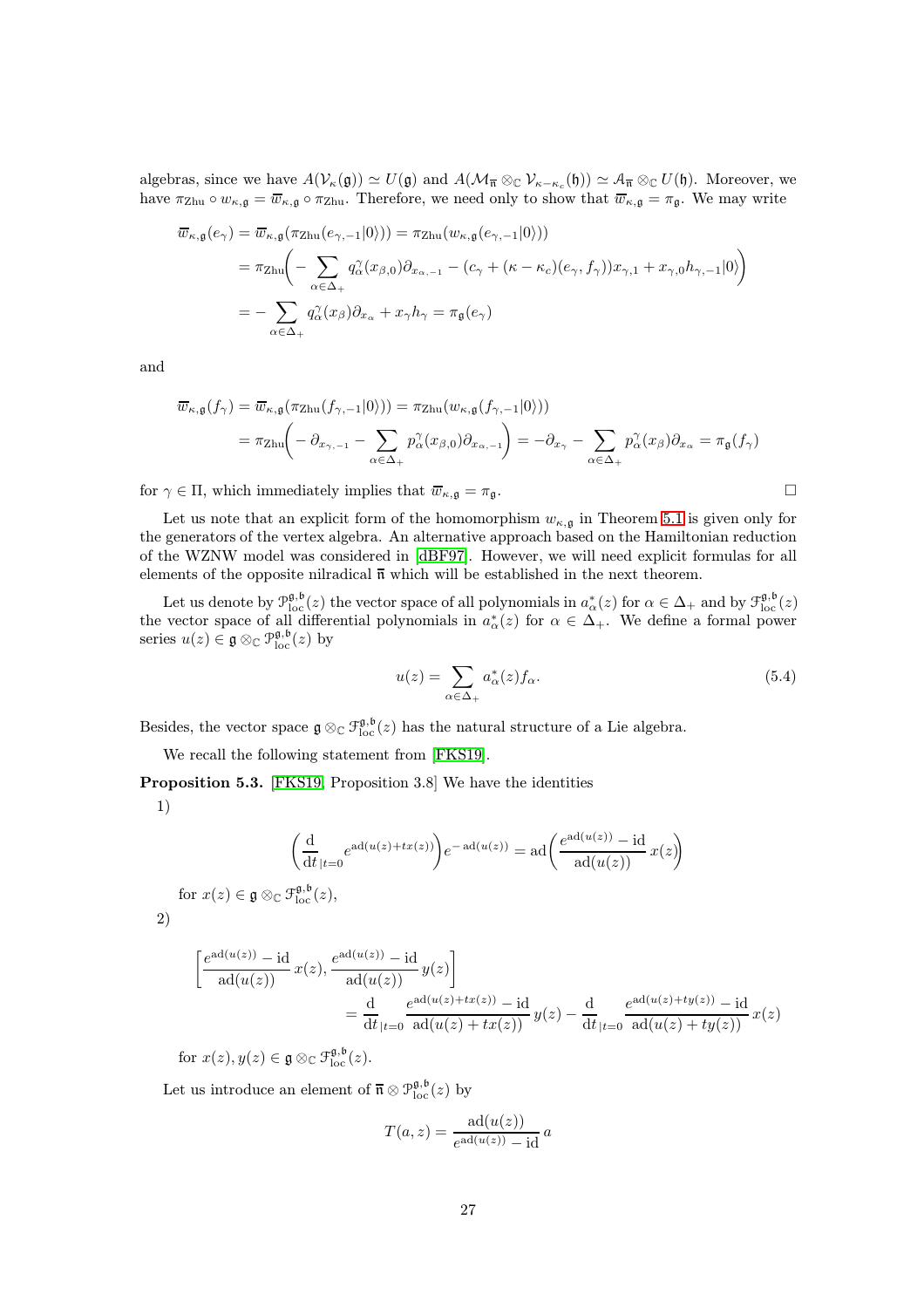algebras, since we have  $A(V_{\kappa}(\mathfrak{g})) \simeq U(\mathfrak{g})$  and  $A(\mathcal{M}_{\overline{\mathfrak{n}}} \otimes_{\mathbb{C}} V_{\kappa-\kappa_c}(\mathfrak{h})) \simeq A_{\overline{\mathfrak{n}}} \otimes_{\mathbb{C}} U(\mathfrak{h})$ . Moreover, we have  $\pi_{\mathrm{Zhu}} \circ w_{\kappa,\mathfrak{g}} = \overline{w}_{\kappa,\mathfrak{g}} \circ \pi_{\mathrm{Zhu}}$ . Therefore, we need only to show that  $\overline{w}_{\kappa,\mathfrak{g}} = \pi_{\mathfrak{g}}$ . We may write

$$
\overline{w}_{\kappa,\mathfrak{g}}(e_{\gamma}) = \overline{w}_{\kappa,\mathfrak{g}}(\pi_{\mathrm{Zhu}}(e_{\gamma,-1}|0\rangle)) = \pi_{\mathrm{Zhu}}(w_{\kappa,\mathfrak{g}}(e_{\gamma,-1}|0\rangle))
$$
\n
$$
= \pi_{\mathrm{Zhu}}\left(-\sum_{\alpha \in \Delta_+} q_{\alpha}^{\gamma}(x_{\beta,0})\partial_{x_{\alpha,-1}} - (c_{\gamma} + (\kappa - \kappa_c)(e_{\gamma}, f_{\gamma}))x_{\gamma,1} + x_{\gamma,0}h_{\gamma,-1}|0\rangle\right)
$$
\n
$$
= -\sum_{\alpha \in \Delta_+} q_{\alpha}^{\gamma}(x_{\beta})\partial_{x_{\alpha}} + x_{\gamma}h_{\gamma} = \pi_{\mathfrak{g}}(e_{\gamma})
$$

and

$$
\overline{w}_{\kappa,\mathfrak{g}}(f_{\gamma}) = \overline{w}_{\kappa,\mathfrak{g}}(\pi_{\mathrm{Zhu}}(f_{\gamma,-1}|0\rangle)) = \pi_{\mathrm{Zhu}}(w_{\kappa,\mathfrak{g}}(f_{\gamma,-1}|0\rangle))
$$
\n
$$
= \pi_{\mathrm{Zhu}}\left(-\partial_{x_{\gamma,-1}} - \sum_{\alpha \in \Delta_{+}} p_{\alpha}^{\gamma}(x_{\beta,0}) \partial_{x_{\alpha,-1}}\right) = -\partial_{x_{\gamma}} - \sum_{\alpha \in \Delta_{+}} p_{\alpha}^{\gamma}(x_{\beta}) \partial_{x_{\alpha}} = \pi_{\mathfrak{g}}(f_{\gamma})
$$

for  $\gamma \in \Pi$ , which immediately implies that  $\overline{w}_{\kappa,\mathfrak{g}} = \pi_{\mathfrak{g}}$ .

Let us note that an explicit form of the homomorphism  $w_{\kappa,g}$  in Theorem [5.1](#page-25-0) is given only for the generators of the vertex algebra. An alternative approach based on the Hamiltonian reduction of the WZNW model was considered in [\[dBF97\]](#page-42-0). However, we will need explicit formulas for all elements of the opposite nilradical  $\overline{n}$  which will be established in the next theorem.

Let us denote by  $\mathcal{P}_{\text{loc}}^{\mathfrak{g},\mathfrak{b}}(z)$  the vector space of all polynomials in  $a_{\alpha}^{*}(z)$  for  $\alpha \in \Delta_{+}$  and by  $\mathcal{F}_{\text{loc}}^{\mathfrak{g},\mathfrak{b}}(z)$ the vector space of all differential polynomials in  $a^*_{\alpha}(z)$  for  $\alpha \in \Delta_+$ . We define a formal power series  $u(z) \in \mathfrak{g} \otimes_{\mathbb{C}} \mathfrak{P}_{\text{loc}}^{\mathfrak{g},\mathfrak{b}}(z)$  by

$$
u(z) = \sum_{\alpha \in \Delta_+} a_{\alpha}^*(z) f_{\alpha}.
$$
 (5.4)

Besides, the vector space  $\mathfrak{g} \otimes_{\mathbb{C}} \mathfrak{F}^{\mathfrak{g},\mathfrak{b}}_{\text{loc}}(z)$  has the natural structure of a Lie algebra.

We recall the following statement from [\[FKS19\]](#page-43-1).

<span id="page-26-0"></span>Proposition 5.3. [\[FKS19,](#page-43-1) Proposition 3.8] We have the identities

1)

$$
\left(\frac{\mathrm{d}}{\mathrm{d}t}|_{t=0}e^{\mathrm{ad}(u(z)+tx(z))}\right)e^{-\mathrm{ad}(u(z))} = \mathrm{ad}\left(\frac{e^{\mathrm{ad}(u(z))}-\mathrm{id}}{\mathrm{ad}(u(z))}x(z)\right)
$$
\n
$$
\text{for } x(z) \in \mathfrak{g} \otimes_{\mathbb{C}} \mathfrak{I}_{\text{loc}}^{\mathfrak{g},\mathfrak{b}}(z),
$$

2)

$$
\left[\frac{e^{\mathrm{ad}(u(z))}-\mathrm{id}}{\mathrm{ad}(u(z))}x(z), \frac{e^{\mathrm{ad}(u(z))}-\mathrm{id}}{\mathrm{ad}(u(z))}y(z)\right]
$$
  
= 
$$
\frac{\mathrm{d}}{\mathrm{d}t}\Big|_{t=0} \frac{e^{\mathrm{ad}(u(z)+tx(z))}-\mathrm{id}}{\mathrm{ad}(u(z)+tx(z))}y(z) - \frac{\mathrm{d}}{\mathrm{d}t}\Big|_{t=0} \frac{e^{\mathrm{ad}(u(z)+ty(z))}-\mathrm{id}}{\mathrm{ad}(u(z)+ty(z))}x(z)
$$

for  $x(z), y(z) \in \mathfrak{g} \otimes_{\mathbb{C}} \mathfrak{F}^{\mathfrak{g},\mathfrak{b}}_{\text{loc}}(z)$ .

Let us introduce an element of  $\bar{\mathfrak{n}} \otimes \mathfrak{P}_{\text{loc}}^{\mathfrak{g},\mathfrak{b}}(z)$  by

$$
T(a, z) = \frac{\mathrm{ad}(u(z))}{e^{\mathrm{ad}(u(z))} - \mathrm{id}} a
$$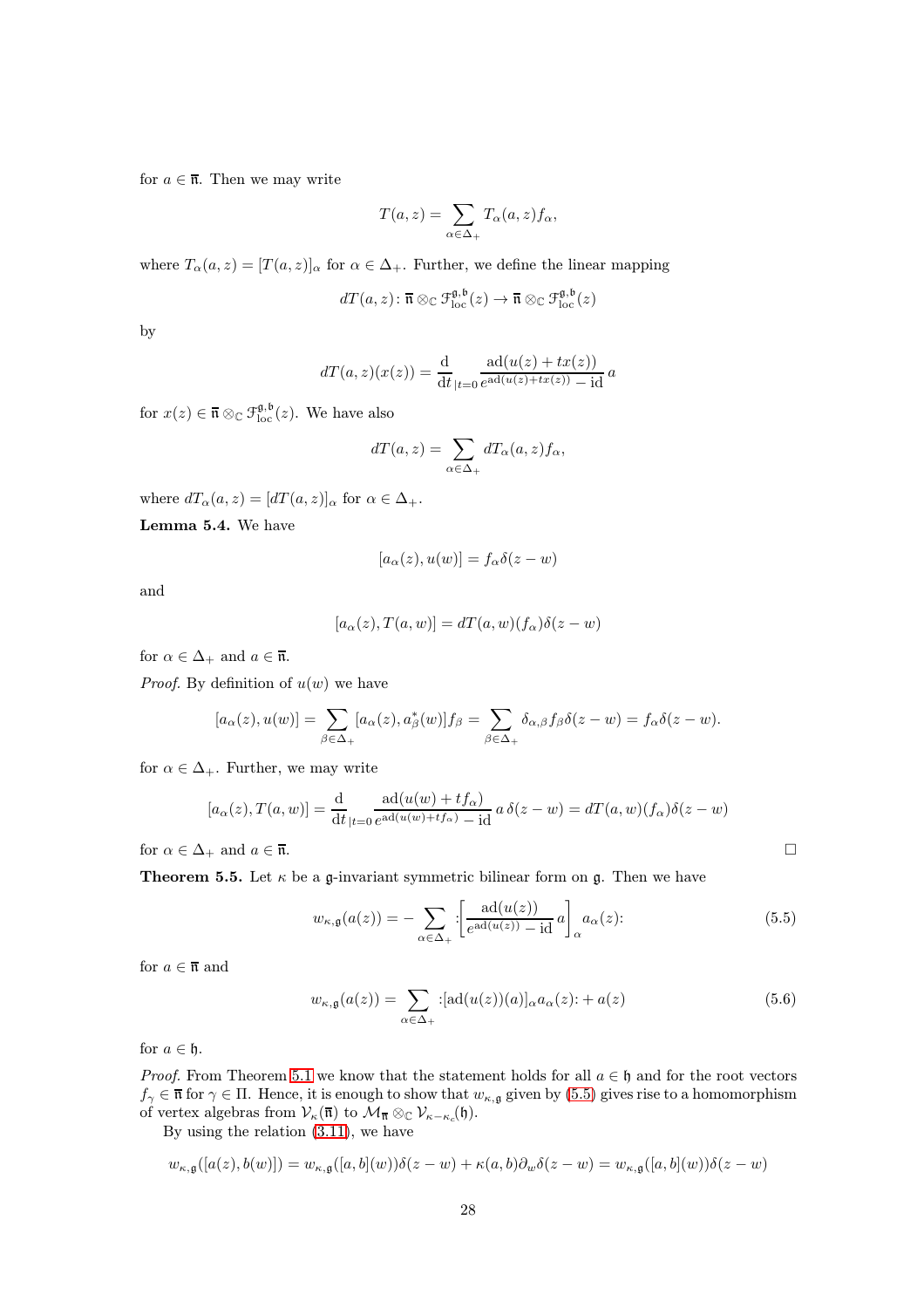for  $a \in \overline{\mathfrak{n}}$ . Then we may write

$$
T(a,z) = \sum_{\alpha \in \Delta_+} T_{\alpha}(a,z) f_{\alpha},
$$

where  $T_{\alpha}(a, z) = [T(a, z)]_{\alpha}$  for  $\alpha \in \Delta_+$ . Further, we define the linear mapping

$$
dT(a, z) \colon \overline{\mathfrak{n}} \otimes_{\mathbb{C}} \mathfrak{F}^{\mathfrak{g}, \mathfrak{b}}_{\text{loc}}(z) \to \overline{\mathfrak{n}} \otimes_{\mathbb{C}} \mathfrak{F}^{\mathfrak{g}, \mathfrak{b}}_{\text{loc}}(z)
$$

by

$$
dT(a, z)(x(z)) = \frac{d}{dt}\det_{|t=0} \frac{ad(u(z) + tx(z))}{e^{ad(u(z) + tx(z))} - id} a
$$

for  $x(z) \in \overline{\mathfrak{n}} \otimes_{\mathbb{C}} \mathfrak{F}_{\text{loc}}^{\mathfrak{g},\mathfrak{b}}(z)$ . We have also

$$
dT(a, z) = \sum_{\alpha \in \Delta_+} dT_{\alpha}(a, z) f_{\alpha},
$$

<span id="page-27-2"></span>where  $dT_{\alpha}(a, z) = [dT(a, z)]_{\alpha}$  for  $\alpha \in \Delta_{+}$ .

Lemma 5.4. We have

$$
[a_{\alpha}(z), u(w)] = f_{\alpha}\delta(z - w)
$$

and

$$
[a_{\alpha}(z), T(a, w)] = dT(a, w)(f_{\alpha})\delta(z - w)
$$

for  $\alpha \in \Delta_+$  and  $a \in \overline{\mathfrak{n}}$ .

*Proof.* By definition of  $u(w)$  we have

$$
[a_{\alpha}(z), u(w)] = \sum_{\beta \in \Delta_+} [a_{\alpha}(z), a_{\beta}^*(w)] f_{\beta} = \sum_{\beta \in \Delta_+} \delta_{\alpha, \beta} f_{\beta} \delta(z - w) = f_{\alpha} \delta(z - w).
$$

for  $\alpha \in \Delta_+$ . Further, we may write

$$
[a_{\alpha}(z), T(a, w)] = \frac{d}{dt} \det_{|t=0} \frac{ad(u(w) + tf_{\alpha})}{e^{ad(u(w) + tf_{\alpha})} - id} a \delta(z-w) = dT(a, w)(f_{\alpha})\delta(z-w)
$$

<span id="page-27-0"></span>for  $\alpha \in \Delta_+$  and  $a \in \overline{\mathfrak{n}}$ .

**Theorem 5.5.** Let  $\kappa$  be a g-invariant symmetric bilinear form on g. Then we have

<span id="page-27-1"></span>
$$
w_{\kappa,\mathfrak{g}}(a(z)) = -\sum_{\alpha \in \Delta_+} \left[ \frac{\mathrm{ad}(u(z))}{e^{\mathrm{ad}(u(z))} - \mathrm{id}} a \right]_{\alpha} a_{\alpha}(z). \tag{5.5}
$$

for  $a \in \overline{\mathfrak{n}}$  and

$$
w_{\kappa,\mathfrak{g}}(a(z)) = \sum_{\alpha \in \Delta_+} : [\text{ad}(u(z))(a)]_{\alpha} a_{\alpha}(z) : + a(z) \tag{5.6}
$$

for  $a \in \mathfrak{h}$ .

*Proof.* From Theorem [5.1](#page-25-0) we know that the statement holds for all  $a \in \mathfrak{h}$  and for the root vectors  $f_{\gamma} \in \overline{\mathfrak{n}}$  for  $\gamma \in \Pi$ . Hence, it is enough to show that  $w_{\kappa,\mathfrak{g}}$  given by [\(5.5\)](#page-27-1) gives rise to a homomorphism of vertex algebras from  $\mathcal{V}_{\kappa}(\overline{\mathfrak{n}})$  to  $\mathcal{M}_{\overline{\mathfrak{n}}} \otimes_{\mathbb{C}} \mathcal{V}_{\kappa-\kappa_c}(\mathfrak{h}).$ 

By using the relation [\(3.11\)](#page-14-1), we have

$$
w_{\kappa,\mathfrak{g}}([a(z),b(w)]) = w_{\kappa,\mathfrak{g}}([a,b](w))\delta(z-w) + \kappa(a,b)\partial_w\delta(z-w) = w_{\kappa,\mathfrak{g}}([a,b](w))\delta(z-w)
$$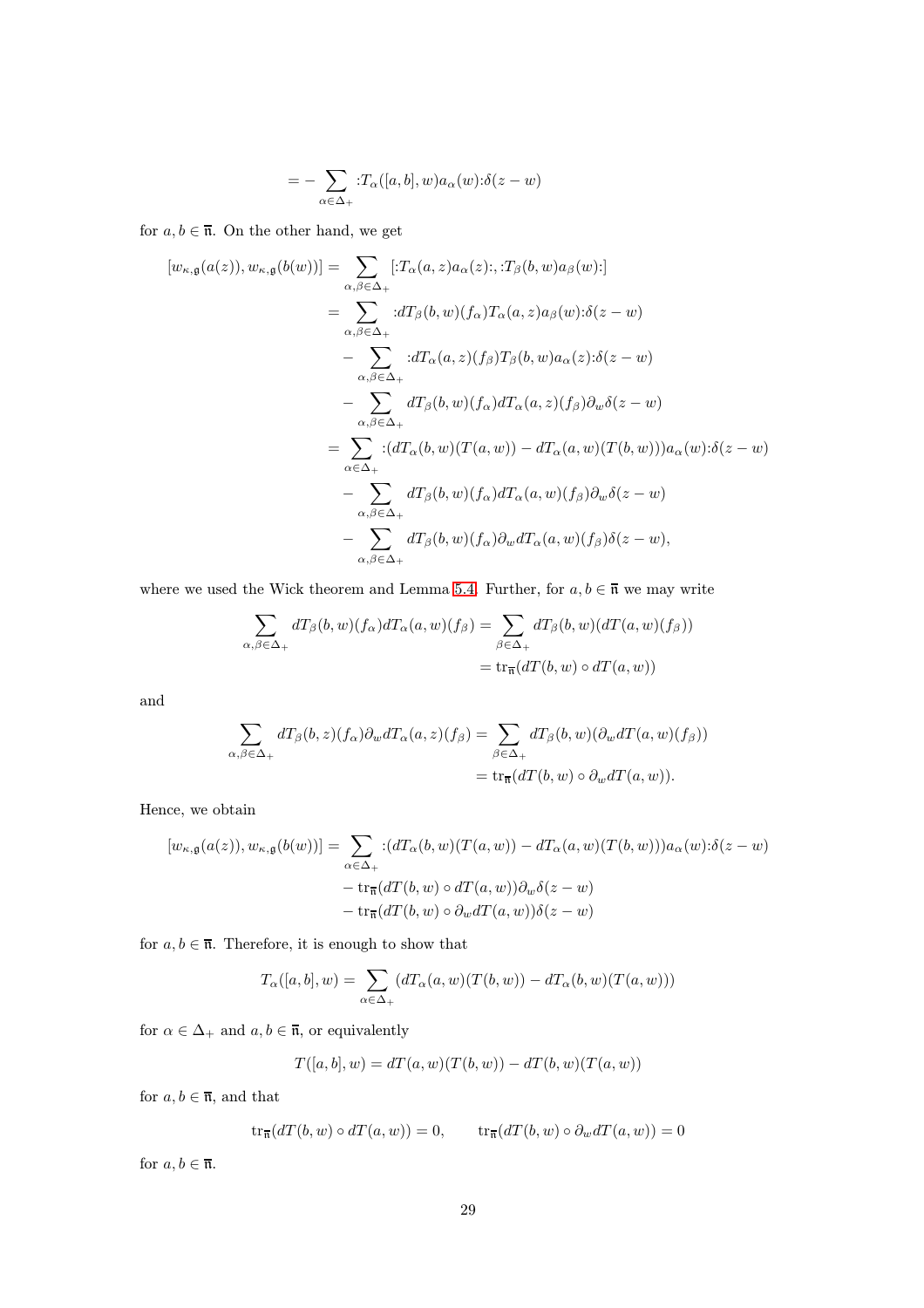$$
= -\sum_{\alpha \in \Delta_+} :T_\alpha([a,b],w)a_\alpha(w):\delta(z-w)
$$

for  $a, b \in \overline{\mathfrak{n}}$ . On the other hand, we get

$$
[w_{\kappa,\mathfrak{g}}(a(z)),w_{\kappa,\mathfrak{g}}(b(w))]=\sum_{\alpha,\beta\in\Delta_{+}}[:T_{\alpha}(a,z)a_{\alpha}(z);\cdot,T_{\beta}(b,w)a_{\beta}(w);\n\n=\sum_{\alpha,\beta\in\Delta_{+}}:dT_{\beta}(b,w)(f_{\alpha})T_{\alpha}(a,z)a_{\beta}(w);\delta(z-w)\n\n-\sum_{\alpha,\beta\in\Delta_{+}}:dT_{\alpha}(a,z)(f_{\beta})T_{\beta}(b,w)a_{\alpha}(z);\delta(z-w)\n\n-\sum_{\alpha,\beta\in\Delta_{+}}dT_{\beta}(b,w)(f_{\alpha})dT_{\alpha}(a,z)(f_{\beta})\partial_{w}\delta(z-w)\n\n=\sum_{\alpha\in\Delta_{+}}:(dT_{\alpha}(b,w)(T(a,w))-dT_{\alpha}(a,w)(T(b,w)))a_{\alpha}(w);\delta(z-w)\n\n-\sum_{\alpha,\beta\in\Delta_{+}}dT_{\beta}(b,w)(f_{\alpha})dT_{\alpha}(a,w)(f_{\beta})\partial_{w}\delta(z-w)\n\n-\sum_{\alpha,\beta\in\Delta_{+}}dT_{\beta}(b,w)(f_{\alpha})\partial_{w}dT_{\alpha}(a,w)(f_{\beta})\delta(z-w),
$$

where we used the Wick theorem and Lemma [5.4.](#page-27-2) Further, for  $a, b \in \overline{\mathfrak{n}}$  we may write

$$
\sum_{\alpha,\beta\in\Delta_+} dT_{\beta}(b,w)(f_{\alpha})dT_{\alpha}(a,w)(f_{\beta}) = \sum_{\beta\in\Delta_+} dT_{\beta}(b,w)(dT(a,w)(f_{\beta}))
$$

$$
= \text{tr}_{\overline{\mathfrak{n}}}(dT(b,w) \circ dT(a,w))
$$

and

$$
\sum_{\alpha,\beta\in\Delta_+} dT_{\beta}(b,z)(f_{\alpha})\partial_w dT_{\alpha}(a,z)(f_{\beta}) = \sum_{\beta\in\Delta_+} dT_{\beta}(b,w)(\partial_w dT(a,w)(f_{\beta}))
$$
  
= tr<sub>\overline{n</sub>(dT(b,w) o  $\partial_w dT(a,w)$ ).

Hence, we obtain

$$
[w_{\kappa,\mathfrak{g}}(a(z)),w_{\kappa,\mathfrak{g}}(b(w))]=\sum_{\alpha\in\Delta_{+}}:(dT_{\alpha}(b,w)(T(a,w))-dT_{\alpha}(a,w)(T(b,w)))a_{\alpha}(w):\delta(z-w)-\operatorname{tr}_{\overline{\mathfrak{n}}}(dT(b,w)\circ dT(a,w))\partial_{w}\delta(z-w)-\operatorname{tr}_{\overline{\mathfrak{n}}}(dT(b,w)\circ \partial_{w}dT(a,w))\delta(z-w)
$$

for  $a, b \in \overline{\mathfrak{n}}$ . Therefore, it is enough to show that

$$
T_{\alpha}([a,b],w) = \sum_{\alpha \in \Delta_+} (dT_{\alpha}(a,w)(T(b,w)) - dT_{\alpha}(b,w)(T(a,w)))
$$

for  $\alpha\in\Delta_+$  and  $a,b\in\overline{\mathfrak{n}},$  or equivalently

$$
T([a, b], w) = dT(a, w)(T(b, w)) - dT(b, w)(T(a, w))
$$

for  $a, b \in \overline{\mathfrak{n}}$ , and that

$$
\operatorname{tr}_{\overline{\mathfrak{n}}}(dT(b,w) \circ dT(a,w)) = 0, \qquad \operatorname{tr}_{\overline{\mathfrak{n}}}(dT(b,w) \circ \partial_w dT(a,w)) = 0
$$

for  $a, b \in \overline{\mathfrak{n}}$ .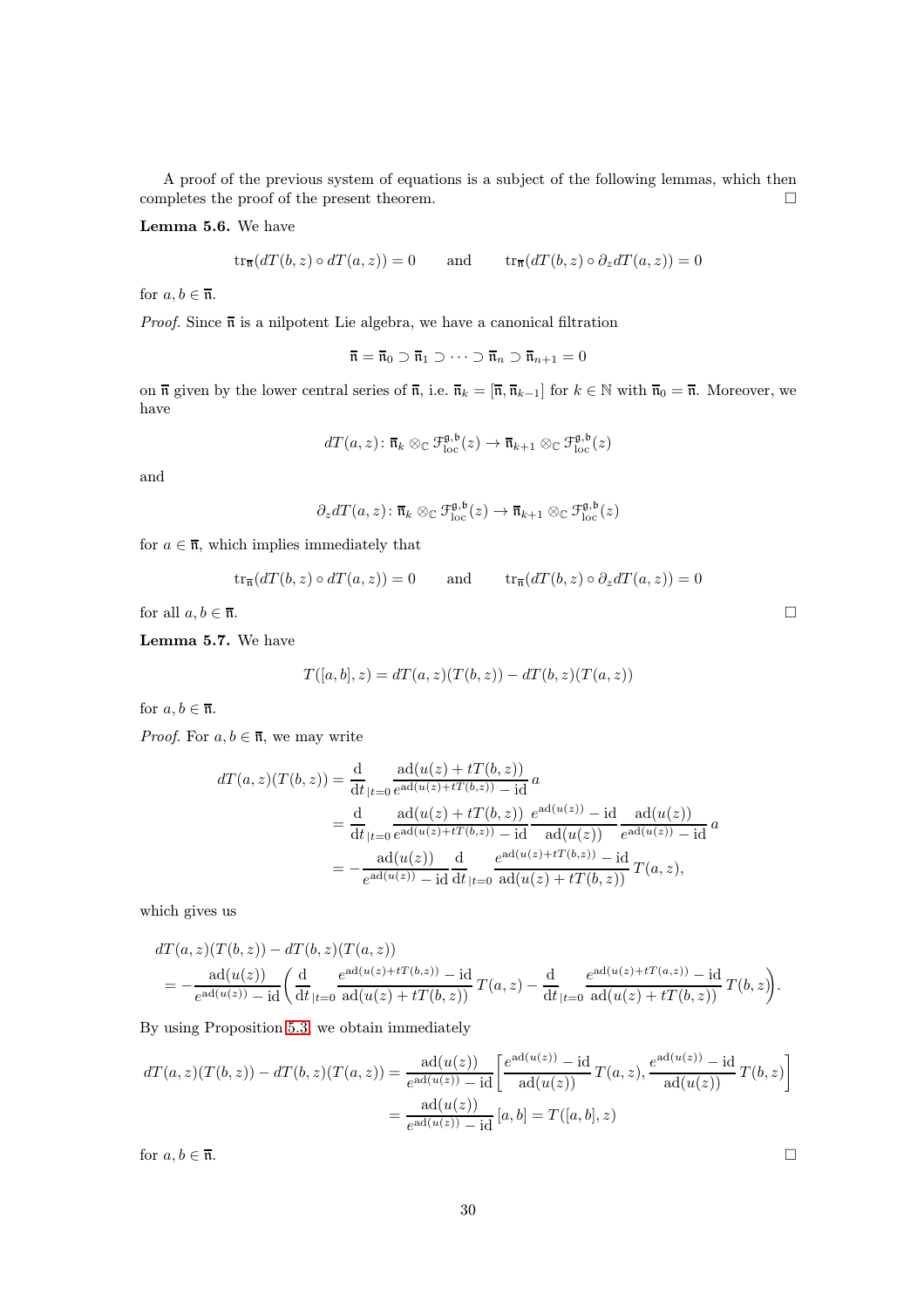A proof of the previous system of equations is a subject of the following lemmas, which then completes the proof of the present theorem.  $\Box$ 

Lemma 5.6. We have

$$
\operatorname{tr}_{\overline{\mathfrak{n}}}(dT(b,z) \circ dT(a,z)) = 0 \quad \text{and} \quad \operatorname{tr}_{\overline{\mathfrak{n}}}(dT(b,z) \circ \partial_z dT(a,z)) = 0
$$

for  $a, b \in \overline{\mathfrak{n}}$ .

*Proof.* Since  $\bar{\mathfrak{n}}$  is a nilpotent Lie algebra, we have a canonical filtration

$$
\overline{\mathfrak{n}} = \overline{\mathfrak{n}}_0 \supset \overline{\mathfrak{n}}_1 \supset \cdots \supset \overline{\mathfrak{n}}_n \supset \overline{\mathfrak{n}}_{n+1} = 0
$$

on  $\overline{\mathfrak{n}}$  given by the lower central series of  $\overline{\mathfrak{n}}$ , i.e.  $\overline{\mathfrak{n}}_k = [\overline{\mathfrak{n}}, \overline{\mathfrak{n}}_{k-1}]$  for  $k \in \mathbb{N}$  with  $\overline{\mathfrak{n}}_0 = \overline{\mathfrak{n}}$ . Moreover, we have

$$
dT(a, z) \colon \overline{\mathfrak{n}}_k \otimes_{\mathbb{C}} \mathfrak{F}^{\mathfrak{g}, \mathfrak{b}}_{\text{loc}}(z) \to \overline{\mathfrak{n}}_{k+1} \otimes_{\mathbb{C}} \mathfrak{F}^{\mathfrak{g}, \mathfrak{b}}_{\text{loc}}(z)
$$

and

$$
\partial_z dT(a, z) \colon \overline{\mathfrak{n}}_k \otimes_{\mathbb{C}} \mathfrak{F}^{\mathfrak{g}, \mathfrak{b}}_{\text{loc}}(z) \to \overline{\mathfrak{n}}_{k+1} \otimes_{\mathbb{C}} \mathfrak{F}^{\mathfrak{g}, \mathfrak{b}}_{\text{loc}}(z)
$$

for  $a \in \overline{\mathfrak{n}}$ , which implies immediately that

$$
\operatorname{tr}_{\overline{\mathfrak{n}}}(dT(b,z) \circ dT(a,z)) = 0 \quad \text{and} \quad \operatorname{tr}_{\overline{\mathfrak{n}}}(dT(b,z) \circ \partial_z dT(a,z)) = 0
$$

for all  $a, b \in \overline{\mathfrak{n}}$ .

Lemma 5.7. We have

$$
T([a,b],z)=dT(a,z)(T(b,z))-dT(b,z)(T(a,z))\qquad
$$

for  $a, b \in \overline{\mathfrak{n}}$ .

*Proof.* For  $a, b \in \overline{\mathfrak{n}}$ , we may write

$$
dT(a, z)(T(b, z)) = \frac{d}{dt}\frac{ad(u(z) + tT(b, z))}{|t=0 e^{ad(u(z) + tT(b, z))} - id}a
$$
  
= 
$$
\frac{d}{dt}\frac{ad(u(z) + tT(b, z)) e^{ad(u(z))} - id}{|t=0 e^{ad(u(z) + tT(b, z))} - id} \frac{ad(u(z))}{ad(u(z))} e^{ad(u(z))} - id a
$$
  
= 
$$
-\frac{ad(u(z))}{e^{ad(u(z))} - id} \frac{d}{dt}\frac{e^{ad(u(z) + tT(b, z))} - id}{|t=0 e^{ad(u(z) + tT(b, z))} T(a, z),}
$$

which gives us

$$
dT(a, z)(T(b, z)) - dT(b, z)(T(a, z))
$$
  
=  $-\frac{ad(u(z))}{e^{ad(u(z))} - id} \left( \frac{d}{dt}_{|t=0} \frac{e^{ad(u(z) + tT(b, z))} - id}{ad(u(z) + tT(b, z))} T(a, z) - \frac{d}{dt}_{|t=0} \frac{e^{ad(u(z) + tT(a, z))} - id}{ad(u(z) + tT(b, z))} T(b, z) \right).$ 

By using Proposition [5.3,](#page-26-0) we obtain immediately

$$
dT(a, z)(T(b, z)) - dT(b, z)(T(a, z)) = \frac{\text{ad}(u(z))}{e^{\text{ad}(u(z))} - \text{id}} \left[ \frac{e^{\text{ad}(u(z))} - \text{id}}{\text{ad}(u(z))} T(a, z), \frac{e^{\text{ad}(u(z))} - \text{id}}{\text{ad}(u(z))} T(b, z) \right]
$$

$$
= \frac{\text{ad}(u(z))}{e^{\text{ad}(u(z))} - \text{id}} [a, b] = T([a, b], z)
$$
for  $a, b \in \overline{\mathfrak{n}}$ .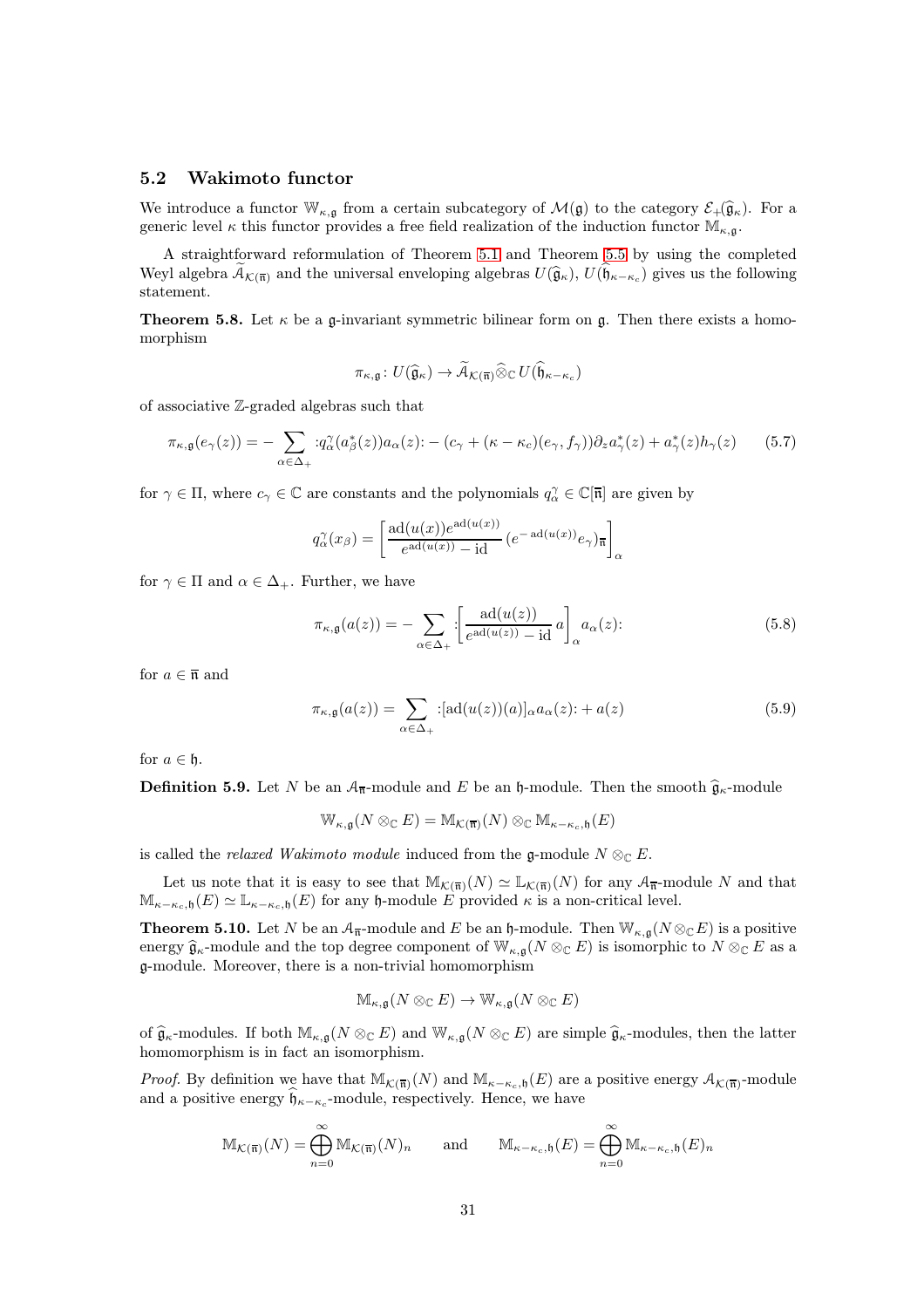#### <span id="page-30-0"></span>5.2 Wakimoto functor

We introduce a functor  $\mathbb{W}_{\kappa,\mathfrak{g}}$  from a certain subcategory of  $\mathcal{M}(\mathfrak{g})$  to the category  $\mathcal{E}_+(\widehat{\mathfrak{g}}_\kappa)$ . For a generic level  $\kappa$  this functor provides a free field realization of the induction functor  $\mathbb{M}_{\kappa,g}$ .

A straightforward reformulation of Theorem [5.1](#page-25-0) and Theorem [5.5](#page-27-0) by using the completed Weyl algebra  $\widetilde{\mathcal{A}}_{\mathcal{K}(\overline{n})}$  and the universal enveloping algebras  $U(\widehat{\mathfrak{g}}_{\kappa}), U(\widehat{\mathfrak{h}}_{\kappa-\kappa_c})$  gives us the following statement.

<span id="page-30-1"></span>**Theorem 5.8.** Let  $\kappa$  be a g-invariant symmetric bilinear form on g. Then there exists a homomorphism

$$
\pi_{\kappa,\mathfrak{g}}\colon U(\widehat{\mathfrak{g}}_{\kappa})\to\widetilde{\mathcal{A}}_{\mathcal{K}(\overline{\mathfrak{n}})}\widehat{\otimes}_{\mathbb{C}}U(\widehat{\mathfrak{h}}_{\kappa-\kappa_c})
$$

of associative Z-graded algebras such that

$$
\pi_{\kappa,\mathfrak{g}}(e_{\gamma}(z)) = -\sum_{\alpha \in \Delta_+} :q_{\alpha}^{\gamma}(a_{\beta}^*(z))a_{\alpha}(z) : -(c_{\gamma} + (\kappa - \kappa_c)(e_{\gamma}, f_{\gamma}))\partial_z a_{\gamma}^*(z) + a_{\gamma}^*(z)h_{\gamma}(z) \qquad (5.7)
$$

for  $\gamma \in \Pi$ , where  $c_{\gamma} \in \mathbb{C}$  are constants and the polynomials  $q_{\alpha}^{\gamma} \in \mathbb{C}[\overline{\mathfrak{n}}]$  are given by

$$
q_{\alpha}^{\gamma}(x_{\beta}) = \left[\frac{\mathrm{ad}(u(x))e^{\mathrm{ad}(u(x))}}{e^{\mathrm{ad}(u(x))}-\mathrm{id}}\left(e^{-\mathrm{ad}(u(x))}e_{\gamma}\right)_{\overline{\mathfrak{n}}}\right]_{\alpha}
$$

for  $\gamma \in \Pi$  and  $\alpha \in \Delta_+$ . Further, we have

$$
\pi_{\kappa,\mathfrak{g}}(a(z)) = -\sum_{\alpha \in \Delta_+} \left[ \frac{\mathrm{ad}(u(z))}{e^{\mathrm{ad}(u(z))} - \mathrm{id}} a \right]_{\alpha} a_{\alpha}(z); \tag{5.8}
$$

for  $a \in \overline{\mathfrak{n}}$  and

$$
\pi_{\kappa,\mathfrak{g}}(a(z)) = \sum_{\alpha \in \Delta_+} : [\mathrm{ad}(u(z))(a)]_{\alpha} a_{\alpha}(z) : + a(z) \tag{5.9}
$$

for  $a \in \mathfrak{h}$ .

**Definition 5.9.** Let N be an  $A_{\overline{n}}$ -module and E be an h-module. Then the smooth  $\hat{g}_{\kappa}$ -module

$$
\mathbb{W}_{\kappa,\mathfrak{g}}(N\otimes_{\mathbb{C}} E)=\mathbb{M}_{\mathcal{K}(\overline{\mathfrak{n}})}(N)\otimes_{\mathbb{C}}\mathbb{M}_{\kappa-\kappa_c,\mathfrak{h}}(E)
$$

is called the *relaxed Wakimoto module* induced from the g-module  $N \otimes_{\mathbb{C}} E$ .

Let us note that it is easy to see that  $\mathbb{M}_{\mathcal{K}(\overline{\mathfrak{n}})}(N) \simeq \mathbb{L}_{\mathcal{K}(\overline{\mathfrak{n}})}(N)$  for any  $\mathcal{A}_{\overline{\mathfrak{n}}}$ -module N and that  $\mathbb{M}_{\kappa-\kappa_c,\mathfrak{h}}(E) \simeq \mathbb{L}_{\kappa-\kappa_c,\mathfrak{h}}(E)$  for any  $\mathfrak{h}\text{-module }E$  provided  $\kappa$  is a non-critical level.

<span id="page-30-2"></span>**Theorem 5.10.** Let N be an  $A_{\overline{n}}$ -module and E be an h-module. Then  $\mathbb{W}_{\kappa,q}(N\otimes_{\mathbb{C}}E)$  is a positive energy  $\widehat{\mathfrak{g}}_{\kappa}$ -module and the top degree component of  $\mathbb{W}_{\kappa,\mathfrak{g}}(N \otimes_{\mathbb{C}} E)$  is isomorphic to  $N \otimes_{\mathbb{C}} E$  as a g-module. Moreover, there is a non-trivial homomorphism

$$
\mathbb{M}_{\kappa,\mathfrak{g}}(N\otimes_{\mathbb{C}} E)\to \mathbb{W}_{\kappa,\mathfrak{g}}(N\otimes_{\mathbb{C}} E)
$$

of  $\widehat{\mathfrak{g}}_{\kappa}$ -modules. If both  $\mathbb{M}_{\kappa,\mathfrak{g}}(N\otimes_{\mathbb{C}} E)$  and  $\mathbb{W}_{\kappa,\mathfrak{g}}(N\otimes_{\mathbb{C}} E)$  are simple  $\widehat{\mathfrak{g}}_{\kappa}$ -modules, then the latter homomorphism is in fact an isomorphism.

*Proof.* By definition we have that  $\mathbb{M}_{\mathcal{K}(\overline{n})}(N)$  and  $\mathbb{M}_{\kappa-\kappa_c,\mathfrak{h}}(E)$  are a positive energy  $\mathcal{A}_{\mathcal{K}(\overline{n})}$ -module and a positive energy  $\mathfrak{h}_{\kappa-\kappa_c}$ -module, respectively. Hence, we have

$$
\mathbb{M}_{\mathcal{K}(\overline{\mathfrak{n}})}(N) = \bigoplus_{n=0}^{\infty} \mathbb{M}_{\mathcal{K}(\overline{\mathfrak{n}})}(N)_n \quad \text{and} \quad \mathbb{M}_{\kappa-\kappa_c,\mathfrak{h}}(E) = \bigoplus_{n=0}^{\infty} \mathbb{M}_{\kappa-\kappa_c,\mathfrak{h}}(E)_n
$$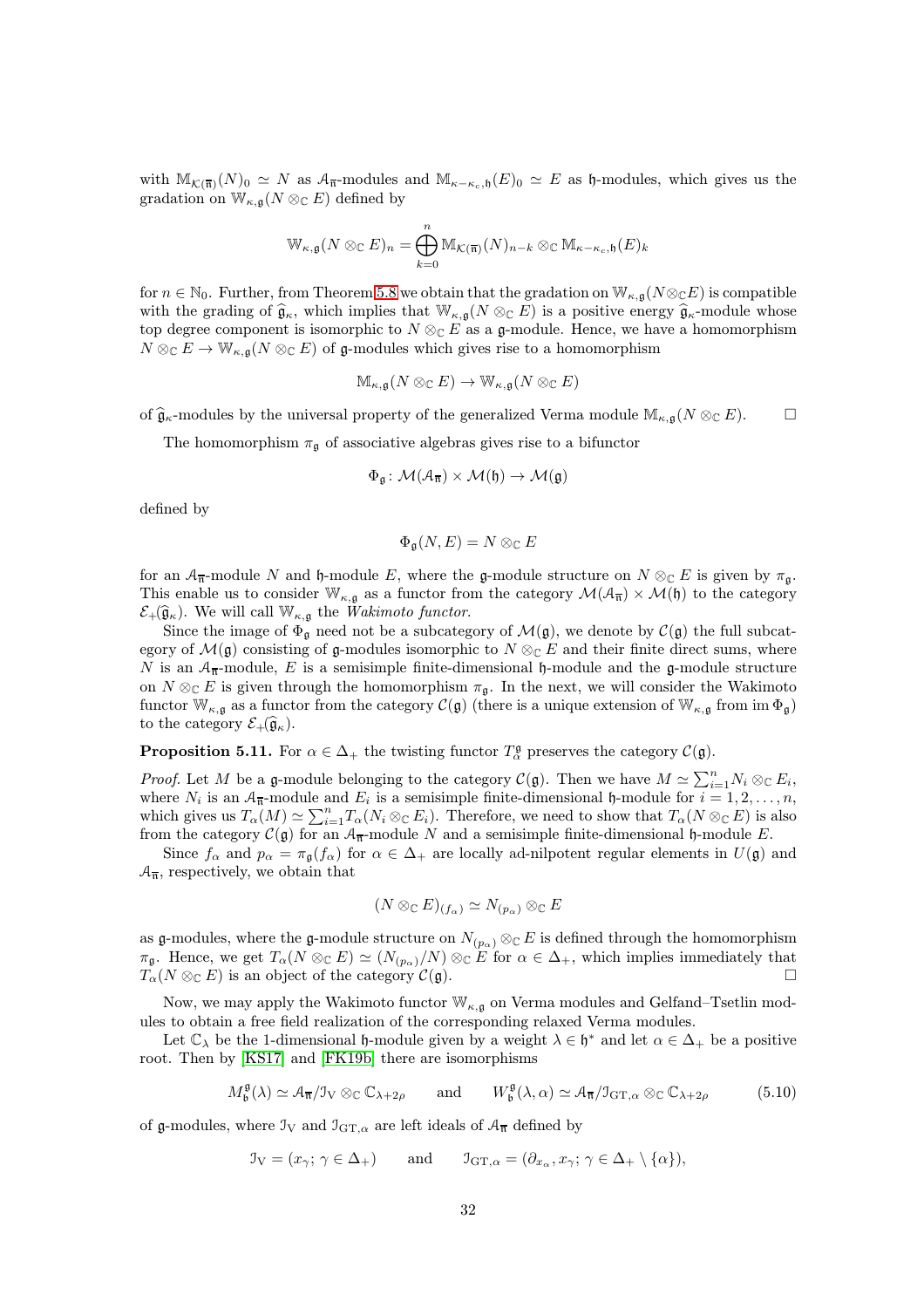with  $M_{\mathcal{K}(\overline{n})}(N)_0 \simeq N$  as  $\mathcal{A}_{\overline{n}}$ -modules and  $M_{\kappa-\kappa_c,\mathfrak{h}}(E)_0 \simeq E$  as h-modules, which gives us the gradation on  $\mathbb{W}_{\kappa,\mathfrak{g}}(N\otimes_{\mathbb{C}} E)$  defined by

$$
\mathbb{W}_{\kappa,\mathfrak{g}}(N\otimes_{\mathbb{C}} E)_n = \bigoplus_{k=0}^n \mathbb{M}_{\mathcal{K}(\overline{\mathfrak{n}})}(N)_{n-k} \otimes_{\mathbb{C}} \mathbb{M}_{\kappa-\kappa_c,\mathfrak{h}}(E)_k
$$

for  $n \in \mathbb{N}_0$ . Further, from Theorem [5.8](#page-30-1) we obtain that the gradation on  $\mathbb{W}_{\kappa,\mathfrak{g}}(N \otimes_{\mathbb{C}} E)$  is compatible with the grading of  $\widehat{\mathfrak{g}}_{\kappa}$ , which implies that  $\mathbb{W}_{\kappa,\mathfrak{g}}(N \otimes_{\mathbb{C}} E)$  is a positive energy  $\widehat{\mathfrak{g}}_{\kappa}$ -module whose top degree component is isomorphic to  $N \otimes_{\mathbb{C}} E$  as a g-module. Hence, we have a homomorphism  $N \otimes_{\mathbb{C}} E \to \mathbb{W}_{\kappa,\mathfrak{a}}(N \otimes_{\mathbb{C}} E)$  of g-modules which gives rise to a homomorphism

$$
\mathbb{M}_{\kappa,\mathfrak{g}}(N\otimes_{\mathbb{C}} E)\to \mathbb{W}_{\kappa,\mathfrak{g}}(N\otimes_{\mathbb{C}} E)
$$

of  $\hat{\mathfrak{g}}_{\kappa}$ -modules by the universal property of the generalized Verma module  $\mathbb{M}_{\kappa,\mathfrak{g}}(N \otimes_{\mathbb{C}} E)$ .

The homomorphism  $\pi_{\mathfrak{q}}$  of associative algebras gives rise to a bifunctor

$$
\Phi_{\mathfrak{g}} \colon \mathcal{M}(\mathcal{A}_{\overline{\mathfrak{n}}}) \times \mathcal{M}(\mathfrak{h}) \to \mathcal{M}(\mathfrak{g})
$$

defined by

$$
\Phi_{\mathfrak{g}}(N,E)=N\otimes_{\mathbb{C}} E
$$

for an  $\mathcal{A}_{\overline{n}}$ -module N and h-module E, where the g-module structure on  $N \otimes_{\mathbb{C}} E$  is given by  $\pi_{\mathfrak{q}}$ . This enable us to consider  $\mathbb{W}_{\kappa,\mathfrak{g}}$  as a functor from the category  $\mathcal{M}(\mathcal{A}_{\overline{n}}) \times \mathcal{M}(\mathfrak{h})$  to the category  $\mathcal{E}_+(\widehat{\mathfrak{g}}_\kappa)$ . We will call  $\mathbb{W}_{\kappa,\mathfrak{q}}$  the *Wakimoto functor*.

Since the image of  $\Phi_{\mathfrak{g}}$  need not be a subcategory of  $\mathcal{M}(\mathfrak{g})$ , we denote by  $\mathcal{C}(\mathfrak{g})$  the full subcategory of  $\mathcal{M}(\mathfrak{g})$  consisting of g-modules isomorphic to  $N \otimes_{\mathbb{C}} E$  and their finite direct sums, where N is an  $A_{\overline{n}}$ -module, E is a semisimple finite-dimensional h-module and the g-module structure on  $N \otimes_{\mathbb{C}} E$  is given through the homomorphism  $\pi_{\mathfrak{g}}$ . In the next, we will consider the Wakimoto functor  $\mathbb{W}_{\kappa,q}$  as a functor from the category  $\mathcal{C}(\mathfrak{g})$  (there is a unique extension of  $\mathbb{W}_{\kappa,q}$  from im  $\Phi_{\mathfrak{g}}$ ) to the category  $\mathcal{E}_+(\widehat{\mathfrak{g}}_\kappa)$ .

**Proposition 5.11.** For  $\alpha \in \Delta_+$  the twisting functor  $T^{\mathfrak{g}}_{\alpha}$  preserves the category  $\mathcal{C}(\mathfrak{g})$ .

*Proof.* Let M be a g-module belonging to the category  $\mathcal{C}(\mathfrak{g})$ . Then we have  $M \simeq \sum_{i=1}^{n} N_i \otimes_{\mathbb{C}} E_i$ , where  $N_i$  is an  $A_{\overline{n}}$ -module and  $E_i$  is a semisimple finite-dimensional h-module for  $i = 1, 2, ..., n$ , which gives us  $T_{\alpha}(M) \simeq \sum_{i=1}^{n} T_{\alpha}(N_i \otimes_{\mathbb{C}} E_i)$ . Therefore, we need to show that  $T_{\alpha}(N \otimes_{\mathbb{C}} E)$  is also from the category  $\mathcal{C}(\mathfrak{g})$  for an  $\mathcal{A}_{\overline{n}}$ -module N and a semisimple finite-dimensional h-module E.

Since  $f_\alpha$  and  $p_\alpha = \pi_\mathfrak{g}(f_\alpha)$  for  $\alpha \in \Delta_+$  are locally ad-nilpotent regular elements in  $U(\mathfrak{g})$  and  $\mathcal{A}_{\overline{n}}$ , respectively, we obtain that

<span id="page-31-0"></span>
$$
(N \otimes_{\mathbb{C}} E)_{(f_{\alpha})} \simeq N_{(p_{\alpha})} \otimes_{\mathbb{C}} E
$$

as g-modules, where the g-module structure on  $N_{(p_\alpha)} \otimes_{\mathbb{C}} E$  is defined through the homomorphism  $\pi_{\mathfrak{g}}$ . Hence, we get  $T_{\alpha}(N \otimes_{\mathbb{C}} E) \simeq (N_{(p_{\alpha})}/N) \otimes_{\mathbb{C}} E$  for  $\alpha \in \Delta_{+}$ , which implies immediately that  $T_{\alpha}(N \otimes_{\mathbb{C}} E)$  is an object of the category  $\mathcal{C}(\mathfrak{a})$ .  $T_{\alpha}(N \otimes_{\mathbb{C}} E)$  is an object of the category  $\mathcal{C}(\mathfrak{g})$ .

Now, we may apply the Wakimoto functor  $\mathbb{W}_{\kappa,\mathfrak{g}}$  on Verma modules and Gelfand–Tsetlin modules to obtain a free field realization of the corresponding relaxed Verma modules.

Let  $\mathbb{C}_{\lambda}$  be the 1-dimensional h-module given by a weight  $\lambda \in \mathfrak{h}^*$  and let  $\alpha \in \Delta_+$  be a positive root. Then by [\[KS17\]](#page-43-15) and [\[FK19b\]](#page-43-6) there are isomorphisms

$$
M_{\mathfrak{b}}^{\mathfrak{g}}(\lambda) \simeq \mathcal{A}_{\overline{\mathfrak{n}}}/\mathcal{I}_{V} \otimes_{\mathbb{C}} \mathbb{C}_{\lambda+2\rho} \qquad \text{and} \qquad W_{\mathfrak{b}}^{\mathfrak{g}}(\lambda,\alpha) \simeq \mathcal{A}_{\overline{\mathfrak{n}}}/\mathcal{I}_{\mathrm{GT},\alpha} \otimes_{\mathbb{C}} \mathbb{C}_{\lambda+2\rho} \tag{5.10}
$$

of g-modules, where  $\mathfrak{I}_V$  and  $\mathfrak{I}_{GT,\alpha}$  are left ideals of  $\mathcal{A}_{\overline{n}}$  defined by

$$
\mathcal{I}_{V} = (x_{\gamma}; \gamma \in \Delta_{+})
$$
 and  $\mathcal{I}_{GT,\alpha} = (\partial_{x_{\alpha}}, x_{\gamma}; \gamma \in \Delta_{+} \setminus {\{\alpha\}}),$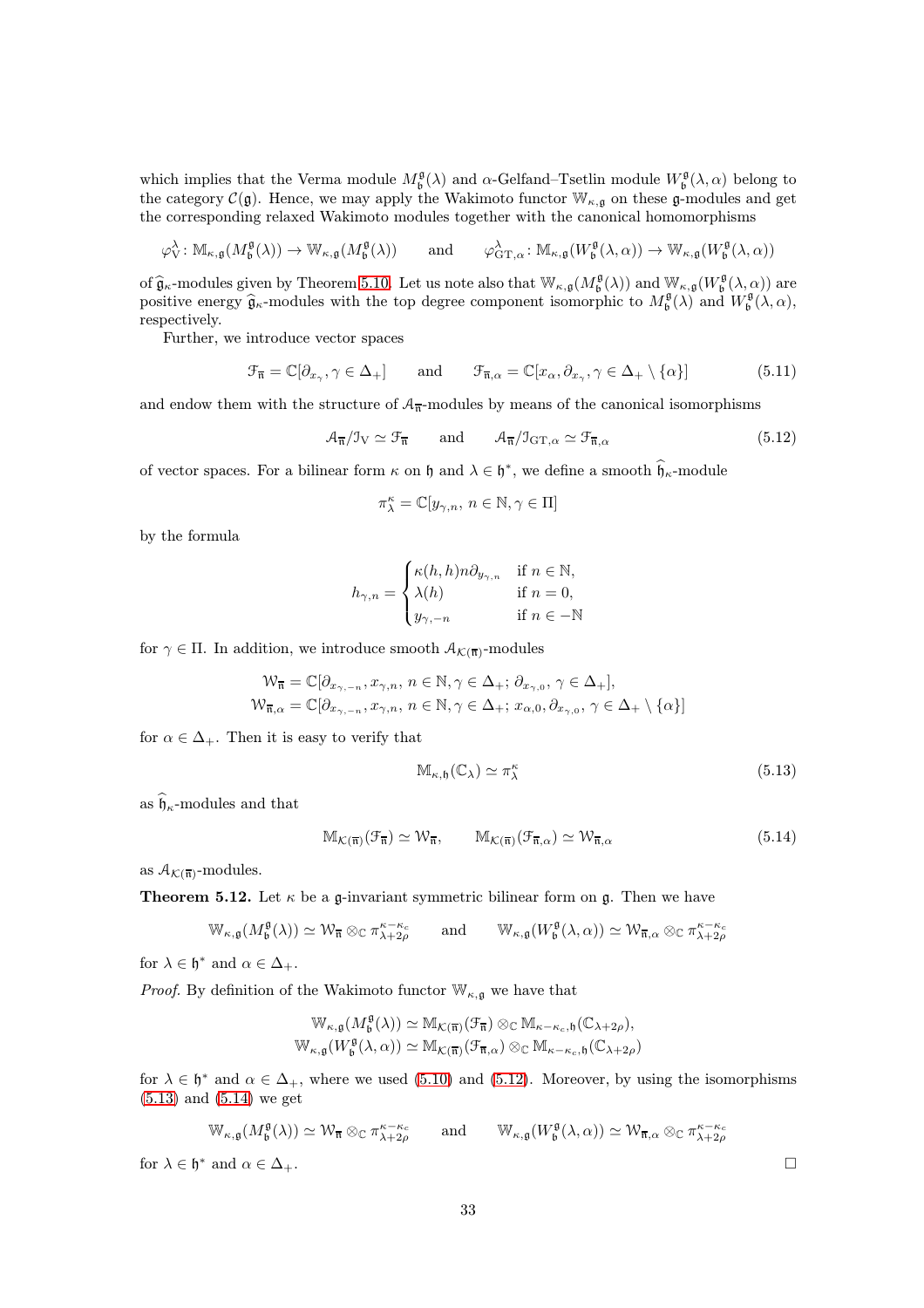which implies that the Verma module  $M_{\mathfrak{b}}^{\mathfrak{g}}(\lambda)$  and  $\alpha$ -Gelfand–Tsetlin module  $W_{\mathfrak{b}}^{\mathfrak{g}}(\lambda, \alpha)$  belong to the category  $\mathcal{C}(\mathfrak{g})$ . Hence, we may apply the Wakimoto functor  $\mathbb{W}_{\kappa,\mathfrak{g}}$  on these  $\mathfrak{g}$ -modules and get the corresponding relaxed Wakimoto modules together with the canonical homomorphisms

$$
\varphi_V^{\lambda} \colon \mathbb{M}_{\kappa, \mathfrak{g}}(M_{\mathfrak{b}}^{\mathfrak{g}}(\lambda)) \to \mathbb{W}_{\kappa, \mathfrak{g}}(M_{\mathfrak{b}}^{\mathfrak{g}}(\lambda)) \quad \text{and} \quad \varphi_{\mathrm{GT}, \alpha}^{\lambda} \colon \mathbb{M}_{\kappa, \mathfrak{g}}(W_{\mathfrak{b}}^{\mathfrak{g}}(\lambda, \alpha)) \to \mathbb{W}_{\kappa, \mathfrak{g}}(W_{\mathfrak{b}}^{\mathfrak{g}}(\lambda, \alpha))
$$

of  $\hat{\mathfrak{g}}_{\kappa}$ -modules given by Theorem [5.10.](#page-30-2) Let us note also that  $W_{\kappa,\mathfrak{g}}(M_{\mathfrak{b}}^{\mathfrak{g}}(\lambda))$  and  $W_{\kappa,\mathfrak{g}}(W_{\mathfrak{b}}^{\mathfrak{g}}(\lambda,\alpha))$  are positive energy  $\hat{\mathfrak{g}}_{\kappa}$ -modules with the top degree component isomorphic to  $M_{\mathfrak{b}}^{\mathfrak{g}}(\lambda)$  and  $W_{\mathfrak{b}}^{\mathfrak{g}}(\lambda, \alpha)$ , respectively.

Further, we introduce vector spaces

$$
\mathcal{F}_{\overline{\mathfrak{n}}} = \mathbb{C}[\partial_{x_{\gamma}}, \gamma \in \Delta_+] \quad \text{and} \quad \mathcal{F}_{\overline{\mathfrak{n}}, \alpha} = \mathbb{C}[x_{\alpha}, \partial_{x_{\gamma}}, \gamma \in \Delta_+ \setminus \{\alpha\}] \tag{5.11}
$$

and endow them with the structure of  $A_{\overline{n}}$ -modules by means of the canonical isomorphisms

$$
\mathcal{A}_{\overline{\mathfrak{n}}}/\mathfrak{I}_{V} \simeq \mathfrak{F}_{\overline{\mathfrak{n}}} \quad \text{and} \quad \mathcal{A}_{\overline{\mathfrak{n}}}/\mathfrak{I}_{\mathrm{GT},\alpha} \simeq \mathfrak{F}_{\overline{\mathfrak{n}},\alpha} \tag{5.12}
$$

of vector spaces. For a bilinear form  $\kappa$  on  $\mathfrak h$  and  $\lambda \in \mathfrak h^*$ , we define a smooth  $\mathfrak h_\kappa$ -module

<span id="page-32-1"></span>
$$
\pi^\kappa_\lambda=\mathbb{C}[y_{\gamma,n},\, n\in\mathbb{N}, \gamma\in\Pi]
$$

by the formula

$$
h_{\gamma,n} = \begin{cases} \kappa(h,h)n\partial_{y_{\gamma,n}} & \text{if } n \in \mathbb{N}, \\ \lambda(h) & \text{if } n = 0, \\ y_{\gamma,-n} & \text{if } n \in -\mathbb{N} \end{cases}
$$

for  $\gamma \in \Pi$ . In addition, we introduce smooth  $\mathcal{A}_{\mathcal{K}(\overline{\mathfrak{n}})}$ -modules

$$
\begin{aligned} \mathcal{W}_{\overline{\mathfrak{n}}} &= \mathbb{C}[\partial_{x_{\gamma,-n}}, x_{\gamma,n}, \, n \in \mathbb{N}, \gamma \in \Delta_+; \, \partial_{x_{\gamma,0}}, \, \gamma \in \Delta_+], \\ \mathcal{W}_{\overline{\mathfrak{n}},\alpha} &= \mathbb{C}[\partial_{x_{\gamma,-n}}, x_{\gamma,n}, \, n \in \mathbb{N}, \gamma \in \Delta_+; \, x_{\alpha,0}, \partial_{x_{\gamma,0}}, \, \gamma \in \Delta_+ \setminus \{\alpha\}] \end{aligned}
$$

for  $\alpha \in \Delta_+$ . Then it is easy to verify that

<span id="page-32-3"></span><span id="page-32-2"></span>
$$
\mathbb{M}_{\kappa,\mathfrak{h}}(\mathbb{C}_{\lambda}) \simeq \pi_{\lambda}^{\kappa} \tag{5.13}
$$

as  $\widehat{\mathfrak{h}}_{\kappa}$ -modules and that

$$
\mathbb{M}_{\mathcal{K}(\overline{\mathfrak{n}})}(\mathcal{F}_{\overline{\mathfrak{n}}}) \simeq \mathcal{W}_{\overline{\mathfrak{n}}}, \qquad \mathbb{M}_{\mathcal{K}(\overline{\mathfrak{n}})}(\mathcal{F}_{\overline{\mathfrak{n}}, \alpha}) \simeq \mathcal{W}_{\overline{\mathfrak{n}}, \alpha}
$$
(5.14)

<span id="page-32-0"></span>as  $A_{\mathcal{K}(\overline{\mathfrak{n}})}$ -modules.

**Theorem 5.12.** Let  $\kappa$  be a g-invariant symmetric bilinear form on g. Then we have

$$
\mathbb{W}_{\kappa,\mathfrak{g}}(M_{\mathfrak{b}}^{\mathfrak{g}}(\lambda))\simeq \mathcal{W}_{\overline{\mathfrak{n}}}\otimes_\mathbb{C} \pi_{\lambda+2\rho}^{\kappa-\kappa_c} \qquad \text{and} \qquad \mathbb{W}_{\kappa,\mathfrak{g}}(W_{\mathfrak{b}}^{\mathfrak{g}}(\lambda,\alpha))\simeq \mathcal{W}_{\overline{\mathfrak{n}},\alpha}\otimes_\mathbb{C} \pi_{\lambda+2\rho}^{\kappa-\kappa_c}
$$

for  $\lambda \in \mathfrak{h}^*$  and  $\alpha \in \Delta_+$ .

*Proof.* By definition of the Wakimoto functor  $\mathbb{W}_{\kappa, \mathfrak{g}}$  we have that

$$
\begin{aligned} \mathbb{W}_{\kappa,\mathfrak{g}}(M_{\mathfrak{b}}^{\mathfrak{g}}(\lambda))&\simeq \mathbb{M}_{\mathcal{K}(\overline{\mathfrak{n}})}(\mathcal{F}_{\overline{\mathfrak{n}}})\otimes_{\mathbb{C}}\mathbb{M}_{\kappa-\kappa_c,\mathfrak{h}}(\mathbb{C}_{\lambda+2\rho}),\\ \mathbb{W}_{\kappa,\mathfrak{g}}(W_{\mathfrak{b}}^{\mathfrak{g}}(\lambda,\alpha))&\simeq \mathbb{M}_{\mathcal{K}(\overline{\mathfrak{n}})}(\mathcal{F}_{\overline{\mathfrak{n}},\alpha})\otimes_{\mathbb{C}}\mathbb{M}_{\kappa-\kappa_c,\mathfrak{h}}(\mathbb{C}_{\lambda+2\rho})\end{aligned}
$$

for  $\lambda \in \mathfrak{h}^*$  and  $\alpha \in \Delta_+$ , where we used [\(5.10\)](#page-31-0) and [\(5.12\)](#page-32-1). Moreover, by using the isomorphisms [\(5.13\)](#page-32-2) and [\(5.14\)](#page-32-3) we get

$$
\mathbb{W}_{\kappa,\mathfrak{g}}(M_{\mathfrak{b}}^{\mathfrak{g}}(\lambda)) \simeq \mathcal{W}_{\overline{\mathfrak{n}}} \otimes_{\mathbb{C}} \pi_{\lambda+2\rho}^{\kappa-\kappa_c} \qquad \text{and} \qquad \mathbb{W}_{\kappa,\mathfrak{g}}(W_{\mathfrak{b}}^{\mathfrak{g}}(\lambda,\alpha)) \simeq \mathcal{W}_{\overline{\mathfrak{n}},\alpha} \otimes_{\mathbb{C}} \pi_{\lambda+2\rho}^{\kappa-\kappa_c}
$$

for  $\lambda \in \mathfrak{h}^*$  and  $\alpha \in \Delta_+$ .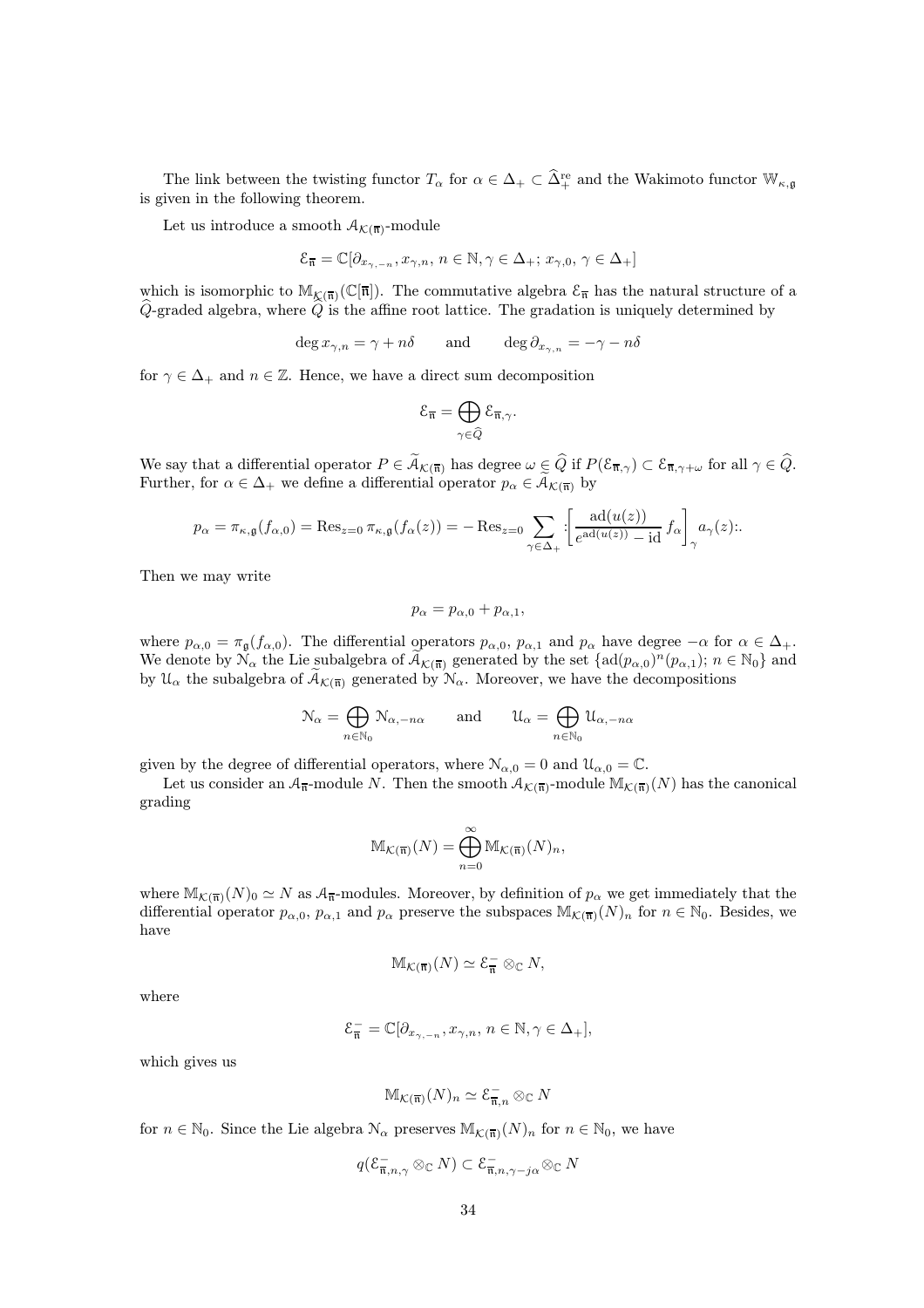The link between the twisting functor  $T_{\alpha}$  for  $\alpha \in \Delta_+ \subset \tilde{\Delta}^{\text{re}}_+$  and the Wakimoto functor  $\mathbb{W}_{\kappa,\mathfrak{g}}$ is given in the following theorem.

Let us introduce a smooth  $A_{\mathcal{K}(\overline{\mathfrak{n}})}$ -module

$$
\mathcal{E}_{\overline{\mathfrak{n}}}=\mathbb{C}[\partial_{x_{\gamma,-n}},x_{\gamma,n},\,n\in\mathbb{N},\gamma\in\Delta_+;\,x_{\gamma,0},\,\gamma\in\Delta_+]
$$

which is isomorphic to  $\mathbb{M}_{\mathcal{K}(\overline{n})}(\mathbb{C}[\overline{n}])$ . The commutative algebra  $\mathcal{E}_{\overline{n}}$  has the natural structure of a  $\hat{Q}$ -graded algebra, where  $\hat{Q}$  is the affine root lattice. The gradation is uniquely determined by

$$
\deg x_{\gamma,n} = \gamma + n\delta \qquad \text{and} \qquad \deg \partial_{x_{\gamma,n}} = -\gamma - n\delta
$$

for  $\gamma \in \Delta_+$  and  $n \in \mathbb{Z}$ . Hence, we have a direct sum decomposition

$$
\mathcal{E}_{\overline{\mathfrak{n}}}=\bigoplus_{\gamma\in \widehat{Q}}\mathcal{E}_{\overline{\mathfrak{n}},\gamma}.
$$

We say that a differential operator  $P \in \widetilde{\mathcal{A}}_{\mathcal{K}(\overline{\mathfrak{n}})}$  has degree  $\omega \in \widehat{Q}$  if  $P(\mathcal{E}_{\overline{\mathfrak{n}},\gamma}) \subset \mathcal{E}_{\overline{\mathfrak{n}},\gamma+\omega}$  for all  $\gamma \in \widehat{Q}$ . Further, for  $\alpha \in \Delta_+$  we define a differential operator  $p_\alpha \in \widetilde{\mathcal{A}}_{\mathcal{K}(\overline{n})}$  by

$$
p_{\alpha} = \pi_{\kappa,\mathfrak{g}}(f_{\alpha,0}) = \text{Res}_{z=0} \,\pi_{\kappa,\mathfrak{g}}(f_{\alpha}(z)) = -\text{Res}_{z=0} \sum_{\gamma \in \Delta_+} \left[ \frac{\text{ad}(u(z))}{e^{\text{ad}(u(z))} - \text{id}} f_{\alpha} \right]_{\gamma} a_{\gamma}(z).
$$

Then we may write

$$
p_{\alpha} = p_{\alpha,0} + p_{\alpha,1},
$$

where  $p_{\alpha,0} = \pi_{\mathfrak{g}}(f_{\alpha,0})$ . The differential operators  $p_{\alpha,0}$ ,  $p_{\alpha,1}$  and  $p_{\alpha}$  have degree  $-\alpha$  for  $\alpha \in \Delta_+$ . We denote by  $\mathcal{N}_{\alpha}$  the Lie subalgebra of  $\widetilde{A}_{\mathcal{K}(\overline{n})}$  generated by the set  $\{ad(p_{\alpha,0})^n(p_{\alpha,1}); n \in \mathbb{N}_0\}$  and by  $\mathcal{U}_{\alpha}$  the subalgebra of  $\widetilde{A}_{\mathcal{K}(\overline{n})}$  generated by  $\mathcal{N}_{\alpha}$ . Moreover, we have the decompositions

$$
\mathcal{N}_{\alpha} = \bigoplus_{n \in \mathbb{N}_0} \mathcal{N}_{\alpha, -n\alpha} \quad \text{and} \quad \mathcal{U}_{\alpha} = \bigoplus_{n \in \mathbb{N}_0} \mathcal{U}_{\alpha, -n\alpha}
$$

given by the degree of differential operators, where  $\mathcal{N}_{\alpha,0} = 0$  and  $\mathcal{U}_{\alpha,0} = \mathbb{C}$ .

Let us consider an  $\mathcal{A}_{\overline{n}}$ -module N. Then the smooth  $\mathcal{A}_{\mathcal{K}(\overline{n})}$ -module  $\mathbb{M}_{\mathcal{K}(\overline{n})}(N)$  has the canonical grading

$$
\mathbb{M}_{\mathcal{K}(\overline{\mathfrak{n}})}(N) = \bigoplus_{n=0}^{\infty} \mathbb{M}_{\mathcal{K}(\overline{\mathfrak{n}})}(N)_n,
$$

where  $\mathbb{M}_{K(\overline{n})}(N)_0 \simeq N$  as  $\mathcal{A}_{\overline{n}}$ -modules. Moreover, by definition of  $p_\alpha$  we get immediately that the differential operator  $p_{\alpha,0}$ ,  $p_{\alpha,1}$  and  $p_{\alpha}$  preserve the subspaces  $\mathbb{M}_{\mathcal{K}(\overline{n})}(N)_n$  for  $n \in \mathbb{N}_0$ . Besides, we have

$$
\mathbb{M}_{\mathcal{K}(\overline{\mathfrak{n}})}(N) \simeq \mathcal{E}_{\overline{\mathfrak{n}}}^- \otimes_\mathbb{C} N,
$$

where

$$
\mathcal{E}_{\overline{\mathfrak{n}}}^{-}=\mathbb{C}[\partial_{x_{\gamma,-n}},x_{\gamma,n},\,n\in\mathbb{N},\gamma\in\Delta_{+}],
$$

which gives us

$$
\mathbb{M}_{\mathcal{K}(\overline{\mathfrak{n}})}(N)_n \simeq \mathcal{E}_{\overline{\mathfrak{n}},n}^- \otimes_{\mathbb{C}} N
$$

for  $n \in \mathbb{N}_0$ . Since the Lie algebra  $\mathcal{N}_{\alpha}$  preserves  $\mathbb{M}_{\mathcal{K}(\overline{n})}(N)_n$  for  $n \in \mathbb{N}_0$ , we have

$$
q(\mathcal{E}_{\overline{\mathfrak{n}},n,\gamma}^{-}\otimes_\mathbb{C} N)\subset \mathcal{E}_{\overline{\mathfrak{n}},n,\gamma-j\alpha}^{-}\otimes_\mathbb{C} N
$$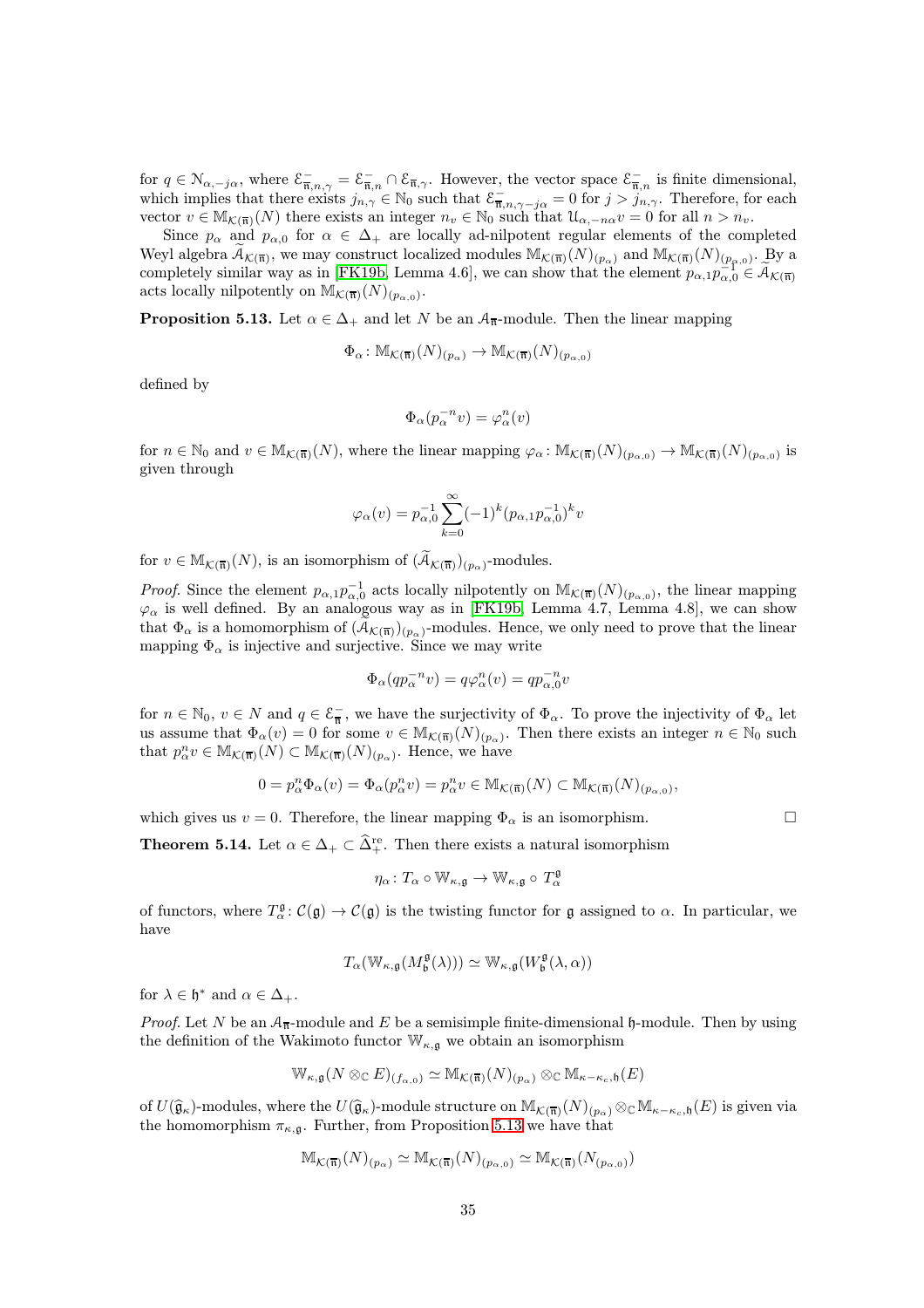for  $q \in \mathcal{N}_{\alpha,-j\alpha}$ , where  $\mathcal{E}_{\overline{n},n,\gamma}^- = \mathcal{E}_{\overline{n},n}^- \cap \mathcal{E}_{\overline{n},\gamma}$ . However, the vector space  $\mathcal{E}_{\overline{n},n}^-$  is finite dimensional, which implies that there exists  $j_{n,\gamma} \in \mathbb{N}_0$  such that  $\mathcal{E}_{\overline{n},n,\gamma-j\alpha}^- = 0$  for  $j > j_{n,\gamma}$ . Therefore, for each vector  $v \in M_{\mathcal{K}(\overline{n})}(N)$  there exists an integer  $n_v \in \mathbb{N}_0$  such that  $\mathcal{U}_{\alpha,-n\alpha}v = 0$  for all  $n > n_v$ .

Since  $p_{\alpha}$  and  $p_{\alpha,0}$  for  $\alpha \in \Delta_+$  are locally ad-nilpotent regular elements of the completed Weyl algebra  $\widetilde{A}_{\mathcal{K}(\overline{n})}$ , we may construct localized modules  $\mathbb{M}_{\mathcal{K}(\overline{n})}(N)_{(p_{\alpha})}$  and  $\mathbb{M}_{\mathcal{K}(\overline{n})}(N)_{(p_{\alpha},0)}$ . By a completely similar way as in [\[FK19b,](#page-43-6) Lemma 4.6], we can show that the element  $p_{\alpha,1}p_{\alpha,0}^{\alpha} \in \widetilde{A}_{\mathcal{K}(\overline{n})}$ acts locally nilpotently on  $\mathbb{M}_{\mathcal{K}(\overline{\mathfrak{n}})}(N)_{(p_{\alpha,0})}$ .

<span id="page-34-1"></span>**Proposition 5.13.** Let  $\alpha \in \Delta_+$  and let N be an  $\mathcal{A}_{\overline{n}}$ -module. Then the linear mapping

$$
\Phi_{\alpha} \colon \mathbb{M}_{\mathcal{K}(\overline{\mathfrak{n}})}(N)_{(p_{\alpha})} \to \mathbb{M}_{\mathcal{K}(\overline{\mathfrak{n}})}(N)_{(p_{\alpha},0)}
$$

defined by

$$
\Phi_\alpha(p_\alpha^{-n}v)=\varphi_\alpha^n(v)
$$

for  $n \in \mathbb{N}_0$  and  $v \in M_{\mathcal{K}(\overline{\mathfrak{n}})}(N)$ , where the linear mapping  $\varphi_\alpha \colon M_{\mathcal{K}(\overline{\mathfrak{n}})}(N)_{(p_{\alpha,0})} \to M_{\mathcal{K}(\overline{\mathfrak{n}})}(N)_{(p_{\alpha,0})}$  is given through

$$
\varphi_{\alpha}(v) = p_{\alpha,0}^{-1} \sum_{k=0}^{\infty} (-1)^k (p_{\alpha,1} p_{\alpha,0}^{-1})^k v
$$

for  $v \in M_{\mathcal{K}(\overline{\mathfrak{n}})}(N)$ , is an isomorphism of  $(\widetilde{A}_{\mathcal{K}(\overline{\mathfrak{n}})})_{(p_{\alpha})}$ -modules.

*Proof.* Since the element  $p_{\alpha,1}p_{\alpha,0}^{-1}$  acts locally nilpotently on  $\mathbb{M}_{\mathcal{K}(\overline{n})}(N)_{(p_{\alpha,0})}$ , the linear mapping  $\varphi_{\alpha}$  is well defined. By an analogous way as in [\[FK19b,](#page-43-6) Lemma 4.7, Lemma 4.8], we can show that  $\Phi_{\alpha}$  is a homomorphism of  $(\widetilde{A}_{\mathcal{K}(\overline{n})})_{(p_{\alpha})}$ -modules. Hence, we only need to prove that the linear mapping  $\Phi_{\alpha}$  is injective and surjective. Since we may write

$$
\Phi_{\alpha}(qp_{\alpha}^{-n}v) = q\varphi_{\alpha}^{n}(v) = qp_{\alpha,0}^{-n}v
$$

for  $n \in \mathbb{N}_0$ ,  $v \in N$  and  $q \in \mathcal{E}_{\overline{n}}^-$ , we have the surjectivity of  $\Phi_\alpha$ . To prove the injectivity of  $\Phi_\alpha$  let us assume that  $\Phi_{\alpha}(v) = 0$  for some  $v \in M_{\mathcal{K}(\overline{n})}(N)_{(p_{\alpha})}$ . Then there exists an integer  $n \in \mathbb{N}_0$  such that  $p_{\alpha}^n v \in M_{\mathcal{K}(\overline{n})}(N) \subset M_{\mathcal{K}(\overline{n})}(N)_{(p_{\alpha})}$ . Hence, we have

$$
0 = p_{\alpha}^{n} \Phi_{\alpha}(v) = \Phi_{\alpha}(p_{\alpha}^{n} v) = p_{\alpha}^{n} v \in M_{\mathcal{K}(\overline{\mathfrak{n}})}(N) \subset M_{\mathcal{K}(\overline{\mathfrak{n}})}(N)_{(p_{\alpha,0})},
$$

<span id="page-34-0"></span>which gives us  $v = 0$ . Therefore, the linear mapping  $\Phi_{\alpha}$  is an isomorphism.

**Theorem 5.14.** Let  $\alpha \in \Delta_+ \subset \widehat{\Delta}^{\text{re}}_+$ . Then there exists a natural isomorphism

$$
\eta_{\alpha} \colon T_{\alpha} \circ \mathbb{W}_{\kappa, \mathfrak{g}} \to \mathbb{W}_{\kappa, \mathfrak{g}} \circ T_{\alpha}^{\mathfrak{g}}
$$

of functors, where  $T^{\mathfrak{g}}_{\alpha} : \mathcal{C}(\mathfrak{g}) \to \mathcal{C}(\mathfrak{g})$  is the twisting functor for  $\mathfrak{g}$  assigned to  $\alpha$ . In particular, we have

$$
T_{\alpha}(\mathbb{W}_{\kappa ,\mathfrak{g}}(M_{\mathfrak{b}}^{\mathfrak{g}}(\lambda)))\simeq \mathbb{W}_{\kappa ,\mathfrak{g}}(W_{\mathfrak{b}}^{\mathfrak{g}}(\lambda,\alpha))
$$

for  $\lambda \in \mathfrak{h}^*$  and  $\alpha \in \Delta_+$ .

*Proof.* Let N be an  $A_{\overline{n}}$ -module and E be a semisimple finite-dimensional h-module. Then by using the definition of the Wakimoto functor  $\mathbb{W}_{\kappa,\mathfrak{g}}$  we obtain an isomorphism

$$
\mathbb{W}_{\kappa,\mathfrak{g}}(N \otimes_{\mathbb{C}} E)_{(f_{\alpha,0})} \simeq \mathbb{M}_{\mathcal{K}(\overline{\mathfrak{n}})}(N)_{(p_{\alpha})} \otimes_{\mathbb{C}} \mathbb{M}_{\kappa-\kappa_c,\mathfrak{h}}(E)
$$

of  $U(\widehat{\mathfrak{g}}_{\kappa})$ -modules, where the  $U(\widehat{\mathfrak{g}}_{\kappa})$ -module structure on  $M_{\mathcal{K}(\overline{\mathfrak{n}})}(N)_{(p_{\alpha})}\otimes_{\mathbb{C}} M_{\kappa-\kappa_c,\mathfrak{h}}(E)$  is given via the homomorphism  $\pi_{\kappa,\mathfrak{g}}$ . Further, from Proposition [5.13](#page-34-1) we have that

$$
\mathbb{M}_{\mathcal{K}(\overline{\mathfrak{n}})}(N)_{(p_{\alpha})} \simeq \mathbb{M}_{\mathcal{K}(\overline{\mathfrak{n}})}(N)_{(p_{\alpha,0})} \simeq \mathbb{M}_{\mathcal{K}(\overline{\mathfrak{n}})}(N_{(p_{\alpha,0})})
$$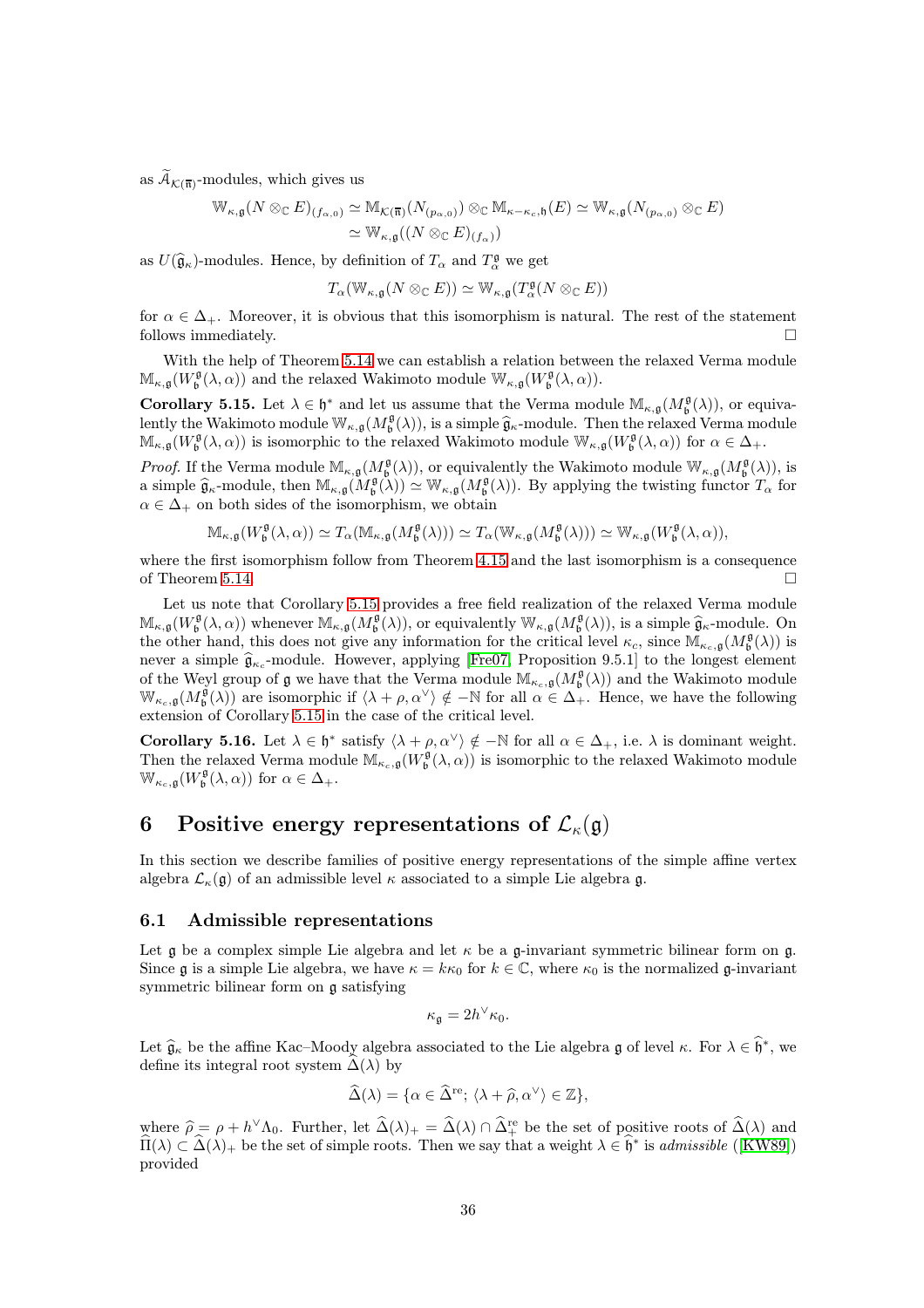as  $\widetilde{A}_{\mathcal{K}(\overline{n})}$ -modules, which gives us

$$
\mathbb{W}_{\kappa,\mathfrak{g}}(N \otimes_{\mathbb{C}} E)_{(f_{\alpha,0})} \simeq \mathbb{M}_{\mathcal{K}(\overline{\mathfrak{n}})}(N_{(p_{\alpha,0})}) \otimes_{\mathbb{C}} \mathbb{M}_{\kappa-\kappa_c,\mathfrak{h}}(E) \simeq \mathbb{W}_{\kappa,\mathfrak{g}}(N_{(p_{\alpha,0})} \otimes_{\mathbb{C}} E)
$$
  

$$
\simeq \mathbb{W}_{\kappa,\mathfrak{g}}((N \otimes_{\mathbb{C}} E)_{(f_{\alpha})})
$$

as  $U(\widehat{\mathfrak{g}}_{\kappa})$ -modules. Hence, by definition of  $T_{\alpha}$  and  $T_{\alpha}^{\mathfrak{g}}$  we get

$$
T_{\alpha}(\mathbb{W}_{\kappa,\mathfrak{g}}(N\otimes_{\mathbb{C}} E))\simeq \mathbb{W}_{\kappa,\mathfrak{g}}(T_{\alpha}^{\mathfrak{g}}(N\otimes_{\mathbb{C}} E))
$$

for  $\alpha \in \Delta_+$ . Moreover, it is obvious that this isomorphism is natural. The rest of the statement follows immediately.

With the help of Theorem [5.14](#page-34-0) we can establish a relation between the relaxed Verma module  $\mathbb{M}_{\kappa,\mathfrak{g}}(W_{\mathfrak{b}}^{\mathfrak{g}}(\lambda,\alpha))$  and the relaxed Wakimoto module  $\mathbb{W}_{\kappa,\mathfrak{g}}(W_{\mathfrak{b}}^{\mathfrak{g}}(\lambda,\alpha)).$ 

<span id="page-35-2"></span>**Corollary 5.15.** Let  $\lambda \in \mathfrak{h}^*$  and let us assume that the Verma module  $\mathbb{M}_{\kappa,\mathfrak{g}}(M_{\mathfrak{b}}^{\mathfrak{g}}(\lambda))$ , or equivalently the Wakimoto module  $\mathbb{W}_{\kappa,\mathfrak{g}}(M_{\mathfrak{b}}^{\mathfrak{g}}(\lambda))$ , is a simple  $\hat{\mathfrak{g}}_{\kappa}$ -module. Then the relaxed Verma module  $\mathbb{M}_{\kappa,\mathfrak{g}}(W^{\mathfrak{g}}_{\mathfrak{b}}(\lambda,\alpha))$  is isomorphic to the relaxed Wakimoto module  $\mathbb{W}_{\kappa,\mathfrak{g}}(W^{\mathfrak{g}}_{\mathfrak{b}}(\lambda,\alpha))$  for  $\alpha \in \Delta_{+}$ .

*Proof.* If the Verma module  $\mathbb{M}_{\kappa,\mathfrak{g}}(M^{\mathfrak{g}}_{\mathfrak{b}}(\lambda))$ , or equivalently the Wakimoto module  $\mathbb{W}_{\kappa,\mathfrak{g}}(M^{\mathfrak{g}}_{\mathfrak{b}}(\lambda))$ , is a simple  $\hat{\mathfrak{g}}_{\kappa}$ -module, then  $\mathbb{M}_{\kappa,\mathfrak{g}}(M_{\mathfrak{b}}^{\mathfrak{g}}(\lambda)) \simeq \mathbb{W}_{\kappa,\mathfrak{g}}(M_{\mathfrak{b}}^{\mathfrak{g}}(\lambda)).$  By applying the twisting functor  $T_{\alpha}$  for  $\alpha \in \Delta_+$  on both sides of the isomorphism, we obtain

$$
\mathbb{M}_{\kappa,\mathfrak{g}}(W_{\mathfrak{b}}^{\mathfrak{g}}(\lambda,\alpha))\simeq T_{\alpha}(\mathbb{M}_{\kappa,\mathfrak{g}}(M_{\mathfrak{b}}^{\mathfrak{g}}(\lambda)))\simeq T_{\alpha}(\mathbb{W}_{\kappa,\mathfrak{g}}(M_{\mathfrak{b}}^{\mathfrak{g}}(\lambda)))\simeq \mathbb{W}_{\kappa,\mathfrak{g}}(W_{\mathfrak{b}}^{\mathfrak{g}}(\lambda,\alpha)),
$$

where the first isomorphism follow from Theorem [4.15](#page-23-3) and the last isomorphism is a consequence of Theorem [5.14.](#page-34-0)

Let us note that Corollary [5.15](#page-35-2) provides a free field realization of the relaxed Verma module  $\mathbb{M}_{\kappa,g}(W^{\mathfrak{g}}_{\mathfrak{b}}(\lambda,\alpha))$  whenever  $\mathbb{M}_{\kappa,g}(M^{\mathfrak{g}}_{\mathfrak{b}}(\lambda))$ , or equivalently  $\mathbb{W}_{\kappa,g}(M^{\mathfrak{g}}_{\mathfrak{b}}(\lambda))$ , is a simple  $\widehat{\mathfrak{g}}_{\kappa}$ -module. On the other hand, this does not give any information for the critical level  $\kappa_c$ , since  $\mathbb{M}_{\kappa_c,\mathfrak{g}}(M_\mathfrak{b}^{\mathfrak{g}}(\lambda))$  is never a simple  $\hat{\mathfrak{g}}_{\kappa_c}$ -module. However, applying [\[Fre07,](#page-43-10) Proposition 9.5.1] to the longest element of the Weyl group of  $\mathfrak g$  we have that the Verma module  $\mathbb{M}_{\kappa_c,\mathfrak g}(M_{\mathfrak b}^{\mathfrak g}(\lambda))$  and the Wakimoto module  $\mathbb{W}_{\kappa_c,\mathfrak{g}}(M_{\mathfrak{b}}^{\mathfrak{g}}(\lambda))$  are isomorphic if  $\langle \lambda + \rho, \alpha^{\vee} \rangle \notin -\mathbb{N}$  for all  $\alpha \in \Delta_+$ . Hence, we have the following extension of Corollary [5.15](#page-35-2) in the case of the critical level.

<span id="page-35-3"></span>**Corollary 5.16.** Let  $\lambda \in \mathfrak{h}^*$  satisfy  $\langle \lambda + \rho, \alpha^{\vee} \rangle \notin -\mathbb{N}$  for all  $\alpha \in \Delta_+$ , i.e.  $\lambda$  is dominant weight. Then the relaxed Verma module  $\mathbb{M}_{\kappa_c,\mathfrak{g}}(W^{\mathfrak{g}}_{\mathfrak{b}}(\lambda,\alpha))$  is isomorphic to the relaxed Wakimoto module  $\mathbb{W}_{\kappa_c, \mathfrak{g}}(W^{\mathfrak{g}}_{\mathfrak{b}}(\lambda, \alpha))$  for  $\alpha \in \Delta_+$ .

## <span id="page-35-0"></span>6 Positive energy representations of  $\mathcal{L}_{\kappa}(\mathfrak{g})$

In this section we describe families of positive energy representations of the simple affine vertex algebra  $\mathcal{L}_{\kappa}(\mathfrak{g})$  of an admissible level  $\kappa$  associated to a simple Lie algebra g.

#### <span id="page-35-1"></span>6.1 Admissible representations

Let  $\mathfrak g$  be a complex simple Lie algebra and let  $\kappa$  be a  $\mathfrak g$ -invariant symmetric bilinear form on  $\mathfrak g$ . Since g is a simple Lie algebra, we have  $\kappa = k\kappa_0$  for  $k \in \mathbb{C}$ , where  $\kappa_0$  is the normalized g-invariant symmetric bilinear form on g satisfying

$$
\kappa_{\mathfrak{g}}=2h^\vee\kappa_0.
$$

Let  $\hat{\mathfrak{g}}_{\kappa}$  be the affine Kac–Moody algebra associated to the Lie algebra g of level  $\kappa$ . For  $\lambda \in \hat{\mathfrak{h}}^*$ , we define its integral root system  $\tilde{\Delta}(\lambda)$  by

$$
\widehat{\Delta}(\lambda) = \{ \alpha \in \widehat{\Delta}^{\text{re}}; \, \langle \lambda + \widehat{\rho}, \alpha^{\vee} \rangle \in \mathbb{Z} \},
$$

where  $\hat{\rho} = \rho + h^{\vee} \Lambda_0$ . Further, let  $\hat{\Delta}(\lambda) + \hat{\Delta}(\lambda) \cap \hat{\Delta}_{+}^{\text{re}}$  be the set of positive roots of  $\hat{\Delta}(\lambda)$  and  $\widehat{\Pi}(\lambda) \subset \widehat{\Delta}(\lambda)$  be the set of simple roots. Then we say that a weight  $\lambda \in \widehat{\mathfrak{h}}^*$  is admissible ([\[KW89\]](#page-43-16)) provided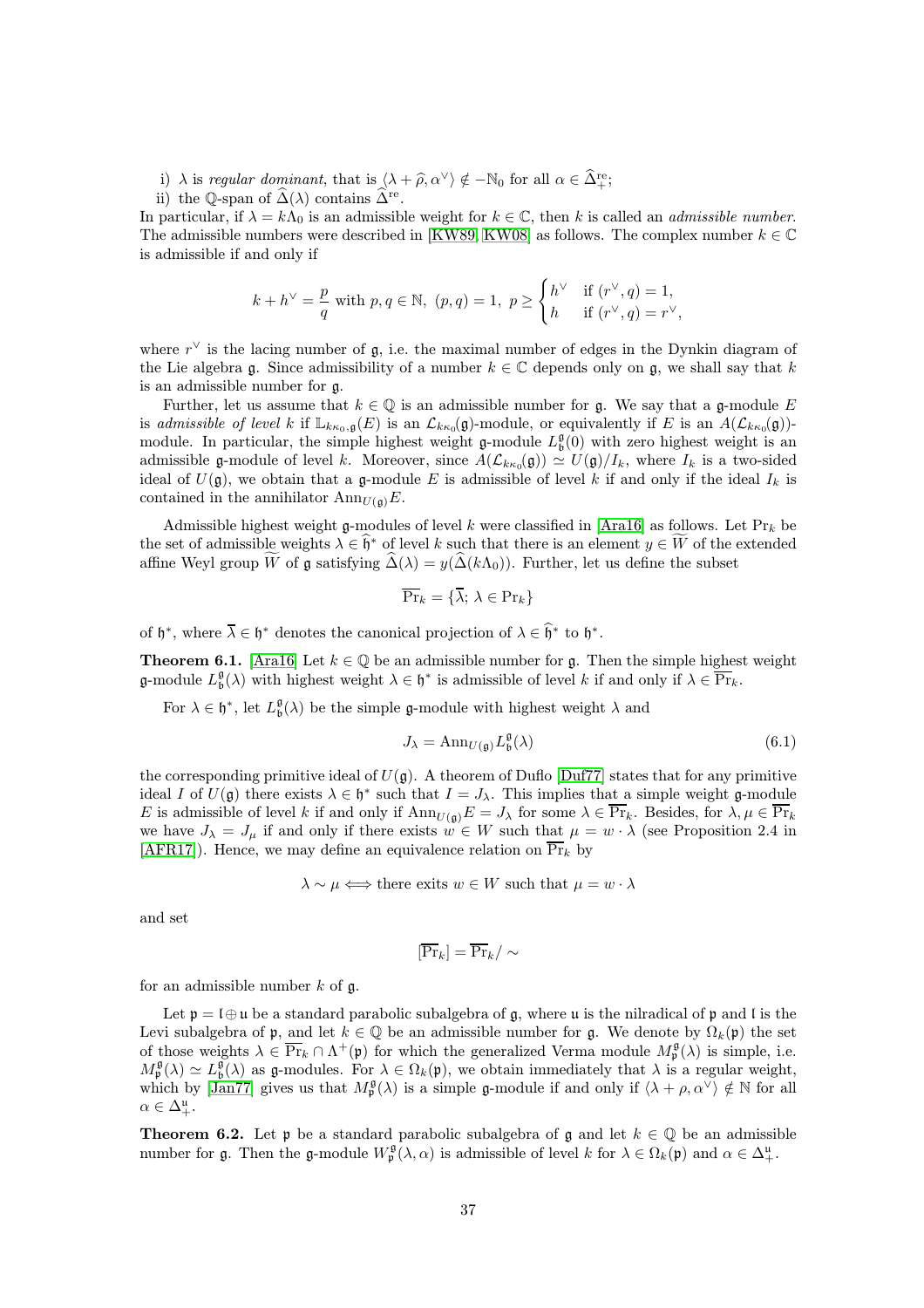i)  $\lambda$  is regular dominant, that is  $\langle \lambda + \hat{\rho}, \alpha^{\vee} \rangle \notin -\mathbb{N}_0$  for all  $\alpha \in \tilde{\Delta}^{\text{re}}_+;$ 

ii) the Q-span of  $\widehat{\Delta}(\lambda)$  contains  $\widehat{\Delta}^{\text{re}}$ .

In particular, if  $\lambda = k\Lambda_0$  is an admissible weight for  $k \in \mathbb{C}$ , then k is called an *admissible number*. The admissible numbers were described in [\[KW89,](#page-43-16) [KW08\]](#page-43-17) as follows. The complex number  $k \in \mathbb{C}$ is admissible if and only if

$$
k+h^\vee=\frac{p}{q}\text{ with }p,q\in\mathbb{N},\text{ }(p,q)=1,\text{ }p\geq\begin{cases} h^\vee&\text{if }(r^\vee,q)=1,\\ h&\text{ if }(r^\vee,q)=r^\vee,\end{cases}
$$

where  $r^{\vee}$  is the lacing number of  $\mathfrak{g}$ , i.e. the maximal number of edges in the Dynkin diagram of the Lie algebra g. Since admissibility of a number  $k \in \mathbb{C}$  depends only on g, we shall say that k is an admissible number for g.

Further, let us assume that  $k \in \mathbb{Q}$  is an admissible number for g. We say that a g-module E is admissible of level k if  $\mathbb{L}_{k\kappa_0,\mathfrak{g}}(E)$  is an  $\mathcal{L}_{k\kappa_0}(\mathfrak{g})$ -module, or equivalently if E is an  $A(\mathcal{L}_{k\kappa_0}(\mathfrak{g}))$ module. In particular, the simple highest weight  $\mathfrak{g}\text{-module } L^{\mathfrak{g}}_{\mathfrak{b}}(0)$  with zero highest weight is an admissible g-module of level k. Moreover, since  $A(\mathcal{L}_{k\kappa_0}(\mathfrak{g})) \simeq U(\mathfrak{g})/I_k$ , where  $I_k$  is a two-sided ideal of  $U(\mathfrak{g})$ , we obtain that a g-module E is admissible of level k if and only if the ideal  $I_k$  is contained in the annihilator  $\text{Ann}_{U(\mathfrak{g})}E$ .

Admissible highest weight g-modules of level k were classified in [\[Ara16\]](#page-42-9) as follows. Let  $\Pr_k$  be the set of admissible weights  $\lambda \in \mathfrak{h}^*$  of level k such that there is an element  $y \in W$  of the extended affine Weyl group W of g satisfying  $\hat{\Delta}(\lambda) = y(\hat{\Delta}(k\Lambda_0))$ . Further, let us define the subset

$$
\overline{\Pr}_k = \{ \overline{\lambda}; \, \lambda \in \Pr_k \}
$$

<span id="page-36-0"></span>of  $\mathfrak{h}^*$ , where  $\overline{\lambda} \in \mathfrak{h}^*$  denotes the canonical projection of  $\lambda \in \widehat{\mathfrak{h}}^*$  to  $\mathfrak{h}^*$ .

**Theorem 6.1.** [\[Ara16\]](#page-42-9) Let  $k \in \mathbb{Q}$  be an admissible number for g. Then the simple highest weight **g**-module  $L^{\mathfrak{g}}_b(\lambda)$  with highest weight  $\lambda \in \mathfrak{h}^*$  is admissible of level k if and only if  $\lambda \in \overline{\Pr}_k$ .

For  $\lambda \in \mathfrak{h}^*$ , let  $L^{\mathfrak{g}}_{\mathfrak{b}}(\lambda)$  be the simple  $\mathfrak{g}\text{-module with highest weight } \lambda$  and

$$
J_{\lambda} = \operatorname{Ann}_{U(\mathfrak{g})} L_{\mathfrak{b}}^{\mathfrak{g}}(\lambda) \tag{6.1}
$$

the corresponding primitive ideal of  $U(\mathfrak{a})$ . A theorem of Duflo [\[Duf77\]](#page-42-15) states that for any primitive ideal I of  $U(\mathfrak{g})$  there exists  $\lambda \in \mathfrak{h}^*$  such that  $I = J_\lambda$ . This implies that a simple weight g-module E is admissible of level k if and only if  $\text{Ann}_{U(\mathfrak{g})}E = J_\lambda$  for some  $\lambda \in \overline{\Pr}_k$ . Besides, for  $\lambda, \mu \in \overline{\Pr}_k$ we have  $J_{\lambda} = J_{\mu}$  if and only if there exists  $w \in W$  such that  $\mu = w \cdot \lambda$  (see Proposition 2.4 in [\[AFR17\]](#page-42-4)). Hence, we may define an equivalence relation on  $\overline{\Pr}_k$  by

$$
\lambda \sim \mu \Longleftrightarrow
$$
 there exists  $w \in W$  such that  $\mu = w \cdot \lambda$ 

and set

$$
[\overline{\Pr}_k] = \overline{\Pr}_k / \sim
$$

for an admissible number  $k$  of  $\mathfrak{g}$ .

Let  $\mathfrak{p} = \mathfrak{l} \oplus \mathfrak{u}$  be a standard parabolic subalgebra of g, where u is the nilradical of  $\mathfrak{p}$  and  $\mathfrak{l}$  is the Levi subalgebra of p, and let  $k \in \mathbb{Q}$  be an admissible number for g. We denote by  $\Omega_k(\mathfrak{p})$  the set of those weights  $\lambda \in \overline{\Pr}_k \cap \Lambda^+(\mathfrak{p})$  for which the generalized Verma module  $M_\mathfrak{p}^\mathfrak{g}(\lambda)$  is simple, i.e.  $M_{\mathfrak{p}}^{\mathfrak{g}}(\lambda) \simeq L_{\mathfrak{b}}^{\mathfrak{g}}(\lambda)$  as g-modules. For  $\lambda \in \Omega_k(\mathfrak{p})$ , we obtain immediately that  $\lambda$  is a regular weight, which by [\[Jan77\]](#page-43-18) gives us that  $M_{\mathfrak{p}}^{\mathfrak{g}}(\lambda)$  is a simple g-module if and only if  $\langle \lambda + \rho, \alpha^{\vee} \rangle \notin \mathbb{N}$  for all  $\alpha \in \Delta^{\mathfrak{u}}_{+}.$ 

**Theorem 6.2.** Let p be a standard parabolic subalgebra of g and let  $k \in \mathbb{Q}$  be an admissible number for **g**. Then the **g**-module  $W_{\mathfrak{p}}^{\mathfrak{g}}(\lambda, \alpha)$  is admissible of level k for  $\lambda \in \Omega_k(\mathfrak{p})$  and  $\alpha \in \Delta^{\mathfrak{u}}_+$ .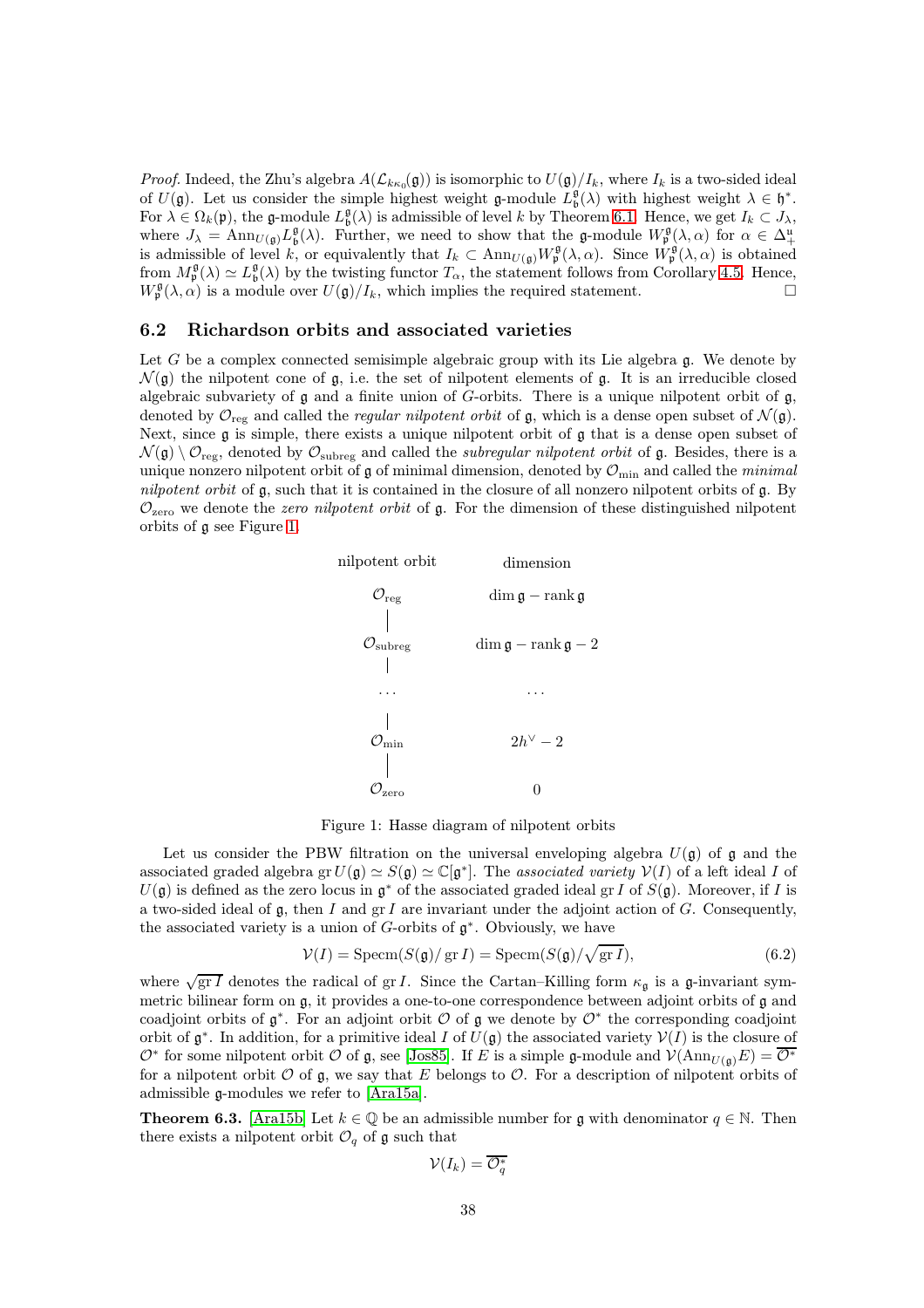*Proof.* Indeed, the Zhu's algebra  $A(\mathcal{L}_{k\kappa_0}(\mathfrak{g}))$  is isomorphic to  $U(\mathfrak{g})/I_k$ , where  $I_k$  is a two-sided ideal of  $U(\mathfrak{g})$ . Let us consider the simple highest weight  $\mathfrak{g}\text{-module }L^{\mathfrak{g}}_{\mathfrak{b}}(\lambda)$  with highest weight  $\lambda \in \mathfrak{h}^*$ . For  $\lambda \in \Omega_k(\mathfrak{p})$ , the g-module  $L^{\mathfrak{g}}_{\mathfrak{b}}(\lambda)$  is admissible of level k by Theorem [6.1.](#page-36-0) Hence, we get  $I_k \subset J_{\lambda}$ , where  $J_{\lambda} = \text{Ann}_{U(\mathfrak{g})} L^{\mathfrak{g}}_{\mathfrak{b}}(\lambda)$ . Further, we need to show that the g-module  $W^{\mathfrak{g}}_{\mathfrak{p}}(\lambda, \alpha)$  for  $\alpha \in \Delta^{\mathfrak{u}}_+$ is admissible of level k, or equivalently that  $I_k \subset \text{Ann}_{U(\mathfrak{g})} W^{\mathfrak{g}}_{\mathfrak{p}}(\lambda, \alpha)$ . Since  $W^{\mathfrak{g}}_{\mathfrak{p}}(\lambda, \alpha)$  is obtained from  $M_{\mathfrak{p}}^{\mathfrak{g}}(\lambda) \simeq L_{\mathfrak{b}}^{\mathfrak{g}}(\lambda)$  by the twisting functor  $T_{\alpha}$ , the statement follows from Corollary [4.5.](#page-18-2) Hence,  $W_{\mathfrak{p}}^{\mathfrak{g}}(\lambda,\alpha)$  is a module over  $U(\mathfrak{g})/I_k$ , which implies the required statement.

#### <span id="page-37-0"></span>6.2 Richardson orbits and associated varieties

<span id="page-37-1"></span>Let G be a complex connected semisimple algebraic group with its Lie algebra  $\mathfrak{g}$ . We denote by  $\mathcal{N}(\mathfrak{g})$  the nilpotent cone of g, i.e. the set of nilpotent elements of g. It is an irreducible closed algebraic subvariety of  $\mathfrak g$  and a finite union of G-orbits. There is a unique nilpotent orbit of  $\mathfrak g$ , denoted by  $\mathcal{O}_{reg}$  and called the *regular nilpotent orbit* of g, which is a dense open subset of  $\mathcal{N}(\mathfrak{g})$ . Next, since  $\mathfrak g$  is simple, there exists a unique nilpotent orbit of  $\mathfrak g$  that is a dense open subset of  $\mathcal{N}(\mathfrak{g}) \setminus \mathcal{O}_{\text{reg}}$ , denoted by  $\mathcal{O}_{\text{subreg}}$  and called the *subregular nilpotent orbit* of  $\mathfrak{g}$ . Besides, there is a unique nonzero nilpotent orbit of  $\mathfrak g$  of minimal dimension, denoted by  $\mathcal O_{\rm min}$  and called the *minimal* nilpotent orbit of g, such that it is contained in the closure of all nonzero nilpotent orbits of g. By  $\mathcal{O}_{\text{zero}}$  we denote the *zero nilpotent orbit* of g. For the dimension of these distinguished nilpotent orbits of g see Figure [1.](#page-37-1)



Figure 1: Hasse diagram of nilpotent orbits

Let us consider the PBW filtration on the universal enveloping algebra  $U(\mathfrak{g})$  of g and the associated graded algebra gr $U(\mathfrak{g}) \simeq \mathbb{C}[\mathfrak{g}^*]$ . The associated variety  $V(I)$  of a left ideal I of  $U(\mathfrak{g})$  is defined as the zero locus in  $\mathfrak{g}^*$  of the associated graded ideal gr I of  $S(\mathfrak{g})$ . Moreover, if I is a two-sided ideal of  $\mathfrak{g}$ , then I and  $\operatorname{gr} I$  are invariant under the adjoint action of G. Consequently, the associated variety is a union of  $G$ -orbits of  $\mathfrak{g}^*$ . Obviously, we have

$$
\mathcal{V}(I) = \text{Specm}(S(\mathfrak{g})/\operatorname{gr} I) = \text{Specm}(S(\mathfrak{g})/\sqrt{\operatorname{gr} I}),\tag{6.2}
$$

where  $\sqrt{gr I}$  denotes the radical of gr *I*. Since the Cartan–Killing form  $\kappa_{\mathfrak{g}}$  is a g-invariant symmetric bilinear form on g, it provides a one-to-one correspondence between adjoint orbits of g and coadjoint orbits of  $\mathfrak{g}^*$ . For an adjoint orbit  $\mathcal O$  of  $\mathfrak g$  we denote by  $\mathcal O^*$  the corresponding coadjoint orbit of  $\mathfrak{g}^*$ . In addition, for a primitive ideal I of  $U(\mathfrak{g})$  the associated variety  $V(I)$  is the closure of  $\mathcal{O}^*$  for some nilpotent orbit  $\mathcal O$  of  $\mathfrak g$ , see [\[Jos85\]](#page-43-19). If E is a simple  $\mathfrak g$ -module and  $\mathcal V(\text{Ann}_{U(\mathfrak g)}E) = \overline{\mathcal{O}^*}$ for a nilpotent orbit  $\mathcal O$  of  $\mathfrak g$ , we say that E belongs to  $\mathcal O$ . For a description of nilpotent orbits of admissible g-modules we refer to [\[Ara15a\]](#page-42-10).

<span id="page-37-2"></span>**Theorem 6.3.** [\[Ara15b\]](#page-42-16) Let  $k \in \mathbb{Q}$  be an admissible number for g with denominator  $q \in \mathbb{N}$ . Then there exists a nilpotent orbit  $\mathcal{O}_q$  of g such that

$$
\mathcal{V}(I_k) = \overline{\mathcal{O}_q^*}
$$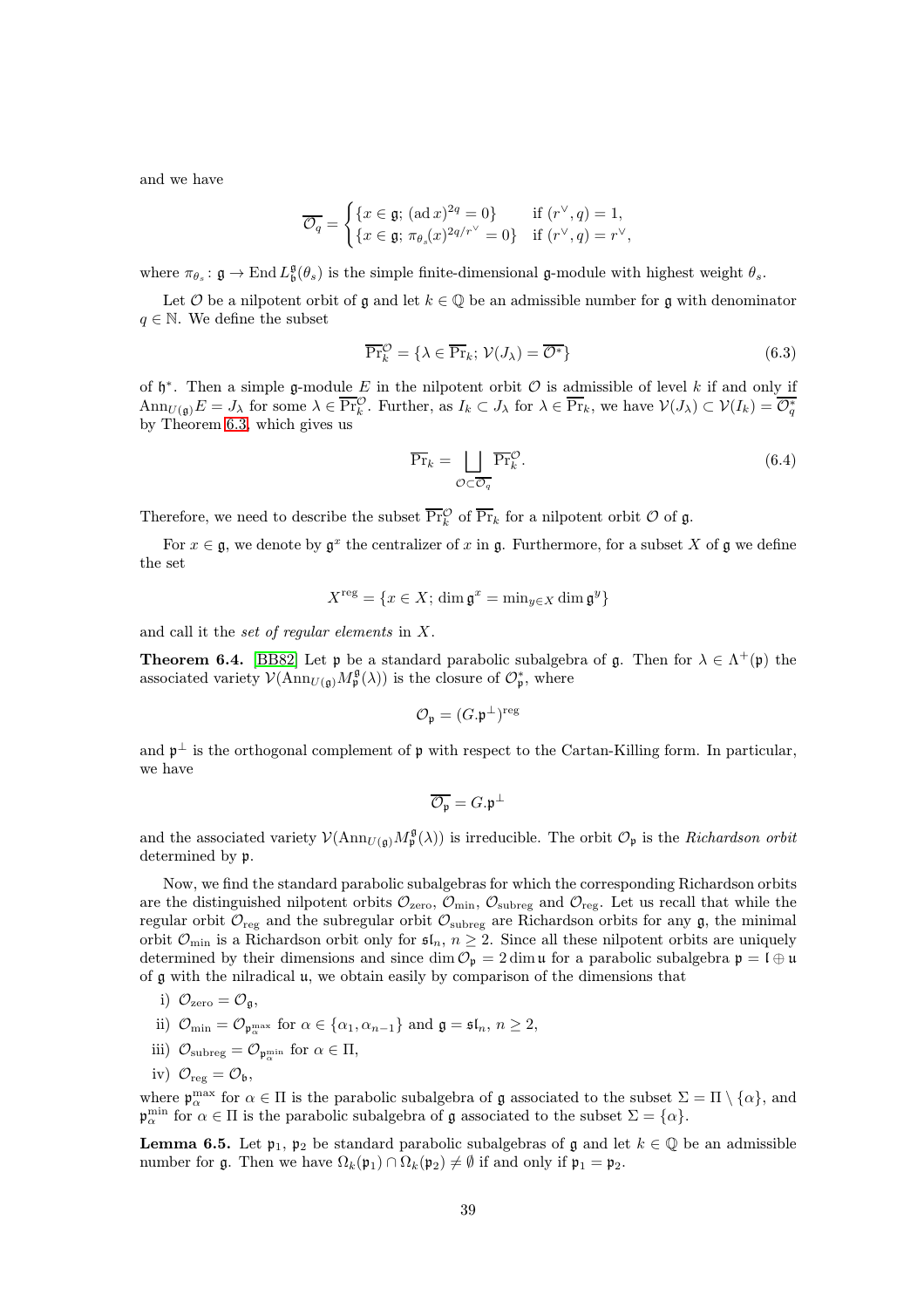and we have

$$
\overline{\mathcal{O}_q} = \begin{cases} \{x \in \mathfrak{g}; \, (\text{ad } x)^{2q} = 0\} & \text{if } (r^\vee, q) = 1, \\ \{x \in \mathfrak{g}; \, \pi_{\theta_s}(x)^{2q/r^\vee} = 0\} & \text{if } (r^\vee, q) = r^\vee, \end{cases}
$$

where  $\pi_{\theta_s} : \mathfrak{g} \to \text{End } L^{\mathfrak{g}}_{\mathfrak{b}}(\theta_s)$  is the simple finite-dimensional  $\mathfrak{g}\text{-module with highest weight } \theta_s$ .

Let  $\mathcal O$  be a nilpotent orbit of g and let  $k \in \mathbb Q$  be an admissible number for g with denominator  $q \in \mathbb{N}$ . We define the subset

$$
\overline{\Pr}_{k}^{\mathcal{O}} = \{ \lambda \in \overline{\Pr}_{k}; \ \mathcal{V}(J_{\lambda}) = \overline{\mathcal{O}^*} \}
$$
\n(6.3)

of  $\mathfrak{h}^*$ . Then a simple g-module E in the nilpotent orbit  $\mathcal O$  is admissible of level k if and only if  $\text{Ann}_{U(\mathfrak{g})}E = J_{\lambda}$  for some  $\lambda \in \overline{\Pr}_{k}^{\mathcal{O}}$ . Further, as  $I_{k} \subset J_{\lambda}$  for  $\lambda \in \overline{\Pr}_{k}$ , we have  $\mathcal{V}(J_{\lambda}) \subset \mathcal{V}(I_{k}) = \overline{\mathcal{O}_{q}^{*}}$ by Theorem [6.3,](#page-37-2) which gives us

<span id="page-38-2"></span>
$$
\overline{\Pr}_{k} = \bigsqcup_{\mathcal{O} \subset \overline{\mathcal{O}_{q}}} \overline{\Pr}_{k}^{\mathcal{O}}.
$$
\n(6.4)

Therefore, we need to describe the subset  $\overline{\Pr}_{k}^{\mathcal{O}}$  of  $\overline{\Pr}_{k}$  for a nilpotent orbit  $\mathcal{O}$  of  $\mathfrak{g}$ .

For  $x \in \mathfrak{g}$ , we denote by  $\mathfrak{g}^x$  the centralizer of x in  $\mathfrak{g}$ . Furthermore, for a subset X of  $\mathfrak{g}$  we define the set

$$
X^{\text{reg}} = \{ x \in X; \dim \mathfrak{g}^x = \min_{y \in X} \dim \mathfrak{g}^y \}
$$

<span id="page-38-0"></span>and call it the set of regular elements in X.

**Theorem 6.4.** [\[BB82\]](#page-42-17) Let  $\mathfrak{p}$  be a standard parabolic subalgebra of  $\mathfrak{g}$ . Then for  $\lambda \in \Lambda^+(\mathfrak{p})$  the associated variety  $\mathcal{V}(\text{Ann}_{U(\mathfrak{g})}M_{\mathfrak{p}}^{\mathfrak{g}}(\lambda))$  is the closure of  $\mathcal{O}_{\mathfrak{p}}^*$ , where

$$
\mathcal{O}_{\mathfrak{p}} = (G.\mathfrak{p}^{\perp})^{\mathrm{reg}}
$$

and  $\mathfrak{p}^{\perp}$  is the orthogonal complement of  $\mathfrak p$  with respect to the Cartan-Killing form. In particular, we have

$$
\overline{\mathcal{O}_{\mathfrak{p}}}=G.\mathfrak{p}^{\perp}
$$

and the associated variety  $V(\text{Ann}_{U(\mathfrak{g})}M_{\mathfrak{p}}^{\mathfrak{g}}(\lambda))$  is irreducible. The orbit  $\mathcal{O}_{\mathfrak{p}}$  is the *Richardson orbit* determined by p.

Now, we find the standard parabolic subalgebras for which the corresponding Richardson orbits are the distinguished nilpotent orbits  $\mathcal{O}_{\text{zero}}$ ,  $\mathcal{O}_{\text{min}}$ ,  $\mathcal{O}_{\text{subreg}}$  and  $\mathcal{O}_{\text{reg}}$ . Let us recall that while the regular orbit  $\mathcal{O}_{reg}$  and the subregular orbit  $\mathcal{O}_{subreg}$  are Richardson orbits for any  $\mathfrak{g}$ , the minimal orbit  $\mathcal{O}_{\text{min}}$  is a Richardson orbit only for  $\mathfrak{sl}_n$ ,  $n \geq 2$ . Since all these nilpotent orbits are uniquely determined by their dimensions and since dim  $\mathcal{O}_p = 2 \dim \mathfrak{u}$  for a parabolic subalgebra  $p = \mathfrak{l} \oplus \mathfrak{u}$ of  $\mathfrak g$  with the nilradical  $\mathfrak u$ , we obtain easily by comparison of the dimensions that

i) 
$$
\mathcal{O}_{\text{zero}} = \mathcal{O}_{\mathfrak{g}},
$$

ii) 
$$
\mathcal{O}_{\min} = \mathcal{O}_{\mathfrak{p}_{\alpha}^{\max}}
$$
 for  $\alpha \in {\alpha_1, \alpha_{n-1}}$  and  $\mathfrak{g} = \mathfrak{sl}_n$ ,  $n \geq 2$ ,

- iii)  $\mathcal{O}_{\text{subreg}} = \mathcal{O}_{\mathfrak{p}_{\alpha}^{\min}}$  for  $\alpha \in \Pi$ ,
- iv)  $\mathcal{O}_{reg} = \mathcal{O}_{\mathfrak{b}},$

where  $\mathfrak{p}_{\alpha}^{\max}$  for  $\alpha \in \Pi$  is the parabolic subalgebra of  $\mathfrak g$  associated to the subset  $\Sigma = \Pi \setminus \{\alpha\}$ , and  $\mathfrak{p}_{\alpha}^{\min}$  for  $\alpha \in \Pi$  is the parabolic subalgebra of  $\mathfrak g$  associated to the subset  $\Sigma = {\alpha}$ .

<span id="page-38-1"></span>**Lemma 6.5.** Let  $\mathfrak{p}_1$ ,  $\mathfrak{p}_2$  be standard parabolic subalgebras of g and let  $k \in \mathbb{Q}$  be an admissible number for g. Then we have  $\Omega_k(\mathfrak{p}_1) \cap \Omega_k(\mathfrak{p}_2) \neq \emptyset$  if and only if  $\mathfrak{p}_1 = \mathfrak{p}_2$ .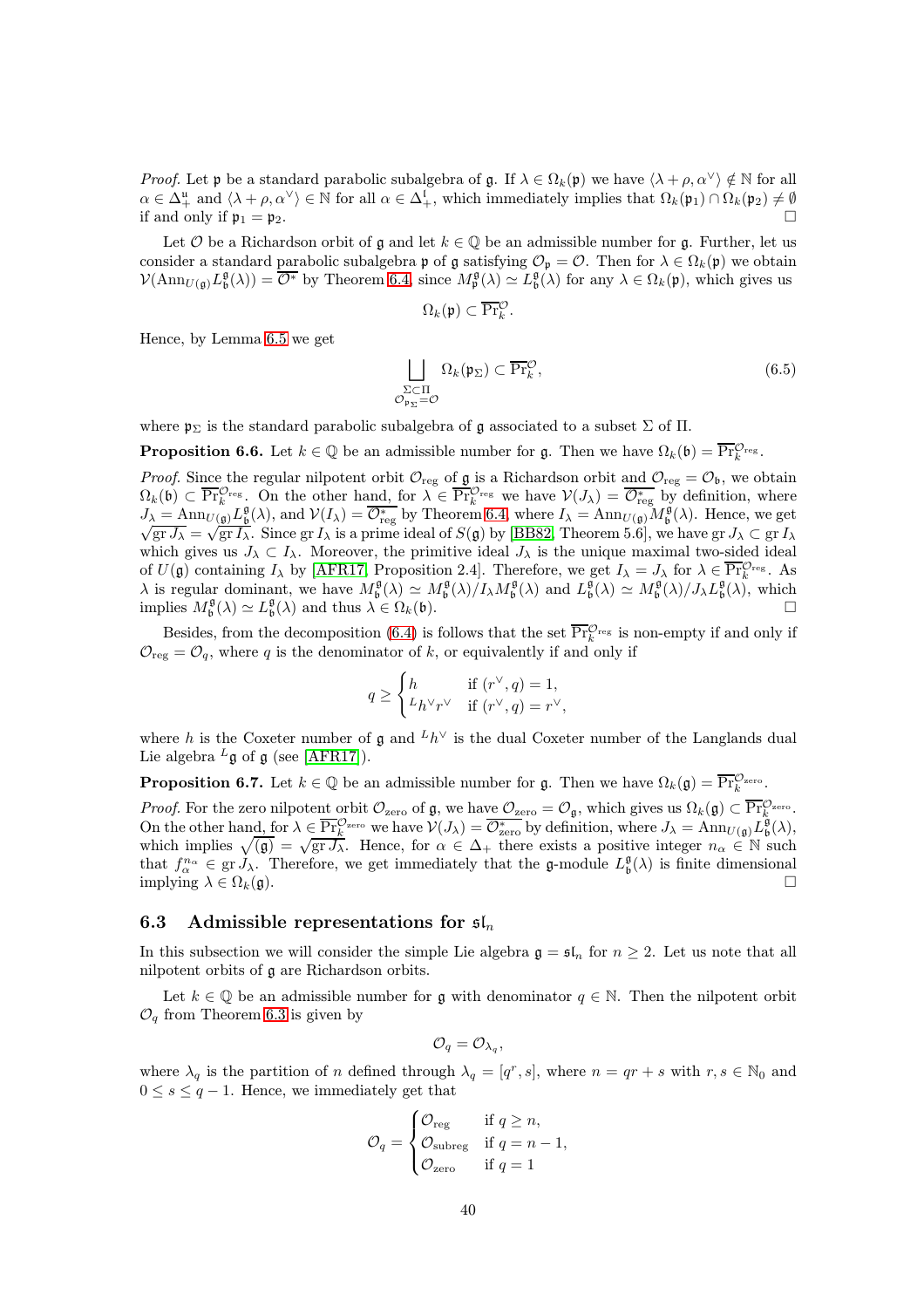*Proof.* Let p be a standard parabolic subalgebra of g. If  $\lambda \in \Omega_k(\mathfrak{p})$  we have  $\langle \lambda + \rho, \alpha^\vee \rangle \notin \mathbb{N}$  for all  $\alpha \in \Delta^{\mathfrak{u}}_{+}$  and  $\langle \lambda + \rho, \alpha^{\vee} \rangle \in \mathbb{N}$  for all  $\alpha \in \Delta^{\mathfrak{l}}_{+}$ , which immediately implies that  $\Omega_{k}(\mathfrak{p}_{1}) \cap \Omega_{k}(\mathfrak{p}_{2}) \neq \emptyset$ if and only if  $\mathfrak{p}_1 = \mathfrak{p}_2$ .

Let  $\mathcal O$  be a Richardson orbit of g and let  $k \in \mathbb Q$  be an admissible number for g. Further, let us consider a standard parabolic subalgebra p of g satisfying  $\mathcal{O}_{p} = \mathcal{O}$ . Then for  $\lambda \in \Omega_k(p)$  we obtain  $\mathcal{V}(\text{Ann}_{U(\mathfrak{g})} L^{\mathfrak{g}}_{\mathfrak{b}}(\lambda)) = \overline{\mathcal{O}^*}$  by Theorem [6.4,](#page-38-0) since  $M^{\mathfrak{g}}_{\mathfrak{p}}(\lambda) \simeq L^{\mathfrak{g}}_{\mathfrak{b}}(\lambda)$  for any  $\lambda \in \Omega_k(\mathfrak{p})$ , which gives us

$$
\Omega_k(\mathfrak{p}) \subset \overline{\Pr}_k^{\mathcal{O}}
$$

.

Hence, by Lemma [6.5](#page-38-1) we get

$$
\bigsqcup_{\substack{\Sigma \subset \Pi \\ \mathcal{O}_{\mathfrak{p}_{\Sigma}} = \mathcal{O}}} \Omega_k(\mathfrak{p}_{\Sigma}) \subset \overline{\Pr}_{k}^{\mathcal{O}},\tag{6.5}
$$

<span id="page-39-1"></span>where  $\mathfrak{p}_{\Sigma}$  is the standard parabolic subalgebra of g associated to a subset  $\Sigma$  of  $\Pi$ .

**Proposition 6.6.** Let  $k \in \mathbb{Q}$  be an admissible number for g. Then we have  $\Omega_k(\mathfrak{b}) = \overline{\Pr}_{k}^{\mathcal{O}_{reg}}$ .

*Proof.* Since the regular nilpotent orbit  $\mathcal{O}_{reg}$  of  $\mathfrak{g}$  is a Richardson orbit and  $\mathcal{O}_{reg} = \mathcal{O}_{\mathfrak{b}}$ , we obtain  $\Omega_k(\mathfrak{b}) \subset \overline{\Pr}_{k}^{\mathcal{O}_{reg}}$ . On the other hand, for  $\lambda \in \overline{\Pr}_{k}^{\mathcal{O}_{reg}}$  we have  $\mathcal{V}(J_\lambda) = \overline{\mathcal{O}_{reg}^*}$  by definition, where  $J_{\lambda} = \text{Ann}_{U(\mathfrak{g})} L_{\mathfrak{g}}^{\mathfrak{g}}(\lambda)$ , and  $\mathcal{V}(I_{\lambda}) = \overline{\mathcal{O}_{reg}^{*}}$  by Theorem [6.4,](#page-38-0) where  $I_{\lambda} = \text{Ann}_{U(\mathfrak{g})} M_{\mathfrak{g}}^{\mathfrak{g}}(\lambda)$ . Hence, we get  $g_T J_\lambda = \sqrt{g_T I_\lambda}$ . Since  $g_T I_\lambda$  is a prime ideal of  $S(\mathfrak{g})$  by [\[BB82,](#page-42-17) Theorem 5.6], we have  $g_T J_\lambda \subset g_T I_\lambda$ which gives us  $J_{\lambda} \subset I_{\lambda}$ . Moreover, the primitive ideal  $J_{\lambda}$  is the unique maximal two-sided ideal of  $U(\mathfrak{g})$  containing  $I_\lambda$  by [\[AFR17,](#page-42-4) Proposition 2.4]. Therefore, we get  $I_\lambda = J_\lambda$  for  $\lambda \in \overline{\Pr}_{k}^{\mathcal{O}_{reg}}$ . As  $\lambda$  is regular dominant, we have  $M_{\mathfrak{b}}^{\mathfrak{g}}(\lambda) \simeq M_{\mathfrak{b}}^{\mathfrak{g}}(\lambda)/I_{\lambda}M_{\mathfrak{b}}^{\mathfrak{g}}(\lambda)$  and  $L_{\mathfrak{b}}^{\mathfrak{g}}(\lambda) \simeq M_{\mathfrak{b}}^{\mathfrak{g}}(\lambda)/J_{\lambda}L_{\mathfrak{b}}^{\mathfrak{g}}(\lambda)$ , which implies  $M_{\mathfrak{b}}^{\mathfrak{g}}(\lambda) \simeq L_{\mathfrak{b}}^{\mathfrak{g}}(\lambda)$  and thus  $\lambda \in \Omega_k(\mathfrak{b})$ .

Besides, from the decomposition [\(6.4\)](#page-38-2) is follows that the set  $\overline{\Pr}_{k}^{\mathcal{O}_{\text{reg}}}$  is non-empty if and only if  $\mathcal{O}_{reg} = \mathcal{O}_q$ , where q is the denominator of k, or equivalently if and only if

$$
q \ge \begin{cases} h & \text{if } (r^{\vee}, q) = 1, \\ L_h^{\vee} r^{\vee} & \text{if } (r^{\vee}, q) = r^{\vee}, \end{cases}
$$

where h is the Coxeter number of  $\mathfrak g$  and  ${}^L h^{\vee}$  is the dual Coxeter number of the Langlands dual Lie algebra  $^L$ g of g (see [\[AFR17\]](#page-42-4)).

**Proposition 6.7.** Let  $k \in \mathbb{Q}$  be an admissible number for g. Then we have  $\Omega_k(\mathfrak{g}) = \overline{\Pr}_{k}^{\mathcal{O}_{\text{zero}}}.$ 

Proof. For the zero nilpotent orbit  $\mathcal{O}_{\text{zero}}$  of g, we have  $\mathcal{O}_{\text{zero}} = \mathcal{O}_{\mathfrak{g}}$ , which gives us  $\Omega_k(\mathfrak{g}) \subset \overline{\Pr}_{k}^{\mathcal{O}_{\text{zero}}}.$ On the other hand, for  $\lambda \in \overline{\Pr_k^{\mathcal{O}_{\text{zero}}}}$  we have  $\mathcal{V}(J_\lambda) = \overline{\mathcal{O}_{\text{zero}}^*}$  by definition, where  $J_\lambda = \text{Ann}_{U(\mathfrak{g})} L^{\mathfrak{g}}_{\mathfrak{b}}(\lambda)$ , which implies  $\sqrt{(\mathfrak{g})} = \sqrt{g r J_{\lambda}}$ . Hence, for  $\alpha \in \Delta_+$  there exists a positive integer  $n_{\alpha} \in \mathbb{N}$  such that  $f_{\alpha}^{n_{\alpha}} \in \text{gr } J_{\lambda}$ . Therefore, we get immediately that the g-module  $L^{\mathfrak{g}}_{\mathfrak{b}}(\lambda)$  is finite dimensional implying  $\lambda \in \Omega_k(\mathfrak{g})$ .

#### <span id="page-39-0"></span>6.3 Admissible representations for  $\mathfrak{sl}_n$

In this subsection we will consider the simple Lie algebra  $\mathfrak{g} = \mathfrak{sl}_n$  for  $n \geq 2$ . Let us note that all nilpotent orbits of g are Richardson orbits.

Let  $k \in \mathbb{Q}$  be an admissible number for g with denominator  $q \in \mathbb{N}$ . Then the nilpotent orbit  $\mathcal{O}_q$  from Theorem [6.3](#page-37-2) is given by

$$
\mathcal{O}_q=\mathcal{O}_{\lambda_q},
$$

where  $\lambda_q$  is the partition of n defined through  $\lambda_q = [q^r, s]$ , where  $n = qr + s$  with  $r, s \in \mathbb{N}_0$  and  $0 \leq s \leq q-1$ . Hence, we immediately get that

$$
\mathcal{O}_q = \begin{cases} \mathcal{O}_{\text{reg}} & \text{if } q \geq n, \\ \mathcal{O}_{\text{subreg}} & \text{if } q = n - 1, \\ \mathcal{O}_{\text{zero}} & \text{if } q = 1 \end{cases}
$$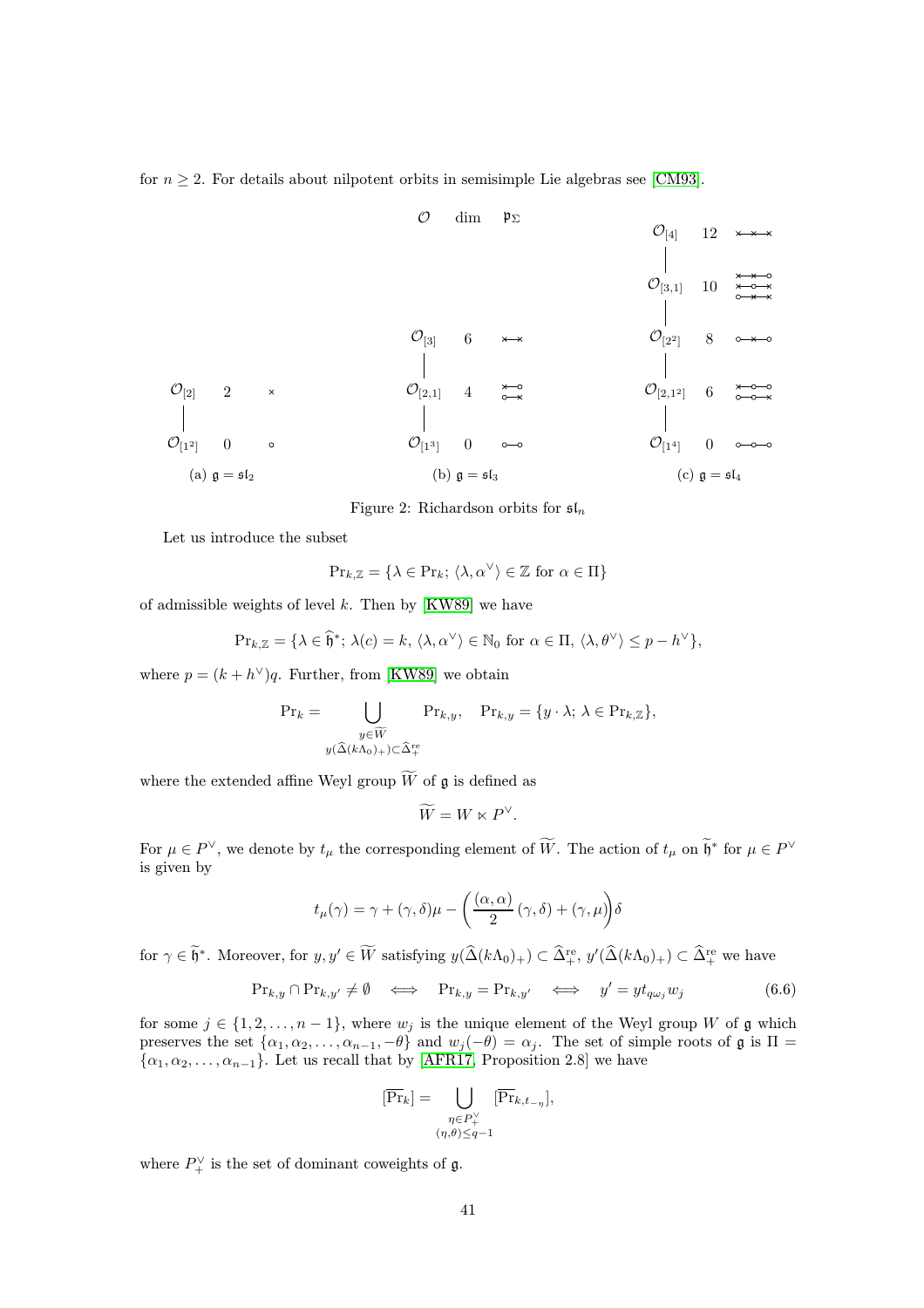for  $n \geq 2$ . For details about nilpotent orbits in semisimple Lie algebras see [\[CM93\]](#page-42-18).

O[12] O[2] 0 2 (a) g = sl<sup>2</sup> O[13] O[2,1] O[3] 0 4 6 <sup>O</sup> dim <sup>p</sup><sup>Σ</sup> (b) g = sl<sup>3</sup> O[14] O[2,1 2] O[22] O[3,1] O[4] 0 6 8 10 12 (c) g = sl<sup>4</sup>

Figure 2: Richardson orbits for  $\mathfrak{sl}_n$ 

Let us introduce the subset

$$
\mathrm{Pr}_{k,\mathbb{Z}} = \{ \lambda \in \mathrm{Pr}_k; \, \langle \lambda, \alpha^\vee \rangle \in \mathbb{Z} \text{ for } \alpha \in \Pi \}
$$

of admissible weights of level  $k$ . Then by [\[KW89\]](#page-43-16) we have

$$
\Pr_{k,\mathbb{Z}} = \{ \lambda \in \widehat{\mathfrak{h}}^*; \, \lambda(c) = k, \, \langle \lambda, \alpha^\vee \rangle \in \mathbb{N}_0 \text{ for } \alpha \in \Pi, \, \langle \lambda, \theta^\vee \rangle \leq p - h^\vee \},
$$

where  $p = (k + h^{\vee})q$ . Further, from [\[KW89\]](#page-43-16) we obtain

$$
\Pr_k = \bigcup_{\substack{y \in \widetilde{W} \\ y(\widehat{\Delta}(k\Lambda_0)) + \sum \widehat{\Delta}_+^{\text{re}}}} \Pr_{k,y}, \quad \Pr_{k,y} = \{y \cdot \lambda; \ \lambda \in \Pr_{k,\mathbb{Z}}\},
$$

where the extended affine Weyl group  $\widetilde{W}$  of  $\mathfrak g$  is defined as

<span id="page-40-0"></span>
$$
\widetilde{W} = W \ltimes P^{\vee}.
$$

For  $\mu \in P^{\vee}$ , we denote by  $t_{\mu}$  the corresponding element of W. The action of  $t_{\mu}$  on  $\mathfrak{h}^*$  for  $\mu \in P^{\vee}$ is given by

$$
t_{\mu}(\gamma) = \gamma + (\gamma, \delta)\mu - \left(\frac{(\alpha, \alpha)}{2}(\gamma, \delta) + (\gamma, \mu)\right)\delta
$$

for  $\gamma \in \mathfrak{h}^*$ . Moreover, for  $y, y' \in W$  satisfying  $y(\widehat{\Delta}(k\Lambda_0)_+) \subset \widehat{\Delta}^{\text{re}}_+$ ,  $y'(\widehat{\Delta}(k\Lambda_0)_+) \subset \widehat{\Delta}^{\text{re}}_+$  we have

$$
\Pr_{k,y} \cap \Pr_{k,y'} \neq \emptyset \iff \Pr_{k,y} = \Pr_{k,y'} \iff y' = yt_{q\omega_j}w_j \tag{6.6}
$$

for some  $j \in \{1, 2, \ldots, n-1\}$ , where  $w_j$  is the unique element of the Weyl group W of  $\mathfrak g$  which preserves the set  $\{\alpha_1, \alpha_2, \dots, \alpha_{n-1}, -\theta\}$  and  $w_j(-\theta) = \alpha_j$ . The set of simple roots of  $\mathfrak g$  is  $\Pi =$  $\{\alpha_1, \alpha_2, \dots, \alpha_{n-1}\}.$  Let us recall that by [\[AFR17,](#page-42-4) Proposition 2.8] we have

$$
[\overline{\Pr}_k] = \bigcup_{\substack{\eta \in P_+^{\vee} \\ (\eta, \theta) \leq q-1}} [\overline{\Pr}_{k, t_{-\eta}}],
$$

where  $P_{+}^{\vee}$  is the set of dominant coweights of  $\mathfrak{g}$ .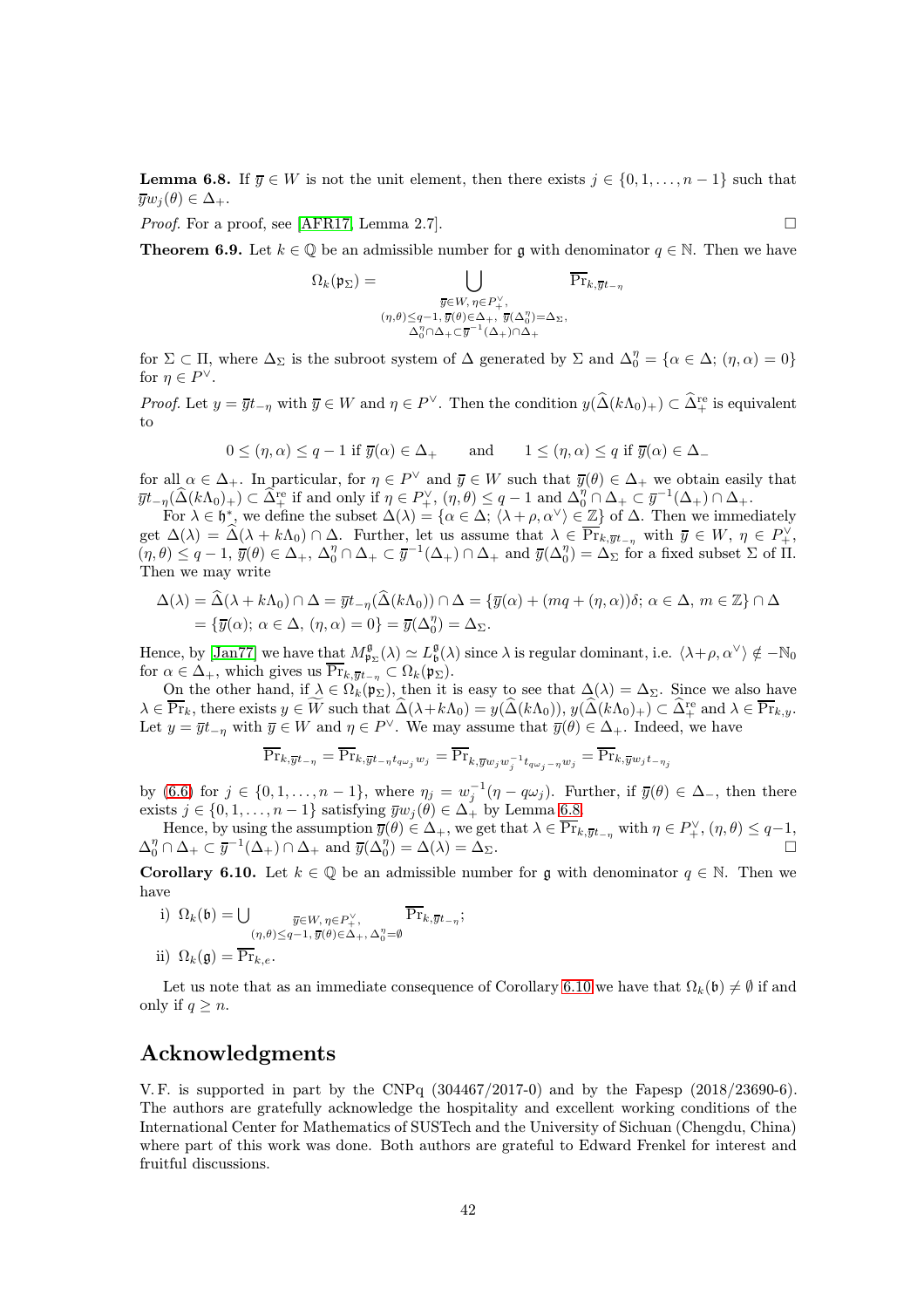<span id="page-41-1"></span>**Lemma 6.8.** If  $\overline{y} \in W$  is not the unit element, then there exists  $j \in \{0, 1, \ldots, n-1\}$  such that  $\overline{y}w_i(\theta) \in \Delta_+.$ 

<span id="page-41-0"></span>*Proof.* For a proof, see [\[AFR17,](#page-42-4) Lemma 2.7].

**Theorem 6.9.** Let  $k \in \mathbb{Q}$  be an admissible number for g with denominator  $q \in \mathbb{N}$ . Then we have

 $\frac{1}{2} - \eta$ 

$$
\Omega_k(\mathfrak{p}_\Sigma)=\bigcup_{\substack{\overline{y}\in W,\,\eta\in P_+^\vee,\\ (\eta,\theta)\leq q-1,\,\overline{y}(\theta)\in\Delta_+,\,\,\overline{y}(\Delta_0^\eta)=\Delta_\Sigma,\\ \Delta_0^\eta\cap\Delta_+\subset \overline{y}^{-1}(\Delta_+)\cap\Delta_+}}\overline{\Pr}_{k,\overline{y}^{}_1}
$$

for  $\Sigma \subset \Pi$ , where  $\Delta_{\Sigma}$  is the subroot system of  $\Delta$  generated by  $\Sigma$  and  $\Delta_{0}^{\eta} = {\alpha \in \Delta$ ;  $(\eta, \alpha) = 0}$ for  $\eta \in P^{\vee}$ .

*Proof.* Let  $y = \overline{y}t_{-\eta}$  with  $\overline{y} \in W$  and  $\eta \in P^{\vee}$ . Then the condition  $y(\widehat{\Delta}(k\Lambda_0)_+) \subset \widehat{\Delta}^{\text{re}}_+$  is equivalent to

$$
0\leq(\eta,\alpha)\leq q-1\ \text{if}\ \overline{y}(\alpha)\in\Delta_+\qquad\text{and}\qquad 1\leq(\eta,\alpha)\leq q\ \text{if}\ \overline{y}(\alpha)\in\Delta_-
$$

for all  $\alpha \in \Delta_+$ . In particular, for  $\eta \in P^{\vee}$  and  $\overline{y} \in W$  such that  $\overline{y}(\theta) \in \Delta_+$  we obtain easily that  $\overline{y}t_{-\eta}(\widehat{\Delta}(k\Lambda_0)_+) \subset \widehat{\Delta}^{\text{re}}_+$  if and only if  $\eta \in P^{\vee}_{+}$ ,  $(\eta, \theta) \leq q-1$  and  $\Delta_0^{\eta} \cap \Delta_+ \subset \overline{y}^{-1}(\Delta_+) \cap \Delta_+$ .

For  $\lambda \in \mathfrak{h}^*$ , we define the subset  $\Delta(\lambda) = \{ \alpha \in \Delta; \langle \lambda + \rho, \alpha^\vee \rangle \in \mathbb{Z} \}$  of  $\Delta$ . Then we immediately get  $\Delta(\lambda) = \widehat{\Delta}(\lambda + k\Lambda_0) \cap \Delta$ . Further, let us assume that  $\lambda \in \overline{\Pr}_{k,\overline{y}t_{-\eta}}$  with  $\overline{y} \in W, \eta \in P_+^{\vee}$ ,  $(\eta, \theta) \leq q - 1$ ,  $\overline{y}(\theta) \in \Delta_+$ ,  $\Delta_0^{\eta} \cap \Delta_+ \subset \overline{y}^{-1}(\Delta_+) \cap \Delta_+$  and  $\overline{y}(\Delta_0^{\eta}) = \Delta_{\Sigma}$  for a fixed subset  $\Sigma$  of II. Then we may write

$$
\Delta(\lambda) = \Delta(\lambda + k\Lambda_0) \cap \Delta = \overline{y}t_{-\eta}(\Delta(k\Lambda_0)) \cap \Delta = {\overline{y}(\alpha) + (mq + (\eta, \alpha))\delta; \alpha \in \Delta, m \in \mathbb{Z}} \cap \Delta
$$
  
= { $\overline{y}(\alpha)$ ;  $\alpha \in \Delta$ ,  $(\eta, \alpha) = 0$ } =  $\overline{y}(\Delta_0^n) = \Delta_{\Sigma}$ .

Hence, by [\[Jan77\]](#page-43-18) we have that  $M_{\mathfrak{p}_{\Sigma}}^{\mathfrak{g}}(\lambda) \simeq L_{\mathfrak{b}}^{\mathfrak{g}}(\lambda)$  since  $\lambda$  is regular dominant, i.e.  $\langle \lambda + \rho, \alpha^{\vee} \rangle \notin -\mathbb{N}_0$ for  $\alpha \in \Delta_+$ , which gives us  $\overline{\Pr}_{k,yt_{-n}} \subset \Omega_k(\mathfrak{p}_\Sigma)$ .

On the other hand, if  $\lambda \in \Omega_k(\mathfrak{p}_\Sigma)$ , then it is easy to see that  $\Delta(\lambda) = \Delta_\Sigma$ . Since we also have  $\lambda \in \overline{\Pr}_k$ , there exists  $y \in W$  such that  $\widehat{\Delta}(\lambda + k\Lambda_0) = y(\widehat{\Delta}(k\Lambda_0)), y(\widehat{\Delta}(k\Lambda_0)_+) \subset \widehat{\Delta}^{\text{re}}_+$  and  $\lambda \in \overline{\Pr}_{k,y}$ . Let  $y = \overline{y}t_{-\eta}$  with  $\overline{y} \in W$  and  $\eta \in P^{\vee}$ . We may assume that  $\overline{y}(\theta) \in \Delta_+$ . Indeed, we have

$$
\overline{\Pr}_{k,\overline{y}t_{-\eta}} = \overline{\Pr}_{k,\overline{y}t_{-\eta}t_{q\omega_j}w_j} = \overline{\Pr}_{k,\overline{y}w_jw_j^{-1}t_{q\omega_j-\eta}w_j} = \overline{\Pr}_{k,\overline{y}w_jt_{-\eta_j}}
$$

by [\(6.6\)](#page-40-0) for  $j \in \{0, 1, \ldots, n-1\}$ , where  $\eta_j = w_j^{-1}(\eta - q\omega_j)$ . Further, if  $\overline{y}(\theta) \in \Delta_+$ , then there exists  $j \in \{0, 1, \ldots, n-1\}$  satisfying  $\overline{y}w_j(\theta) \in \Delta_+$  by Lemma [6.8.](#page-41-1)

Hence, by using the assumption  $\overline{y}(\theta) \in \Delta_+$ , we get that  $\lambda \in \overline{\Pr}_{k,\overline{y}t_{-\eta}}$  with  $\eta \in P^{\vee}_{+}$ ,  $(\eta,\theta) \leq q-1$ ,  $\Delta_0^{\eta} \cap \Delta_+ \subset \overline{y}^{-1}(\Delta_+) \cap \Delta_+$  and  $\overline{y}(\Delta_0^{\eta})$  $) = \Delta(\lambda) = \Delta_{\Sigma}.$ 

<span id="page-41-2"></span>**Corollary 6.10.** Let  $k \in \mathbb{Q}$  be an admissible number for g with denominator  $q \in \mathbb{N}$ . Then we have

- i)  $\Omega_k(\mathfrak{b}) = \bigcup_{\overline{y} \in W, \, \eta \in P_+^{\vee}}$  $(\eta,\theta){\le}q{-1},\overline{y}(\theta){\in}\Delta_+,\Delta_0^\eta{=}\emptyset$  $Pr_{k,\overline{y}t_{-\eta}}$ ;
- ii)  $\Omega_k(\mathfrak{g}) = \overline{\Pr}_{k,e}.$

Let us note that as an immediate consequence of Corollary [6.10](#page-41-2) we have that  $\Omega_k(\mathfrak{b})\neq \emptyset$  if and only if  $q \geq n$ .

## Acknowledgments

V. F. is supported in part by the CNPq (304467/2017-0) and by the Fapesp (2018/23690-6). The authors are gratefully acknowledge the hospitality and excellent working conditions of the International Center for Mathematics of SUSTech and the University of Sichuan (Chengdu, China) where part of this work was done. Both authors are grateful to Edward Frenkel for interest and fruitful discussions.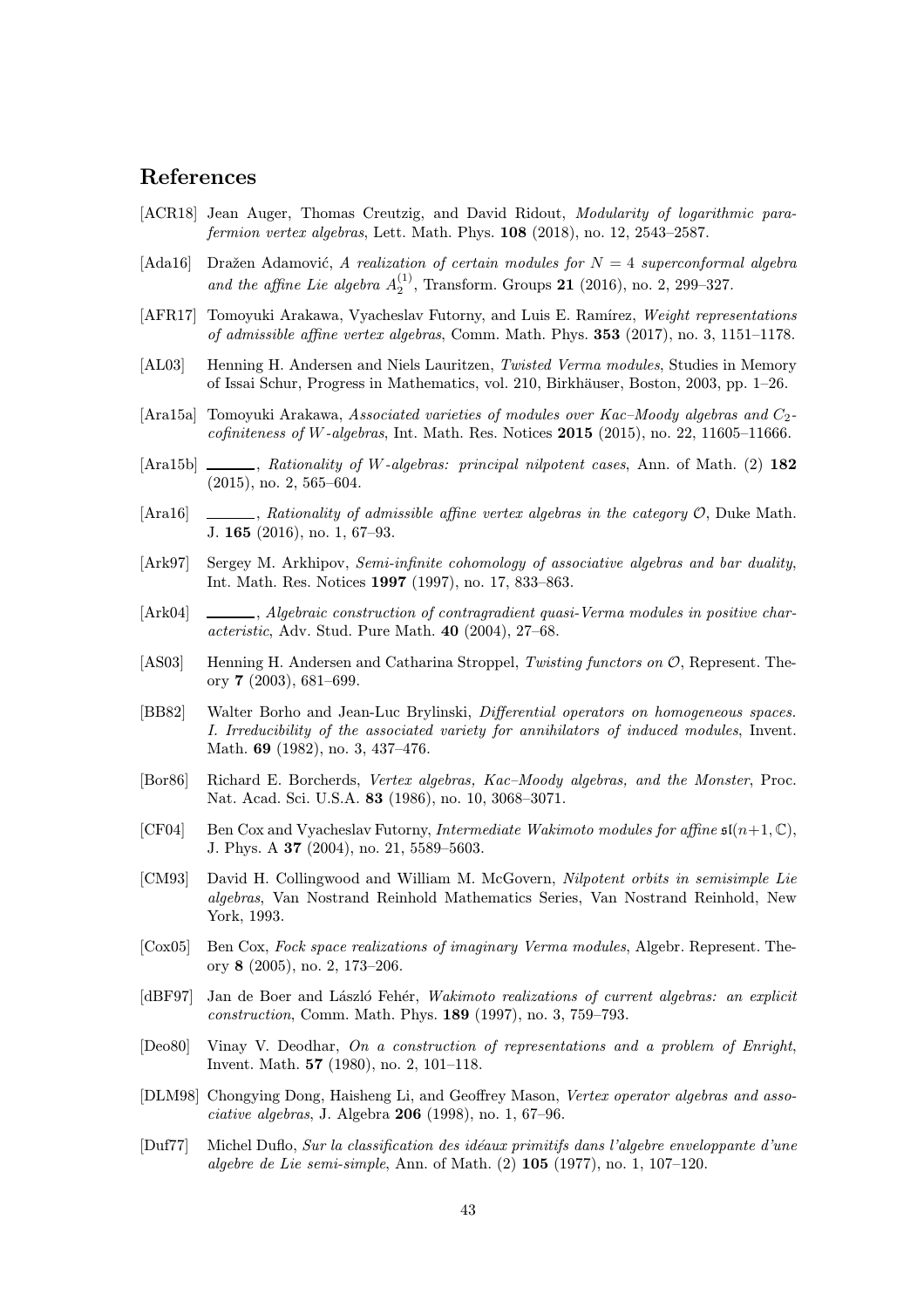## References

- <span id="page-42-5"></span>[ACR18] Jean Auger, Thomas Creutzig, and David Ridout, *Modularity of logarithmic para*fermion vertex algebras, Lett. Math. Phys. 108 (2018), no. 12, 2543–2587.
- <span id="page-42-3"></span>[Ada16] Dražen Adamović, A realization of certain modules for  $N = 4$  superconformal algebra and the affine Lie algebra  $A_2^{(1)}$ , Transform. Groups 21 (2016), no. 2, 299–327.
- <span id="page-42-4"></span>[AFR17] Tomoyuki Arakawa, Vyacheslav Futorny, and Luis E. Ramírez, Weight representations of admissible affine vertex algebras, Comm. Math. Phys. 353 (2017), no. 3, 1151–1178.
- <span id="page-42-8"></span>[AL03] Henning H. Andersen and Niels Lauritzen, Twisted Verma modules, Studies in Memory of Issai Schur, Progress in Mathematics, vol. 210, Birkhäuser, Boston, 2003, pp. 1–26.
- <span id="page-42-10"></span>[Ara15a] Tomoyuki Arakawa, Associated varieties of modules over Kac–Moody algebras and C2  $cofiniteness of W-algebras$ , Int. Math. Res. Notices 2015 (2015), no. 22, 11605–11666.
- <span id="page-42-16"></span>[Ara15b]  $\_\_\_\_\$ , Rationality of W-algebras: principal nilpotent cases, Ann. of Math. (2) 182 (2015), no. 2, 565–604.
- <span id="page-42-9"></span>[Ara16] , Rationality of admissible affine vertex algebras in the category  $\mathcal{O}$ , Duke Math. J. 165 (2016), no. 1, 67–93.
- <span id="page-42-14"></span>[Ark97] Sergey M. Arkhipov, Semi-infinite cohomology of associative algebras and bar duality, Int. Math. Res. Notices 1997 (1997), no. 17, 833–863.
- <span id="page-42-7"></span>[Ark04] , Algebraic construction of contragradient quasi-Verma modules in positive characteristic, Adv. Stud. Pure Math. 40 (2004), 27–68.
- <span id="page-42-13"></span>[AS03] Henning H. Andersen and Catharina Stroppel, Twisting functors on O, Represent. Theory 7 (2003), 681–699.
- <span id="page-42-17"></span>[BB82] Walter Borho and Jean-Luc Brylinski, Differential operators on homogeneous spaces. I. Irreducibility of the associated variety for annihilators of induced modules, Invent. Math. 69 (1982), no. 3, 437–476.
- <span id="page-42-11"></span>[Bor86] Richard E. Borcherds, Vertex algebras, Kac–Moody algebras, and the Monster, Proc. Nat. Acad. Sci. U.S.A. 83 (1986), no. 10, 3068–3071.
- <span id="page-42-2"></span>[CF04] Ben Cox and Vyacheslav Futorny, *Intermediate Wakimoto modules for affine*  $\mathfrak{sl}(n+1,\mathbb{C})$ , J. Phys. A 37 (2004), no. 21, 5589–5603.
- <span id="page-42-18"></span>[CM93] David H. Collingwood and William M. McGovern, Nilpotent orbits in semisimple Lie algebras, Van Nostrand Reinhold Mathematics Series, Van Nostrand Reinhold, New York, 1993.
- <span id="page-42-1"></span>[Cox05] Ben Cox, Fock space realizations of imaginary Verma modules, Algebr. Represent. Theory 8 (2005), no. 2, 173–206.
- <span id="page-42-0"></span>[dBF97] Jan de Boer and László Fehér, Wakimoto realizations of current algebras: an explicit construction, Comm. Math. Phys. 189 (1997), no. 3, 759–793.
- <span id="page-42-6"></span>[Deo80] Vinay V. Deodhar, On a construction of representations and a problem of Enright, Invent. Math. 57 (1980), no. 2, 101–118.
- <span id="page-42-12"></span>[DLM98] Chongying Dong, Haisheng Li, and Geoffrey Mason, Vertex operator algebras and associative algebras, J. Algebra 206 (1998), no. 1, 67–96.
- <span id="page-42-15"></span>[Duf77] Michel Duflo, Sur la classification des idéaux primitifs dans l'algebre enveloppante d'une algebre de Lie semi-simple, Ann. of Math. (2) 105 (1977), no. 1, 107–120.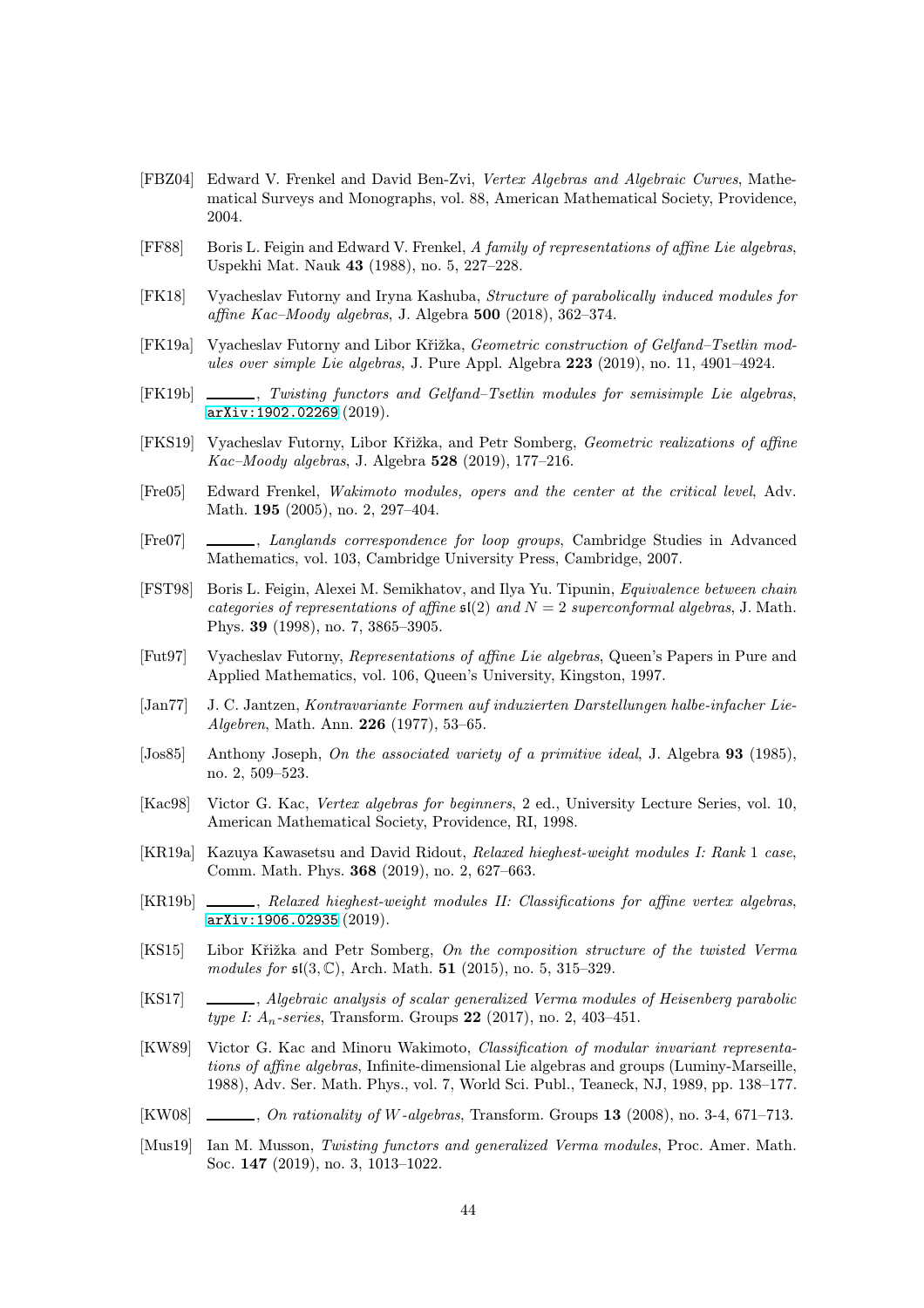- <span id="page-43-13"></span>[FBZ04] Edward V. Frenkel and David Ben-Zvi, Vertex Algebras and Algebraic Curves, Mathematical Surveys and Monographs, vol. 88, American Mathematical Society, Providence, 2004.
- <span id="page-43-0"></span>[FF88] Boris L. Feigin and Edward V. Frenkel, A family of representations of affine Lie algebras, Uspekhi Mat. Nauk 43 (1988), no. 5, 227–228.
- <span id="page-43-12"></span>[FK18] Vyacheslav Futorny and Iryna Kashuba, Structure of parabolically induced modules for affine Kac–Moody algebras, J. Algebra 500 (2018), 362–374.
- <span id="page-43-9"></span>[FK19a] Vyacheslav Futorny and Libor Křižka, Geometric construction of Gelfand–Tsetlin modules over simple Lie algebras, J. Pure Appl. Algebra 223 (2019), no. 11, 4901–4924.
- <span id="page-43-6"></span>[FK19b] , Twisting functors and Gelfand–Tsetlin modules for semisimple Lie algebras, [arXiv:1902.02269](http://arxiv.org/abs/1902.02269) (2019).
- <span id="page-43-1"></span>[FKS19] Vyacheslav Futorny, Libor Křižka, and Petr Somberg, Geometric realizations of affine Kac–Moody algebras, J. Algebra 528 (2019), 177–216.
- <span id="page-43-2"></span>[Fre05] Edward Frenkel, Wakimoto modules, opers and the center at the critical level, Adv. Math. 195 (2005), no. 2, 297–404.
- <span id="page-43-10"></span>[Fre07] , Langlands correspondence for loop groups, Cambridge Studies in Advanced Mathematics, vol. 103, Cambridge University Press, Cambridge, 2007.
- <span id="page-43-3"></span>[FST98] Boris L. Feigin, Alexei M. Semikhatov, and Ilya Yu. Tipunin, Equivalence between chain categories of representations of affine  $\mathfrak{sl}(2)$  and  $N = 2$  superconformal algebras, J. Math. Phys. 39 (1998), no. 7, 3865–3905.
- <span id="page-43-11"></span>[Fut97] Vyacheslav Futorny, Representations of affine Lie algebras, Queen's Papers in Pure and Applied Mathematics, vol. 106, Queen's University, Kingston, 1997.
- <span id="page-43-18"></span>[Jan77] J. C. Jantzen, Kontravariante Formen auf induzierten Darstellungen halbe-infacher Lie-Algebren, Math. Ann. 226 (1977), 53–65.
- <span id="page-43-19"></span>[Jos85] Anthony Joseph, On the associated variety of a primitive ideal, J. Algebra 93 (1985), no. 2, 509–523.
- <span id="page-43-14"></span>[Kac98] Victor G. Kac, Vertex algebras for beginners, 2 ed., University Lecture Series, vol. 10, American Mathematical Society, Providence, RI, 1998.
- <span id="page-43-4"></span>[KR19a] Kazuya Kawasetsu and David Ridout, Relaxed hieghest-weight modules I: Rank 1 case, Comm. Math. Phys. 368 (2019), no. 2, 627–663.
- <span id="page-43-5"></span>[KR19b] , Relaxed hieghest-weight modules II: Classifications for affine vertex algebras, [arXiv:1906.02935](http://arxiv.org/abs/1906.02935) (2019).
- <span id="page-43-7"></span>[KS15] Libor Křižka and Petr Somberg, On the composition structure of the twisted Verma modules for  $\mathfrak{sl}(3,\mathbb{C})$ , Arch. Math. **51** (2015), no. 5, 315–329.
- <span id="page-43-15"></span>[KS17] , Algebraic analysis of scalar generalized Verma modules of Heisenberg parabolic type I:  $A_n$ -series, Transform. Groups 22 (2017), no. 2, 403-451.
- <span id="page-43-16"></span>[KW89] Victor G. Kac and Minoru Wakimoto, Classification of modular invariant representations of affine algebras, Infinite-dimensional Lie algebras and groups (Luminy-Marseille, 1988), Adv. Ser. Math. Phys., vol. 7, World Sci. Publ., Teaneck, NJ, 1989, pp. 138–177.
- <span id="page-43-17"></span> $[KW08] \quad \underline{\hspace{1cm}}$ , On rationality of W-algebras, Transform. Groups 13 (2008), no. 3-4, 671–713.
- <span id="page-43-8"></span>[Mus19] Ian M. Musson, Twisting functors and generalized Verma modules, Proc. Amer. Math. Soc. 147 (2019), no. 3, 1013–1022.